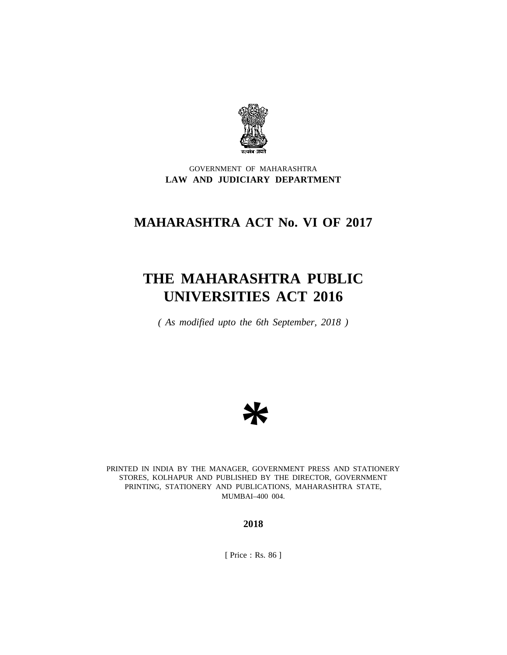

## GOVERNMENT OF MAHARASHTRA **LAW AND JUDICIARY DEPARTMENT**

## **MAHARASHTRA ACT No. VI OF 2017**

# **THE MAHARASHTRA PUBLIC UNIVERSITIES ACT 2016**

*( As modified upto the 6th September, 2018 )*



PRINTED IN INDIA BY THE MANAGER, GOVERNMENT PRESS AND STATIONERY STORES, KOLHAPUR AND PUBLISHED BY THE DIRECTOR, GOVERNMENT PRINTING, STATIONERY AND PUBLICATIONS, MAHARASHTRA STATE, MUMBAI–400 004.

**2018**

[ Price : Rs. 86 ]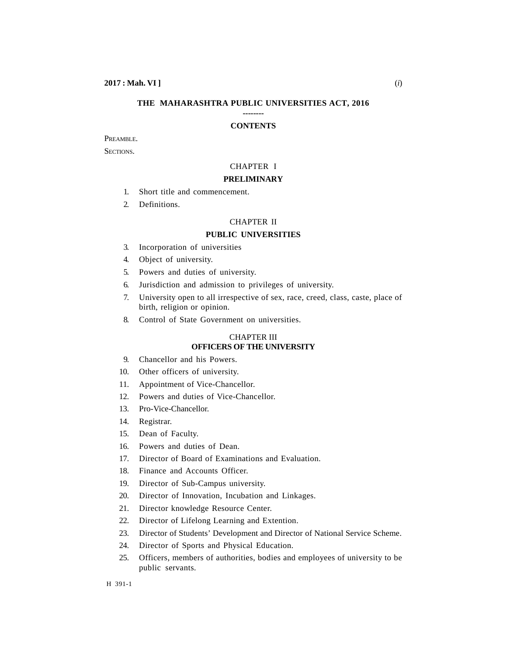#### **THE MAHARASHTRA PUBLIC UNIVERSITIES ACT, 2016 --------**

#### **CONTENTS**

## PREAMBLE.

SECTIONS.

## CHAPTER I

## **PRELIMINARY**

- 1. Short title and commencement.
- 2. Definitions.

## CHAPTER II

## **PUBLIC UNIVERSITIES**

- 3. Incorporation of universities
- 4. Object of university.
- 5. Powers and duties of university.
- 6. Jurisdiction and admission to privileges of university.
- 7. University open to all irrespective of sex, race, creed, class, caste, place of birth, religion or opinion.
- 8. Control of State Government on universities.

## CHAPTER III **OFFICERS OF THE UNIVERSITY**

- 9. Chancellor and his Powers.
- 10. Other officers of university.
- 11. Appointment of Vice-Chancellor.
- 12. Powers and duties of Vice-Chancellor.
- 13. Pro-Vice-Chancellor.
- 14. Registrar.
- 15. Dean of Faculty.
- 16. Powers and duties of Dean.
- 17. Director of Board of Examinations and Evaluation.
- 18. Finance and Accounts Officer.
- 19. Director of Sub-Campus university.
- 20. Director of Innovation, Incubation and Linkages.
- 21. Director knowledge Resource Center.
- 22. Director of Lifelong Learning and Extention.
- 23. Director of Students' Development and Director of National Service Scheme.
- 24. Director of Sports and Physical Education.
- 25. Officers, members of authorities, bodies and employees of university to be public servants.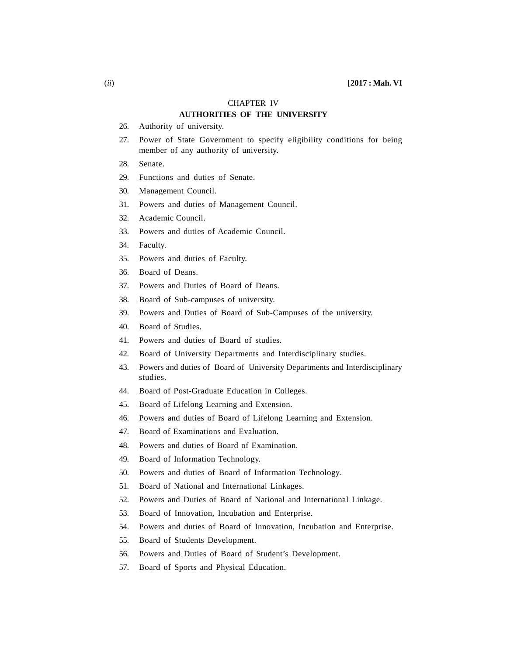#### CHAPTER IV

## **AUTHORITIES OF THE UNIVERSITY**

- 26. Authority of university.
- 27. Power of State Government to specify eligibility conditions for being member of any authority of university.
- 28. Senate.
- 29. Functions and duties of Senate.
- 30. Management Council.
- 31. Powers and duties of Management Council.
- 32. Academic Council.
- 33. Powers and duties of Academic Council.
- 34. Faculty.
- 35. Powers and duties of Faculty.
- 36. Board of Deans.
- 37. Powers and Duties of Board of Deans.
- 38. Board of Sub-campuses of university.
- 39. Powers and Duties of Board of Sub-Campuses of the university.
- 40. Board of Studies.
- 41. Powers and duties of Board of studies.
- 42. Board of University Departments and Interdisciplinary studies.
- 43. Powers and duties of Board of University Departments and Interdisciplinary studies.
- 44. Board of Post-Graduate Education in Colleges.
- 45. Board of Lifelong Learning and Extension.
- 46. Powers and duties of Board of Lifelong Learning and Extension.
- 47. Board of Examinations and Evaluation.
- 48. Powers and duties of Board of Examination.
- 49. Board of Information Technology.
- 50. Powers and duties of Board of Information Technology.
- 51. Board of National and International Linkages.
- 52. Powers and Duties of Board of National and International Linkage.
- 53. Board of Innovation, Incubation and Enterprise.
- 54. Powers and duties of Board of Innovation, Incubation and Enterprise.
- 55. Board of Students Development.
- 56. Powers and Duties of Board of Student's Development.
- 57. Board of Sports and Physical Education.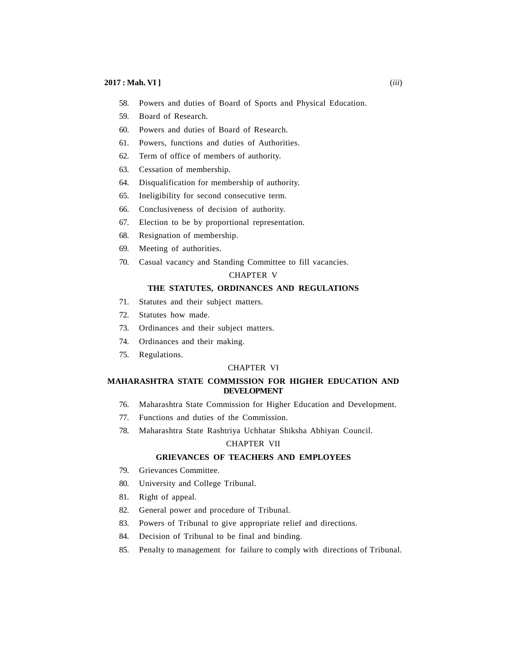- 58. Powers and duties of Board of Sports and Physical Education.
- 59. Board of Research.
- 60. Powers and duties of Board of Research.
- 61. Powers, functions and duties of Authorities.
- 62. Term of office of members of authority.
- 63. Cessation of membership.
- 64. Disqualification for membership of authority.
- 65. Ineligibility for second consecutive term.
- 66. Conclusiveness of decision of authority.
- 67. Election to be by proportional representation.
- 68. Resignation of membership.
- 69. Meeting of authorities.
- 70. Casual vacancy and Standing Committee to fill vacancies.

## CHAPTER V

## **THE STATUTES, ORDINANCES AND REGULATIONS**

- 71. Statutes and their subject matters.
- 72. Statutes how made.
- 73. Ordinances and their subject matters.
- 74. Ordinances and their making.
- 75. Regulations.

#### CHAPTER VI

## **MAHARASHTRA STATE COMMISSION FOR HIGHER EDUCATION AND DEVELOPMENT**

- 76. Maharashtra State Commission for Higher Education and Development.
- 77. Functions and duties of the Commission.
- 78. Maharashtra State Rashtriya Uchhatar Shiksha Abhiyan Council.

## CHAPTER VII

### **GRIEVANCES OF TEACHERS AND EMPLOYEES**

- 79. Grievances Committee.
- 80. University and College Tribunal.
- 81. Right of appeal.
- 82. General power and procedure of Tribunal.
- 83. Powers of Tribunal to give appropriate relief and directions.
- 84. Decision of Tribunal to be final and binding.
- 85. Penalty to management for failure to comply with directions of Tribunal.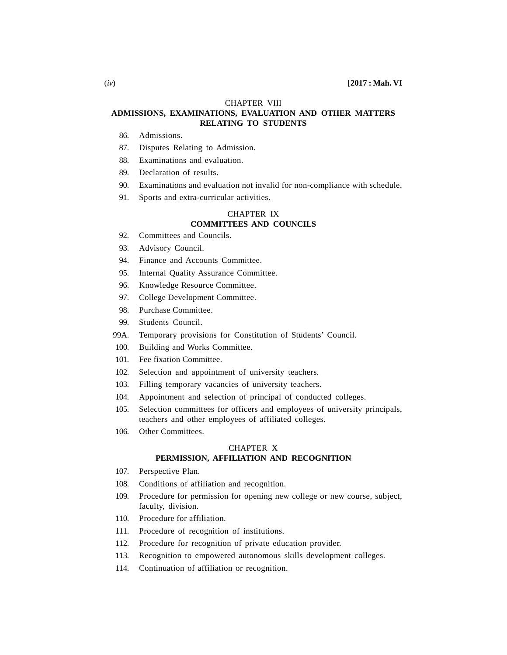#### CHAPTER VIII

## **ADMISSIONS, EXAMINATIONS, EVALUATION AND OTHER MATTERS RELATING TO STUDENTS**

- 86. Admissions.
- 87. Disputes Relating to Admission.
- 88. Examinations and evaluation.
- 89. Declaration of results.
- 90. Examinations and evaluation not invalid for non-compliance with schedule.
- 91. Sports and extra-curricular activities.

#### CHAPTER IX **COMMITTEES AND COUNCILS**

- 92. Committees and Councils.
- 93. Advisory Council.
- 94. Finance and Accounts Committee.
- 95. Internal Quality Assurance Committee.
- 96. Knowledge Resource Committee.
- 97. College Development Committee.
- 98. Purchase Committee.
- 99. Students Council.
- 99A. Temporary provisions for Constitution of Students' Council.
- 100. Building and Works Committee.
- 101. Fee fixation Committee.
- 102. Selection and appointment of university teachers.
- 103. Filling temporary vacancies of university teachers.
- 104. Appointment and selection of principal of conducted colleges.
- 105. Selection committees for officers and employees of university principals, teachers and other employees of affiliated colleges.
- 106. Other Committees.

## CHAPTER X **PERMISSION, AFFILIATION AND RECOGNITION**

- 107. Perspective Plan.
- 108. Conditions of affiliation and recognition.
- 109. Procedure for permission for opening new college or new course, subject, faculty, division.
- 110. Procedure for affiliation.
- 111. Procedure of recognition of institutions.
- 112. Procedure for recognition of private education provider.
- 113. Recognition to empowered autonomous skills development colleges.
- 114. Continuation of affiliation or recognition.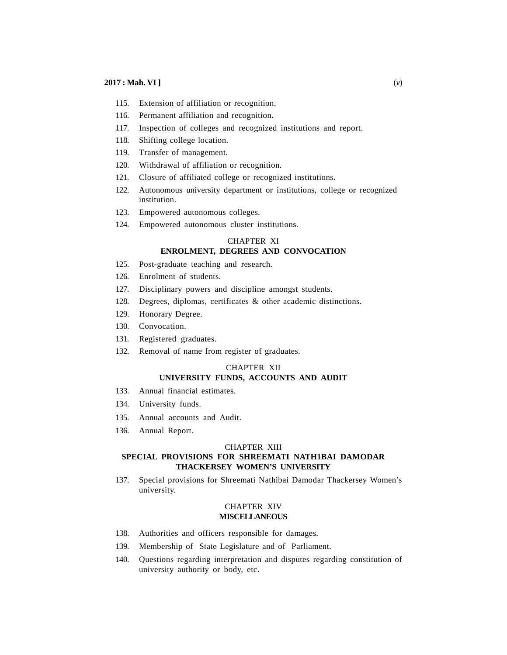- 115. Extension of affiliation or recognition.
- 116. Permanent affiliation and recognition.
- 117. Inspection of colleges and recognized institutions and report.
- 118. Shifting college location.
- 119. Transfer of management.
- 120. Withdrawal of affiliation or recognition.
- 121. Closure of affiliated college or recognized institutions.
- 122. Autonomous university department or institutions, college or recognized institution.
- 123. Empowered autonomous colleges.
- 124. Empowered autonomous cluster institutions.

#### CHAPTER XI **ENROLMENT, DEGREES AND CONVOCATION**

- 125. Post-graduate teaching and research.
- 126. Enrolment of students.
- 127. Disciplinary powers and discipline amongst students.
- 128. Degrees, diplomas, certificates & other academic distinctions.
- 129. Honorary Degree.
- 130. Convocation.
- 131. Registered graduates.
- 132. Removal of name from register of graduates.

## CHAPTER XII **UNIVERSITY FUNDS, ACCOUNTS AND AUDIT**

- 133. Annual financial estimates.
- 134. University funds.
- 135. Annual accounts and Audit.
- 136. Annual Report.

#### CHAPTER XIII

## **SPECIAL PROVISIONS FOR SHREEMATI NATH1BAI DAMODAR THACKERSEY WOMEN'S UNIVERSITY**

137. Special provisions for Shreemati Nathibai Damodar Thackersey Women's university.

#### CHAPTER XIV **MISCELLANEOUS**

- 138. Authorities and officers responsible for damages.
- 139. Membership of State Legislature and of Parliament.
- 140. Questions regarding interpretation and disputes regarding constitution of university authority or body, etc.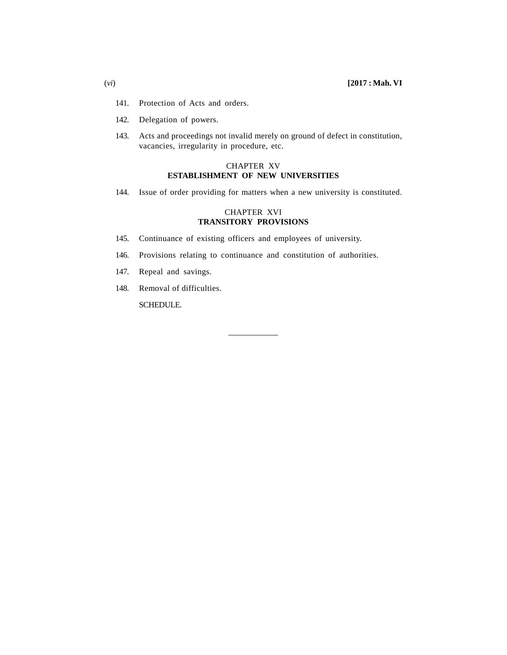- 141. Protection of Acts and orders.
- 142. Delegation of powers.
- 143. Acts and proceedings not invalid merely on ground of defect in constitution, vacancies, irregularity in procedure, etc.

## CHAPTER XV **ESTABLISHMENT OF NEW UNIVERSITIES**

144. Issue of order providing for matters when a new university is constituted.

## CHAPTER XVI **TRANSITORY PROVISIONS**

- 145. Continuance of existing officers and employees of university.
- 146. Provisions relating to continuance and constitution of authorities.

——————

- 147. Repeal and savings.
- 148. Removal of difficulties.

SCHEDULE.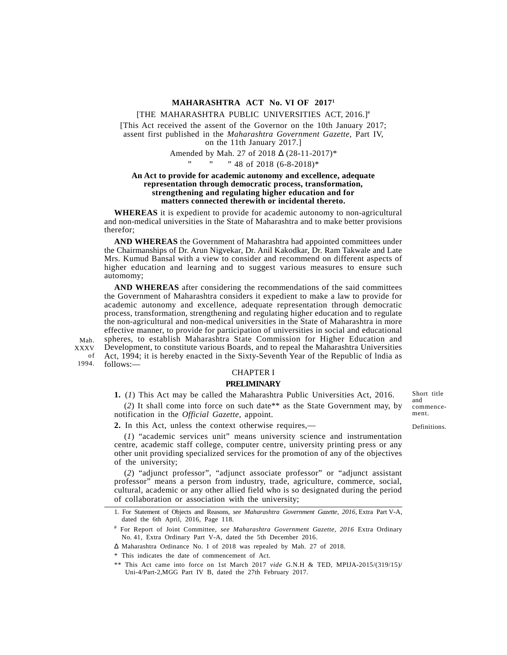#### **MAHARASHTRA ACT No. VI OF 2017<sup>1</sup>**

#### [THE MAHARASHTRA PUBLIC UNIVERSITIES ACT, 2016.] #

[This Act received the assent of the Governor on the 10th January 2017; assent first published in the *Maharashtra Government Gazette,* Part IV, on the 11th January 2017.]

Amended by Mah. 27 of 2018 U (28-11-2017)\*

#### " " 48 of 2018 (6-8-2018)\*

#### **An Act to provide for academic autonomy and excellence, adequate representation through democratic process, transformation, strengthening and regulating higher education and for matters connected therewith or incidental thereto.**

**WHEREAS** it is expedient to provide for academic autonomy to non-agricultural and non-medical universities in the State of Maharashtra and to make better provisions therefor;

**AND WHEREAS** the Government of Maharashtra had appointed committees under the Chairmanships of Dr. Arun Nigvekar, Dr. Anil Kakodkar, Dr. Ram Takwale and Late Mrs. Kumud Bansal with a view to consider and recommend on different aspects of higher education and learning and to suggest various measures to ensure such automomy;

**AND WHEREAS** after considering the recommendations of the said committees the Government of Maharashtra considers it expedient to make a law to provide for academic autonomy and excellence, adequate representation through democratic process, transformation, strengthening and regulating higher education and to regulate the non-agricultural and non-medical universities in the State of Maharashtra in more effective manner, to provide for participation of universities in social and educational spheres, to establish Maharashtra State Commission for Higher Education and XXXV Development, to constitute various Boards, and to repeal the Maharashtra Universities Act, 1994; it is hereby enacted in the Sixty-Seventh Year of the Republic of lndia as of follows:—

CHAPTER I

#### **PRELIMINARY**

**1.** (*1*) This Act may be called the Maharashtra Public Universities Act, 2016.

(*2*) It shall come into force on such date\*\* as the State Government may, by notification in the *Official Gazette*, appoint.

commence- Definitions.

ment.

Short title and

**2.** In this Act, unless the context otherwise requires,—

Mah.

1994.

(*1*) "academic services unit" means university science and instrumentation centre, academic staff college, computer centre, university printing press or any other unit providing specialized services for the promotion of any of the objectives of the university;

(*2*) "adjunct professor", "adjunct associate professor" or "adjunct assistant professor" means a person from industry, trade, agriculture, commerce, social, cultural, academic or any other allied field who is so designated during the period of collaboration or association with the university;

<sup>1.</sup> For Statement of Objects and Reasons, *see Maharashtra Government Gazette, 2016,* Extra Part V-A, dated the 6th April, 2016, Page 118.

<sup>#</sup> For Report of Joint Committee, *see Maharashtra Government Gazette, 2016* Extra Ordinary No. 41, Extra Ordinary Part V-A, dated the 5th December 2016.

Maharashtra Ordinance No. I of 2018 was repealed by Mah. 27 of 2018.

<sup>\*</sup> This indicates the date of commencement of Act.

<sup>\*\*</sup> This Act came into force on 1st March 2017 *vide* G.N.H & TED, MPIJA-2015/(319/15)/ Uni-4/Part-2,MGG Part IV B, dated the 27th February 2017.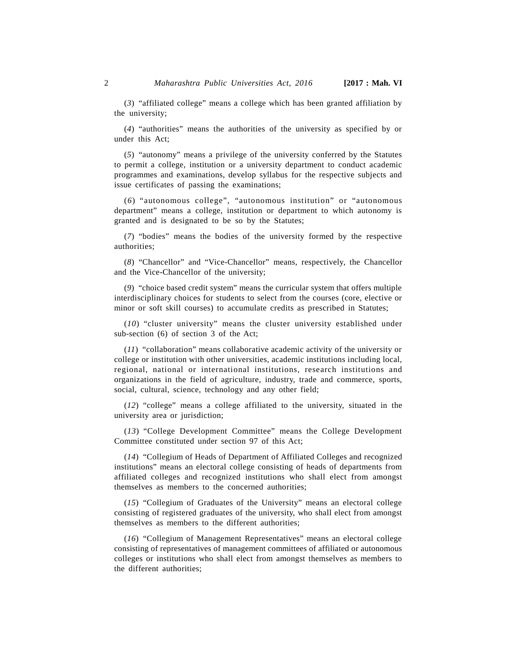(*3*) "affiliated college" means a college which has been granted affiliation by the university;

(*4*) "authorities" means the authorities of the university as specified by or under this Act;

(*5*) "autonomy" means a privilege of the university conferred by the Statutes to permit a college, institution or a university department to conduct academic programmes and examinations, develop syllabus for the respective subjects and issue certificates of passing the examinations;

(*6*) "autonomous college", "autonomous institution" or "autonomous department" means a college, institution or department to which autonomy is granted and is designated to be so by the Statutes;

(*7*) "bodies" means the bodies of the university formed by the respective authorities;

(*8*) "Chancellor" and "Vice-Chancellor" means, respectively, the Chancellor and the Vice-Chancellor of the university;

(*9*) "choice based credit system" means the curricular system that offers multiple interdisciplinary choices for students to select from the courses (core, elective or minor or soft skill courses) to accumulate credits as prescribed in Statutes;

(*10*) "cluster university" means the cluster university established under sub-section (6) of section 3 of the Act;

(*11*) "collaboration" means collaborative academic activity of the university or college or institution with other universities, academic institutions including local, regional, national or international institutions, research institutions and organizations in the field of agriculture, industry, trade and commerce, sports, social, cultural, science, technology and any other field;

(*12*) "college" means a college affiliated to the university, situated in the university area or jurisdiction;

(*13*) "College Development Committee" means the College Development Committee constituted under section 97 of this Act;

(*14*) "Collegium of Heads of Department of Affiliated Colleges and recognized institutions" means an electoral college consisting of heads of departments from affiliated colleges and recognized institutions who shall elect from amongst themselves as members to the concerned authorities;

(*15*) "Collegium of Graduates of the University" means an electoral college consisting of registered graduates of the university, who shall elect from amongst themselves as members to the different authorities;

(*16*) "Collegium of Management Representatives" means an electoral college consisting of representatives of management committees of affiliated or autonomous colleges or institutions who shall elect from amongst themselves as members to the different authorities;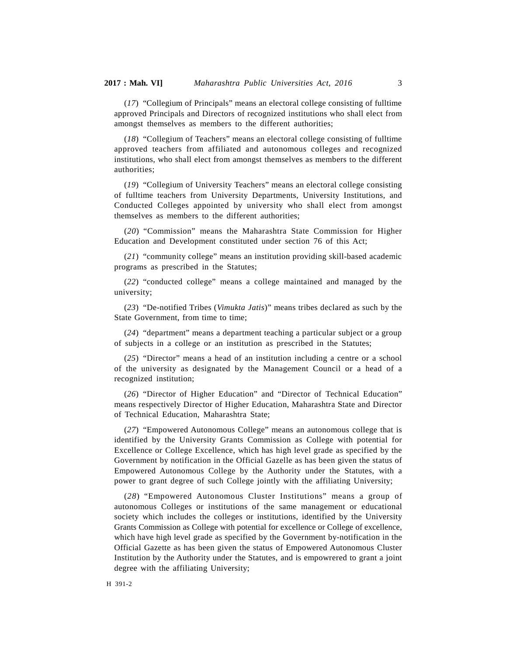(*17*) "Collegium of Principals" means an electoral college consisting of fulltime approved Principals and Directors of recognized institutions who shall elect from amongst themselves as members to the different authorities;

(*18*) "Collegium of Teachers" means an electoral college consisting of fulltime approved teachers from affiliated and autonomous colleges and recognized institutions, who shall elect from amongst themselves as members to the different authorities;

(*19*) "Collegium of University Teachers" means an electoral college consisting of fulltime teachers from University Departments, University Institutions, and Conducted Colleges appointed by university who shall elect from amongst themselves as members to the different authorities;

(*20*) "Commission" means the Maharashtra State Commission for Higher Education and Development constituted under section 76 of this Act;

(*21*) "community college" means an institution providing skill-based academic programs as prescribed in the Statutes;

(*22*) "conducted college" means a college maintained and managed by the university;

(*23*) "De-notified Tribes (*Vimukta Jatis*)" means tribes declared as such by the State Government, from time to time;

(*24*) "department" means a department teaching a particular subject or a group of subjects in a college or an institution as prescribed in the Statutes;

(*25*) "Director" means a head of an institution including a centre or a school of the university as designated by the Management Council or a head of a recognized institution;

(*26*) "Director of Higher Education" and "Director of Technical Education" means respectively Director of Higher Education, Maharashtra State and Director of Technical Education, Maharashtra State;

(*27*) "Empowered Autonomous College" means an autonomous college that is identified by the University Grants Commission as College with potential for Excellence or College Excellence, which has high level grade as specified by the Government by notification in the Official Gazelle as has been given the status of Empowered Autonomous College by the Authority under the Statutes, with a power to grant degree of such College jointly with the affiliating University;

(*28*) "Empowered Autonomous Cluster Institutions" means a group of autonomous Colleges or institutions of the same management or educational society which includes the colleges or institutions, identified by the University Grants Commission as College with potential for excellence or College of excellence, which have high level grade as specified by the Government by-notification in the Official Gazette as has been given the status of Empowered Autonomous Cluster Institution by the Authority under the Statutes, and is empowrered to grant a joint degree with the affiliating University;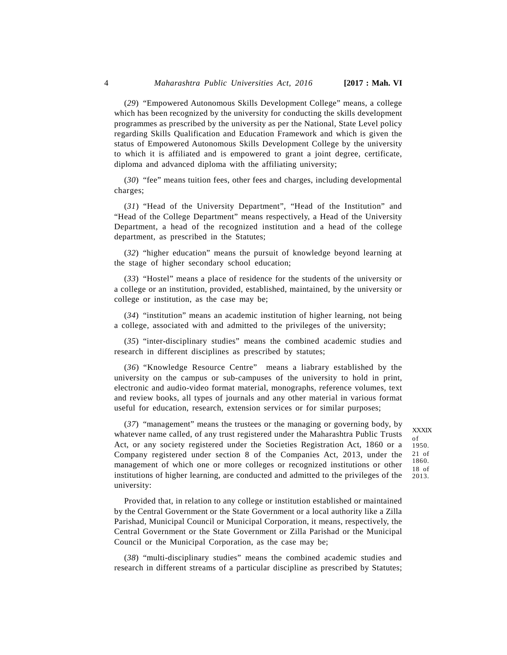(*29*) "Empowered Autonomous Skills Development College" means, a college which has been recognized by the university for conducting the skills development programmes as prescribed by the university as per the National, State Level policy regarding Skills Qualification and Education Framework and which is given the status of Empowered Autonomous Skills Development College by the university to which it is affiliated and is empowered to grant a joint degree, certificate, diploma and advanced diploma with the affiliating university;

(*30*) "fee" means tuition fees, other fees and charges, including developmental charges;

(*31*) "Head of the University Department", "Head of the Institution" and "Head of the College Department" means respectively, a Head of the University Department, a head of the recognized institution and a head of the college department, as prescribed in the Statutes;

(*32*) "higher education" means the pursuit of knowledge beyond learning at the stage of higher secondary school education;

(*33*) "Hostel" means a place of residence for the students of the university or a college or an institution, provided, established, maintained, by the university or college or institution, as the case may be;

(*34*) "institution" means an academic institution of higher learning, not being a college, associated with and admitted to the privileges of the university;

(*35*) "inter-disciplinary studies" means the combined academic studies and research in different disciplines as prescribed by statutes;

(*36*) "Knowledge Resource Centre" means a liabrary established by the university on the campus or sub-campuses of the university to hold in print, electronic and audio-video format material, monographs, reference volumes, text and review books, all types of journals and any other material in various format useful for education, research, extension services or for similar purposes;

(*37*) "management" means the trustees or the managing or governing body, by whatever name called, of any trust registered under the Maharashtra Public Trusts Act, or any society registered under the Societies Registration Act, 1860 or a Company registered under section 8 of the Companies Act, 2013, under the management of which one or more colleges or recognized institutions or other institutions of higher learning, are conducted and admitted to the privileges of the university:

XXXIX of 1950. 21 of 1860. 18 of 2013.

Provided that, in relation to any college or institution established or maintained by the Central Government or the State Government or a local authority like a Zilla Parishad, Municipal Council or Municipal Corporation, it means, respectively, the Central Government or the State Government or Zilla Parishad or the Municipal Council or the Municipal Corporation, as the case may be;

(*38*) "multi-disciplinary studies" means the combined academic studies and research in different streams of a particular discipline as prescribed by Statutes;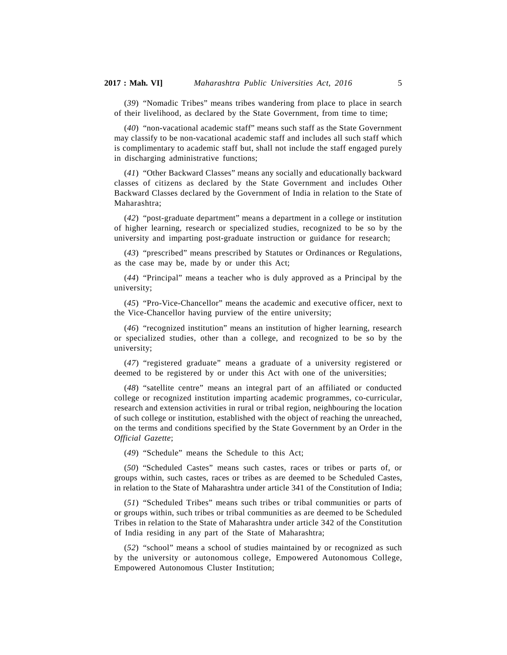(*39*) "Nomadic Tribes" means tribes wandering from place to place in search of their livelihood, as declared by the State Government, from time to time;

(*40*) "non-vacational academic staff" means such staff as the State Government may classify to be non-vacational academic staff and includes all such staff which is complimentary to academic staff but, shall not include the staff engaged purely in discharging administrative functions;

(*41*) "Other Backward Classes" means any socially and educationally backward classes of citizens as declared by the State Government and includes Other Backward Classes declared by the Government of India in relation to the State of Maharashtra;

(*42*) "post-graduate department" means a department in a college or institution of higher learning, research or specialized studies, recognized to be so by the university and imparting post-graduate instruction or guidance for research;

(*43*) "prescribed" means prescribed by Statutes or Ordinances or Regulations, as the case may be, made by or under this Act;

(*44*) "Principal" means a teacher who is duly approved as a Principal by the university;

(*45*) "Pro-Vice-Chancellor" means the academic and executive officer, next to the Vice-Chancellor having purview of the entire university;

(*46*) "recognized institution" means an institution of higher learning, research or specialized studies, other than a college, and recognized to be so by the university;

(*47*) "registered graduate" means a graduate of a university registered or deemed to be registered by or under this Act with one of the universities;

(*48*) "satellite centre" means an integral part of an affiliated or conducted college or recognized institution imparting academic programmes, co-curricular, research and extension activities in rural or tribal region, neighbouring the location of such college or institution, established with the object of reaching the unreached, on the terms and conditions specified by the State Government by an Order in the *Official Gazette*;

(*49*) "Schedule" means the Schedule to this Act;

(*50*) "Scheduled Castes" means such castes, races or tribes or parts of, or groups within, such castes, races or tribes as are deemed to be Scheduled Castes, in relation to the State of Maharashtra under article 341 of the Constitution of India;

(*51*) "Scheduled Tribes" means such tribes or tribal communities or parts of or groups within, such tribes or tribal communities as are deemed to be Scheduled Tribes in relation to the State of Maharashtra under article 342 of the Constitution of India residing in any part of the State of Maharashtra;

(*52*) "school" means a school of studies maintained by or recognized as such by the university or autonomous college, Empowered Autonomous College, Empowered Autonomous Cluster Institution;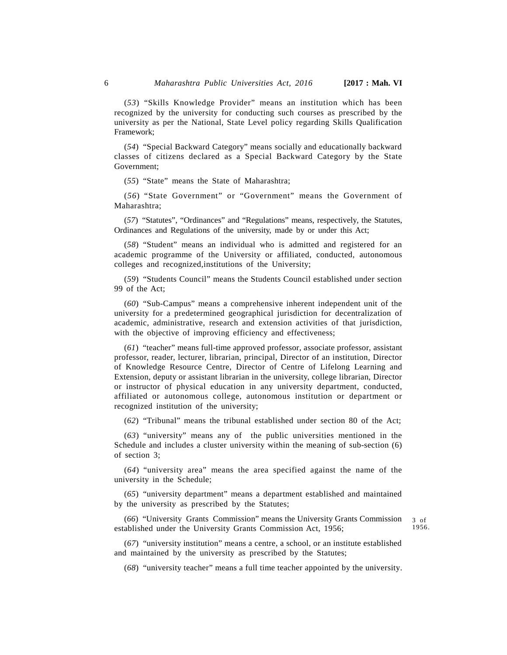(*53*) "Skills Knowledge Provider" means an institution which has been recognized by the university for conducting such courses as prescribed by the university as per the National, State Level policy regarding Skills Qualification Framework;

(*54*) "Special Backward Category" means socially and educationally backward classes of citizens declared as a Special Backward Category by the State Government;

(*55*) "State" means the State of Maharashtra;

(*56*) "State Government" or "Government" means the Government of Maharashtra;

(*57*) "Statutes", "Ordinances" and "Regulations" means, respectively, the Statutes, Ordinances and Regulations of the university, made by or under this Act;

(*58*) "Student" means an individual who is admitted and registered for an academic programme of the University or affiliated, conducted, autonomous colleges and recognized,institutions of the University;

(*59*) "Students Council" means the Students Council established under section 99 of the Act;

(*60*) "Sub-Campus" means a comprehensive inherent independent unit of the university for a predetermined geographical jurisdiction for decentralization of academic, administrative, research and extension activities of that jurisdiction, with the objective of improving efficiency and effectiveness;

(*61*) "teacher" means full-time approved professor, associate professor, assistant professor, reader, lecturer, librarian, principal, Director of an institution, Director of Knowledge Resource Centre, Director of Centre of Lifelong Learning and Extension, deputy or assistant librarian in the university, college librarian, Director or instructor of physical education in any university department, conducted, affiliated or autonomous college, autonomous institution or department or recognized institution of the university;

(*62*) "Tribunal" means the tribunal established under section 80 of the Act;

(*63*) "university" means any of the public universities mentioned in the Schedule and includes a cluster university within the meaning of sub-section (6) of section 3;

(*64*) "university area" means the area specified against the name of the university in the Schedule;

(*65*) "university department" means a department established and maintained by the university as prescribed by the Statutes;

(*66*) "University Grants Commission" means the University Grants Commission established under the University Grants Commission Act, 1956;

3 of 1956.

(*67*) "university institution" means a centre, a school, or an institute established and maintained by the university as prescribed by the Statutes;

(*68*) "university teacher" means a full time teacher appointed by the university.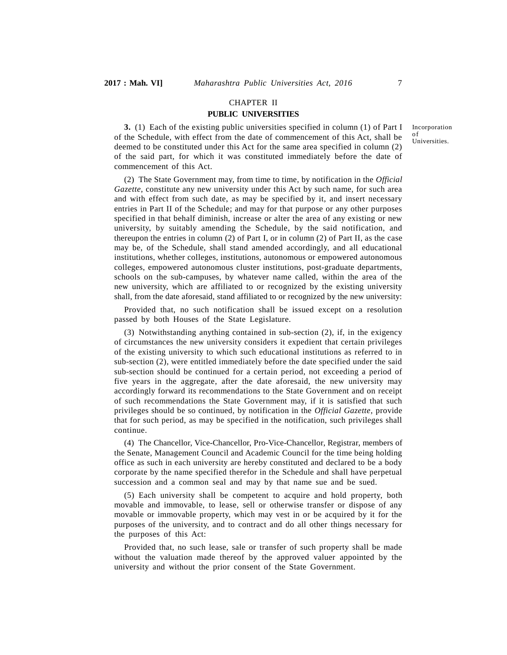#### CHAPTER II

## **PUBLIC UNIVERSITIES**

**3.** (1) Each of the existing public universities specified in column (1) of Part I of the Schedule, with effect from the date of commencement of this Act, shall be deemed to be constituted under this Act for the same area specified in column (2) of the said part, for which it was constituted immediately before the date of commencement of this Act.

(2) The State Government may, from time to time, by notification in the *Official Gazette*, constitute any new university under this Act by such name, for such area and with effect from such date, as may be specified by it, and insert necessary entries in Part II of the Schedule; and may for that purpose or any other purposes specified in that behalf diminish, increase or alter the area of any existing or new university, by suitably amending the Schedule, by the said notification, and thereupon the entries in column (2) of Part I, or in column (2) of Part II, as the case may be, of the Schedule, shall stand amended accordingly, and all educational institutions, whether colleges, institutions, autonomous or empowered autonomous colleges, empowered autonomous cluster institutions, post-graduate departments, schools on the sub-campuses, by whatever name called, within the area of the new university, which are affiliated to or recognized by the existing university shall, from the date aforesaid, stand affiliated to or recognized by the new university:

Provided that, no such notification shall be issued except on a resolution passed by both Houses of the State Legislature.

(3) Notwithstanding anything contained in sub-section (2), if, in the exigency of circumstances the new university considers it expedient that certain privileges of the existing university to which such educational institutions as referred to in sub-section (2), were entitled immediately before the date specified under the said sub-section should be continued for a certain period, not exceeding a period of five years in the aggregate, after the date aforesaid, the new university may accordingly forward its recommendations to the State Government and on receipt of such recommendations the State Government may, if it is satisfied that such privileges should be so continued, by notification in the *Official Gazette*, provide that for such period, as may be specified in the notification, such privileges shall continue.

(4) The Chancellor, Vice-Chancellor, Pro-Vice-Chancellor, Registrar, members of the Senate, Management Council and Academic Council for the time being holding office as such in each university are hereby constituted and declared to be a body corporate by the name specified therefor in the Schedule and shall have perpetual succession and a common seal and may by that name sue and be sued.

(5) Each university shall be competent to acquire and hold property, both movable and immovable, to lease, sell or otherwise transfer or dispose of any movable or immovable property, which may vest in or be acquired by it for the purposes of the university, and to contract and do all other things necessary for the purposes of this Act:

Provided that, no such lease, sale or transfer of such property shall be made without the valuation made thereof by the approved valuer appointed by the university and without the prior consent of the State Government.

Incorporation of **Universities**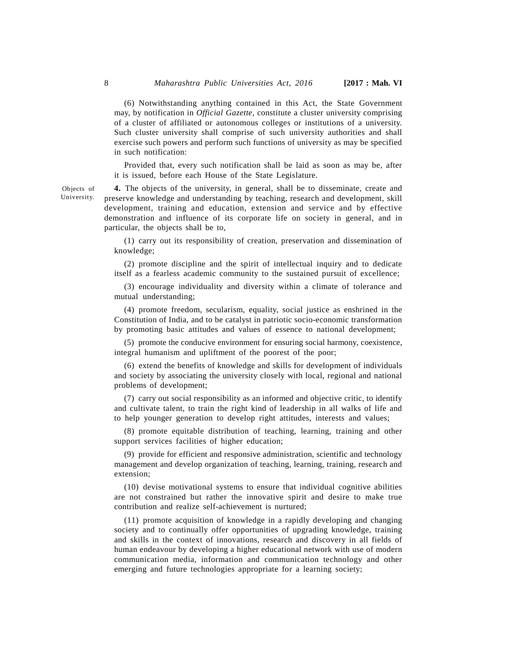(6) Notwithstanding anything contained in this Act, the State Government may, by notification in *Official Gazette*, constitute a cluster university comprising of a cluster of affiliated or autonomous colleges or institutions of a university. Such cluster university shall comprise of such university authorities and shall exercise such powers and perform such functions of university as may be specified in such notification:

Provided that, every such notification shall be laid as soon as may be, after it is issued, before each House of the State Legislature.

**4.** The objects of the university, in general, shall be to disseminate, create and preserve knowledge and understanding by teaching, research and development, skill development, training and education, extension and service and by effective demonstration and influence of its corporate life on society in general, and in particular, the objects shall be to,

(1) carry out its responsibility of creation, preservation and dissemination of knowledge;

(2) promote discipline and the spirit of intellectual inquiry and to dedicate itself as a fearless academic community to the sustained pursuit of excellence;

(3) encourage individuality and diversity within a climate of tolerance and mutual understanding;

(4) promote freedom, secularism, equality, social justice as enshrined in the Constitution of India, and to be catalyst in patriotic socio-economic transformation by promoting basic attitudes and values of essence to national development;

(5) promote the conducive environment for ensuring social harmony, coexistence, integral humanism and upliftment of the poorest of the poor;

(6) extend the benefits of knowledge and skills for development of individuals and society by associating the university closely with local, regional and national problems of development;

(7) carry out social responsibility as an informed and objective critic, to identify and cultivate talent, to train the right kind of leadership in all walks of life and to help younger generation to develop right attitudes, interests and values;

(8) promote equitable distribution of teaching, learning, training and other support services facilities of higher education;

(9) provide for efficient and responsive administration, scientific and technology management and develop organization of teaching, learning, training, research and extension;

(10) devise motivational systems to ensure that individual cognitive abilities are not constrained but rather the innovative spirit and desire to make true contribution and realize self-achievement is nurtured;

(11) promote acquisition of knowledge in a rapidly developing and changing society and to continually offer opportunities of upgrading knowledge, training and skills in the context of innovations, research and discovery in all fields of human endeavour by developing a higher educational network with use of modern communication media, information and communication technology and other emerging and future technologies appropriate for a learning society;

Objects of University.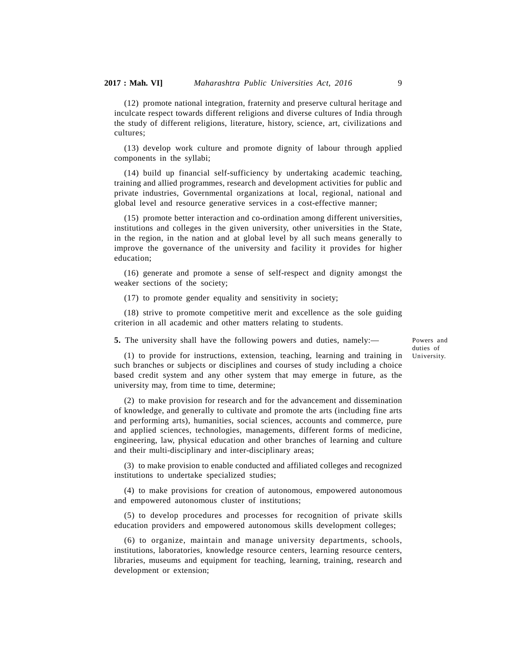(12) promote national integration, fraternity and preserve cultural heritage and inculcate respect towards different religions and diverse cultures of India through the study of different religions, literature, history, science, art, civilizations and cultures;

(13) develop work culture and promote dignity of labour through applied components in the syllabi;

(14) build up financial self-sufficiency by undertaking academic teaching, training and allied programmes, research and development activities for public and private industries, Governmental organizations at local, regional, national and global level and resource generative services in a cost-effective manner;

(15) promote better interaction and co-ordination among different universities, institutions and colleges in the given university, other universities in the State, in the region, in the nation and at global level by all such means generally to improve the governance of the university and facility it provides for higher education;

(16) generate and promote a sense of self-respect and dignity amongst the weaker sections of the society;

(17) to promote gender equality and sensitivity in society;

(18) strive to promote competitive merit and excellence as the sole guiding criterion in all academic and other matters relating to students.

**5.** The university shall have the following powers and duties, namely:—

Powers and duties of University.

(1) to provide for instructions, extension, teaching, learning and training in such branches or subjects or disciplines and courses of study including a choice based credit system and any other system that may emerge in future, as the university may, from time to time, determine;

(2) to make provision for research and for the advancement and dissemination of knowledge, and generally to cultivate and promote the arts (including fine arts and performing arts), humanities, social sciences, accounts and commerce, pure and applied sciences, technologies, managements, different forms of medicine, engineering, law, physical education and other branches of learning and culture and their multi-disciplinary and inter-disciplinary areas;

(3) to make provision to enable conducted and affiliated colleges and recognized institutions to undertake specialized studies;

(4) to make provisions for creation of autonomous, empowered autonomous and empowered autonomous cluster of institutions;

(5) to develop procedures and processes for recognition of private skills education providers and empowered autonomous skills development colleges;

(6) to organize, maintain and manage university departments, schools, institutions, laboratories, knowledge resource centers, learning resource centers, libraries, museums and equipment for teaching, learning, training, research and development or extension;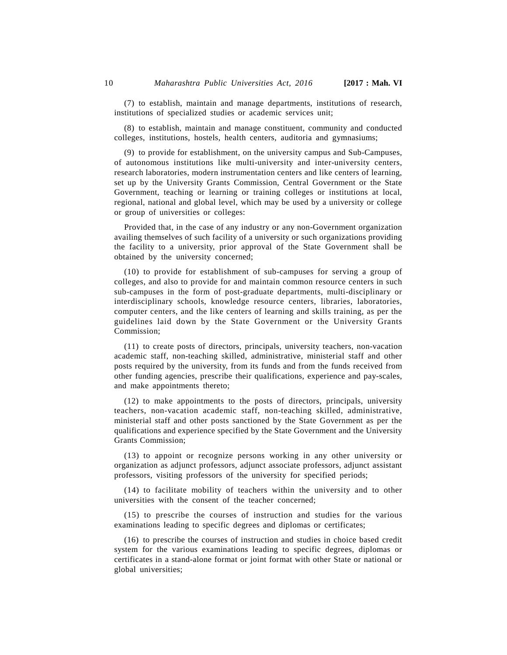(7) to establish, maintain and manage departments, institutions of research, institutions of specialized studies or academic services unit;

(8) to establish, maintain and manage constituent, community and conducted colleges, institutions, hostels, health centers, auditoria and gymnasiums;

(9) to provide for establishment, on the university campus and Sub-Campuses, of autonomous institutions like multi-university and inter-university centers, research laboratories, modern instrumentation centers and like centers of learning, set up by the University Grants Commission, Central Government or the State Government, teaching or learning or training colleges or institutions at local, regional, national and global level, which may be used by a university or college or group of universities or colleges:

Provided that, in the case of any industry or any non-Government organization availing themselves of such facility of a university or such organizations providing the facility to a university, prior approval of the State Government shall be obtained by the university concerned;

(10) to provide for establishment of sub-campuses for serving a group of colleges, and also to provide for and maintain common resource centers in such sub-campuses in the form of post-graduate departments, multi-disciplinary or interdisciplinary schools, knowledge resource centers, libraries, laboratories, computer centers, and the like centers of learning and skills training, as per the guidelines laid down by the State Government or the University Grants Commission;

(11) to create posts of directors, principals, university teachers, non-vacation academic staff, non-teaching skilled, administrative, ministerial staff and other posts required by the university, from its funds and from the funds received from other funding agencies, prescribe their qualifications, experience and pay-scales, and make appointments thereto;

(12) to make appointments to the posts of directors, principals, university teachers, non-vacation academic staff, non-teaching skilled, administrative, ministerial staff and other posts sanctioned by the State Government as per the qualifications and experience specified by the State Government and the University Grants Commission;

(13) to appoint or recognize persons working in any other university or organization as adjunct professors, adjunct associate professors, adjunct assistant professors, visiting professors of the university for specified periods;

(14) to facilitate mobility of teachers within the university and to other universities with the consent of the teacher concerned;

(15) to prescribe the courses of instruction and studies for the various examinations leading to specific degrees and diplomas or certificates;

(16) to prescribe the courses of instruction and studies in choice based credit system for the various examinations leading to specific degrees, diplomas or certificates in a stand-alone format or joint format with other State or national or global universities;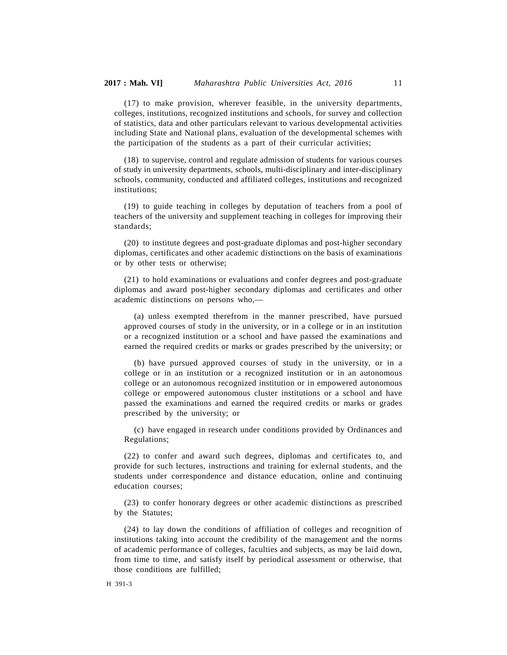(17) to make provision, wherever feasible, in the university departments, colleges, institutions, recognized institutions and schools, for survey and collection of statistics, data and other particulars relevant to various developmental activities including State and National plans, evaluation of the developmental schemes with the participation of the students as a part of their curricular activities;

(18) to supervise, control and regulate admission of students for various courses of study in university departments, schools, multi-disciplinary and inter-disciplinary schools, community, conducted and affiliated colleges, institutions and recognized institutions;

(19) to guide teaching in colleges by deputation of teachers from a pool of teachers of the university and supplement teaching in colleges for improving their standards;

(20) to institute degrees and post-graduate diplomas and post-higher secondary diplomas, certificates and other academic distinctions on the basis of examinations or by other tests or otherwise;

(21) to hold examinations or evaluations and confer degrees and post-graduate diplomas and award post-higher secondary diplomas and certificates and other academic distinctions on persons who,—

(a) unless exempted therefrom in the manner prescribed, have pursued approved courses of study in the university, or in a college or in an institution or a recognized institution or a school and have passed the examinations and earned the required credits or marks or grades prescribed by the university; or

(b) have pursued approved courses of study in the university, or in a college or in an institution or a recognized institution or in an autonomous college or an autonomous recognized institution or in empowered autonomous college or empowered autonomous cluster institutions or a school and have passed the examinations and earned the required credits or marks or grades prescribed by the university; or

(c) have engaged in research under conditions provided by Ordinances and Regulations;

(22) to confer and award such degrees, diplomas and certificates to, and provide for such lectures, instructions and training for exlernal students, and the students under correspondence and distance education, online and continuing education courses;

(23) to confer honorary degrees or other academic distinctions as prescribed by the Statutes;

(24) to lay down the conditions of affiliation of colleges and recognition of institutions taking into account the credibility of the management and the norms of academic performance of colleges, faculties and subjects, as may be laid down, from time to time, and satisfy itself by periodical assessment or otherwise, that those conditions are fulfilled;

#### H 391-3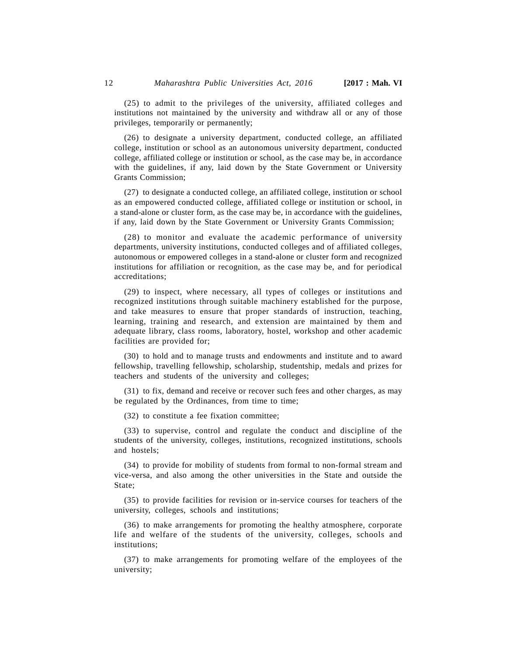(25) to admit to the privileges of the university, affiliated colleges and institutions not maintained by the university and withdraw all or any of those privileges, temporarily or permanently;

(26) to designate a university department, conducted college, an affiliated college, institution or school as an autonomous university department, conducted college, affiliated college or institution or school, as the case may be, in accordance with the guidelines, if any, laid down by the State Government or University Grants Commission;

(27) to designate a conducted college, an affiliated college, institution or school as an empowered conducted college, affiliated college or institution or school, in a stand-alone or cluster form, as the case may be, in accordance with the guidelines, if any, laid down by the State Government or University Grants Commission;

(28) to monitor and evaluate the academic performance of university departments, university institutions, conducted colleges and of affiliated colleges, autonomous or empowered colleges in a stand-alone or cluster form and recognized institutions for affiliation or recognition, as the case may be, and for periodical accreditations;

(29) to inspect, where necessary, all types of colleges or institutions and recognized institutions through suitable machinery established for the purpose, and take measures to ensure that proper standards of instruction, teaching, learning, training and research, and extension are maintained by them and adequate library, class rooms, laboratory, hostel, workshop and other academic facilities are provided for;

(30) to hold and to manage trusts and endowments and institute and to award fellowship, travelling fellowship, scholarship, studentship, medals and prizes for teachers and students of the university and colleges;

(31) to fix, demand and receive or recover such fees and other charges, as may be regulated by the Ordinances, from time to time;

(32) to constitute a fee fixation committee;

(33) to supervise, control and regulate the conduct and discipline of the students of the university, colleges, institutions, recognized institutions, schools and hostels;

(34) to provide for mobility of students from formal to non-formal stream and vice-versa, and also among the other universities in the State and outside the State;

(35) to provide facilities for revision or in-service courses for teachers of the university, colleges, schools and institutions;

(36) to make arrangements for promoting the healthy atmosphere, corporate life and welfare of the students of the university, colleges, schools and institutions;

(37) to make arrangements for promoting welfare of the employees of the university;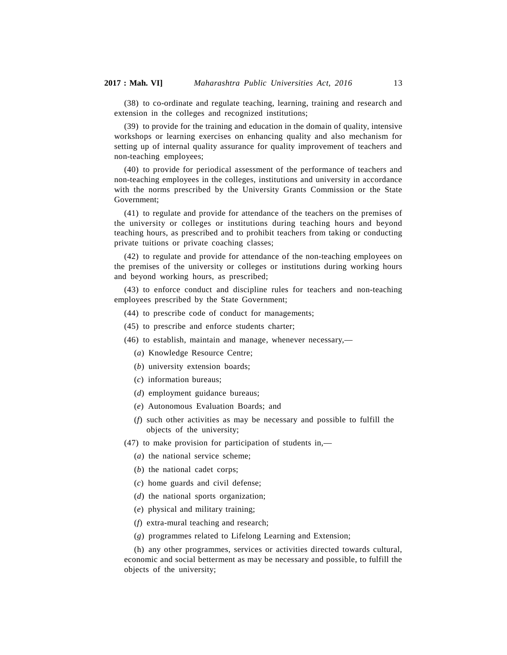(38) to co-ordinate and regulate teaching, learning, training and research and extension in the colleges and recognized institutions;

(39) to provide for the training and education in the domain of quality, intensive workshops or learning exercises on enhancing quality and also mechanism for setting up of internal quality assurance for quality improvement of teachers and non-teaching employees;

(40) to provide for periodical assessment of the performance of teachers and non-teaching employees in the colleges, institutions and university in accordance with the norms prescribed by the University Grants Commission or the State Government;

(41) to regulate and provide for attendance of the teachers on the premises of the university or colleges or institutions during teaching hours and beyond teaching hours, as prescribed and to prohibit teachers from taking or conducting private tuitions or private coaching classes;

(42) to regulate and provide for attendance of the non-teaching employees on the premises of the university or colleges or institutions during working hours and beyond working hours, as prescribed;

(43) to enforce conduct and discipline rules for teachers and non-teaching employees prescribed by the State Government;

- (44) to prescribe code of conduct for managements;
- (45) to prescribe and enforce students charter;
- (46) to establish, maintain and manage, whenever necessary,—
	- (*a*) Knowledge Resource Centre;
	- (*b*) university extension boards;
	- (*c*) information bureaus;
	- (*d*) employment guidance bureaus;
	- (*e*) Autonomous Evaluation Boards; and
	- (*f*) such other activities as may be necessary and possible to fulfill the objects of the university;

(47) to make provision for participation of students in,—

- (*a*) the national service scheme;
- (*b*) the national cadet corps;
- (*c*) home guards and civil defense;
- (*d*) the national sports organization;
- (*e*) physical and military training;
- (*f*) extra-mural teaching and research;
- (*g*) programmes related to Lifelong Learning and Extension;

(h) any other programmes, services or activities directed towards cultural, economic and social betterment as may be necessary and possible, to fulfill the objects of the university;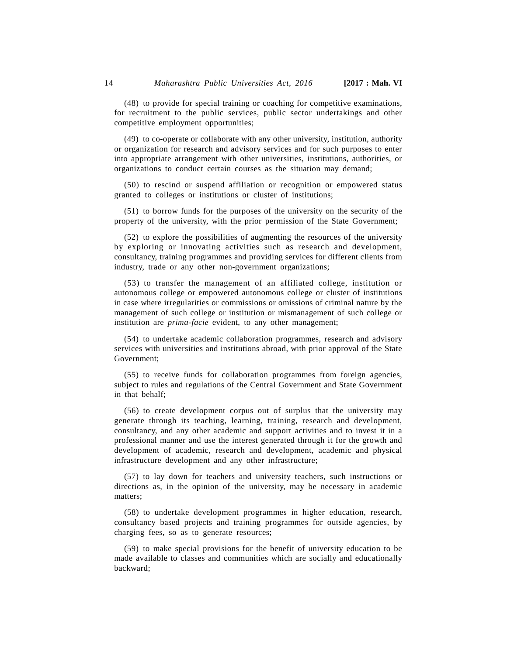(48) to provide for special training or coaching for competitive examinations, for recruitment to the public services, public sector undertakings and other competitive employment opportunities;

(49) to co-operate or collaborate with any other university, institution, authority or organization for research and advisory services and for such purposes to enter into appropriate arrangement with other universities, institutions, authorities, or organizations to conduct certain courses as the situation may demand;

(50) to rescind or suspend affiliation or recognition or empowered status granted to colleges or institutions or cluster of institutions;

(51) to borrow funds for the purposes of the university on the security of the property of the university, with the prior permission of the State Government;

(52) to explore the possibilities of augmenting the resources of the university by exploring or innovating activities such as research and development, consultancy, training programmes and providing services for different clients from industry, trade or any other non-government organizations;

(53) to transfer the management of an affiliated college, institution or autonomous college or empowered autonomous college or cluster of institutions in case where irregularities or commissions or omissions of criminal nature by the management of such college or institution or mismanagement of such college or institution are *prima-facie* evident, to any other management;

(54) to undertake academic collaboration programmes, research and advisory services with universities and institutions abroad, with prior approval of the State Government;

(55) to receive funds for collaboration programmes from foreign agencies, subject to rules and regulations of the Central Government and State Government in that behalf;

(56) to create development corpus out of surplus that the university may generate through its teaching, learning, training, research and development, consultancy, and any other academic and support activities and to invest it in a professional manner and use the interest generated through it for the growth and development of academic, research and development, academic and physical infrastructure development and any other infrastructure;

(57) to lay down for teachers and university teachers, such instructions or directions as, in the opinion of the university, may be necessary in academic matters;

(58) to undertake development programmes in higher education, research, consultancy based projects and training programmes for outside agencies, by charging fees, so as to generate resources;

(59) to make special provisions for the benefit of university education to be made available to classes and communities which are socially and educationally backward;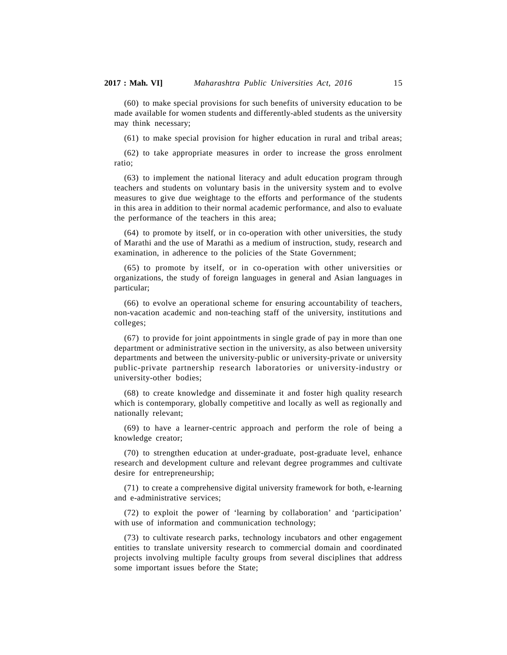(60) to make special provisions for such benefits of university education to be made available for women students and differently-abled students as the university may think necessary;

(61) to make special provision for higher education in rural and tribal areas;

(62) to take appropriate measures in order to increase the gross enrolment ratio;

(63) to implement the national literacy and adult education program through teachers and students on voluntary basis in the university system and to evolve measures to give due weightage to the efforts and performance of the students in this area in addition to their normal academic performance, and also to evaluate the performance of the teachers in this area;

(64) to promote by itself, or in co-operation with other universities, the study of Marathi and the use of Marathi as a medium of instruction, study, research and examination, in adherence to the policies of the State Government;

(65) to promote by itself, or in co-operation with other universities or organizations, the study of foreign languages in general and Asian languages in particular;

(66) to evolve an operational scheme for ensuring accountability of teachers, non-vacation academic and non-teaching staff of the university, institutions and colleges;

(67) to provide for joint appointments in single grade of pay in more than one department or administrative section in the university, as also between university departments and between the university-public or university-private or university public-private partnership research laboratories or university-industry or university-other bodies;

(68) to create knowledge and disseminate it and foster high quality research which is contemporary, globally competitive and locally as well as regionally and nationally relevant;

(69) to have a learner-centric approach and perform the role of being a knowledge creator;

(70) to strengthen education at under-graduate, post-graduate level, enhance research and development culture and relevant degree programmes and cultivate desire for entrepreneurship;

(71) to create a comprehensive digital university framework for both, e-learning and e-administrative services;

(72) to exploit the power of 'learning by collaboration' and 'participation' with use of information and communication technology;

(73) to cultivate research parks, technology incubators and other engagement entities to translate university research to commercial domain and coordinated projects involving multiple faculty groups from several disciplines that address some important issues before the State;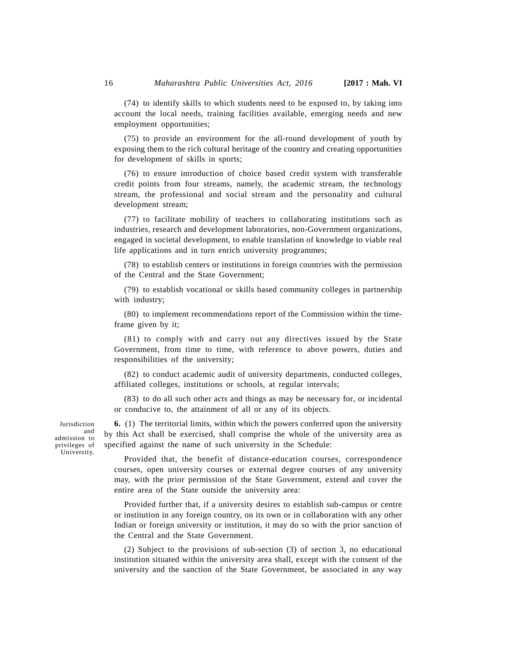(74) to identify skills to which students need to be exposed to, by taking into account the local needs, training facilities available, emerging needs and new employment opportunities;

(75) to provide an environment for the all-round development of youth by exposing them to the rich cultural heritage of the country and creating opportunities for development of skills in sports;

(76) to ensure introduction of choice based credit system with transferable credit points from four streams, namely, the academic stream, the technology stream, the professional and social stream and the personality and cultural development stream;

(77) to facilitate mobility of teachers to collaborating institutions such as industries, research and development laboratories, non-Government organizations, engaged in societal development, to enable translation of knowledge to viable real life applications and in turn enrich university programmes;

(78) to establish centers or institutions in foreign countries with the permission of the Central and the State Government;

(79) to establish vocational or skills based community colleges in partnership with industry;

(80) to implement recommendations report of the Commission within the timeframe given by it;

(81) to comply with and carry out any directives issued by the State Government, from time to time, with reference to above powers, duties and responsibilities of the university;

(82) to conduct academic audit of university departments, conducted colleges, affiliated colleges, institutions or schools, at regular intervals;

(83) to do all such other acts and things as may be necessary for, or incidental or conducive to, the attainment of all or any of its objects.

**6.** (1) The territorial limits, within which the powers conferred upon the university and by this Act shall be exercised, shall comprise the whole of the university area as specified against the name of such university in the Schedule:

Provided that, the benefit of distance-education courses, correspondence courses, open university courses or external degree courses of any university may, with the prior permission of the State Government, extend and cover the entire area of the State outside the university area:

Provided further that, if a university desires to establish sub-campus or centre or institution in any foreign country, on its own or in collaboration with any other Indian or foreign university or institution, it may do so with the prior sanction of the Central and the State Government.

(2) Subject to the provisions of sub-section (3) of section 3, no educational institution situated within the university area shall, except with the consent of the university and the sanction of the State Government, be associated in any way

Jurisdiction admission to privileges of University.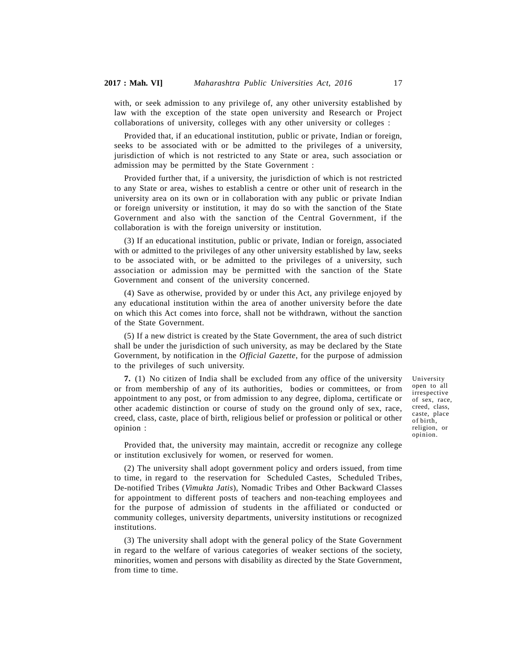with, or seek admission to any privilege of, any other university established by law with the exception of the state open university and Research or Project collaborations of university, colleges with any other university or colleges :

Provided that, if an educational institution, public or private, Indian or foreign, seeks to be associated with or be admitted to the privileges of a university, jurisdiction of which is not restricted to any State or area, such association or admission may be permitted by the State Government :

Provided further that, if a university, the jurisdiction of which is not restricted to any State or area, wishes to establish a centre or other unit of research in the university area on its own or in collaboration with any public or private Indian or foreign university or institution, it may do so with the sanction of the State Government and also with the sanction of the Central Government, if the collaboration is with the foreign university or institution.

(3) If an educational institution, public or private, Indian or foreign, associated with or admitted to the privileges of any other university established by law, seeks to be associated with, or be admitted to the privileges of a university, such association or admission may be permitted with the sanction of the State Government and consent of the university concerned.

(4) Save as otherwise, provided by or under this Act, any privilege enjoyed by any educational institution within the area of another university before the date on which this Act comes into force, shall not be withdrawn, without the sanction of the State Government.

(5) If a new district is created by the State Government, the area of such district shall be under the jurisdiction of such university, as may be declared by the State Government, by notification in the *Official Gazette*, for the purpose of admission to the privileges of such university.

**7.** (1) No citizen of India shall be excluded from any office of the university or from membership of any of its authorities, bodies or committees, or from appointment to any post, or from admission to any degree, diploma, certificate or other academic distinction or course of study on the ground only of sex, race, creed, class, caste, place of birth, religious belief or profession or political or other opinion :

University open to all irrespective of sex, race, creed, class, caste, place of birth, religion, or opinion.

Provided that, the university may maintain, accredit or recognize any college or institution exclusively for women, or reserved for women.

(2) The university shall adopt government policy and orders issued, from time to time, in regard to the reservation for Scheduled Castes, Scheduled Tribes, De-notified Tribes (*Vimukta Jatis*), Nomadic Tribes and Other Backward Classes for appointment to different posts of teachers and non-teaching employees and for the purpose of admission of students in the affiliated or conducted or community colleges, university departments, university institutions or recognized institutions.

(3) The university shall adopt with the general policy of the State Government in regard to the welfare of various categories of weaker sections of the society, minorities, women and persons with disability as directed by the State Government, from time to time.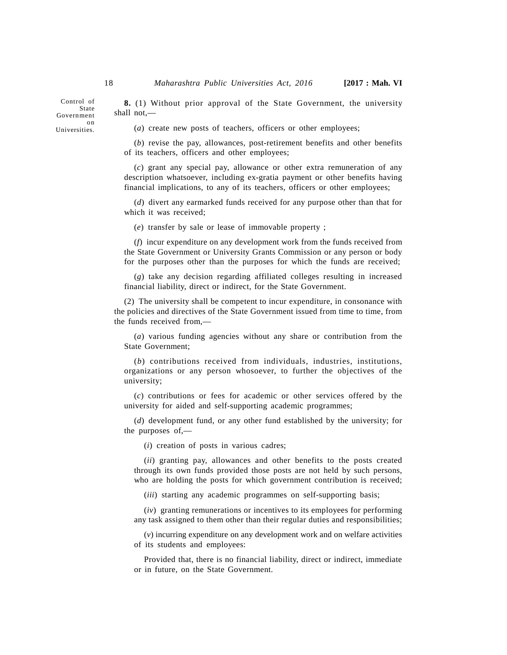Control of State Government on Universities.

**8.** (1) Without prior approval of the State Government, the university shall not,—

(*a*) create new posts of teachers, officers or other employees;

(*b*) revise the pay, allowances, post-retirement benefits and other benefits of its teachers, officers and other employees;

(*c*) grant any special pay, allowance or other extra remuneration of any description whatsoever, including ex-gratia payment or other benefits having financial implications, to any of its teachers, officers or other employees;

(*d*) divert any earmarked funds received for any purpose other than that for which it was received;

(*e*) transfer by sale or lease of immovable property ;

(*f*) incur expenditure on any development work from the funds received from the State Government or University Grants Commission or any person or body for the purposes other than the purposes for which the funds are received;

(*g*) take any decision regarding affiliated colleges resulting in increased financial liability, direct or indirect, for the State Government.

(2) The university shall be competent to incur expenditure, in consonance with the policies and directives of the State Government issued from time to time, from the funds received from,—

(*a*) various funding agencies without any share or contribution from the State Government;

(*b*) contributions received from individuals, industries, institutions, organizations or any person whosoever, to further the objectives of the university;

(*c*) contributions or fees for academic or other services offered by the university for aided and self-supporting academic programmes;

(*d*) development fund, or any other fund established by the university; for the purposes of,—

(*i*) creation of posts in various cadres;

(*ii*) granting pay, allowances and other benefits to the posts created through its own funds provided those posts are not held by such persons, who are holding the posts for which government contribution is received;

(*iii*) starting any academic programmes on self-supporting basis;

(*iv*) granting remunerations or incentives to its employees for performing any task assigned to them other than their regular duties and responsibilities;

(*v*) incurring expenditure on any development work and on welfare activities of its students and employees:

Provided that, there is no financial liability, direct or indirect, immediate or in future, on the State Government.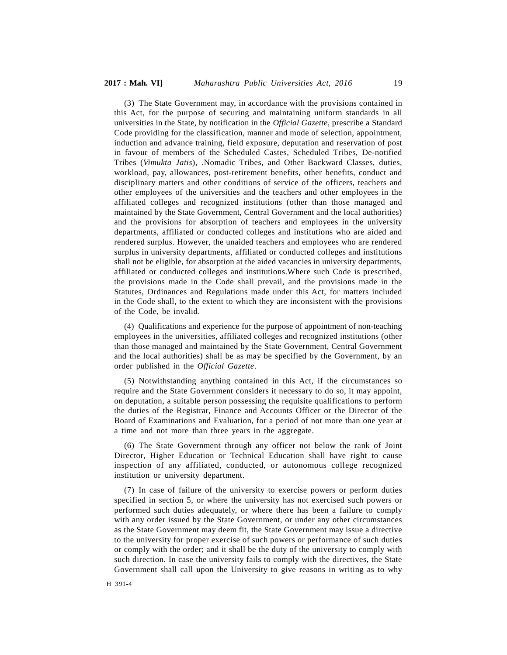(3) The State Government may, in accordance with the provisions contained in this Act, for the purpose of securing and maintaining uniform standards in all universities in the State, by notification in the *Official Gazette*, prescribe a Standard Code providing for the classification, manner and mode of selection, appointment, induction and advance training, field exposure, deputation and reservation of post in favour of members of the Scheduled Castes, Scheduled Tribes, De-notified Tribes (*Vimukta Jatis*), .Nomadic Tribes, and Other Backward Classes, duties, workload, pay, allowances, post-retirement benefits, other benefits, conduct and disciplinary matters and other conditions of service of the officers, teachers and other employees of the universities and the teachers and other employees in the affiliated colleges and recognized institutions (other than those managed and maintained by the State Government, Central Government and the local authorities) and the provisions for absorption of teachers and employees in the university departments, affiliated or conducted colleges and institutions who are aided and rendered surplus. However, the unaided teachers and employees who are rendered surplus in university departments, affiliated or conducted colleges and institutions shall not be eligible, for absorption at the aided vacancies in university departments, affiliated or conducted colleges and institutions.Where such Code is prescribed, the provisions made in the Code shall prevail, and the provisions made in the Statutes, Ordinances and Regulations made under this Act, for matters included in the Code shall, to the extent to which they are inconsistent with the provisions of the Code, be invalid.

(4) Qualifications and experience for the purpose of appointment of non-teaching employees in the universities, affiliated colleges and recognized institutions (other than those managed and maintained by the State Government, Central Government and the local authorities) shall be as may be specified by the Government, by an order published in the *Official Gazette*.

(5) Notwithstanding anything contained in this Act, if the circumstances so require and the State Government considers it necessary to do so, it may appoint, on deputation, a suitable person possessing the requisite qualifications to perform the duties of the Registrar, Finance and Accounts Officer or the Director of the Board of Examinations and Evaluation, for a period of not more than one year at a time and not more than three years in the aggregate.

(6) The State Government through any officer not below the rank of Joint Director, Higher Education or Technical Education shall have right to cause inspection of any affiliated, conducted, or autonomous college recognized institution or university department.

(7) In case of failure of the university to exercise powers or perform duties specified in section 5, or where the university has not exercised such powers or performed such duties adequately, or where there has been a failure to comply with any order issued by the State Government, or under any other circumstances as the State Government may deem fit, the State Government may issue a directive to the university for proper exercise of such powers or performance of such duties or comply with the order; and it shall be the duty of the university to comply with such direction. In case the university fails to comply with the directives, the State Government shall call upon the University to give reasons in writing as to why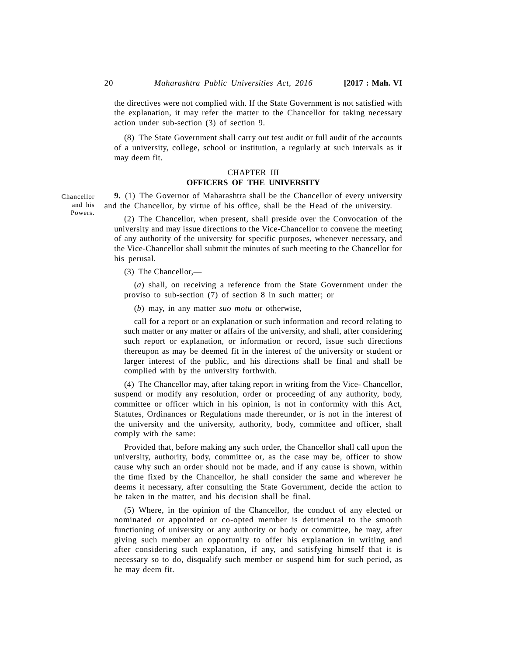the directives were not complied with. If the State Government is not satisfied with the explanation, it may refer the matter to the Chancellor for taking necessary action under sub-section (3) of section 9.

(8) The State Government shall carry out test audit or full audit of the accounts of a university, college, school or institution, a regularly at such intervals as it may deem fit.

## CHAPTER III **OFFICERS OF THE UNIVERSITY**

**9.** (1) The Governor of Maharashtra shall be the Chancellor of every university and the Chancellor, by virtue of his office, shall be the Head of the university.

(2) The Chancellor, when present, shall preside over the Convocation of the university and may issue directions to the Vice-Chancellor to convene the meeting of any authority of the university for specific purposes, whenever necessary, and the Vice-Chancellor shall submit the minutes of such meeting to the Chancellor for his perusal.

(3) The Chancellor,—

(*a*) shall, on receiving a reference from the State Government under the proviso to sub-section (7) of section 8 in such matter; or

(*b*) may, in any matter *suo motu* or otherwise,

call for a report or an explanation or such information and record relating to such matter or any matter or affairs of the university, and shall, after considering such report or explanation, or information or record, issue such directions thereupon as may be deemed fit in the interest of the university or student or larger interest of the public, and his directions shall be final and shall be complied with by the university forthwith.

(4) The Chancellor may, after taking report in writing from the Vice- Chancellor, suspend or modify any resolution, order or proceeding of any authority, body, committee or officer which in his opinion, is not in conformity with this Act, Statutes, Ordinances or Regulations made thereunder, or is not in the interest of the university and the university, authority, body, committee and officer, shall comply with the same:

Provided that, before making any such order, the Chancellor shall call upon the university, authority, body, committee or, as the case may be, officer to show cause why such an order should not be made, and if any cause is shown, within the time fixed by the Chancellor, he shall consider the same and wherever he deems it necessary, after consulting the State Government, decide the action to be taken in the matter, and his decision shall be final.

(5) Where, in the opinion of the Chancellor, the conduct of any elected or nominated or appointed or co-opted member is detrimental to the smooth functioning of university or any authority or body or committee, he may, after giving such member an opportunity to offer his explanation in writing and after considering such explanation, if any, and satisfying himself that it is necessary so to do, disqualify such member or suspend him for such period, as he may deem fit.

Chancellor and his Powers.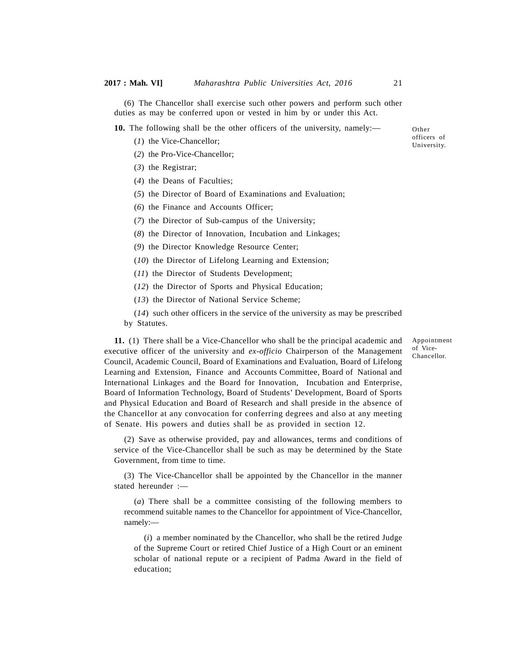(6) The Chancellor shall exercise such other powers and perform such other duties as may be conferred upon or vested in him by or under this Act.

**10.** The following shall be the other officers of the university, namely:—

- (*1*) the Vice-Chancellor;
- (*2*) the Pro-Vice-Chancellor;
- (*3*) the Registrar;
- (*4*) the Deans of Faculties;
- (*5*) the Director of Board of Examinations and Evaluation;
- (*6*) the Finance and Accounts Officer;
- (*7*) the Director of Sub-campus of the University;
- (*8*) the Director of Innovation, Incubation and Linkages;
- (*9*) the Director Knowledge Resource Center;
- (*10*) the Director of Lifelong Learning and Extension;
- (*11*) the Director of Students Development;
- (*12*) the Director of Sports and Physical Education;
- (*13*) the Director of National Service Scheme;
- (*14*) such other officers in the service of the university as may be prescribed by Statutes.

**11.** (1) There shall be a Vice-Chancellor who shall be the principal academic and executive officer of the university and *ex-officio* Chairperson of the Management Council, Academic Council, Board of Examinations and Evaluation, Board of Lifelong Learning and Extension, Finance and Accounts Committee, Board of National and International Linkages and the Board for Innovation, Incubation and Enterprise, Board of Information Technology, Board of Students' Development, Board of Sports and Physical Education and Board of Research and shall preside in the absence of the Chancellor at any convocation for conferring degrees and also at any meeting of Senate. His powers and duties shall be as provided in section 12.

(2) Save as otherwise provided, pay and allowances, terms and conditions of service of the Vice-Chancellor shall be such as may be determined by the State Government, from time to time.

(3) The Vice-Chancellor shall be appointed by the Chancellor in the manner stated hereunder :—

(*a*) There shall be a committee consisting of the following members to recommend suitable names to the Chancellor for appointment of Vice-Chancellor, namely:—

(*i*) a member nominated by the Chancellor, who shall be the retired Judge of the Supreme Court or retired Chief Justice of a High Court or an eminent scholar of national repute or a recipient of Padma Award in the field of education;

Appointment

of Vice-Chancellor.

Other officers of University.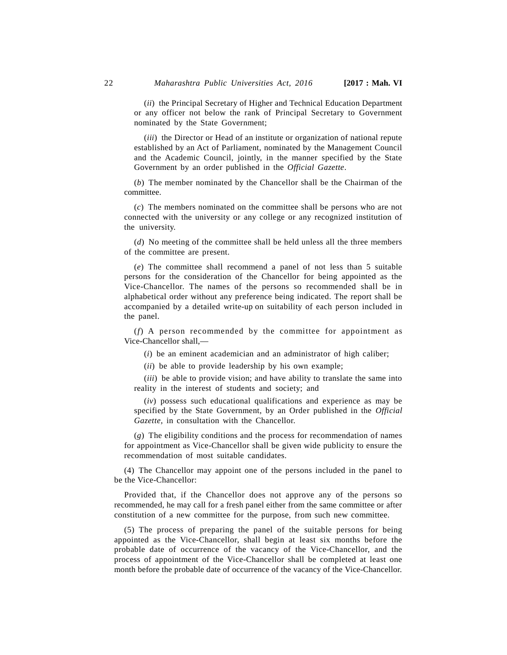(*ii*) the Principal Secretary of Higher and Technical Education Department or any officer not below the rank of Principal Secretary to Government nominated by the State Government;

(*iii*) the Director or Head of an institute or organization of national repute established by an Act of Parliament, nominated by the Management Council and the Academic Council, jointly, in the manner specified by the State Government by an order published in the *Official Gazette*.

(*b*) The member nominated by the Chancellor shall be the Chairman of the committee.

(*c*) The members nominated on the committee shall be persons who are not connected with the university or any college or any recognized institution of the university.

(*d*) No meeting of the committee shall be held unless all the three members of the committee are present.

(*e*) The committee shall recommend a panel of not less than 5 suitable persons for the consideration of the Chancellor for being appointed as the Vice-Chancellor. The names of the persons so recommended shall be in alphabetical order without any preference being indicated. The report shall be accompanied by a detailed write-up on suitability of each person included in the panel.

(*f*) A person recommended by the committee for appointment as Vice-Chancellor shall,—

(*i*) be an eminent academician and an administrator of high caliber;

(*ii*) be able to provide leadership by his own example;

(*iii*) be able to provide vision; and have ability to translate the same into reality in the interest of students and society; and

(*iv*) possess such educational qualifications and experience as may be specified by the State Government, by an Order published in the *Official Gazette,* in consultation with the Chancellor.

(*g*) The eligibility conditions and the process for recommendation of names for appointment as Vice-Chancellor shall be given wide publicity to ensure the recommendation of most suitable candidates.

(4) The Chancellor may appoint one of the persons included in the panel to be the Vice-Chancellor:

Provided that, if the Chancellor does not approve any of the persons so recommended, he may call for a fresh panel either from the same committee or after constitution of a new committee for the purpose, from such new committee.

(5) The process of preparing the panel of the suitable persons for being appointed as the Vice-Chancellor, shall begin at least six months before the probable date of occurrence of the vacancy of the Vice-Chancellor, and the process of appointment of the Vice-Chancellor shall be completed at least one month before the probable date of occurrence of the vacancy of the Vice-Chancellor.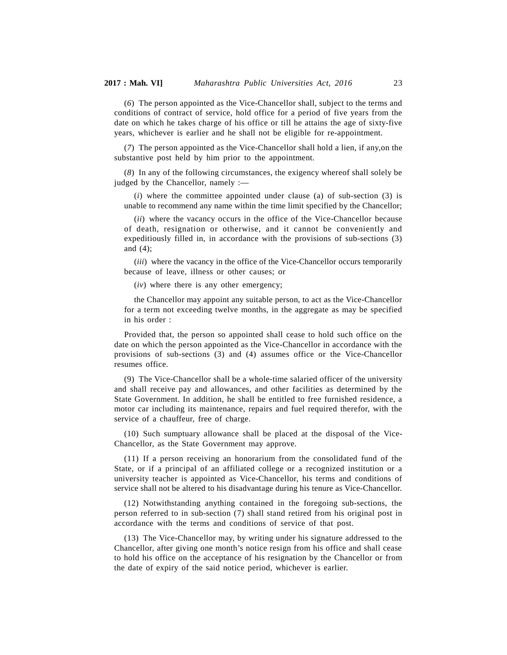(*6*) The person appointed as the Vice-Chancellor shall, subject to the terms and conditions of contract of service, hold office for a period of five years from the date on which he takes charge of his office or till he attains the age of sixty-five years, whichever is earlier and he shall not be eligible for re-appointment.

(*7*) The person appointed as the Vice-Chancellor shall hold a lien, if any,on the substantive post held by him prior to the appointment.

(*8*) In any of the following circumstances, the exigency whereof shall solely be judged by the Chancellor, namely :—

(*i*) where the committee appointed under clause (a) of sub-section (3) is unable to recommend any name within the time limit specified by the Chancellor;

(*ii*) where the vacancy occurs in the office of the Vice-Chancellor because of death, resignation or otherwise, and it cannot be conveniently and expeditiously filled in, in accordance with the provisions of sub-sections (3) and (4);

(*iii*) where the vacancy in the office of the Vice-Chancellor occurs temporarily because of leave, illness or other causes; or

(*iv*) where there is any other emergency;

the Chancellor may appoint any suitable person, to act as the Vice-Chancellor for a term not exceeding twelve months, in the aggregate as may be specified in his order :

Provided that, the person so appointed shall cease to hold such office on the date on which the person appointed as the Vice-Chancellor in accordance with the provisions of sub-sections (3) and (4) assumes office or the Vice-Chancellor resumes office.

(9) The Vice-Chancellor shall be a whole-time salaried officer of the university and shall receive pay and allowances, and other facilities as determined by the State Government. In addition, he shall be entitled to free furnished residence, a motor car including its maintenance, repairs and fuel required therefor, with the service of a chauffeur, free of charge.

(10) Such sumptuary allowance shall be placed at the disposal of the Vice-Chancellor, as the State Government may approve.

(11) If a person receiving an honorarium from the consolidated fund of the State, or if a principal of an affiliated college or a recognized institution or a university teacher is appointed as Vice-Chancellor, his terms and conditions of service shall not be altered to his disadvantage during his tenure as Vice-Chancellor.

(12) Notwithstanding anything contained in the foregoing sub-sections, the person referred to in sub-section (7) shall stand retired from his original post in accordance with the terms and conditions of service of that post.

(13) The Vice-Chancellor may, by writing under his signature addressed to the Chancellor, after giving one month's notice resign from his office and shall cease to hold his office on the acceptance of his resignation by the Chancellor or from the date of expiry of the said notice period, whichever is earlier.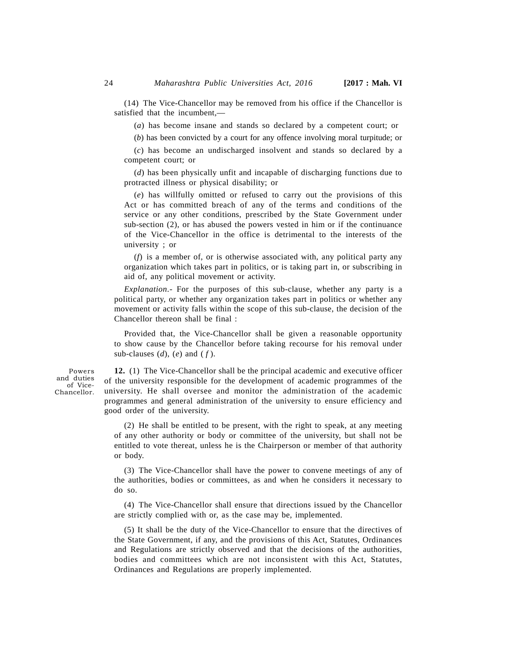(14) The Vice-Chancellor may be removed from his office if the Chancellor is satisfied that the incumbent,—

(*a*) has become insane and stands so declared by a competent court; or

(*b*) has been convicted by a court for any offence involving moral turpitude; or

(*c*) has become an undischarged insolvent and stands so declared by a competent court; or

(*d*) has been physically unfit and incapable of discharging functions due to protracted illness or physical disability; or

(*e*) has willfully omitted or refused to carry out the provisions of this Act or has committed breach of any of the terms and conditions of the service or any other conditions, prescribed by the State Government under sub-section (2), or has abused the powers vested in him or if the continuance of the Vice-Chancellor in the office is detrimental to the interests of the university ; or

(*f*) is a member of, or is otherwise associated with, any political party any organization which takes part in politics, or is taking part in, or subscribing in aid of, any political movement or activity.

*Explanation.*- For the purposes of this sub-clause, whether any party is a political party, or whether any organization takes part in politics or whether any movement or activity falls within the scope of this sub-clause, the decision of the Chancellor thereon shall be final :

Provided that, the Vice-Chancellor shall be given a reasonable opportunity to show cause by the Chancellor before taking recourse for his removal under sub-clauses  $(d)$ ,  $(e)$  and  $(f)$ .

Powers and duties of Vice-Chancellor.

**12.** (1) The Vice-Chancellor shall be the principal academic and executive officer of the university responsible for the development of academic programmes of the university. He shall oversee and monitor the administration of the academic programmes and general administration of the university to ensure efficiency and good order of the university.

(2) He shall be entitled to be present, with the right to speak, at any meeting of any other authority or body or committee of the university, but shall not be entitled to vote thereat, unless he is the Chairperson or member of that authority or body.

(3) The Vice-Chancellor shall have the power to convene meetings of any of the authorities, bodies or committees, as and when he considers it necessary to do so.

(4) The Vice-Chancellor shall ensure that directions issued by the Chancellor are strictly complied with or, as the case may be, implemented.

(5) It shall be the duty of the Vice-Chancellor to ensure that the directives of the State Government, if any, and the provisions of this Act, Statutes, Ordinances and Regulations are strictly observed and that the decisions of the authorities, bodies and committees which are not inconsistent with this Act, Statutes, Ordinances and Regulations are properly implemented.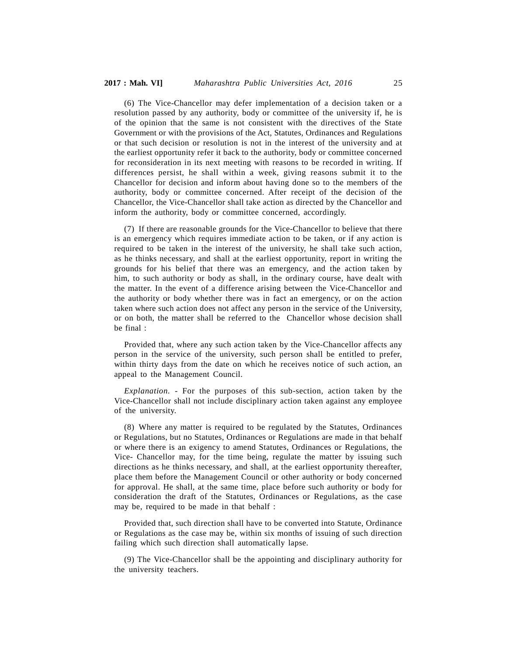(6) The Vice-Chancellor may defer implementation of a decision taken or a resolution passed by any authority, body or committee of the university if, he is of the opinion that the same is not consistent with the directives of the State Government or with the provisions of the Act, Statutes, Ordinances and Regulations or that such decision or resolution is not in the interest of the university and at the earliest opportunity refer it back to the authority, body or committee concerned for reconsideration in its next meeting with reasons to be recorded in writing. If differences persist, he shall within a week, giving reasons submit it to the Chancellor for decision and inform about having done so to the members of the authority, body or committee concerned. After receipt of the decision of the Chancellor, the Vice-Chancellor shall take action as directed by the Chancellor and inform the authority, body or committee concerned, accordingly.

(7) If there are reasonable grounds for the Vice-Chancellor to believe that there is an emergency which requires immediate action to be taken, or if any action is required to be taken in the interest of the university, he shall take such action, as he thinks necessary, and shall at the earliest opportunity, report in writing the grounds for his belief that there was an emergency, and the action taken by him, to such authority or body as shall, in the ordinary course, have dealt with the matter. In the event of a difference arising between the Vice-Chancellor and the authority or body whether there was in fact an emergency, or on the action taken where such action does not affect any person in the service of the University, or on both, the matter shall be referred to the Chancellor whose decision shall be final :

Provided that, where any such action taken by the Vice-Chancellor affects any person in the service of the university, such person shall be entitled to prefer, within thirty days from the date on which he receives notice of such action, an appeal to the Management Council.

*Explanation. -* For the purposes of this sub-section, action taken by the Vice-Chancellor shall not include disciplinary action taken against any employee of the university.

(8) Where any matter is required to be regulated by the Statutes, Ordinances or Regulations, but no Statutes, Ordinances or Regulations are made in that behalf or where there is an exigency to amend Statutes, Ordinances or Regulations, the Vice- Chancellor may, for the time being, regulate the matter by issuing such directions as he thinks necessary, and shall, at the earliest opportunity thereafter, place them before the Management Council or other authority or body concerned for approval. He shall, at the same time, place before such authority or body for consideration the draft of the Statutes, Ordinances or Regulations, as the case may be, required to be made in that behalf :

Provided that, such direction shall have to be converted into Statute, Ordinance or Regulations as the case may be, within six months of issuing of such direction failing which such direction shall automatically lapse.

(9) The Vice-Chancellor shall be the appointing and disciplinary authority for the university teachers.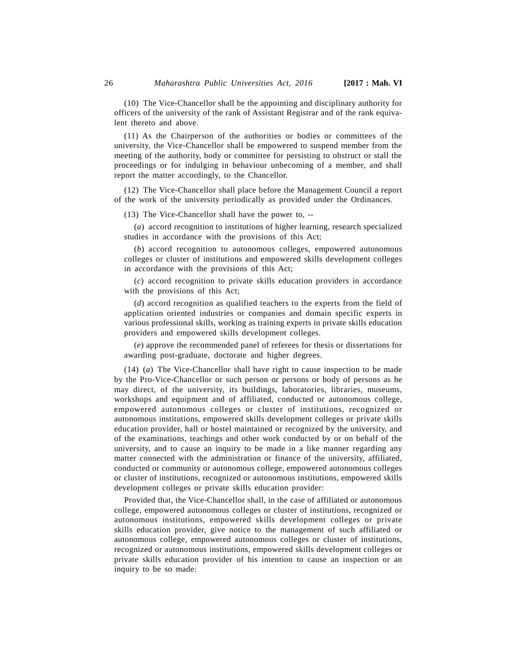(10) The Vice-Chancellor shall be the appointing and disciplinary authority for officers of the university of the rank of Assistant Registrar and of the rank equivalent thereto and above.

(11) As the Chairperson of the authorities or bodies or committees of the university, the Vice-Chancellor shall be empowered to suspend member from the meeting of the authority, body or committee for persisting to obstruct or stall the proceedings or for indulging in behaviour unbecoming of a member, and shall report the matter accordingly, to the Chancellor.

(12) The Vice-Chancellor shall place before the Management Council a report of the work of the university periodically as provided under the Ordinances.

(13) The Vice-Chancellor shall have the power to, --

(*a*) accord recognition to institutions of higher learning, research specialized studies in accordance with the provisions of this Act;

(*b*) accord recognition to autonomous colleges, empowered autonomous colleges or cluster of institutions and empowered skills development colleges in accordance with the provisions of this Act;

(*c*) accord recognition to private skills education providers in accordance with the provisions of this Act;

(*d*) accord recognition as qualified teachers to the experts from the field of application oriented industries or companies and domain specific experts in various professional skills, working as training experts in private skills education providers and empowered skills development colleges.

(*e*) approve the recommended panel of referees for thesis or dissertations for awarding post-graduate, doctorate and higher degrees.

(14) (*a*) The Vice-Chancellor shall have right to cause inspection to be made by the Pro-Vice-Chancellor or such person or persons or body of persons as he may direct, of the university, its buildings, laboratories, libraries, museums, workshops and equipment and of affiliated, conducted or autonomous college, empowered autonomous colleges or cluster of institutions, recognized or autonomous institutions, empowered skills development colleges or private skills education provider, hall or hostel maintained or recognized by the university, and of the examinations, teachings and other work conducted by or on behalf of the university, and to cause an inquiry to be made in a like manner regarding any matter connected with the administration or finance of the university, affiliated, conducted or community or autonomous college, empowered autonomous colleges or cluster of institutions, recognized or autonomous institutions, empowered skills development colleges or private skills education provider:

Provided that, the Vice-Chancellor shall, in the case of affiliated or autonomous college, empowered autonomous colleges or cluster of institutions, recognized or autonomous institutions, empowered skills development colleges or private skills education provider, give notice to the management of such affiliated or autonomous college, empowered autonomous colleges or cluster of institutions, recognized or autonomous institutions, empowered skills development colleges or private skills education provider of his intention to cause an inspection or an inquiry to be so made: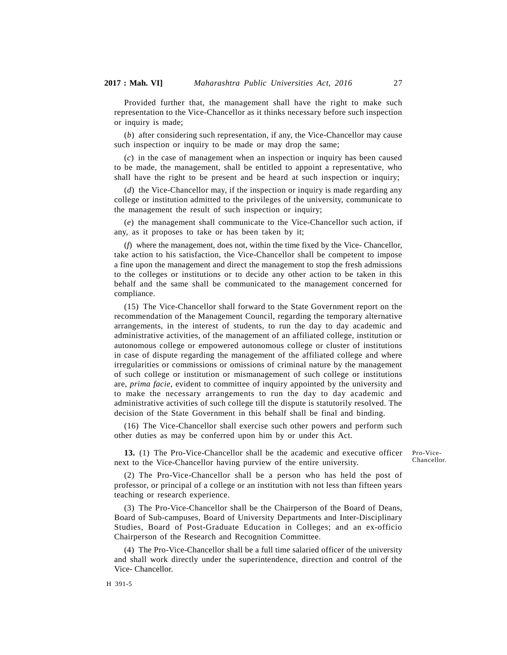Provided further that, the management shall have the right to make such representation to the Vice-Chancellor as it thinks necessary before such inspection or inquiry is made;

(*b*) after considering such representation, if any, the Vice-Chancellor may cause such inspection or inquiry to be made or may drop the same;

(*c*) in the case of management when an inspection or inquiry has been caused to be made, the management, shall be entitled to appoint a representative, who shall have the right to be present and be heard at such inspection or inquiry;

(*d*) the Vice-Chancellor may, if the inspection or inquiry is made regarding any college or institution admitted to the privileges of the university, communicate to the management the result of such inspection or inquiry;

(*e*) the management shall communicate to the Vice-Chancellor such action, if any, as it proposes to take or has been taken by it;

(*f*) where the management, does not, within the time fixed by the Vice- Chancellor, take action to his satisfaction, the Vice-Chancellor shall be competent to impose a fine upon the management and direct the management to stop the fresh admissions to the colleges or institutions or to decide any other action to be taken in this behalf and the same shall be communicated to the management concerned for compliance.

(15) The Vice-Chancellor shall forward to the State Government report on the recommendation of the Management Council, regarding the temporary alternative arrangements, in the interest of students, to run the day to day academic and administrative activities, of the management of an affiliated college, institution or autonomous college or empowered autonomous college or cluster of institutions in case of dispute regarding the management of the affiliated college and where irregularities or commissions or omissions of criminal nature by the management of such college or institution or mismanagement of such college or institutions are, *prima facie*, evident to committee of inquiry appointed by the university and to make the necessary arrangements to run the day to day academic and administrative activities of such college till the dispute is statutorily resolved. The decision of the State Government in this behalf shall be final and binding.

(16) The Vice-Chancellor shall exercise such other powers and perform such other duties as may be conferred upon him by or under this Act.

**13.** (1) The Pro-Vice-Chancellor shall be the academic and executive officer next to the Vice-Chancellor having purview of the entire university.

Pro-Vice-Chancellor.

(2) The Pro-Vice-Chancellor shall be a person who has held the post of professor, or principal of a college or an institution with not less than fifteen years teaching or research experience.

(3) The Pro-Vice-Chancellor shall be the Chairperson of the Board of Deans, Board of Sub-campuses, Board of University Departments and Inter-Disciplinary Studies, Board of Post-Graduate Education in Colleges; and an ex-officio Chairperson of the Research and Recognition Committee.

(4) The Pro-Vice-Chancellor shall be a full time salaried officer of the university and shall work directly under the superintendence, direction and control of the Vice- Chancellor.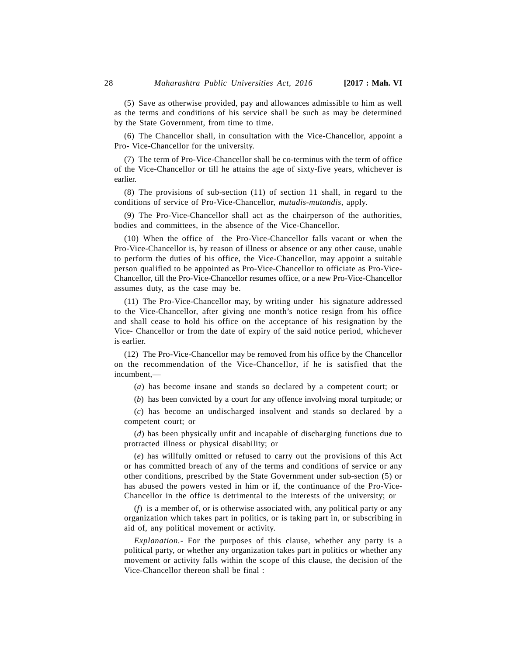(5) Save as otherwise provided, pay and allowances admissible to him as well as the terms and conditions of his service shall be such as may be determined by the State Government, from time to time.

(6) The Chancellor shall, in consultation with the Vice-Chancellor, appoint a Pro- Vice-Chancellor for the university.

(7) The term of Pro-Vice-Chancellor shall be co-terminus with the term of office of the Vice-Chancellor or till he attains the age of sixty-five years, whichever is earlier.

(8) The provisions of sub-section (11) of section 11 shall, in regard to the conditions of service of Pro-Vice-Chancellor, *mutadis-mutandis*, apply.

(9) The Pro-Vice-Chancellor shall act as the chairperson of the authorities, bodies and committees, in the absence of the Vice-Chancellor.

(10) When the office of the Pro-Vice-Chancellor falls vacant or when the Pro-Vice-Chancellor is, by reason of illness or absence or any other cause, unable to perform the duties of his office, the Vice-Chancellor, may appoint a suitable person qualified to be appointed as Pro-Vice-Chancellor to officiate as Pro-Vice-Chancellor, till the Pro-Vice-Chancellor resumes office, or a new Pro-Vice-Chancellor assumes duty, as the case may be.

(11) The Pro-Vice-Chancellor may, by writing under his signature addressed to the Vice-Chancellor, after giving one month's notice resign from his office and shall cease to hold his office on the acceptance of his resignation by the Vice- Chancellor or from the date of expiry of the said notice period, whichever is earlier.

(12) The Pro-Vice-Chancellor may be removed from his office by the Chancellor on the recommendation of the Vice-Chancellor, if he is satisfied that the incumbent,—

(*a*) has become insane and stands so declared by a competent court; or

(*b*) has been convicted by a court for any offence involving moral turpitude; or

(*c*) has become an undischarged insolvent and stands so declared by a competent court; or

(*d*) has been physically unfit and incapable of discharging functions due to protracted illness or physical disability; or

(*e*) has willfully omitted or refused to carry out the provisions of this Act or has committed breach of any of the terms and conditions of service or any other conditions, prescribed by the State Government under sub-section (5) or has abused the powers vested in him or if, the continuance of the Pro-Vice-Chancellor in the office is detrimental to the interests of the university; or

(*f*) is a member of, or is otherwise associated with, any political party or any organization which takes part in politics, or is taking part in, or subscribing in aid of, any political movement or activity.

*Explanation.-* For the purposes of this clause, whether any party is a political party, or whether any organization takes part in politics or whether any movement or activity falls within the scope of this clause, the decision of the Vice-Chancellor thereon shall be final :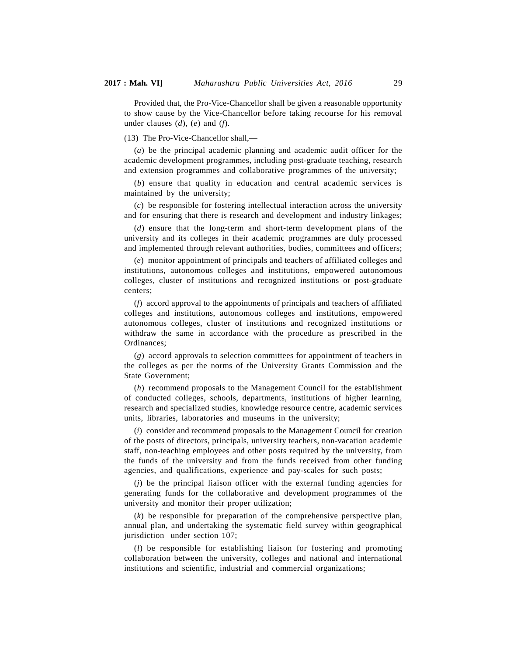Provided that, the Pro-Vice-Chancellor shall be given a reasonable opportunity to show cause by the Vice-Chancellor before taking recourse for his removal under clauses (*d*), (*e*) and (*f*).

(13) The Pro-Vice-Chancellor shall,—

(*a*) be the principal academic planning and academic audit officer for the academic development programmes, including post-graduate teaching, research and extension programmes and collaborative programmes of the university;

(*b*) ensure that quality in education and central academic services is maintained by the university;

(*c*) be responsible for fostering intellectual interaction across the university and for ensuring that there is research and development and industry linkages;

(*d*) ensure that the long-term and short-term development plans of the university and its colleges in their academic programmes are duly processed and implemented through relevant authorities, bodies, committees and officers;

(*e*) monitor appointment of principals and teachers of affiliated colleges and institutions, autonomous colleges and institutions, empowered autonomous colleges, cluster of institutions and recognized institutions or post-graduate centers;

(*f*) accord approval to the appointments of principals and teachers of affiliated colleges and institutions, autonomous colleges and institutions, empowered autonomous colleges, cluster of institutions and recognized institutions or withdraw the same in accordance with the procedure as prescribed in the Ordinances;

(*g*) accord approvals to selection committees for appointment of teachers in the colleges as per the norms of the University Grants Commission and the State Government;

(*h*) recommend proposals to the Management Council for the establishment of conducted colleges, schools, departments, institutions of higher learning, research and specialized studies, knowledge resource centre, academic services units, libraries, laboratories and museums in the university;

(*i*) consider and recommend proposals to the Management Council for creation of the posts of directors, principals, university teachers, non-vacation academic staff, non-teaching employees and other posts required by the university, from the funds of the university and from the funds received from other funding agencies, and qualifications, experience and pay-scales for such posts;

(*j*) be the principal liaison officer with the external funding agencies for generating funds for the collaborative and development programmes of the university and monitor their proper utilization;

(*k*) be responsible for preparation of the comprehensive perspective plan, annual plan, and undertaking the systematic field survey within geographical jurisdiction under section 107;

(*l*) be responsible for establishing liaison for fostering and promoting collaboration between the university, colleges and national and international institutions and scientific, industrial and commercial organizations;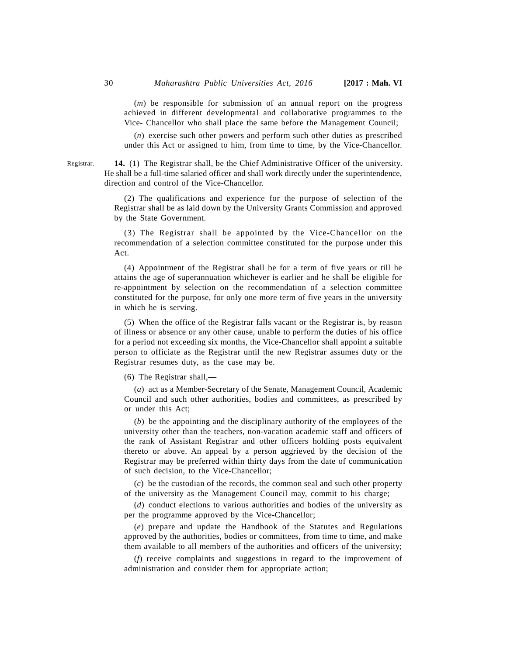(*m*) be responsible for submission of an annual report on the progress achieved in different developmental and collaborative programmes to the Vice- Chancellor who shall place the same before the Management Council;

(*n*) exercise such other powers and perform such other duties as prescribed under this Act or assigned to him, from time to time, by the Vice-Chancellor.

**14.** (1) The Registrar shall, be the Chief Administrative Officer of the university. He shall be a full-time salaried officer and shall work directly under the superintendence, direction and control of the Vice-Chancellor.

(2) The qualifications and experience for the purpose of selection of the Registrar shall be as laid down by the University Grants Commission and approved by the State Government.

(3) The Registrar shall be appointed by the Vice-Chancellor on the recommendation of a selection committee constituted for the purpose under this Act.

(4) Appointment of the Registrar shall be for a term of five years or till he attains the age of superannuation whichever is earlier and he shall be eligible for re-appointment by selection on the recommendation of a selection committee constituted for the purpose, for only one more term of five years in the university in which he is serving.

(5) When the office of the Registrar falls vacant or the Registrar is, by reason of illness or absence or any other cause, unable to perform the duties of his office for a period not exceeding six months, the Vice-Chancellor shall appoint a suitable person to officiate as the Registrar until the new Registrar assumes duty or the Registrar resumes duty, as the case may be.

(6) The Registrar shall,—

(*a*) act as a Member-Secretary of the Senate, Management Council, Academic Council and such other authorities, bodies and committees, as prescribed by or under this Act;

(*b*) be the appointing and the disciplinary authority of the employees of the university other than the teachers, non-vacation academic staff and officers of the rank of Assistant Registrar and other officers holding posts equivalent thereto or above. An appeal by a person aggrieved by the decision of the Registrar may be preferred within thirty days from the date of communication of such decision, to the Vice-Chancellor;

(*c*) be the custodian of the records, the common seal and such other property of the university as the Management Council may, commit to his charge;

(*d*) conduct elections to various authorities and bodies of the university as per the programme approved by the Vice-Chancellor;

(*e*) prepare and update the Handbook of the Statutes and Regulations approved by the authorities, bodies or committees, from time to time, and make them available to all members of the authorities and officers of the university;

(*f*) receive complaints and suggestions in regard to the improvement of administration and consider them for appropriate action;

Registrar.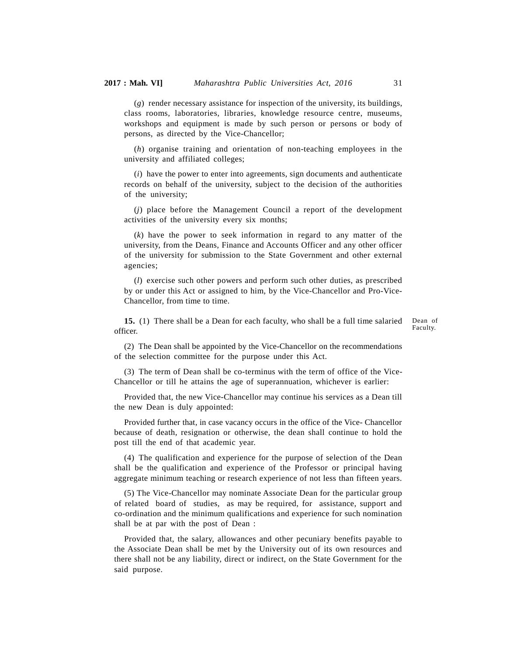(*g*) render necessary assistance for inspection of the university, its buildings, class rooms, laboratories, libraries, knowledge resource centre, museums, workshops and equipment is made by such person or persons or body of persons, as directed by the Vice-Chancellor;

(*h*) organise training and orientation of non-teaching employees in the university and affiliated colleges;

(*i*) have the power to enter into agreements, sign documents and authenticate records on behalf of the university, subject to the decision of the authorities of the university;

(*j*) place before the Management Council a report of the development activities of the university every six months;

(*k*) have the power to seek information in regard to any matter of the university, from the Deans, Finance and Accounts Officer and any other officer of the university for submission to the State Government and other external agencies;

(*l*) exercise such other powers and perform such other duties, as prescribed by or under this Act or assigned to him, by the Vice-Chancellor and Pro-Vice-Chancellor, from time to time.

**15.** (1) There shall be a Dean for each faculty, who shall be a full time salaried officer. Dean of Faculty.

(2) The Dean shall be appointed by the Vice-Chancellor on the recommendations of the selection committee for the purpose under this Act.

(3) The term of Dean shall be co-terminus with the term of office of the Vice-Chancellor or till he attains the age of superannuation, whichever is earlier:

Provided that, the new Vice-Chancellor may continue his services as a Dean till the new Dean is duly appointed:

Provided further that, in case vacancy occurs in the office of the Vice- Chancellor because of death, resignation or otherwise, the dean shall continue to hold the post till the end of that academic year.

(4) The qualification and experience for the purpose of selection of the Dean shall be the qualification and experience of the Professor or principal having aggregate minimum teaching or research experience of not less than fifteen years.

(5) The Vice-Chancellor may nominate Associate Dean for the particular group of related board of studies, as may be required, for assistance, support and co-ordination and the minimum qualifications and experience for such nomination shall be at par with the post of Dean :

Provided that, the salary, allowances and other pecuniary benefits payable to the Associate Dean shall be met by the University out of its own resources and there shall not be any liability, direct or indirect, on the State Government for the said purpose.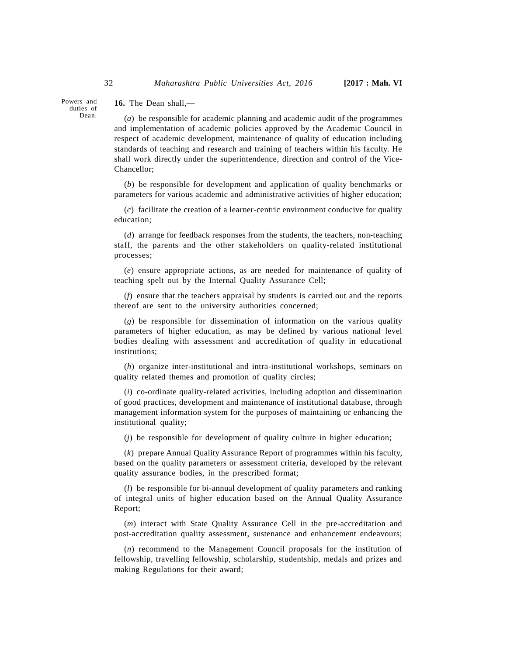## **16.** The Dean shall,—

(*a*) be responsible for academic planning and academic audit of the programmes and implementation of academic policies approved by the Academic Council in respect of academic development, maintenance of quality of education including standards of teaching and research and training of teachers within his faculty. He shall work directly under the superintendence, direction and control of the Vice-Chancellor;

(*b*) be responsible for development and application of quality benchmarks or parameters for various academic and administrative activities of higher education;

(*c*) facilitate the creation of a learner-centric environment conducive for quality education;

(*d*) arrange for feedback responses from the students, the teachers, non-teaching staff, the parents and the other stakeholders on quality-related institutional processes;

(*e*) ensure appropriate actions, as are needed for maintenance of quality of teaching spelt out by the Internal Quality Assurance Cell;

(*f*) ensure that the teachers appraisal by students is carried out and the reports thereof are sent to the university authorities concerned;

(*g*) be responsible for dissemination of information on the various quality parameters of higher education, as may be defined by various national level bodies dealing with assessment and accreditation of quality in educational institutions;

(*h*) organize inter-institutional and intra-institutional workshops, seminars on quality related themes and promotion of quality circles;

(*i*) co-ordinate quality-related activities, including adoption and dissemination of good practices, development and maintenance of institutional database, through management information system for the purposes of maintaining or enhancing the institutional quality;

(*j*) be responsible for development of quality culture in higher education;

(*k*) prepare Annual Quality Assurance Report of programmes within his faculty, based on the quality parameters or assessment criteria, developed by the relevant quality assurance bodies, in the prescribed format;

(*l*) be responsible for bi-annual development of quality parameters and ranking of integral units of higher education based on the Annual Quality Assurance Report;

(*m*) interact with State Quality Assurance Cell in the pre-accreditation and post-accreditation quality assessment, sustenance and enhancement endeavours;

(*n*) recommend to the Management Council proposals for the institution of fellowship, travelling fellowship, scholarship, studentship, medals and prizes and making Regulations for their award;

Powers and duties of Dean.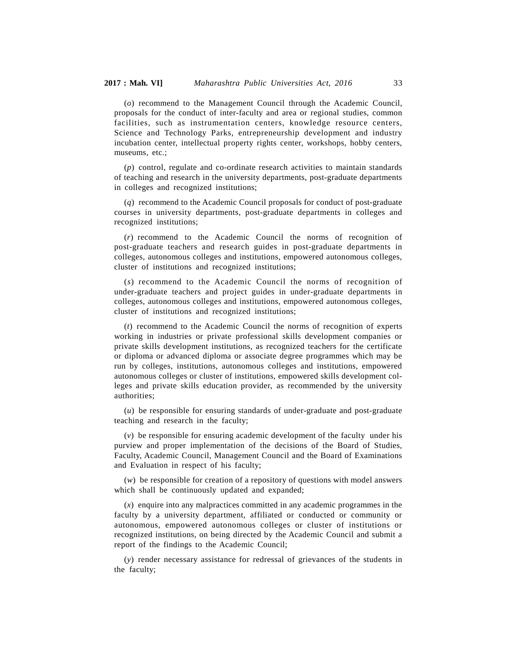(*o*) recommend to the Management Council through the Academic Council, proposals for the conduct of inter-faculty and area or regional studies, common facilities, such as instrumentation centers, knowledge resource centers, Science and Technology Parks, entrepreneurship development and industry incubation center, intellectual property rights center, workshops, hobby centers, museums, etc.;

(*p*) control, regulate and co-ordinate research activities to maintain standards of teaching and research in the university departments, post-graduate departments in colleges and recognized institutions;

(*q*) recommend to the Academic Council proposals for conduct of post-graduate courses in university departments, post-graduate departments in colleges and recognized institutions;

(*r*) recommend to the Academic Council the norms of recognition of post-graduate teachers and research guides in post-graduate departments in colleges, autonomous colleges and institutions, empowered autonomous colleges, cluster of institutions and recognized institutions;

(*s*) recommend to the Academic Council the norms of recognition of under-graduate teachers and project guides in under-graduate departments in colleges, autonomous colleges and institutions, empowered autonomous colleges, cluster of institutions and recognized institutions;

(*t*) recommend to the Academic Council the norms of recognition of experts working in industries or private professional skills development companies or private skills development institutions, as recognized teachers for the certificate or diploma or advanced diploma or associate degree programmes which may be run by colleges, institutions, autonomous colleges and institutions, empowered autonomous colleges or cluster of institutions, empowered skills development colleges and private skills education provider, as recommended by the university authorities;

(*u*) be responsible for ensuring standards of under-graduate and post-graduate teaching and research in the faculty;

(*v*) be responsible for ensuring academic development of the faculty under his purview and proper implementation of the decisions of the Board of Studies, Faculty, Academic Council, Management Council and the Board of Examinations and Evaluation in respect of his faculty;

(*w*) be responsible for creation of a repository of questions with model answers which shall be continuously updated and expanded;

(*x*) enquire into any malpractices committed in any academic programmes in the faculty by a university department, affiliated or conducted or community or autonomous, empowered autonomous colleges or cluster of institutions or recognized institutions, on being directed by the Academic Council and submit a report of the findings to the Academic Council;

(*y*) render necessary assistance for redressal of grievances of the students in the faculty;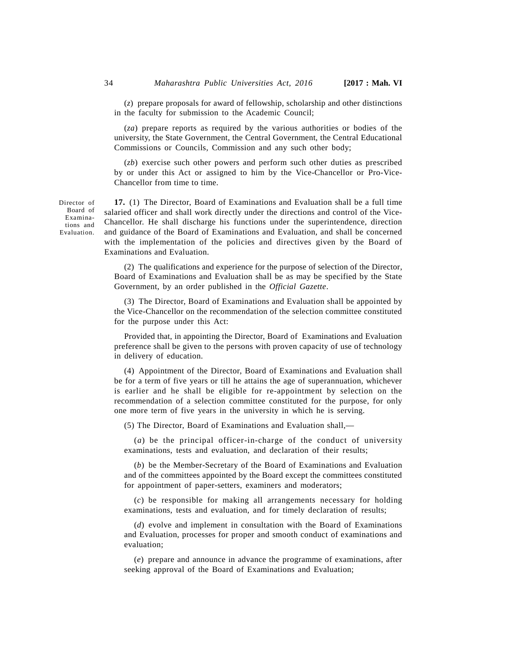(*z*) prepare proposals for award of fellowship, scholarship and other distinctions in the faculty for submission to the Academic Council;

(*za*) prepare reports as required by the various authorities or bodies of the university, the State Government, the Central Government, the Central Educational Commissions or Councils, Commission and any such other body;

(*zb*) exercise such other powers and perform such other duties as prescribed by or under this Act or assigned to him by the Vice-Chancellor or Pro-Vice-Chancellor from time to time.

**17.** (1) The Director, Board of Examinations and Evaluation shall be a full time salaried officer and shall work directly under the directions and control of the Vice-Chancellor. He shall discharge his functions under the superintendence, direction and guidance of the Board of Examinations and Evaluation, and shall be concerned with the implementation of the policies and directives given by the Board of Examinations and Evaluation.

(2) The qualifications and experience for the purpose of selection of the Director, Board of Examinations and Evaluation shall be as may be specified by the State Government, by an order published in the *Official Gazette*.

(3) The Director, Board of Examinations and Evaluation shall be appointed by the Vice-Chancellor on the recommendation of the selection committee constituted for the purpose under this Act:

Provided that, in appointing the Director, Board of Examinations and Evaluation preference shall be given to the persons with proven capacity of use of technology in delivery of education.

(4) Appointment of the Director, Board of Examinations and Evaluation shall be for a term of five years or till he attains the age of superannuation, whichever is earlier and he shall be eligible for re-appointment by selection on the recommendation of a selection committee constituted for the purpose, for only one more term of five years in the university in which he is serving.

(5) The Director, Board of Examinations and Evaluation shall,—

(*a*) be the principal officer-in-charge of the conduct of university examinations, tests and evaluation, and declaration of their results;

(*b*) be the Member-Secretary of the Board of Examinations and Evaluation and of the committees appointed by the Board except the committees constituted for appointment of paper-setters, examiners and moderators;

(*c*) be responsible for making all arrangements necessary for holding examinations, tests and evaluation, and for timely declaration of results;

(*d*) evolve and implement in consultation with the Board of Examinations and Evaluation, processes for proper and smooth conduct of examinations and evaluation;

(*e*) prepare and announce in advance the programme of examinations, after seeking approval of the Board of Examinations and Evaluation;

Director of Board of Examinations and Evaluation.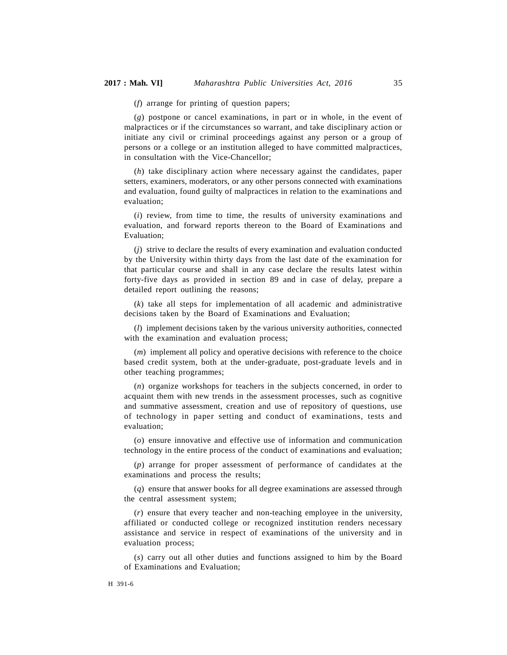(*f*) arrange for printing of question papers;

(*g*) postpone or cancel examinations, in part or in whole, in the event of malpractices or if the circumstances so warrant, and take disciplinary action or initiate any civil or criminal proceedings against any person or a group of persons or a college or an institution alleged to have committed malpractices, in consultation with the Vice-Chancellor;

(*h*) take disciplinary action where necessary against the candidates, paper setters, examiners, moderators, or any other persons connected with examinations and evaluation, found guilty of malpractices in relation to the examinations and evaluation;

(*i*) review, from time to time, the results of university examinations and evaluation, and forward reports thereon to the Board of Examinations and Evaluation;

(*j*) strive to declare the results of every examination and evaluation conducted by the University within thirty days from the last date of the examination for that particular course and shall in any case declare the results latest within forty-five days as provided in section 89 and in case of delay, prepare a detailed report outlining the reasons;

(*k*) take all steps for implementation of all academic and administrative decisions taken by the Board of Examinations and Evaluation;

(*l*) implement decisions taken by the various university authorities, connected with the examination and evaluation process;

(*m*) implement all policy and operative decisions with reference to the choice based credit system, both at the under-graduate, post-graduate levels and in other teaching programmes;

(*n*) organize workshops for teachers in the subjects concerned, in order to acquaint them with new trends in the assessment processes, such as cognitive and summative assessment, creation and use of repository of questions, use of technology in paper setting and conduct of examinations, tests and evaluation;

(*o*) ensure innovative and effective use of information and communication technology in the entire process of the conduct of examinations and evaluation;

(*p*) arrange for proper assessment of performance of candidates at the examinations and process the results;

(*q*) ensure that answer books for all degree examinations are assessed through the central assessment system;

(*r*) ensure that every teacher and non-teaching employee in the university, affiliated or conducted college or recognized institution renders necessary assistance and service in respect of examinations of the university and in evaluation process;

(*s*) carry out all other duties and functions assigned to him by the Board of Examinations and Evaluation;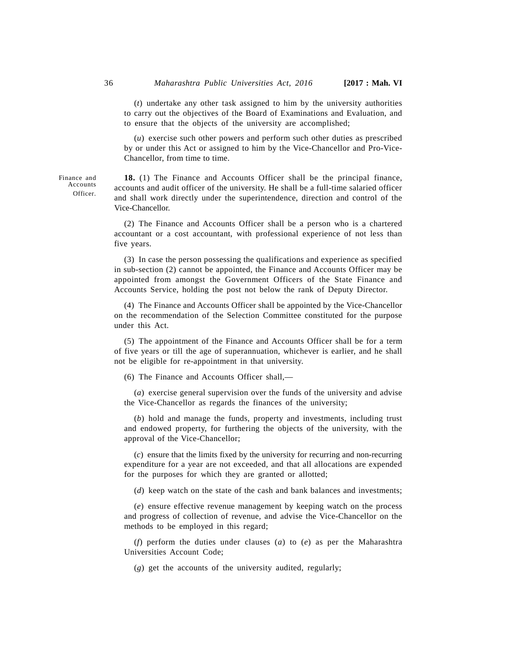(*t*) undertake any other task assigned to him by the university authorities to carry out the objectives of the Board of Examinations and Evaluation, and to ensure that the objects of the university are accomplished;

(*u*) exercise such other powers and perform such other duties as prescribed by or under this Act or assigned to him by the Vice-Chancellor and Pro-Vice-Chancellor, from time to time.

**18.** (1) The Finance and Accounts Officer shall be the principal finance, accounts and audit officer of the university. He shall be a full-time salaried officer and shall work directly under the superintendence, direction and control of the Vice-Chancellor.

(2) The Finance and Accounts Officer shall be a person who is a chartered accountant or a cost accountant, with professional experience of not less than five years.

(3) In case the person possessing the qualifications and experience as specified in sub-section (2) cannot be appointed, the Finance and Accounts Officer may be appointed from amongst the Government Officers of the State Finance and Accounts Service, holding the post not below the rank of Deputy Director.

(4) The Finance and Accounts Officer shall be appointed by the Vice-Chancellor on the recommendation of the Selection Committee constituted for the purpose under this Act.

(5) The appointment of the Finance and Accounts Officer shall be for a term of five years or till the age of superannuation, whichever is earlier, and he shall not be eligible for re-appointment in that university.

(6) The Finance and Accounts Officer shall,—

(*a*) exercise general supervision over the funds of the university and advise the Vice-Chancellor as regards the finances of the university;

(*b*) hold and manage the funds, property and investments, including trust and endowed property, for furthering the objects of the university, with the approval of the Vice-Chancellor;

(*c*) ensure that the limits fixed by the university for recurring and non-recurring expenditure for a year are not exceeded, and that all allocations are expended for the purposes for which they are granted or allotted;

(*d*) keep watch on the state of the cash and bank balances and investments;

(*e*) ensure effective revenue management by keeping watch on the process and progress of collection of revenue, and advise the Vice-Chancellor on the methods to be employed in this regard;

(*f*) perform the duties under clauses (*a*) to (*e*) as per the Maharashtra Universities Account Code;

(*g*) get the accounts of the university audited, regularly;

Finance and Accounts Officer.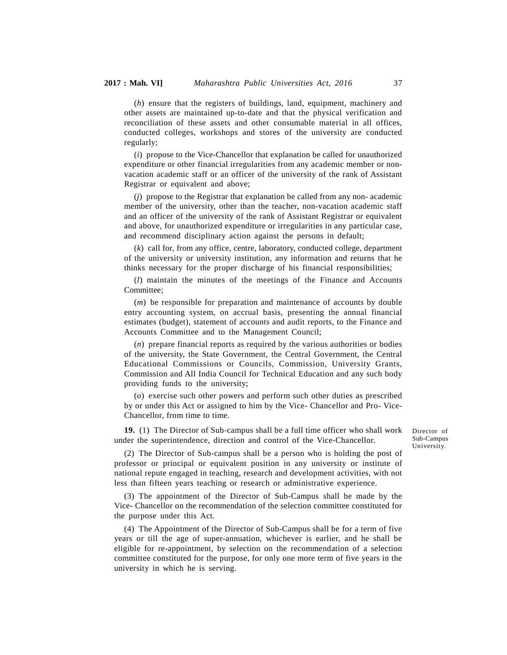(*h*) ensure that the registers of buildings, land, equipment, machinery and other assets are maintained up-to-date and that the physical verification and reconciliation of these assets and other consumable material in all offices, conducted colleges, workshops and stores of the university are conducted regularly;

(*i*) propose to the Vice-Chancellor that explanation be called for unauthorized expenditure or other financial irregularities from any academic member or nonvacation academic staff or an officer of the university of the rank of Assistant Registrar or equivalent and above;

(*j*) propose to the Registrar that explanation be called from any non- academic member of the university, other than the teacher, non-vacation academic staff and an officer of the university of the rank of Assistant Registrar or equivalent and above, for unauthorized expenditure or irregularities in any particular case, and recommend disciplinary action against the persons in default;

(*k*) call for, from any office, centre, laboratory, conducted college, department of the university or university institution, any information and returns that he thinks necessary for the proper discharge of his financial responsibilities;

(*l*) maintain the minutes of the meetings of the Finance and Accounts Committee;

(*m*) be responsible for preparation and maintenance of accounts by double entry accounting system, on accrual basis, presenting the annual financial estimates (budget), statement of accounts and audit reports, to the Finance and Accounts Committee and to the Management Council;

(*n*) prepare financial reports as required by the various authorities or bodies of the university, the State Government, the Central Government, the Central Educational Commissions or Councils, Commission, University Grants, Commission and All India Council for Technical Education and any such body providing funds to the university;

(*o*) exercise such other powers and perform such other duties as prescribed by or under this Act or assigned to him by the Vice- Chancellor and Pro- Vice-Chancellor, from time to time.

**19.** (1) The Director of Sub-campus shall be a full time officer who shall work under the superintendence, direction and control of the Vice-Chancellor.

Director of Sub-Campus University.

(2) The Director of Sub-campus shall be a person who is holding the post of professor or principal or equivalent position in any university or institute of national repute engaged in teaching, research and development activities, with not less than fifteen years teaching or research or administrative experience.

(3) The appointment of the Director of Sub-Campus shall be made by the Vice- Chancellor on the recommendation of the selection committee constituted for the purpose under this Act.

(4) The Appointment of the Director of Sub-Campus shall be for a term of five years or till the age of super-annuation, whichever is earlier, and he shall be eligible for re-appointment, by selection on the recommendation of a selection committee constituted for the purpose, for only one more term of five years in the university in which he is serving.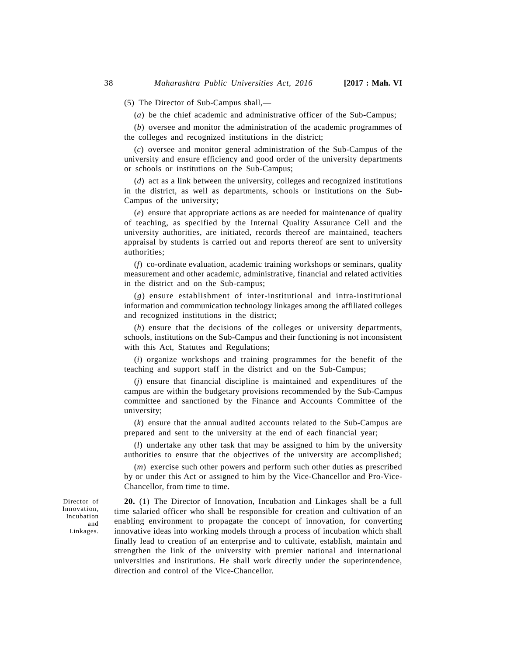(5) The Director of Sub-Campus shall,—

(*a*) be the chief academic and administrative officer of the Sub-Campus;

(*b*) oversee and monitor the administration of the academic programmes of the colleges and recognized institutions in the district;

(*c*) oversee and monitor general administration of the Sub-Campus of the university and ensure efficiency and good order of the university departments or schools or institutions on the Sub-Campus;

(*d*) act as a link between the university, colleges and recognized institutions in the district, as well as departments, schools or institutions on the Sub-Campus of the university;

(*e*) ensure that appropriate actions as are needed for maintenance of quality of teaching, as specified by the Internal Quality Assurance Cell and the university authorities, are initiated, records thereof are maintained, teachers appraisal by students is carried out and reports thereof are sent to university authorities;

(*f*) co-ordinate evaluation, academic training workshops or seminars, quality measurement and other academic, administrative, financial and related activities in the district and on the Sub-campus;

(*g*) ensure establishment of inter-institutional and intra-institutional information and communication technology linkages among the affiliated colleges and recognized institutions in the district;

(*h*) ensure that the decisions of the colleges or university departments, schools, institutions on the Sub-Campus and their functioning is not inconsistent with this Act, Statutes and Regulations;

(*i*) organize workshops and training programmes for the benefit of the teaching and support staff in the district and on the Sub-Campus;

(*j*) ensure that financial discipline is maintained and expenditures of the campus are within the budgetary provisions recommended by the Sub-Campus committee and sanctioned by the Finance and Accounts Committee of the university;

(*k*) ensure that the annual audited accounts related to the Sub-Campus are prepared and sent to the university at the end of each financial year;

(*l*) undertake any other task that may be assigned to him by the university authorities to ensure that the objectives of the university are accomplished;

(*m*) exercise such other powers and perform such other duties as prescribed by or under this Act or assigned to him by the Vice-Chancellor and Pro-Vice-Chancellor, from time to time.

Director of Innovation, Incubation and Linkages.

**20.** (1) The Director of Innovation, Incubation and Linkages shall be a full time salaried officer who shall be responsible for creation and cultivation of an enabling environment to propagate the concept of innovation, for converting innovative ideas into working models through a process of incubation which shall finally lead to creation of an enterprise and to cultivate, establish, maintain and strengthen the link of the university with premier national and international universities and institutions. He shall work directly under the superintendence, direction and control of the Vice-Chancellor.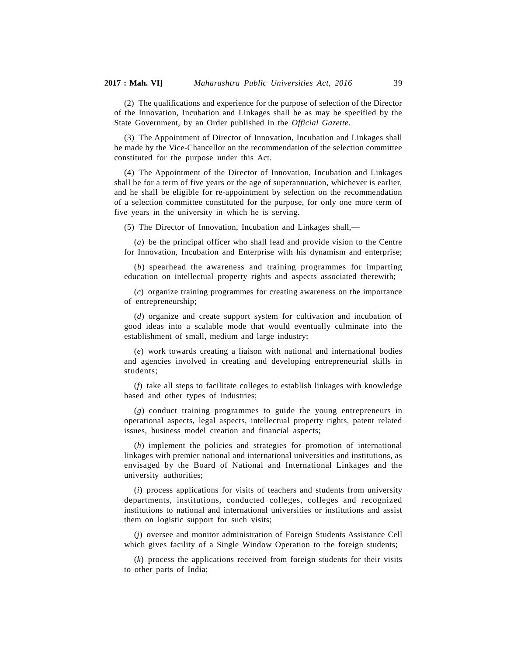(2) The qualifications and experience for the purpose of selection of the Director of the Innovation, Incubation and Linkages shall be as may be specified by the State Government, by an Order published in the *Official Gazette*.

(3) The Appointment of Director of Innovation, Incubation and Linkages shall be made by the Vice-Chancellor on the recommendation of the selection committee constituted for the purpose under this Act.

(4) The Appointment of the Director of Innovation, Incubation and Linkages shall be for a term of five years or the age of superannuation, whichever is earlier, and he shall be eligible for re-appointment by selection on the recommendation of a selection committee constituted for the purpose, for only one more term of five years in the university in which he is serving.

(5) The Director of Innovation, Incubation and Linkages shall,—

(*a*) be the principal officer who shall lead and provide vision to the Centre for Innovation, Incubation and Enterprise with his dynamism and enterprise;

(*b*) spearhead the awareness and training programmes for imparting education on intellectual property rights and aspects associated therewith;

(*c*) organize training programmes for creating awareness on the importance of entrepreneurship;

(*d*) organize and create support system for cultivation and incubation of good ideas into a scalable mode that would eventually culminate into the establishment of small, medium and large industry;

(*e*) work towards creating a liaison with national and international bodies and agencies involved in creating and developing entrepreneurial skills in students;

(*f*) take all steps to facilitate colleges to establish linkages with knowledge based and other types of industries;

(*g*) conduct training programmes to guide the young entrepreneurs in operational aspects, legal aspects, intellectual property rights, patent related issues, business model creation and financial aspects;

(*h*) implement the policies and strategies for promotion of international linkages with premier national and international universities and institutions, as envisaged by the Board of National and International Linkages and the university authorities;

(*i*) process applications for visits of teachers and students from university departments, institutions, conducted colleges, colleges and recognized institutions to national and international universities or institutions and assist them on logistic support for such visits;

(*j*) oversee and monitor administration of Foreign Students Assistance Cell which gives facility of a Single Window Operation to the foreign students;

(*k*) process the applications received from foreign students for their visits to other parts of India;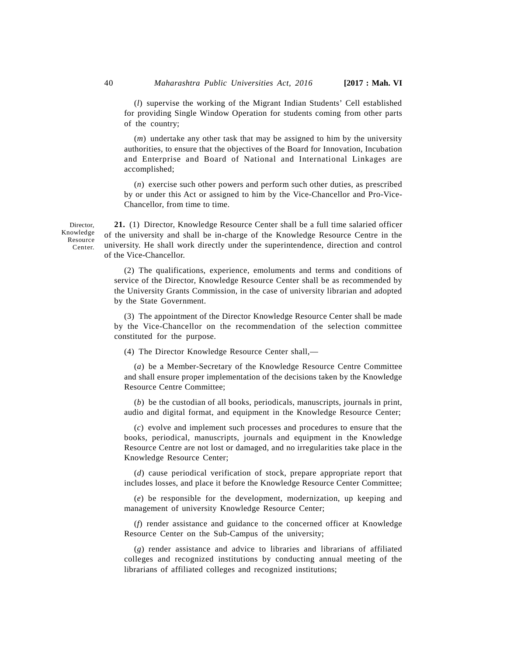(*l*) supervise the working of the Migrant Indian Students' Cell established for providing Single Window Operation for students coming from other parts of the country;

(*m*) undertake any other task that may be assigned to him by the university authorities, to ensure that the objectives of the Board for Innovation, Incubation and Enterprise and Board of National and International Linkages are accomplished;

(*n*) exercise such other powers and perform such other duties, as prescribed by or under this Act or assigned to him by the Vice-Chancellor and Pro-Vice-Chancellor, from time to time.

Director, Knowledge Resource Center.

**21.** (1) Director, Knowledge Resource Center shall be a full time salaried officer of the university and shall be in-charge of the Knowledge Resource Centre in the university. He shall work directly under the superintendence, direction and control of the Vice-Chancellor.

(2) The qualifications, experience, emoluments and terms and conditions of service of the Director, Knowledge Resource Center shall be as recommended by the University Grants Commission, in the case of university librarian and adopted by the State Government.

(3) The appointment of the Director Knowledge Resource Center shall be made by the Vice-Chancellor on the recommendation of the selection committee constituted for the purpose.

(4) The Director Knowledge Resource Center shall,—

(*a*) be a Member-Secretary of the Knowledge Resource Centre Committee and shall ensure proper implementation of the decisions taken by the Knowledge Resource Centre Committee;

(*b*) be the custodian of all books, periodicals, manuscripts, journals in print, audio and digital format, and equipment in the Knowledge Resource Center;

(*c*) evolve and implement such processes and procedures to ensure that the books, periodical, manuscripts, journals and equipment in the Knowledge Resource Centre are not lost or damaged, and no irregularities take place in the Knowledge Resource Center;

(*d*) cause periodical verification of stock, prepare appropriate report that includes losses, and place it before the Knowledge Resource Center Committee;

(*e*) be responsible for the development, modernization, up keeping and management of university Knowledge Resource Center;

(*f*) render assistance and guidance to the concerned officer at Knowledge Resource Center on the Sub-Campus of the university;

(*g*) render assistance and advice to libraries and librarians of affiliated colleges and recognized institutions by conducting annual meeting of the librarians of affiliated colleges and recognized institutions;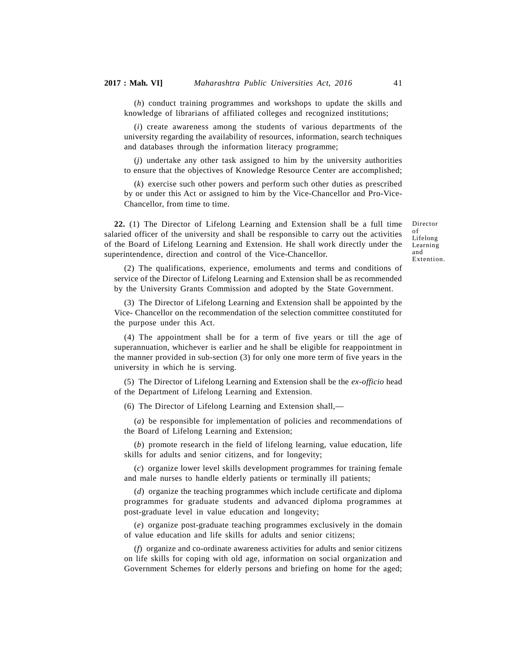(*h*) conduct training programmes and workshops to update the skills and knowledge of librarians of affiliated colleges and recognized institutions;

(*i*) create awareness among the students of various departments of the university regarding the availability of resources, information, search techniques and databases through the information literacy programme;

(*j*) undertake any other task assigned to him by the university authorities to ensure that the objectives of Knowledge Resource Center are accomplished;

(*k*) exercise such other powers and perform such other duties as prescribed by or under this Act or assigned to him by the Vice-Chancellor and Pro-Vice-Chancellor, from time to time.

**22.** (1) The Director of Lifelong Learning and Extension shall be a full time salaried officer of the university and shall be responsible to carry out the activities of the Board of Lifelong Learning and Extension. He shall work directly under the superintendence, direction and control of the Vice-Chancellor.

Director of Lifelong Learning and Extention.

(2) The qualifications, experience, emoluments and terms and conditions of service of the Director of Lifelong Learning and Extension shall be as recommended by the University Grants Commission and adopted by the State Government.

(3) The Director of Lifelong Learning and Extension shall be appointed by the Vice- Chancellor on the recommendation of the selection committee constituted for the purpose under this Act.

(4) The appointment shall be for a term of five years or till the age of superannuation, whichever is earlier and he shall be eligible for reappointment in the manner provided in sub-section (3) for only one more term of five years in the university in which he is serving.

(5) The Director of Lifelong Learning and Extension shall be the *ex-officio* head of the Department of Lifelong Learning and Extension.

(6) The Director of Lifelong Learning and Extension shall,—

(*a*) be responsible for implementation of policies and recommendations of the Board of Lifelong Learning and Extension;

(*b*) promote research in the field of lifelong learning, value education, life skills for adults and senior citizens, and for longevity;

(*c*) organize lower level skills development programmes for training female and male nurses to handle elderly patients or terminally ill patients;

(*d*) organize the teaching programmes which include certificate and diploma programmes for graduate students and advanced diploma programmes at post-graduate level in value education and longevity;

(*e*) organize post-graduate teaching programmes exclusively in the domain of value education and life skills for adults and senior citizens;

(*f*) organize and co-ordinate awareness activities for adults and senior citizens on life skills for coping with old age, information on social organization and Government Schemes for elderly persons and briefing on home for the aged;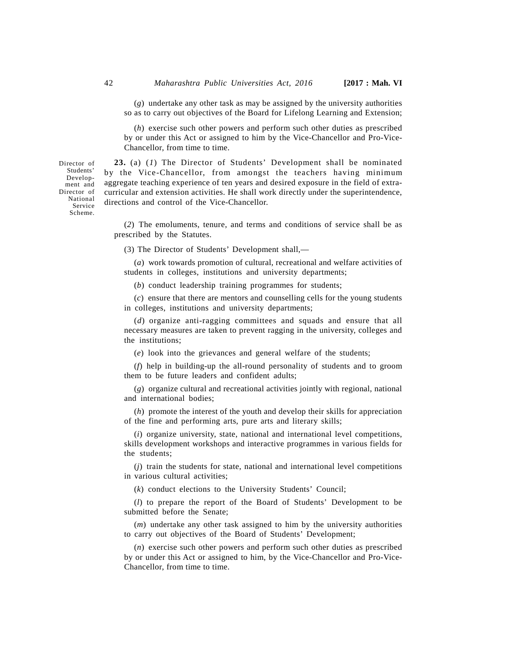(*g*) undertake any other task as may be assigned by the university authorities so as to carry out objectives of the Board for Lifelong Learning and Extension;

(*h*) exercise such other powers and perform such other duties as prescribed by or under this Act or assigned to him by the Vice-Chancellor and Pro-Vice-Chancellor, from time to time.

**23.** (a) (*1*) The Director of Students' Development shall be nominated by the Vice-Chancellor, from amongst the teachers having minimum aggregate teaching experience of ten years and desired exposure in the field of extracurricular and extension activities. He shall work directly under the superintendence, directions and control of the Vice-Chancellor.

(*2*) The emoluments, tenure, and terms and conditions of service shall be as prescribed by the Statutes.

(3) The Director of Students' Development shall,—

(*a*) work towards promotion of cultural, recreational and welfare activities of students in colleges, institutions and university departments;

(*b*) conduct leadership training programmes for students;

(*c*) ensure that there are mentors and counselling cells for the young students in colleges, institutions and university departments;

(*d*) organize anti-ragging committees and squads and ensure that all necessary measures are taken to prevent ragging in the university, colleges and the institutions;

(*e*) look into the grievances and general welfare of the students;

(*f*) help in building-up the all-round personality of students and to groom them to be future leaders and confident adults;

(*g*) organize cultural and recreational activities jointly with regional, national and international bodies;

(*h*) promote the interest of the youth and develop their skills for appreciation of the fine and performing arts, pure arts and literary skills;

(*i*) organize university, state, national and international level competitions, skills development workshops and interactive programmes in various fields for the students;

(*j*) train the students for state, national and international level competitions in various cultural activities;

(*k*) conduct elections to the University Students' Council;

(*l*) to prepare the report of the Board of Students' Development to be submitted before the Senate;

(*m*) undertake any other task assigned to him by the university authorities to carry out objectives of the Board of Students' Development;

(*n*) exercise such other powers and perform such other duties as prescribed by or under this Act or assigned to him, by the Vice-Chancellor and Pro-Vice-Chancellor, from time to time.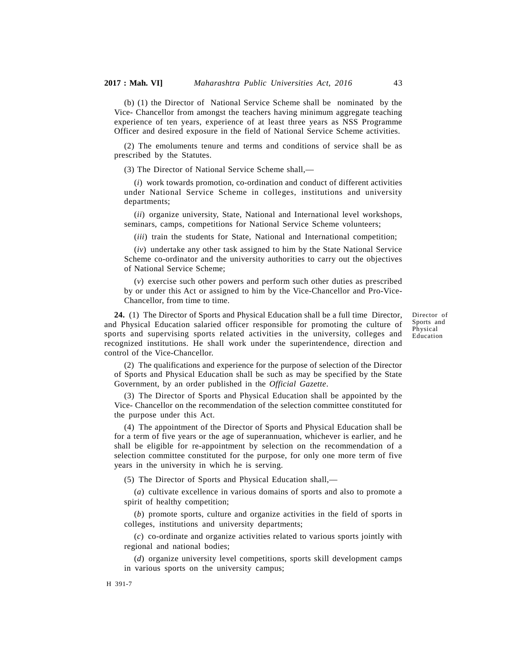(b) (1) the Director of National Service Scheme shall be nominated by the Vice- Chancellor from amongst the teachers having minimum aggregate teaching experience of ten years, experience of at least three years as NSS Programme Officer and desired exposure in the field of National Service Scheme activities.

(2) The emoluments tenure and terms and conditions of service shall be as prescribed by the Statutes.

(3) The Director of National Service Scheme shall,—

(*i*) work towards promotion, co-ordination and conduct of different activities under National Service Scheme in colleges, institutions and university departments;

(*ii*) organize university, State, National and International level workshops, seminars, camps, competitions for National Service Scheme volunteers;

(*iii*) train the students for State, National and International competition;

(*iv*) undertake any other task assigned to him by the State National Service Scheme co-ordinator and the university authorities to carry out the objectives of National Service Scheme;

(*v*) exercise such other powers and perform such other duties as prescribed by or under this Act or assigned to him by the Vice-Chancellor and Pro-Vice-Chancellor, from time to time.

**24.** (1) The Director of Sports and Physical Education shall be a full time Director, and Physical Education salaried officer responsible for promoting the culture of sports and supervising sports related activities in the university, colleges and recognized institutions. He shall work under the superintendence, direction and control of the Vice-Chancellor.

Director of Sports and Physical Education

(2) The qualifications and experience for the purpose of selection of the Director of Sports and Physical Education shall be such as may be specified by the State Government, by an order published in the *Official Gazette*.

(3) The Director of Sports and Physical Education shall be appointed by the Vice- Chancellor on the recommendation of the selection committee constituted for the purpose under this Act.

(4) The appointment of the Director of Sports and Physical Education shall be for a term of five years or the age of superannuation, whichever is earlier, and he shall be eligible for re-appointment by selection on the recommendation of a selection committee constituted for the purpose, for only one more term of five years in the university in which he is serving.

(5) The Director of Sports and Physical Education shall,—

(*a*) cultivate excellence in various domains of sports and also to promote a spirit of healthy competition;

(*b*) promote sports, culture and organize activities in the field of sports in colleges, institutions and university departments;

(*c*) co-ordinate and organize activities related to various sports jointly with regional and national bodies;

(*d*) organize university level competitions, sports skill development camps in various sports on the university campus;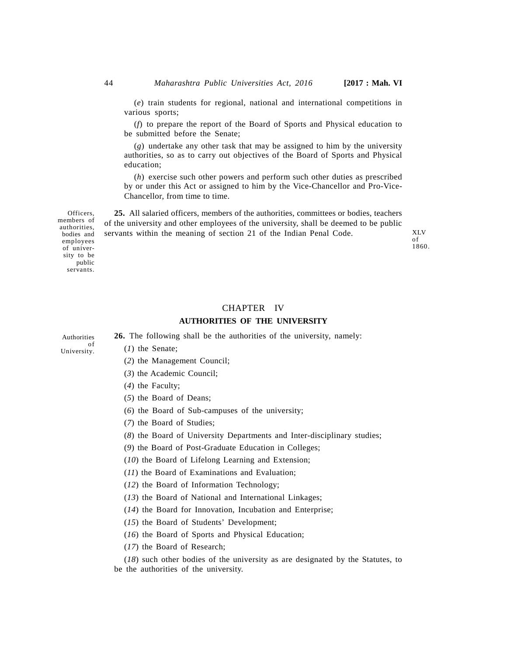XLV of 1860.

(*e*) train students for regional, national and international competitions in various sports;

(*f*) to prepare the report of the Board of Sports and Physical education to be submitted before the Senate;

(*g*) undertake any other task that may be assigned to him by the university authorities, so as to carry out objectives of the Board of Sports and Physical education;

(*h*) exercise such other powers and perform such other duties as prescribed by or under this Act or assigned to him by the Vice-Chancellor and Pro-Vice-Chancellor, from time to time.

**25.** All salaried officers, members of the authorities, committees or bodies, teachers of the university and other employees of the university, shall be deemed to be public servants within the meaning of section 21 of the Indian Penal Code.

Officers, members of authorities, bodies and employees of university to be public servants.

## CHAPTER IV **AUTHORITIES OF THE UNIVERSITY**

**26.** The following shall be the authorities of the university, namely:

- Authorities of University.
- (*2*) the Management Council;
- (*3*) the Academic Council;
- (*4*) the Faculty;

(*1*) the Senate;

- (*5*) the Board of Deans;
- (*6*) the Board of Sub-campuses of the university;
- (*7*) the Board of Studies;
- (*8*) the Board of University Departments and Inter-disciplinary studies;
- (*9*) the Board of Post-Graduate Education in Colleges;
- (*10*) the Board of Lifelong Learning and Extension;
- (*11*) the Board of Examinations and Evaluation;
- (*12*) the Board of Information Technology;
- (*13*) the Board of National and International Linkages;
- (*14*) the Board for Innovation, Incubation and Enterprise;
- (*15*) the Board of Students' Development;
- (*16*) the Board of Sports and Physical Education;
- (*17*) the Board of Research;

(*18*) such other bodies of the university as are designated by the Statutes, to be the authorities of the university.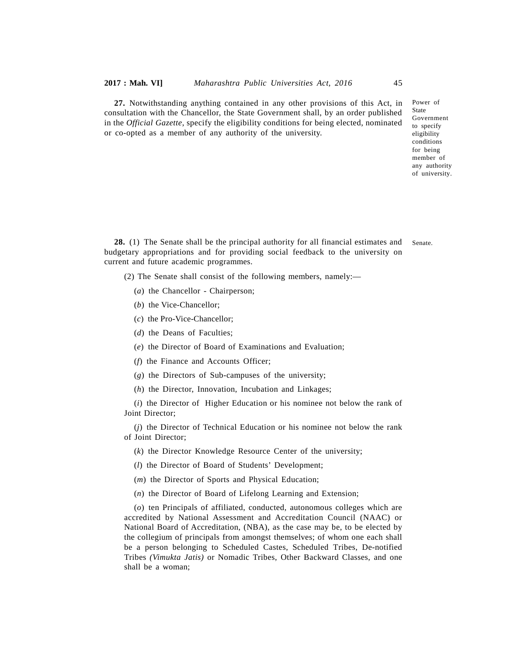**27.** Notwithstanding anything contained in any other provisions of this Act, in consultation with the Chancellor, the State Government shall, by an order published in the *Official Gazette*, specify the eligibility conditions for being elected, nominated or co-opted as a member of any authority of the university.

Power of **State** Government to specify eligibility conditions for being member of any authority of university.

**28.** (1) The Senate shall be the principal authority for all financial estimates and budgetary appropriations and for providing social feedback to the university on current and future academic programmes. Senate.

- (2) The Senate shall consist of the following members, namely:—
	- (*a*) the Chancellor Chairperson;
	- (*b*) the Vice-Chancellor;
	- (*c*) the Pro-Vice-Chancellor;
	- (*d*) the Deans of Faculties;
	- (*e*) the Director of Board of Examinations and Evaluation;
	- (*f*) the Finance and Accounts Officer;
	- (*g*) the Directors of Sub-campuses of the university;
	- (*h*) the Director, Innovation, Incubation and Linkages;

(*i*) the Director of Higher Education or his nominee not below the rank of Joint Director;

(*j*) the Director of Technical Education or his nominee not below the rank of Joint Director;

- (*k*) the Director Knowledge Resource Center of the university;
- (*l*) the Director of Board of Students' Development;
- (*m*) the Director of Sports and Physical Education;
- (*n*) the Director of Board of Lifelong Learning and Extension;

(*o*) ten Principals of affiliated, conducted, autonomous colleges which are accredited by National Assessment and Accreditation Council (NAAC) or National Board of Accreditation, (NBA), as the case may be, to be elected by the collegium of principals from amongst themselves; of whom one each shall be a person belonging to Scheduled Castes, Scheduled Tribes, De-notified Tribes *(Vimukta Jatis)* or Nomadic Tribes, Other Backward Classes, and one shall be a woman;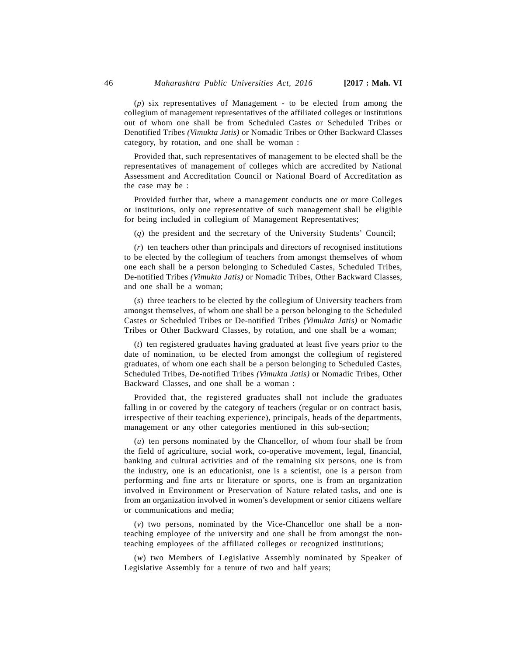(*p*) six representatives of Management - to be elected from among the collegium of management representatives of the affiliated colleges or institutions out of whom one shall be from Scheduled Castes or Scheduled Tribes or Denotified Tribes *(Vimukta Jatis)* or Nomadic Tribes or Other Backward Classes category, by rotation, and one shall be woman :

Provided that, such representatives of management to be elected shall be the representatives of management of colleges which are accredited by National Assessment and Accreditation Council or National Board of Accreditation as the case may be :

Provided further that, where a management conducts one or more Colleges or institutions, only one representative of such management shall be eligible for being included in collegium of Management Representatives;

(*q*) the president and the secretary of the University Students' Council;

(*r*) ten teachers other than principals and directors of recognised institutions to be elected by the collegium of teachers from amongst themselves of whom one each shall be a person belonging to Scheduled Castes, Scheduled Tribes, De-notified Tribes *(Vimukta Jatis)* or Nomadic Tribes, Other Backward Classes, and one shall be a woman;

(*s*) three teachers to be elected by the collegium of University teachers from amongst themselves, of whom one shall be a person belonging to the Scheduled Castes or Scheduled Tribes or De-notified Tribes *(Vimukta Jatis)* or Nomadic Tribes or Other Backward Classes, by rotation, and one shall be a woman;

(*t*) ten registered graduates having graduated at least five years prior to the date of nomination, to be elected from amongst the collegium of registered graduates, of whom one each shall be a person belonging to Scheduled Castes, Scheduled Tribes, De-notified Tribes *(Vimukta Jatis)* or Nomadic Tribes, Other Backward Classes, and one shall be a woman :

Provided that, the registered graduates shall not include the graduates falling in or covered by the category of teachers (regular or on contract basis, irrespective of their teaching experience), principals, heads of the departments, management or any other categories mentioned in this sub-section;

(*u*) ten persons nominated by the Chancellor, of whom four shall be from the field of agriculture, social work, co-operative movement, legal, financial, banking and cultural activities and of the remaining six persons, one is from the industry, one is an educationist, one is a scientist, one is a person from performing and fine arts or literature or sports, one is from an organization involved in Environment or Preservation of Nature related tasks, and one is from an organization involved in women's development or senior citizens welfare or communications and media;

(*v*) two persons, nominated by the Vice-Chancellor one shall be a nonteaching employee of the university and one shall be from amongst the nonteaching employees of the affiliated colleges or recognized institutions;

(*w*) two Members of Legislative Assembly nominated by Speaker of Legislative Assembly for a tenure of two and half years;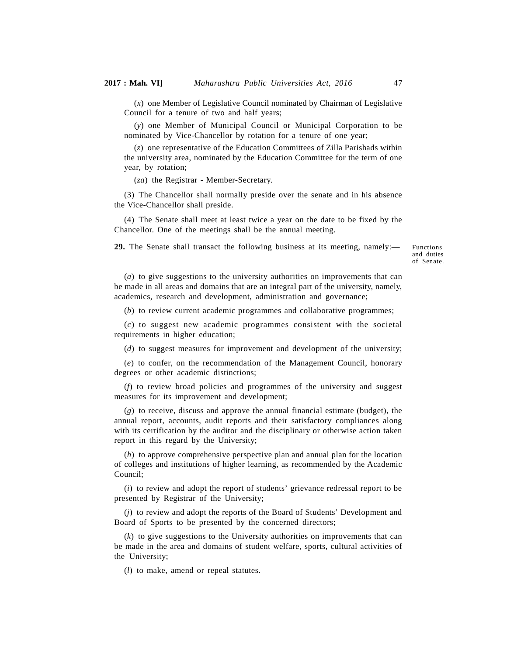(*x*) one Member of Legislative Council nominated by Chairman of Legislative Council for a tenure of two and half years;

(*y*) one Member of Municipal Council or Municipal Corporation to be nominated by Vice-Chancellor by rotation for a tenure of one year;

(*z*) one representative of the Education Committees of Zilla Parishads within the university area, nominated by the Education Committee for the term of one year, by rotation;

(*za*) the Registrar - Member-Secretary.

(3) The Chancellor shall normally preside over the senate and in his absence the Vice-Chancellor shall preside.

(4) The Senate shall meet at least twice a year on the date to be fixed by the Chancellor. One of the meetings shall be the annual meeting.

**29.** The Senate shall transact the following business at its meeting, namely:—

Functions and duties of Senate.

(*a*) to give suggestions to the university authorities on improvements that can be made in all areas and domains that are an integral part of the university, namely, academics, research and development, administration and governance;

(*b*) to review current academic programmes and collaborative programmes;

(*c*) to suggest new academic programmes consistent with the societal requirements in higher education;

(*d*) to suggest measures for improvement and development of the university;

(*e*) to confer, on the recommendation of the Management Council, honorary degrees or other academic distinctions;

(*f*) to review broad policies and programmes of the university and suggest measures for its improvement and development;

(*g*) to receive, discuss and approve the annual financial estimate (budget), the annual report, accounts, audit reports and their satisfactory compliances along with its certification by the auditor and the disciplinary or otherwise action taken report in this regard by the University;

(*h*) to approve comprehensive perspective plan and annual plan for the location of colleges and institutions of higher learning, as recommended by the Academic Council;

(*i*) to review and adopt the report of students' grievance redressal report to be presented by Registrar of the University;

(*j*) to review and adopt the reports of the Board of Students' Development and Board of Sports to be presented by the concerned directors;

(*k*) to give suggestions to the University authorities on improvements that can be made in the area and domains of student welfare, sports, cultural activities of the University;

(*l*) to make, amend or repeal statutes.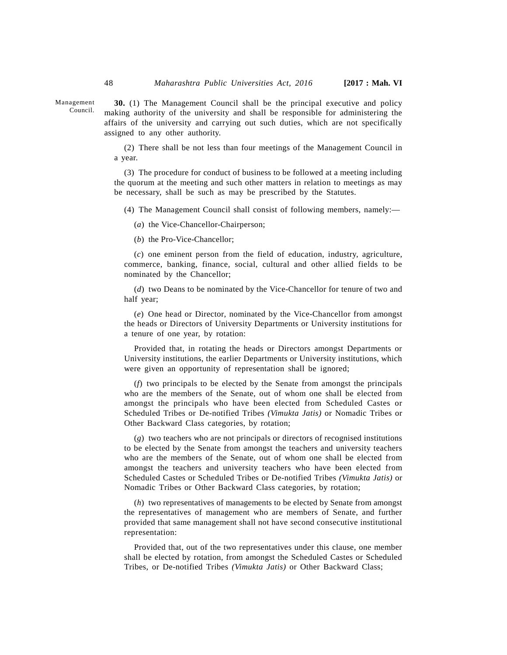**30.** (1) The Management Council shall be the principal executive and policy making authority of the university and shall be responsible for administering the affairs of the university and carrying out such duties, which are not specifically assigned to any other authority.

(2) There shall be not less than four meetings of the Management Council in a year.

(3) The procedure for conduct of business to be followed at a meeting including the quorum at the meeting and such other matters in relation to meetings as may be necessary, shall be such as may be prescribed by the Statutes.

(4) The Management Council shall consist of following members, namely:—

(*a*) the Vice-Chancellor-Chairperson;

(*b*) the Pro-Vice-Chancellor;

(*c*) one eminent person from the field of education, industry, agriculture, commerce, banking, finance, social, cultural and other allied fields to be nominated by the Chancellor;

(*d*) two Deans to be nominated by the Vice-Chancellor for tenure of two and half year;

(*e*) One head or Director, nominated by the Vice-Chancellor from amongst the heads or Directors of University Departments or University institutions for a tenure of one year, by rotation:

Provided that, in rotating the heads or Directors amongst Departments or University institutions, the earlier Departments or University institutions, which were given an opportunity of representation shall be ignored;

(*f*) two principals to be elected by the Senate from amongst the principals who are the members of the Senate, out of whom one shall be elected from amongst the principals who have been elected from Scheduled Castes or Scheduled Tribes or De-notified Tribes *(Vimukta Jatis)* or Nomadic Tribes or Other Backward Class categories, by rotation;

(*g*) two teachers who are not principals or directors of recognised institutions to be elected by the Senate from amongst the teachers and university teachers who are the members of the Senate, out of whom one shall be elected from amongst the teachers and university teachers who have been elected from Scheduled Castes or Scheduled Tribes or De-notified Tribes *(Vimukta Jatis)* or Nomadic Tribes or Other Backward Class categories, by rotation;

(*h*) two representatives of managements to be elected by Senate from amongst the representatives of management who are members of Senate, and further provided that same management shall not have second consecutive institutional representation:

Provided that, out of the two representatives under this clause, one member shall be elected by rotation, from amongst the Scheduled Castes or Scheduled Tribes, or De-notified Tribes *(Vimukta Jatis)* or Other Backward Class;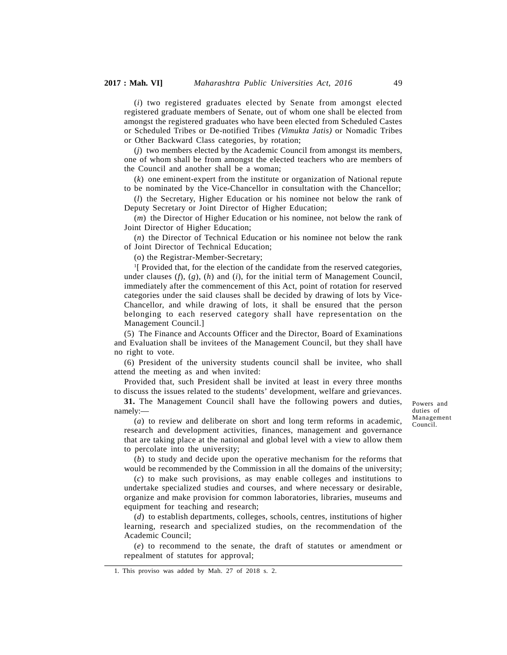(*i*) two registered graduates elected by Senate from amongst elected registered graduate members of Senate, out of whom one shall be elected from amongst the registered graduates who have been elected from Scheduled Castes or Scheduled Tribes or De-notified Tribes *(Vimukta Jatis)* or Nomadic Tribes or Other Backward Class categories, by rotation;

(*j*) two members elected by the Academic Council from amongst its members, one of whom shall be from amongst the elected teachers who are members of the Council and another shall be a woman;

(*k*) one eminent-expert from the institute or organization of National repute to be nominated by the Vice-Chancellor in consultation with the Chancellor;

(*l*) the Secretary, Higher Education or his nominee not below the rank of Deputy Secretary or Joint Director of Higher Education;

(*m*) the Director of Higher Education or his nominee, not below the rank of Joint Director of Higher Education;

(*n*) the Director of Technical Education or his nominee not below the rank of Joint Director of Technical Education;

(o) the Registrar-Member-Secretary;

<sup>1</sup>[ Provided that, for the election of the candidate from the reserved categories, under clauses (*f*), (*g*), (*h*) and (*i*), for the initial term of Management Council, immediately after the commencement of this Act, point of rotation for reserved categories under the said clauses shall be decided by drawing of lots by Vice-Chancellor, and while drawing of lots, it shall be ensured that the person belonging to each reserved category shall have representation on the Management Council.]

(5) The Finance and Accounts Officer and the Director, Board of Examinations and Evaluation shall be invitees of the Management Council, but they shall have no right to vote.

(6) President of the university students council shall be invitee, who shall attend the meeting as and when invited:

Provided that, such President shall be invited at least in every three months to discuss the issues related to the students' development, welfare and grievances.

**31.** The Management Council shall have the following powers and duties, namely:—

Powers and duties of Management Council.

(*a*) to review and deliberate on short and long term reforms in academic, research and development activities, finances, management and governance that are taking place at the national and global level with a view to allow them to percolate into the university;

(*b*) to study and decide upon the operative mechanism for the reforms that would be recommended by the Commission in all the domains of the university;

(*c*) to make such provisions, as may enable colleges and institutions to undertake specialized studies and courses, and where necessary or desirable, organize and make provision for common laboratories, libraries, museums and equipment for teaching and research;

(*d*) to establish departments, colleges, schools, centres, institutions of higher learning, research and specialized studies, on the recommendation of the Academic Council;

(*e*) to recommend to the senate, the draft of statutes or amendment or repealment of statutes for approval;

1. This proviso was added by Mah. 27 of 2018 s. 2.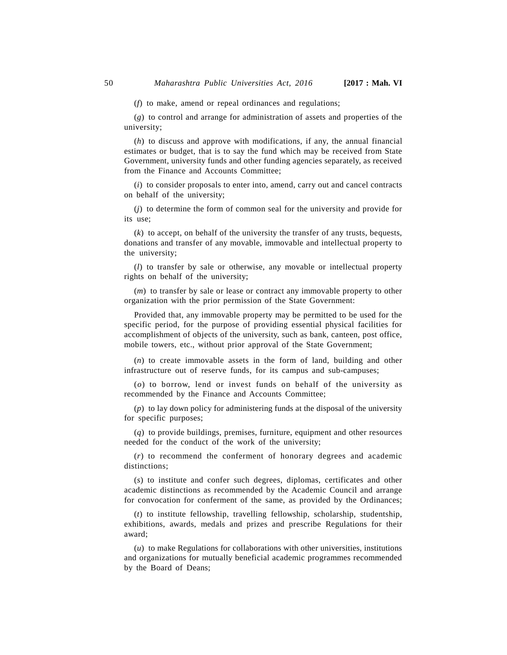(*f*) to make, amend or repeal ordinances and regulations;

(*g*) to control and arrange for administration of assets and properties of the university;

(*h*) to discuss and approve with modifications, if any, the annual financial estimates or budget, that is to say the fund which may be received from State Government, university funds and other funding agencies separately, as received from the Finance and Accounts Committee;

(*i*) to consider proposals to enter into, amend, carry out and cancel contracts on behalf of the university;

(*j*) to determine the form of common seal for the university and provide for its use;

(*k*) to accept, on behalf of the university the transfer of any trusts, bequests, donations and transfer of any movable, immovable and intellectual property to the university;

(*l*) to transfer by sale or otherwise, any movable or intellectual property rights on behalf of the university;

(*m*) to transfer by sale or lease or contract any immovable property to other organization with the prior permission of the State Government:

Provided that, any immovable property may be permitted to be used for the specific period, for the purpose of providing essential physical facilities for accomplishment of objects of the university, such as bank, canteen, post office, mobile towers, etc., without prior approval of the State Government;

(*n*) to create immovable assets in the form of land, building and other infrastructure out of reserve funds, for its campus and sub-campuses;

(*o*) to borrow, lend or invest funds on behalf of the university as recommended by the Finance and Accounts Committee;

(*p*) to lay down policy for administering funds at the disposal of the university for specific purposes;

(*q*) to provide buildings, premises, furniture, equipment and other resources needed for the conduct of the work of the university;

(*r*) to recommend the conferment of honorary degrees and academic distinctions;

(*s*) to institute and confer such degrees, diplomas, certificates and other academic distinctions as recommended by the Academic Council and arrange for convocation for conferment of the same, as provided by the Ordinances;

(*t*) to institute fellowship, travelling fellowship, scholarship, studentship, exhibitions, awards, medals and prizes and prescribe Regulations for their award;

(*u*) to make Regulations for collaborations with other universities, institutions and organizations for mutually beneficial academic programmes recommended by the Board of Deans;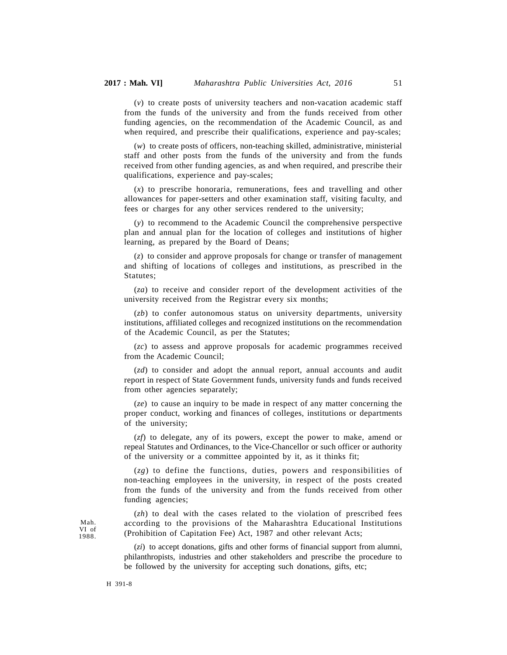(*v*) to create posts of university teachers and non-vacation academic staff from the funds of the university and from the funds received from other funding agencies, on the recommendation of the Academic Council, as and when required, and prescribe their qualifications, experience and pay-scales;

(*w*) to create posts of officers, non-teaching skilled, administrative, ministerial staff and other posts from the funds of the university and from the funds received from other funding agencies, as and when required, and prescribe their qualifications, experience and pay-scales;

(*x*) to prescribe honoraria, remunerations, fees and travelling and other allowances for paper-setters and other examination staff, visiting faculty, and fees or charges for any other services rendered to the university;

(*y*) to recommend to the Academic Council the comprehensive perspective plan and annual plan for the location of colleges and institutions of higher learning, as prepared by the Board of Deans;

(*z*) to consider and approve proposals for change or transfer of management and shifting of locations of colleges and institutions, as prescribed in the Statutes;

(*za*) to receive and consider report of the development activities of the university received from the Registrar every six months;

(*zb*) to confer autonomous status on university departments, university institutions, affiliated colleges and recognized institutions on the recommendation of the Academic Council, as per the Statutes;

(*zc*) to assess and approve proposals for academic programmes received from the Academic Council;

(*zd*) to consider and adopt the annual report, annual accounts and audit report in respect of State Government funds, university funds and funds received from other agencies separately;

(*ze*) to cause an inquiry to be made in respect of any matter concerning the proper conduct, working and finances of colleges, institutions or departments of the university;

(*zf*) to delegate, any of its powers, except the power to make, amend or repeal Statutes and Ordinances, to the Vice-Chancellor or such officer or authority of the university or a committee appointed by it, as it thinks fit;

(*zg*) to define the functions, duties, powers and responsibilities of non-teaching employees in the university, in respect of the posts created from the funds of the university and from the funds received from other funding agencies;

(*zh*) to deal with the cases related to the violation of prescribed fees according to the provisions of the Maharashtra Educational Institutions (Prohibition of Capitation Fee) Act, 1987 and other relevant Acts;

(*zi*) to accept donations, gifts and other forms of financial support from alumni, philanthropists, industries and other stakeholders and prescribe the procedure to be followed by the university for accepting such donations, gifts, etc;

Mah. VI of 1988.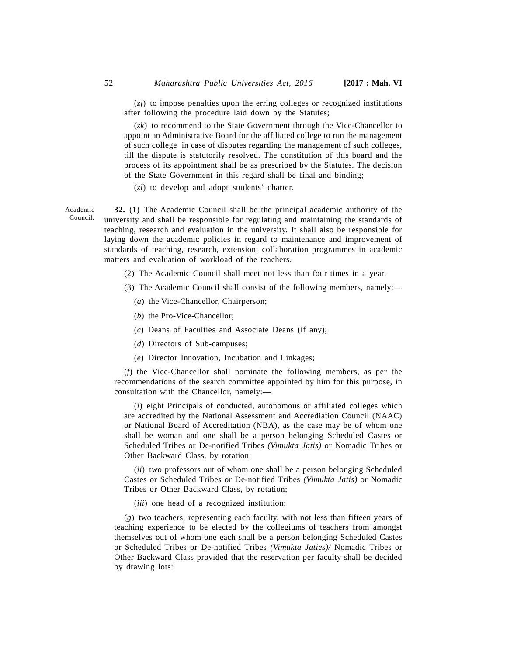(*zj*) to impose penalties upon the erring colleges or recognized institutions after following the procedure laid down by the Statutes;

(*zk*) to recommend to the State Government through the Vice-Chancellor to appoint an Administrative Board for the affiliated college to run the management of such college in case of disputes regarding the management of such colleges, till the dispute is statutorily resolved. The constitution of this board and the process of its appointment shall be as prescribed by the Statutes. The decision of the State Government in this regard shall be final and binding;

(*zl*) to develop and adopt students' charter.

**32.** (1) The Academic Council shall be the principal academic authority of the university and shall be responsible for regulating and maintaining the standards of teaching, research and evaluation in the university. It shall also be responsible for laying down the academic policies in regard to maintenance and improvement of standards of teaching, research, extension, collaboration programmes in academic matters and evaluation of workload of the teachers. Council.

- (2) The Academic Council shall meet not less than four times in a year.
- (3) The Academic Council shall consist of the following members, namely:—
	- (*a*) the Vice-Chancellor, Chairperson;
	- (*b*) the Pro-Vice-Chancellor;
	- (*c*) Deans of Faculties and Associate Deans (if any);
	- (*d*) Directors of Sub-campuses;
	- (*e*) Director Innovation, Incubation and Linkages;

(*f*) the Vice-Chancellor shall nominate the following members, as per the recommendations of the search committee appointed by him for this purpose, in consultation with the Chancellor, namely:—

(*i*) eight Principals of conducted, autonomous or affiliated colleges which are accredited by the National Assessment and Accrediation Council (NAAC) or National Board of Accreditation (NBA), as the case may be of whom one shall be woman and one shall be a person belonging Scheduled Castes or Scheduled Tribes or De-notified Tribes *(Vimukta Jatis)* or Nomadic Tribes or Other Backward Class, by rotation;

(*ii*) two professors out of whom one shall be a person belonging Scheduled Castes or Scheduled Tribes or De-notified Tribes *(Vimukta Jatis)* or Nomadic Tribes or Other Backward Class, by rotation;

(*iii*) one head of a recognized institution;

(*g*) two teachers, representing each faculty, with not less than fifteen years of teaching experience to be elected by the collegiums of teachers from amongst themselves out of whom one each shall be a person belonging Scheduled Castes or Scheduled Tribes or De-notified Tribes *(Vimukta Jaties)/* Nomadic Tribes or Other Backward Class provided that the reservation per faculty shall be decided by drawing lots:

Academic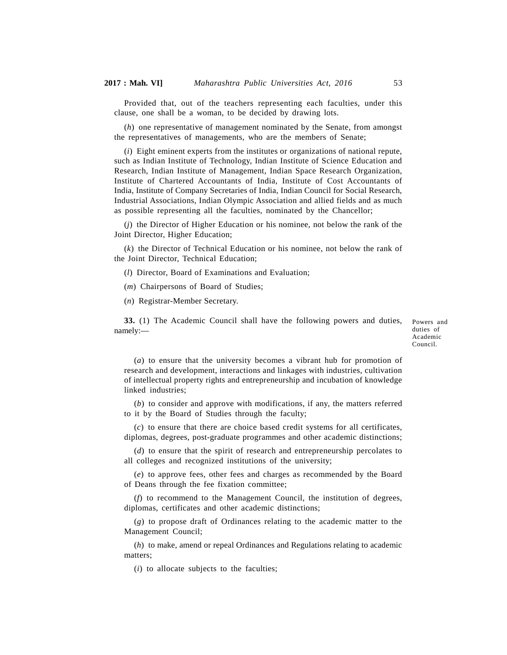Provided that, out of the teachers representing each faculties, under this clause, one shall be a woman, to be decided by drawing lots.

(*h*) one representative of management nominated by the Senate, from amongst the representatives of managements, who are the members of Senate;

(*i*) Eight eminent experts from the institutes or organizations of national repute, such as Indian Institute of Technology, Indian Institute of Science Education and Research, Indian Institute of Management, Indian Space Research Organization, Institute of Chartered Accountants of India, Institute of Cost Accountants of India, Institute of Company Secretaries of India, Indian Council for Social Research, Industrial Associations, Indian Olympic Association and allied fields and as much as possible representing all the faculties, nominated by the Chancellor;

(*j*) the Director of Higher Education or his nominee, not below the rank of the Joint Director, Higher Education;

(*k*) the Director of Technical Education or his nominee, not below the rank of the Joint Director, Technical Education;

(*l*) Director, Board of Examinations and Evaluation;

(*m*) Chairpersons of Board of Studies;

(*n*) Registrar-Member Secretary.

**33.** (1) The Academic Council shall have the following powers and duties, namely:—

Powers and duties of Academic Council.

(*a*) to ensure that the university becomes a vibrant hub for promotion of research and development, interactions and linkages with industries, cultivation of intellectual property rights and entrepreneurship and incubation of knowledge linked industries;

(*b*) to consider and approve with modifications, if any, the matters referred to it by the Board of Studies through the faculty;

(*c*) to ensure that there are choice based credit systems for all certificates, diplomas, degrees, post-graduate programmes and other academic distinctions;

(*d*) to ensure that the spirit of research and entrepreneurship percolates to all colleges and recognized institutions of the university;

(*e*) to approve fees, other fees and charges as recommended by the Board of Deans through the fee fixation committee;

(*f*) to recommend to the Management Council, the institution of degrees, diplomas, certificates and other academic distinctions;

(*g*) to propose draft of Ordinances relating to the academic matter to the Management Council;

(*h*) to make, amend or repeal Ordinances and Regulations relating to academic matters;

(*i*) to allocate subjects to the faculties;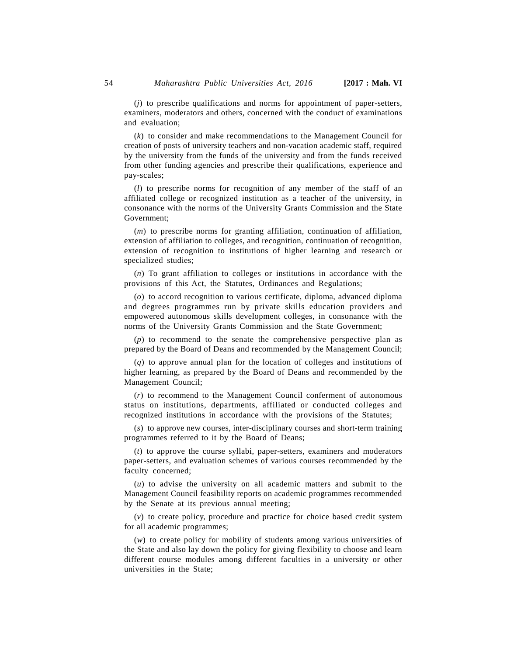(*j*) to prescribe qualifications and norms for appointment of paper-setters, examiners, moderators and others, concerned with the conduct of examinations and evaluation;

(*k*) to consider and make recommendations to the Management Council for creation of posts of university teachers and non-vacation academic staff, required by the university from the funds of the university and from the funds received from other funding agencies and prescribe their qualifications, experience and pay-scales;

(*l*) to prescribe norms for recognition of any member of the staff of an affiliated college or recognized institution as a teacher of the university, in consonance with the norms of the University Grants Commission and the State Government;

(*m*) to prescribe norms for granting affiliation, continuation of affiliation, extension of affiliation to colleges, and recognition, continuation of recognition, extension of recognition to institutions of higher learning and research or specialized studies;

(*n*) To grant affiliation to colleges or institutions in accordance with the provisions of this Act, the Statutes, Ordinances and Regulations;

(*o*) to accord recognition to various certificate, diploma, advanced diploma and degrees programmes run by private skills education providers and empowered autonomous skills development colleges, in consonance with the norms of the University Grants Commission and the State Government;

(*p*) to recommend to the senate the comprehensive perspective plan as prepared by the Board of Deans and recommended by the Management Council;

(*q*) to approve annual plan for the location of colleges and institutions of higher learning, as prepared by the Board of Deans and recommended by the Management Council;

(*r*) to recommend to the Management Council conferment of autonomous status on institutions, departments, affiliated or conducted colleges and recognized institutions in accordance with the provisions of the Statutes;

(*s*) to approve new courses, inter-disciplinary courses and short-term training programmes referred to it by the Board of Deans;

(*t*) to approve the course syllabi, paper-setters, examiners and moderators paper-setters, and evaluation schemes of various courses recommended by the faculty concerned;

(*u*) to advise the university on all academic matters and submit to the Management Council feasibility reports on academic programmes recommended by the Senate at its previous annual meeting;

(*v*) to create policy, procedure and practice for choice based credit system for all academic programmes;

(*w*) to create policy for mobility of students among various universities of the State and also lay down the policy for giving flexibility to choose and learn different course modules among different faculties in a university or other universities in the State;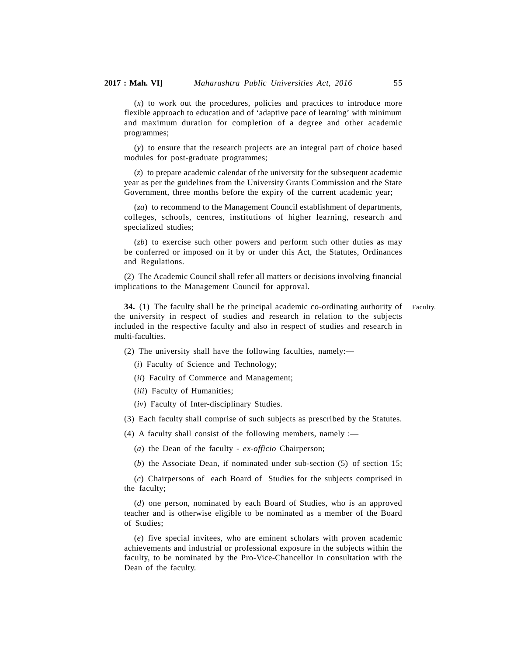(*x*) to work out the procedures, policies and practices to introduce more flexible approach to education and of 'adaptive pace of learning' with minimum and maximum duration for completion of a degree and other academic programmes;

(*y*) to ensure that the research projects are an integral part of choice based modules for post-graduate programmes;

(*z*) to prepare academic calendar of the university for the subsequent academic year as per the guidelines from the University Grants Commission and the State Government, three months before the expiry of the current academic year;

(*za*) to recommend to the Management Council establishment of departments, colleges, schools, centres, institutions of higher learning, research and specialized studies;

(*zb*) to exercise such other powers and perform such other duties as may be conferred or imposed on it by or under this Act, the Statutes, Ordinances and Regulations.

(2) The Academic Council shall refer all matters or decisions involving financial implications to the Management Council for approval.

**34.** (1) The faculty shall be the principal academic co-ordinating authority of the university in respect of studies and research in relation to the subjects included in the respective faculty and also in respect of studies and research in multi-faculties. Faculty.

(2) The university shall have the following faculties, namely:—

(*i*) Faculty of Science and Technology;

(*ii*) Faculty of Commerce and Management;

(*iii*) Faculty of Humanities;

(*iv*) Faculty of Inter-disciplinary Studies.

(3) Each faculty shall comprise of such subjects as prescribed by the Statutes.

(4) A faculty shall consist of the following members, namely :—

(*a*) the Dean of the faculty - *ex-officio* Chairperson;

(*b*) the Associate Dean, if nominated under sub-section (5) of section 15;

(*c*) Chairpersons of each Board of Studies for the subjects comprised in the faculty;

(*d*) one person, nominated by each Board of Studies, who is an approved teacher and is otherwise eligible to be nominated as a member of the Board of Studies;

(*e*) five special invitees, who are eminent scholars with proven academic achievements and industrial or professional exposure in the subjects within the faculty, to be nominated by the Pro-Vice-Chancellor in consultation with the Dean of the faculty.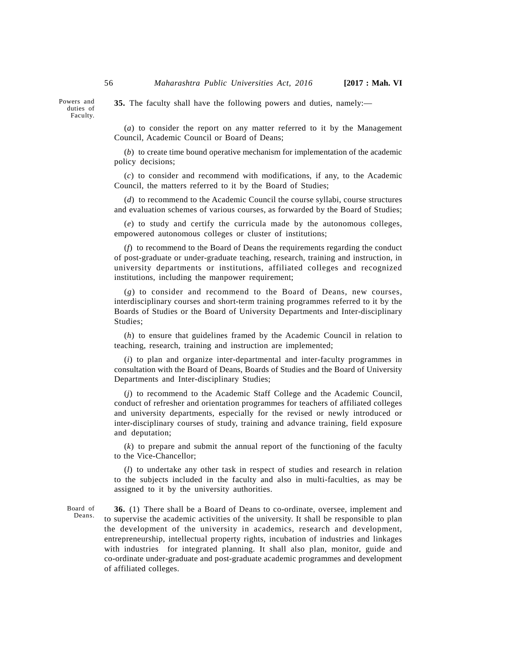Powers and duties of Faculty.

**35.** The faculty shall have the following powers and duties, namely:—

(*a*) to consider the report on any matter referred to it by the Management Council, Academic Council or Board of Deans;

(*b*) to create time bound operative mechanism for implementation of the academic policy decisions;

(*c*) to consider and recommend with modifications, if any, to the Academic Council, the matters referred to it by the Board of Studies;

(*d*) to recommend to the Academic Council the course syllabi, course structures and evaluation schemes of various courses, as forwarded by the Board of Studies;

(*e*) to study and certify the curricula made by the autonomous colleges, empowered autonomous colleges or cluster of institutions;

(*f*) to recommend to the Board of Deans the requirements regarding the conduct of post-graduate or under-graduate teaching, research, training and instruction, in university departments or institutions, affiliated colleges and recognized institutions, including the manpower requirement;

(*g*) to consider and recommend to the Board of Deans, new courses, interdisciplinary courses and short-term training programmes referred to it by the Boards of Studies or the Board of University Departments and Inter-disciplinary Studies;

(*h*) to ensure that guidelines framed by the Academic Council in relation to teaching, research, training and instruction are implemented;

(*i*) to plan and organize inter-departmental and inter-faculty programmes in consultation with the Board of Deans, Boards of Studies and the Board of University Departments and Inter-disciplinary Studies;

(*j*) to recommend to the Academic Staff College and the Academic Council, conduct of refresher and orientation programmes for teachers of affiliated colleges and university departments, especially for the revised or newly introduced or inter-disciplinary courses of study, training and advance training, field exposure and deputation;

(*k*) to prepare and submit the annual report of the functioning of the faculty to the Vice-Chancellor;

(*l*) to undertake any other task in respect of studies and research in relation to the subjects included in the faculty and also in multi-faculties, as may be assigned to it by the university authorities.

Board of Deans.

**36.** (1) There shall be a Board of Deans to co-ordinate, oversee, implement and to supervise the academic activities of the university. It shall be responsible to plan the development of the university in academics, research and development, entrepreneurship, intellectual property rights, incubation of industries and linkages with industries for integrated planning. It shall also plan, monitor, guide and co-ordinate under-graduate and post-graduate academic programmes and development of affiliated colleges.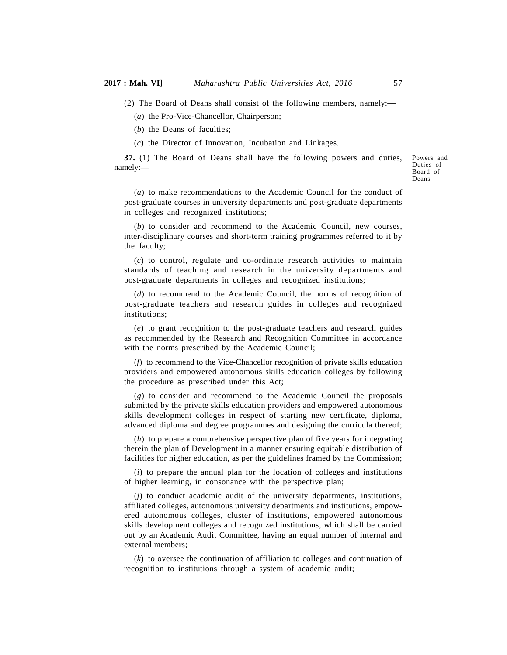(2) The Board of Deans shall consist of the following members, namely:—

(*a*) the Pro-Vice-Chancellor, Chairperson;

(*b*) the Deans of faculties;

(*c*) the Director of Innovation, Incubation and Linkages.

**37.** (1) The Board of Deans shall have the following powers and duties, namely:—

Powers and Duties of Board of Deans

(*a*) to make recommendations to the Academic Council for the conduct of post-graduate courses in university departments and post-graduate departments in colleges and recognized institutions;

(*b*) to consider and recommend to the Academic Council, new courses, inter-disciplinary courses and short-term training programmes referred to it by the faculty;

(*c*) to control, regulate and co-ordinate research activities to maintain standards of teaching and research in the university departments and post-graduate departments in colleges and recognized institutions;

(*d*) to recommend to the Academic Council, the norms of recognition of post-graduate teachers and research guides in colleges and recognized institutions;

(*e*) to grant recognition to the post-graduate teachers and research guides as recommended by the Research and Recognition Committee in accordance with the norms prescribed by the Academic Council;

(*f*) to recommend to the Vice-Chancellor recognition of private skills education providers and empowered autonomous skills education colleges by following the procedure as prescribed under this Act;

(*g*) to consider and recommend to the Academic Council the proposals submitted by the private skills education providers and empowered autonomous skills development colleges in respect of starting new certificate, diploma, advanced diploma and degree programmes and designing the curricula thereof;

(*h*) to prepare a comprehensive perspective plan of five years for integrating therein the plan of Development in a manner ensuring equitable distribution of facilities for higher education, as per the guidelines framed by the Commission;

(*i*) to prepare the annual plan for the location of colleges and institutions of higher learning, in consonance with the perspective plan;

(*j*) to conduct academic audit of the university departments, institutions, affiliated colleges, autonomous university departments and institutions, empowered autonomous colleges, cluster of institutions, empowered autonomous skills development colleges and recognized institutions, which shall be carried out by an Academic Audit Committee, having an equal number of internal and external members;

(*k*) to oversee the continuation of affiliation to colleges and continuation of recognition to institutions through a system of academic audit;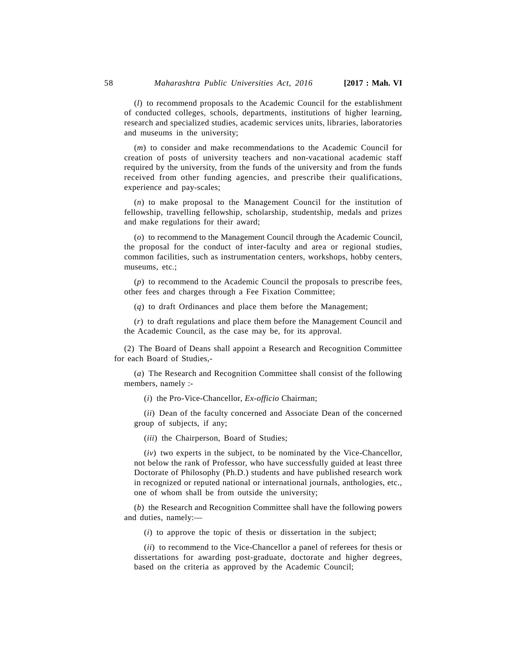(*l*) to recommend proposals to the Academic Council for the establishment of conducted colleges, schools, departments, institutions of higher learning, research and specialized studies, academic services units, libraries, laboratories and museums in the university;

(*m*) to consider and make recommendations to the Academic Council for creation of posts of university teachers and non-vacational academic staff required by the university, from the funds of the university and from the funds received from other funding agencies, and prescribe their qualifications, experience and pay-scales;

(*n*) to make proposal to the Management Council for the institution of fellowship, travelling fellowship, scholarship, studentship, medals and prizes and make regulations for their award;

(*o*) to recommend to the Management Council through the Academic Council, the proposal for the conduct of inter-faculty and area or regional studies, common facilities, such as instrumentation centers, workshops, hobby centers, museums, etc.;

(*p*) to recommend to the Academic Council the proposals to prescribe fees, other fees and charges through a Fee Fixation Committee;

(*q*) to draft Ordinances and place them before the Management;

(*r*) to draft regulations and place them before the Management Council and the Academic Council, as the case may be, for its approval.

(2) The Board of Deans shall appoint a Research and Recognition Committee for each Board of Studies,-

(*a*) The Research and Recognition Committee shall consist of the following members, namely :-

(*i*) the Pro-Vice-Chancellor, *Ex-officio* Chairman;

(*ii*) Dean of the faculty concerned and Associate Dean of the concerned group of subjects, if any;

(*iii*) the Chairperson, Board of Studies;

(*iv*) two experts in the subject, to be nominated by the Vice-Chancellor, not below the rank of Professor, who have successfully guided at least three Doctorate of Philosophy (Ph.D.) students and have published research work in recognized or reputed national or international journals, anthologies, etc., one of whom shall be from outside the university;

(*b*) the Research and Recognition Committee shall have the following powers and duties, namely:—

(*i*) to approve the topic of thesis or dissertation in the subject;

(*ii*) to recommend to the Vice-Chancellor a panel of referees for thesis or dissertations for awarding post-graduate, doctorate and higher degrees, based on the criteria as approved by the Academic Council;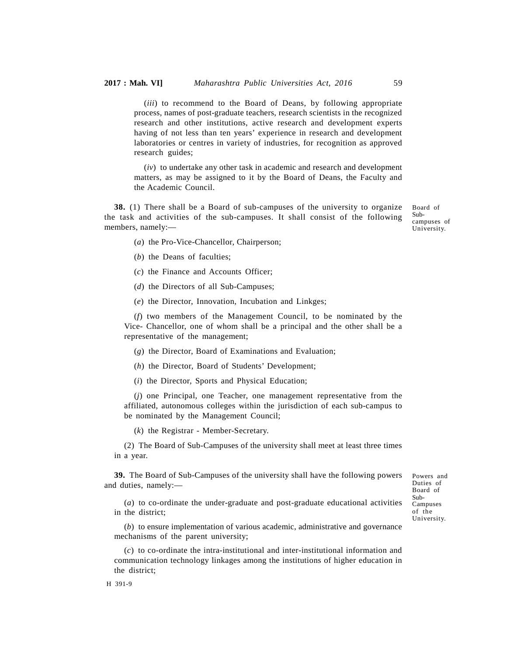(*iii*) to recommend to the Board of Deans, by following appropriate process, names of post-graduate teachers, research scientists in the recognized research and other institutions, active research and development experts having of not less than ten years' experience in research and development laboratories or centres in variety of industries, for recognition as approved research guides;

(*iv*) to undertake any other task in academic and research and development matters, as may be assigned to it by the Board of Deans, the Faculty and the Academic Council.

**38.** (1) There shall be a Board of sub-campuses of the university to organize the task and activities of the sub-campuses. It shall consist of the following members, namely:—

Board of Subcampuses of University.

- (*a*) the Pro-Vice-Chancellor, Chairperson;
- (*b*) the Deans of faculties;
- (*c*) the Finance and Accounts Officer;
- (*d*) the Directors of all Sub-Campuses;
- (*e*) the Director, Innovation, Incubation and Linkges;

(*f*) two members of the Management Council, to be nominated by the Vice- Chancellor, one of whom shall be a principal and the other shall be a representative of the management;

(*g*) the Director, Board of Examinations and Evaluation;

(*h*) the Director, Board of Students' Development;

(*i*) the Director, Sports and Physical Education;

(*j*) one Principal, one Teacher, one management representative from the affiliated, autonomous colleges within the jurisdiction of each sub-campus to be nominated by the Management Council;

(*k*) the Registrar - Member-Secretary.

(2) The Board of Sub-Campuses of the university shall meet at least three times in a year.

**39.** The Board of Sub-Campuses of the university shall have the following powers and duties, namely:—

Powers and Duties of Board of Sub-Campuses of the University.

(*a*) to co-ordinate the under-graduate and post-graduate educational activities in the district;

(*b*) to ensure implementation of various academic, administrative and governance mechanisms of the parent university;

(*c*) to co-ordinate the intra-institutional and inter-institutional information and communication technology linkages among the institutions of higher education in the district;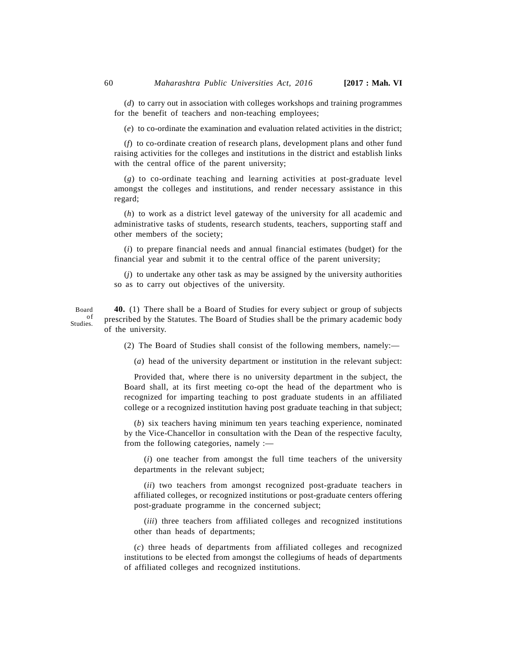(*d*) to carry out in association with colleges workshops and training programmes for the benefit of teachers and non-teaching employees;

(*e*) to co-ordinate the examination and evaluation related activities in the district;

(*f*) to co-ordinate creation of research plans, development plans and other fund raising activities for the colleges and institutions in the district and establish links with the central office of the parent university;

(*g*) to co-ordinate teaching and learning activities at post-graduate level amongst the colleges and institutions, and render necessary assistance in this regard;

(*h*) to work as a district level gateway of the university for all academic and administrative tasks of students, research students, teachers, supporting staff and other members of the society;

(*i*) to prepare financial needs and annual financial estimates (budget) for the financial year and submit it to the central office of the parent university;

(*j*) to undertake any other task as may be assigned by the university authorities so as to carry out objectives of the university.

**40.** (1) There shall be a Board of Studies for every subject or group of subjects of prescribed by the Statutes. The Board of Studies shall be the primary academic body of the university.

(2) The Board of Studies shall consist of the following members, namely:—

(*a*) head of the university department or institution in the relevant subject:

Provided that, where there is no university department in the subject, the Board shall, at its first meeting co-opt the head of the department who is recognized for imparting teaching to post graduate students in an affiliated college or a recognized institution having post graduate teaching in that subject;

(*b*) six teachers having minimum ten years teaching experience, nominated by the Vice-Chancellor in consultation with the Dean of the respective faculty, from the following categories, namely :—

(*i*) one teacher from amongst the full time teachers of the university departments in the relevant subject;

(*ii*) two teachers from amongst recognized post-graduate teachers in affiliated colleges, or recognized institutions or post-graduate centers offering post-graduate programme in the concerned subject;

(*iii*) three teachers from affiliated colleges and recognized institutions other than heads of departments;

(*c*) three heads of departments from affiliated colleges and recognized institutions to be elected from amongst the collegiums of heads of departments of affiliated colleges and recognized institutions.

Board<br>of Studies.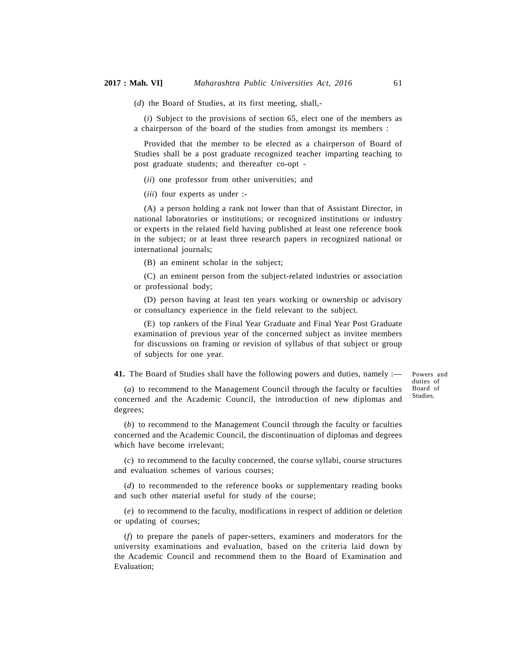(*d*) the Board of Studies, at its first meeting, shall,-

(*i*) Subject to the provisions of section 65, elect one of the members as a chairperson of the board of the studies from amongst its members :

Provided that the member to be elected as a chairperson of Board of Studies shall be a post graduate recognized teacher imparting teaching to post graduate students; and thereafter co-opt -

(*ii*) one professor from other universities; and

(*iii*) four experts as under :-

(A) a person holding a rank not lower than that of Assistant Director, in national laboratories or institutions; or recognized institutions or industry or experts in the related field having published at least one reference book in the subject; or at least three research papers in recognized national or international journals;

(B) an eminent scholar in the subject;

(C) an eminent person from the subject-related industries or association or professional body;

(D) person having at least ten years working or ownership or advisory or consultancy experience in the field relevant to the subject.

(E) top rankers of the Final Year Graduate and Final Year Post Graduate examination of previous year of the concerned subject as invitee members for discussions on framing or revision of syllabus of that subject or group of subjects for one year.

**41.** The Board of Studies shall have the following powers and duties, namely :—

Powers and duties of Board of Studies.

(*a*) to recommend to the Management Council through the faculty or faculties concerned and the Academic Council, the introduction of new diplomas and degrees;

(*b*) to recommend to the Management Council through the faculty or faculties concerned and the Academic Council, the discontinuation of diplomas and degrees which have become irrelevant;

(*c*) to recommend to the faculty concerned, the course syllabi, course structures and evaluation schemes of various courses;

(*d*) to recommended to the reference books or supplementary reading books and such other material useful for study of the course;

(*e*) to recommend to the faculty, modifications in respect of addition or deletion or updating of courses;

(*f*) to prepare the panels of paper-setters, examiners and moderators for the university examinations and evaluation, based on the criteria laid down by the Academic Council and recommend them to the Board of Examination and Evaluation;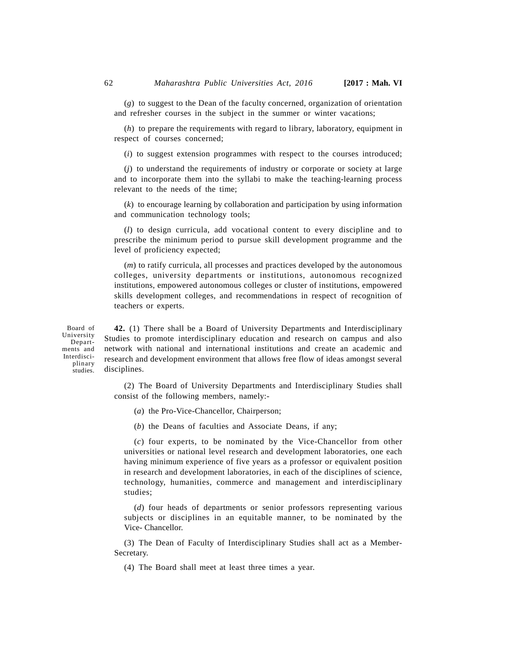(*g*) to suggest to the Dean of the faculty concerned, organization of orientation and refresher courses in the subject in the summer or winter vacations;

(*h*) to prepare the requirements with regard to library, laboratory, equipment in respect of courses concerned;

(*i*) to suggest extension programmes with respect to the courses introduced;

(*j*) to understand the requirements of industry or corporate or society at large and to incorporate them into the syllabi to make the teaching-learning process relevant to the needs of the time;

(*k*) to encourage learning by collaboration and participation by using information and communication technology tools;

(*l*) to design curricula, add vocational content to every discipline and to prescribe the minimum period to pursue skill development programme and the level of proficiency expected;

(*m*) to ratify curricula, all processes and practices developed by the autonomous colleges, university departments or institutions, autonomous recognized institutions, empowered autonomous colleges or cluster of institutions, empowered skills development colleges, and recommendations in respect of recognition of teachers or experts.

Board of University Departments and Interdisciplinary studies.

**42.** (1) There shall be a Board of University Departments and Interdisciplinary Studies to promote interdisciplinary education and research on campus and also network with national and international institutions and create an academic and research and development environment that allows free flow of ideas amongst several disciplines.

(2) The Board of University Departments and Interdisciplinary Studies shall consist of the following members, namely:-

- (*a*) the Pro-Vice-Chancellor, Chairperson;
- (*b*) the Deans of faculties and Associate Deans, if any;

(*c*) four experts, to be nominated by the Vice-Chancellor from other universities or national level research and development laboratories, one each having minimum experience of five years as a professor or equivalent position in research and development laboratories, in each of the disciplines of science, technology, humanities, commerce and management and interdisciplinary studies;

(*d*) four heads of departments or senior professors representing various subjects or disciplines in an equitable manner, to be nominated by the Vice- Chancellor.

(3) The Dean of Faculty of Interdisciplinary Studies shall act as a Member-Secretary.

(4) The Board shall meet at least three times a year.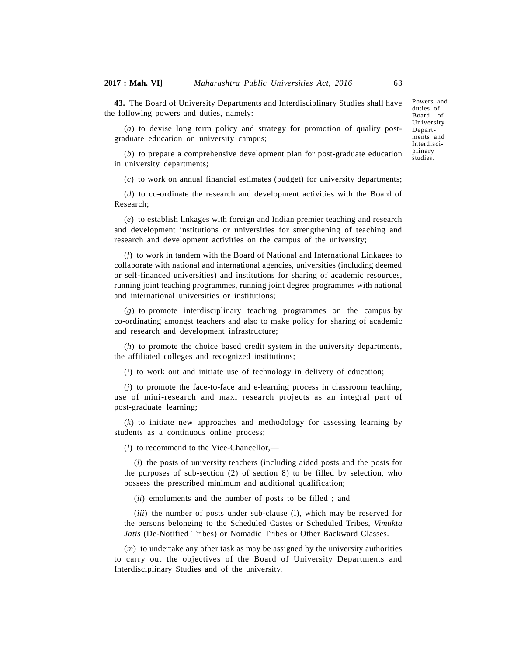**43.** The Board of University Departments and Interdisciplinary Studies shall have the following powers and duties, namely:—

(*a*) to devise long term policy and strategy for promotion of quality postgraduate education on university campus;

duties of Board of University Departments and Interdisciplinary studies.

Powers and

(*b*) to prepare a comprehensive development plan for post-graduate education in university departments;

(*c*) to work on annual financial estimates (budget) for university departments;

(*d*) to co-ordinate the research and development activities with the Board of Research;

(*e*) to establish linkages with foreign and Indian premier teaching and research and development institutions or universities for strengthening of teaching and research and development activities on the campus of the university;

(*f*) to work in tandem with the Board of National and International Linkages to collaborate with national and international agencies, universities (including deemed or self-financed universities) and institutions for sharing of academic resources, running joint teaching programmes, running joint degree programmes with national and international universities or institutions;

(*g*) to promote interdisciplinary teaching programmes on the campus by co-ordinating amongst teachers and also to make policy for sharing of academic and research and development infrastructure;

(*h*) to promote the choice based credit system in the university departments, the affiliated colleges and recognized institutions;

(*i*) to work out and initiate use of technology in delivery of education;

(*j*) to promote the face-to-face and e-learning process in classroom teaching, use of mini-research and maxi research projects as an integral part of post-graduate learning;

(*k*) to initiate new approaches and methodology for assessing learning by students as a continuous online process;

(*l*) to recommend to the Vice-Chancellor,—

(*i*) the posts of university teachers (including aided posts and the posts for the purposes of sub-section (2) of section 8) to be filled by selection, who possess the prescribed minimum and additional qualification;

(*ii*) emoluments and the number of posts to be filled ; and

(*iii*) the number of posts under sub-clause (i), which may be reserved for the persons belonging to the Scheduled Castes or Scheduled Tribes, *Vimukta Jatis* (De-Notified Tribes) or Nomadic Tribes or Other Backward Classes.

(*m*) to undertake any other task as may be assigned by the university authorities to carry out the objectives of the Board of University Departments and Interdisciplinary Studies and of the university.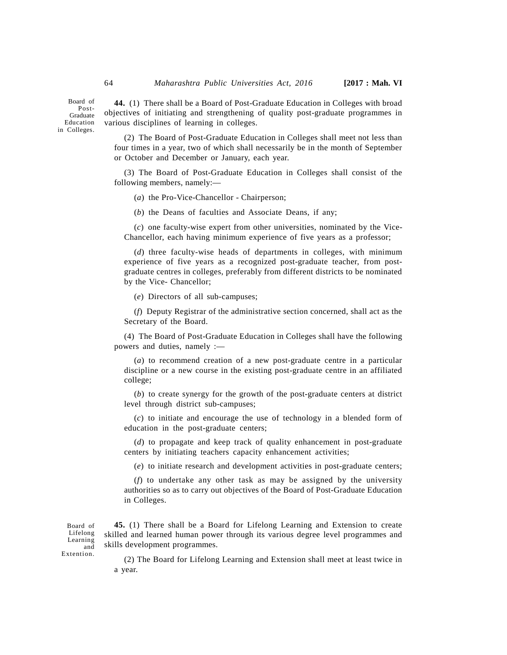Board of Post-Graduate Education in Colleges.

**44.** (1) There shall be a Board of Post-Graduate Education in Colleges with broad objectives of initiating and strengthening of quality post-graduate programmes in various disciplines of learning in colleges.

(2) The Board of Post-Graduate Education in Colleges shall meet not less than four times in a year, two of which shall necessarily be in the month of September or October and December or January, each year.

(3) The Board of Post-Graduate Education in Colleges shall consist of the following members, namely:—

(*a*) the Pro-Vice-Chancellor - Chairperson;

(*b*) the Deans of faculties and Associate Deans, if any;

(*c*) one faculty-wise expert from other universities, nominated by the Vice-Chancellor, each having minimum experience of five years as a professor;

(*d*) three faculty-wise heads of departments in colleges, with minimum experience of five years as a recognized post-graduate teacher, from postgraduate centres in colleges, preferably from different districts to be nominated by the Vice- Chancellor;

(*e*) Directors of all sub-campuses;

(*f*) Deputy Registrar of the administrative section concerned, shall act as the Secretary of the Board.

(4) The Board of Post-Graduate Education in Colleges shall have the following powers and duties, namely :—

(*a*) to recommend creation of a new post-graduate centre in a particular discipline or a new course in the existing post-graduate centre in an affiliated college;

(*b*) to create synergy for the growth of the post-graduate centers at district level through district sub-campuses;

(*c*) to initiate and encourage the use of technology in a blended form of education in the post-graduate centers;

(*d*) to propagate and keep track of quality enhancement in post-graduate centers by initiating teachers capacity enhancement activities;

(*e*) to initiate research and development activities in post-graduate centers;

(*f*) to undertake any other task as may be assigned by the university authorities so as to carry out objectives of the Board of Post-Graduate Education in Colleges.

**45.** (1) There shall be a Board for Lifelong Learning and Extension to create skilled and learned human power through its various degree level programmes and and skills development programmes. Board of Lifelong

Learning Extention.

(2) The Board for Lifelong Learning and Extension shall meet at least twice in a year.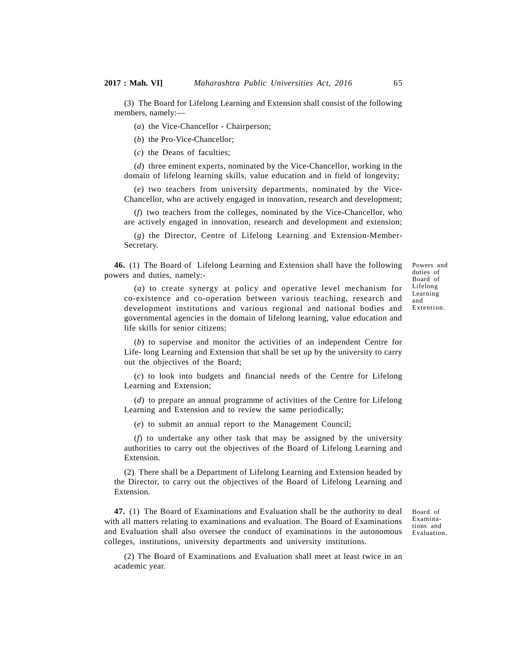(3) The Board for Lifelong Learning and Extension shall consist of the following members, namely:—

(*a*) the Vice-Chancellor - Chairperson;

(*b*) the Pro-Vice-Chancellor;

(*c*) the Deans of faculties;

(*d*) three eminent experts, nominated by the Vice-Chancellor, working in the domain of lifelong learning skills, value education and in field of longevity;

(*e*) two teachers from university departments, nominated by the Vice-Chancellor, who are actively engaged in innovation, research and development;

(*f*) two teachers from the colleges, nominated by the Vice-Chancellor, who are actively engaged in innovation, research and development and extension;

(*g*) the Director, Centre of Lifelong Learning and Extension-Member- Secretary.

**46.** (1) The Board of Lifelong Learning and Extension shall have the following powers and duties, namely:-

Powers and duties of Board of Lifelong Learning and Extention.

(*a*) to create synergy at policy and operative level mechanism for co-existence and co-operation between various teaching, research and development institutions and various regional and national bodies and governmental agencies in the domain of lifelong learning, value education and life skills for senior citizens;

(*b*) to supervise and monitor the activities of an independent Centre for Life- long Learning and Extension that shall be set up by the university to carry out the objectives of the Board;

(*c*) to look into budgets and financial needs of the Centre for Lifelong Learning and Extension;

(*d*) to prepare an annual programme of activities of the Centre for Lifelong Learning and Extension and to review the same periodically;

(*e*) to submit an annual report to the Management Council;

(*f*) to undertake any other task that may be assigned by the university authorities to carry out the objectives of the Board of Lifelong Learning and Extension.

(2) There shall be a Department of Lifelong Learning and Extension headed by the Director, to carry out the objectives of the Board of Lifelong Learning and Extension.

**47.** (1) The Board of Examinations and Evaluation shall be the authority to deal with all matters relating to examinations and evaluation. The Board of Examinations and Evaluation shall also oversee the conduct of examinations in the autonomous colleges, institutions, university departments and university institutions.

Board of Examinations and Evaluation.

(2) The Board of Examinations and Evaluation shall meet at least twice in an academic year.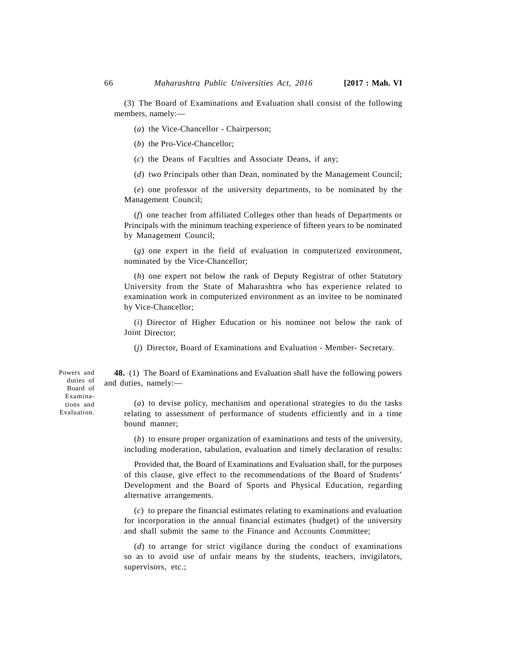(3) The Board of Examinations and Evaluation shall consist of the following members, namely:—

(*a*) the Vice-Chancellor - Chairperson;

(*b*) the Pro-Vice-Chancellor;

(*c*) the Deans of Faculties and Associate Deans, if any;

(*d*) two Principals other than Dean, nominated by the Management Council;

(*e*) one professor of the university departments, to be nominated by the Management Council;

(*f*) one teacher from affiliated Colleges other than heads of Departments or Principals with the minimum teaching experience of fifteen years to be nominated by Management Council;

(*g*) one expert in the field of evaluation in computerized environment, nominated by the Vice-Chancellor;

(*h*) one expert not below the rank of Deputy Registrar of other Statutory University from the State of Maharashtra who has experience related to examination work in computerized environment as an invitee to be nominated by Vice-Chancellor;

(*i*) Director of Higher Education or his nominee not below the rank of Joint Director;

(*j*) Director, Board of Examinations and Evaluation - Member- Secretary.

**48.** (1) The Board of Examinations and Evaluation shall have the following powers and duties, namely:—

(*a*) to devise policy, mechanism and operational strategies to do the tasks relating to assessment of performance of students efficiently and in a time bound manner;

(*b*) to ensure proper organization of examinations and tests of the university, including moderation, tabulation, evaluation and timely declaration of results:

Provided that, the Board of Examinations and Evaluation shall, for the purposes of this clause, give effect to the recommendations of the Board of Students' Development and the Board of Sports and Physical Education, regarding alternative arrangements.

(*c*) to prepare the financial estimates relating to examinations and evaluation for incorporation in the annual financial estimates (budget) of the university and shall submit the same to the Finance and Accounts Committee;

(*d*) to arrange for strict vigilance during the conduct of examinations so as to avoid use of unfair means by the students, teachers, invigilators, supervisors, etc.;

Powers and duties of Board of Examinations and Evaluation.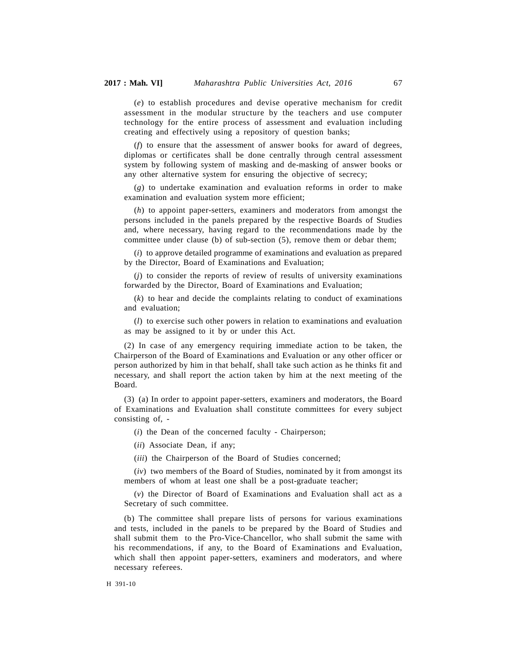(*e*) to establish procedures and devise operative mechanism for credit assessment in the modular structure by the teachers and use computer technology for the entire process of assessment and evaluation including creating and effectively using a repository of question banks;

(*f*) to ensure that the assessment of answer books for award of degrees, diplomas or certificates shall be done centrally through central assessment system by following system of masking and de-masking of answer books or any other alternative system for ensuring the objective of secrecy;

(*g*) to undertake examination and evaluation reforms in order to make examination and evaluation system more efficient;

(*h*) to appoint paper-setters, examiners and moderators from amongst the persons included in the panels prepared by the respective Boards of Studies and, where necessary, having regard to the recommendations made by the committee under clause (b) of sub-section (5), remove them or debar them;

(*i*) to approve detailed programme of examinations and evaluation as prepared by the Director, Board of Examinations and Evaluation;

(*j*) to consider the reports of review of results of university examinations forwarded by the Director, Board of Examinations and Evaluation;

(*k*) to hear and decide the complaints relating to conduct of examinations and evaluation;

(*l*) to exercise such other powers in relation to examinations and evaluation as may be assigned to it by or under this Act.

(2) In case of any emergency requiring immediate action to be taken, the Chairperson of the Board of Examinations and Evaluation or any other officer or person authorized by him in that behalf, shall take such action as he thinks fit and necessary, and shall report the action taken by him at the next meeting of the Board.

(3) (a) In order to appoint paper-setters, examiners and moderators, the Board of Examinations and Evaluation shall constitute committees for every subject consisting of, -

(*i*) the Dean of the concerned faculty - Chairperson;

(*ii*) Associate Dean, if any;

(*iii*) the Chairperson of the Board of Studies concerned;

(*iv*) two members of the Board of Studies, nominated by it from amongst its members of whom at least one shall be a post-graduate teacher;

(*v*) the Director of Board of Examinations and Evaluation shall act as a Secretary of such committee.

(b) The committee shall prepare lists of persons for various examinations and tests, included in the panels to be prepared by the Board of Studies and shall submit them to the Pro-Vice-Chancellor, who shall submit the same with his recommendations, if any, to the Board of Examinations and Evaluation, which shall then appoint paper-setters, examiners and moderators, and where necessary referees.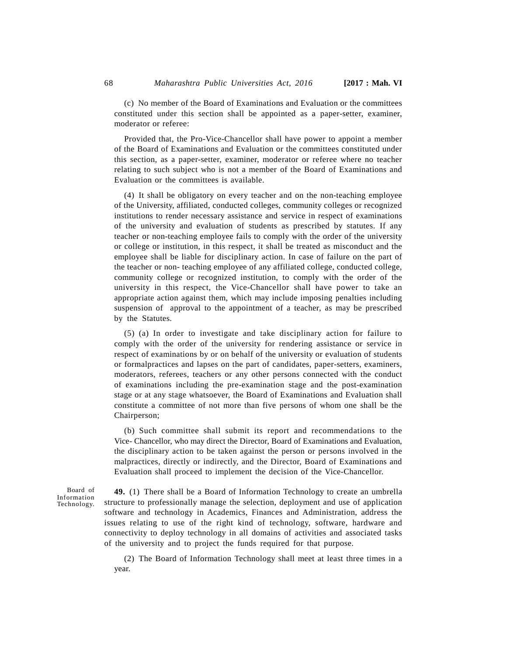(c) No member of the Board of Examinations and Evaluation or the committees constituted under this section shall be appointed as a paper-setter, examiner, moderator or referee:

Provided that, the Pro-Vice-Chancellor shall have power to appoint a member of the Board of Examinations and Evaluation or the committees constituted under this section, as a paper-setter, examiner, moderator or referee where no teacher relating to such subject who is not a member of the Board of Examinations and Evaluation or the committees is available.

(4) It shall be obligatory on every teacher and on the non-teaching employee of the University, affiliated, conducted colleges, community colleges or recognized institutions to render necessary assistance and service in respect of examinations of the university and evaluation of students as prescribed by statutes. If any teacher or non-teaching employee fails to comply with the order of the university or college or institution, in this respect, it shall be treated as misconduct and the employee shall be liable for disciplinary action. In case of failure on the part of the teacher or non- teaching employee of any affiliated college, conducted college, community college or recognized institution, to comply with the order of the university in this respect, the Vice-Chancellor shall have power to take an appropriate action against them, which may include imposing penalties including suspension of approval to the appointment of a teacher, as may be prescribed by the Statutes.

(5) (a) In order to investigate and take disciplinary action for failure to comply with the order of the university for rendering assistance or service in respect of examinations by or on behalf of the university or evaluation of students or formalpractices and lapses on the part of candidates, paper-setters, examiners, moderators, referees, teachers or any other persons connected with the conduct of examinations including the pre-examination stage and the post-examination stage or at any stage whatsoever, the Board of Examinations and Evaluation shall constitute a committee of not more than five persons of whom one shall be the Chairperson;

(b) Such committee shall submit its report and recommendations to the Vice- Chancellor, who may direct the Director, Board of Examinations and Evaluation, the disciplinary action to be taken against the person or persons involved in the malpractices, directly or indirectly, and the Director, Board of Examinations and Evaluation shall proceed to implement the decision of the Vice-Chancellor.

Board of Information Technology.

**49.** (1) There shall be a Board of Information Technology to create an umbrella structure to professionally manage the selection, deployment and use of application software and technology in Academics, Finances and Administration, address the issues relating to use of the right kind of technology, software, hardware and connectivity to deploy technology in all domains of activities and associated tasks of the university and to project the funds required for that purpose.

(2) The Board of Information Technology shall meet at least three times in a year.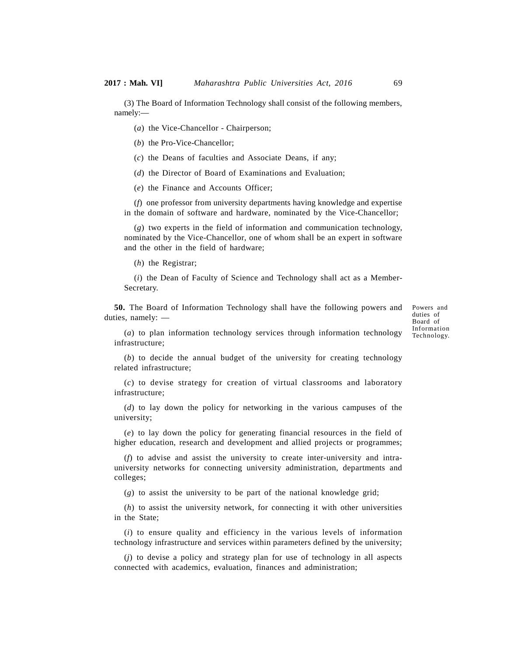(3) The Board of Information Technology shall consist of the following members, namely:—

(*a*) the Vice-Chancellor - Chairperson;

(*b*) the Pro-Vice-Chancellor;

(*c*) the Deans of faculties and Associate Deans, if any;

(*d*) the Director of Board of Examinations and Evaluation;

(*e*) the Finance and Accounts Officer;

(*f*) one professor from university departments having knowledge and expertise in the domain of software and hardware, nominated by the Vice-Chancellor;

(*g*) two experts in the field of information and communication technology, nominated by the Vice-Chancellor, one of whom shall be an expert in software and the other in the field of hardware;

(*h*) the Registrar;

(*i*) the Dean of Faculty of Science and Technology shall act as a Member- Secretary.

**50.** The Board of Information Technology shall have the following powers and duties, namely: —

Powers and duties of Board of Information Technology.

(*a*) to plan information technology services through information technology infrastructure;

(*b*) to decide the annual budget of the university for creating technology related infrastructure;

(*c*) to devise strategy for creation of virtual classrooms and laboratory infrastructure;

(*d*) to lay down the policy for networking in the various campuses of the university;

(*e*) to lay down the policy for generating financial resources in the field of higher education, research and development and allied projects or programmes;

(*f*) to advise and assist the university to create inter-university and intrauniversity networks for connecting university administration, departments and colleges;

(*g*) to assist the university to be part of the national knowledge grid;

(*h*) to assist the university network, for connecting it with other universities in the State;

(*i*) to ensure quality and efficiency in the various levels of information technology infrastructure and services within parameters defined by the university;

(*j*) to devise a policy and strategy plan for use of technology in all aspects connected with academics, evaluation, finances and administration;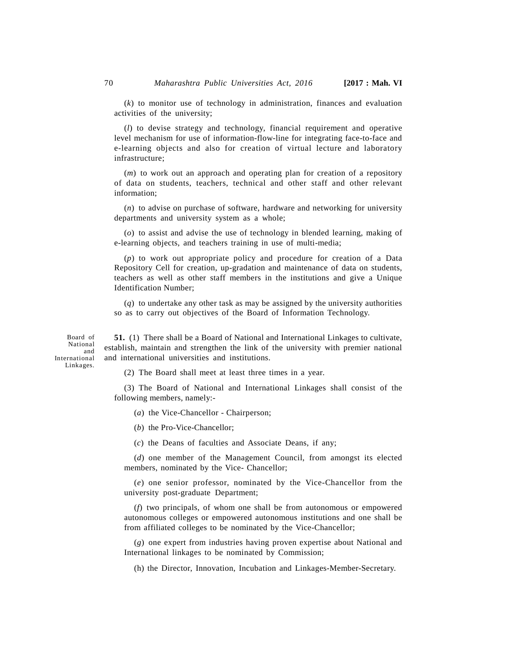(*k*) to monitor use of technology in administration, finances and evaluation activities of the university;

(*l*) to devise strategy and technology, financial requirement and operative level mechanism for use of information-flow-line for integrating face-to-face and e-learning objects and also for creation of virtual lecture and laboratory infrastructure;

(*m*) to work out an approach and operating plan for creation of a repository of data on students, teachers, technical and other staff and other relevant information;

(*n*) to advise on purchase of software, hardware and networking for university departments and university system as a whole;

(*o*) to assist and advise the use of technology in blended learning, making of e-learning objects, and teachers training in use of multi-media;

(*p*) to work out appropriate policy and procedure for creation of a Data Repository Cell for creation, up-gradation and maintenance of data on students, teachers as well as other staff members in the institutions and give a Unique Identification Number;

(*q*) to undertake any other task as may be assigned by the university authorities so as to carry out objectives of the Board of Information Technology.

Board of National and International Linkages.

**51.** (1) There shall be a Board of National and International Linkages to cultivate, establish, maintain and strengthen the link of the university with premier national and international universities and institutions.

(2) The Board shall meet at least three times in a year.

(3) The Board of National and International Linkages shall consist of the following members, namely:-

(*a*) the Vice-Chancellor - Chairperson;

(*b*) the Pro-Vice-Chancellor;

(*c*) the Deans of faculties and Associate Deans, if any;

(*d*) one member of the Management Council, from amongst its elected members, nominated by the Vice- Chancellor;

(*e*) one senior professor, nominated by the Vice-Chancellor from the university post-graduate Department;

(*f*) two principals, of whom one shall be from autonomous or empowered autonomous colleges or empowered autonomous institutions and one shall be from affiliated colleges to be nominated by the Vice-Chancellor;

(*g*) one expert from industries having proven expertise about National and International linkages to be nominated by Commission;

(h) the Director, Innovation, Incubation and Linkages-Member-Secretary.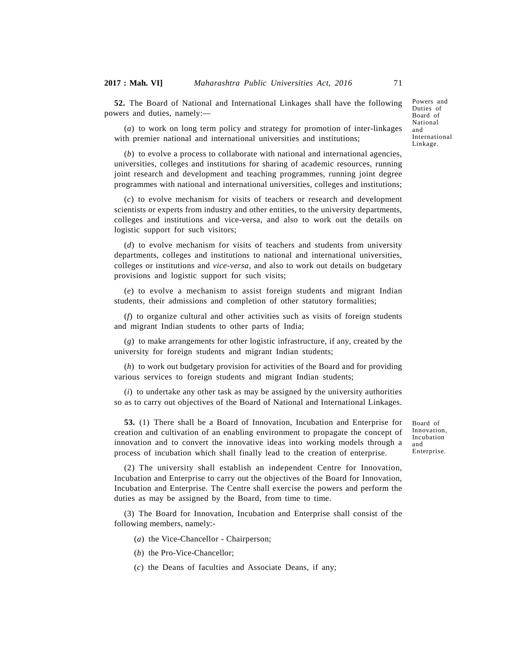**52.** The Board of National and International Linkages shall have the following powers and duties, namely:—

(*a*) to work on long term policy and strategy for promotion of inter-linkages with premier national and international universities and institutions;

(*b*) to evolve a process to collaborate with national and international agencies, universities, colleges and institutions for sharing of academic resources, running joint research and development and teaching programmes, running joint degree programmes with national and international universities, colleges and institutions;

(*c*) to evolve mechanism for visits of teachers or research and development scientists or experts from industry and other entities, to the university departments, colleges and institutions and vice-versa, and also to work out the details on logistic support for such visitors;

(*d*) to evolve mechanism for visits of teachers and students from university departments, colleges and institutions to national and international universities, colleges or institutions and *vice-versa*, and also to work out details on budgetary provisions and logistic support for such visits;

(*e*) to evolve a mechanism to assist foreign students and migrant Indian students, their admissions and completion of other statutory formalities;

(*f*) to organize cultural and other activities such as visits of foreign students and migrant Indian students to other parts of India;

(*g*) to make arrangements for other logistic infrastructure, if any, created by the university for foreign students and migrant Indian students;

(*h*) to work out budgetary provision for activities of the Board and for providing various services to foreign students and migrant Indian students;

(*i*) to undertake any other task as may be assigned by the university authorities so as to carry out objectives of the Board of National and International Linkages.

**53.** (1) There shall be a Board of Innovation, Incubation and Enterprise for creation and cultivation of an enabling environment to propagate the concept of innovation and to convert the innovative ideas into working models through a process of incubation which shall finally lead to the creation of enterprise.

Board of Innovation, Incubation and Enterprise.

(2) The university shall establish an independent Centre for Innovation, Incubation and Enterprise to carry out the objectives of the Board for Innovation, Incubation and Enterprise. The Centre shall exercise the powers and perform the duties as may be assigned by the Board, from time to time.

(3) The Board for Innovation, Incubation and Enterprise shall consist of the following members, namely:-

(*a*) the Vice-Chancellor - Chairperson;

(*b*) the Pro-Vice-Chancellor;

(*c*) the Deans of faculties and Associate Deans, if any;

Powers and Duties of Board of National and International Linkage.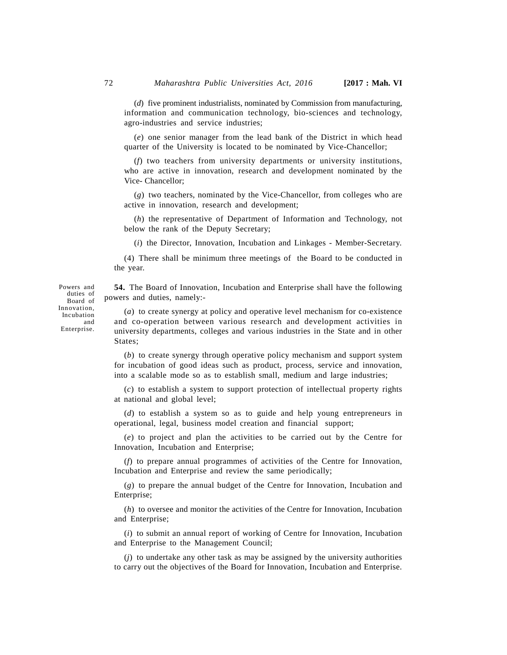(*d*) five prominent industrialists, nominated by Commission from manufacturing, information and communication technology, bio-sciences and technology, agro-industries and service industries;

(*e*) one senior manager from the lead bank of the District in which head quarter of the University is located to be nominated by Vice-Chancellor;

(*f*) two teachers from university departments or university institutions, who are active in innovation, research and development nominated by the Vice- Chancellor;

(*g*) two teachers, nominated by the Vice-Chancellor, from colleges who are active in innovation, research and development;

(*h*) the representative of Department of Information and Technology, not below the rank of the Deputy Secretary;

(*i*) the Director, Innovation, Incubation and Linkages - Member-Secretary.

(4) There shall be minimum three meetings of the Board to be conducted in the year.

**54.** The Board of Innovation, Incubation and Enterprise shall have the following powers and duties, namely:-

duties of Board of Innovation, Incubation and Enterprise.

Powers and

(*a*) to create synergy at policy and operative level mechanism for co-existence and co-operation between various research and development activities in university departments, colleges and various industries in the State and in other States;

(*b*) to create synergy through operative policy mechanism and support system for incubation of good ideas such as product, process, service and innovation, into a scalable mode so as to establish small, medium and large industries;

(*c*) to establish a system to support protection of intellectual property rights at national and global level;

(*d*) to establish a system so as to guide and help young entrepreneurs in operational, legal, business model creation and financial support;

(*e*) to project and plan the activities to be carried out by the Centre for Innovation, Incubation and Enterprise;

(*f*) to prepare annual programmes of activities of the Centre for Innovation, Incubation and Enterprise and review the same periodically;

(*g*) to prepare the annual budget of the Centre for Innovation, Incubation and Enterprise;

(*h*) to oversee and monitor the activities of the Centre for Innovation, Incubation and Enterprise;

(*i*) to submit an annual report of working of Centre for Innovation, Incubation and Enterprise to the Management Council;

(*j*) to undertake any other task as may be assigned by the university authorities to carry out the objectives of the Board for Innovation, Incubation and Enterprise.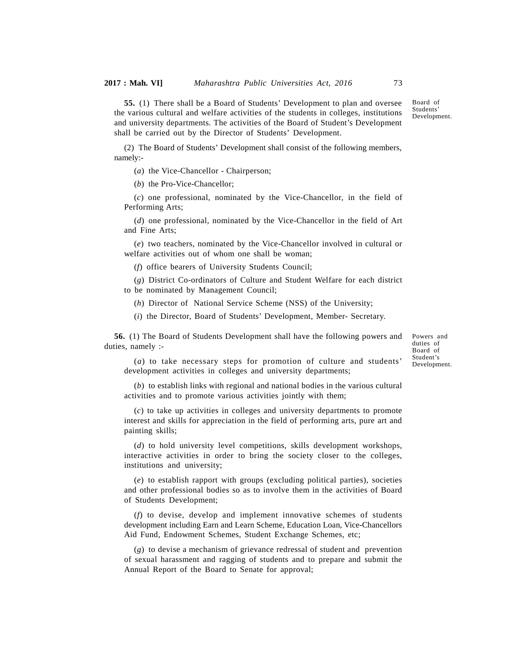Board of Students' Development. **55.** (1) There shall be a Board of Students' Development to plan and oversee the various cultural and welfare activities of the students in colleges, institutions and university departments. The activities of the Board of Student's Development shall be carried out by the Director of Students' Development.

(2) The Board of Students' Development shall consist of the following members, namely:-

(*a*) the Vice-Chancellor - Chairperson;

(*b*) the Pro-Vice-Chancellor;

(*c*) one professional, nominated by the Vice-Chancellor, in the field of Performing Arts;

(*d*) one professional, nominated by the Vice-Chancellor in the field of Art and Fine Arts;

(*e*) two teachers, nominated by the Vice-Chancellor involved in cultural or welfare activities out of whom one shall be woman;

(*f*) office bearers of University Students Council;

(*g*) District Co-ordinators of Culture and Student Welfare for each district to be nominated by Management Council;

(*h*) Director of National Service Scheme (NSS) of the University;

(*i*) the Director, Board of Students' Development, Member- Secretary.

**56.** (1) The Board of Students Development shall have the following powers and duties, namely :-

Powers and duties of Board of Student's Development.

(*a*) to take necessary steps for promotion of culture and students' development activities in colleges and university departments;

(*b*) to establish links with regional and national bodies in the various cultural activities and to promote various activities jointly with them;

(*c*) to take up activities in colleges and university departments to promote interest and skills for appreciation in the field of performing arts, pure art and painting skills;

(*d*) to hold university level competitions, skills development workshops, interactive activities in order to bring the society closer to the colleges, institutions and university;

(*e*) to establish rapport with groups (excluding political parties), societies and other professional bodies so as to involve them in the activities of Board of Students Development;

(*f*) to devise, develop and implement innovative schemes of students development including Earn and Learn Scheme, Education Loan, Vice-Chancellors Aid Fund, Endowment Schemes, Student Exchange Schemes, etc;

(*g*) to devise a mechanism of grievance redressal of student and prevention of sexual harassment and ragging of students and to prepare and submit the Annual Report of the Board to Senate for approval;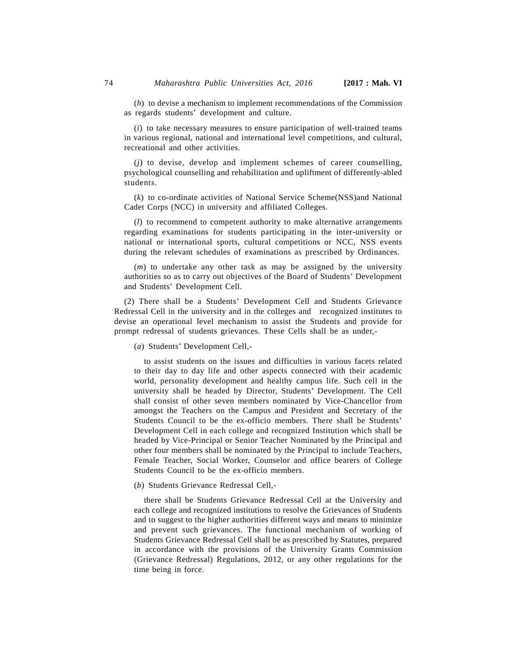(*i*) to take necessary measures to ensure participation of well-trained teams in various regional, national and international level competitions, and cultural, recreational and other activities.

(*j*) to devise, develop and implement schemes of career counselling, psychological counselling and rehabilitation and upliftment of differently-abled students.

(*k*) to co-ordinate activities of National Service Scheme(NSS)and National Cadet Corps (NCC) in university and affiliated Colleges.

(*l*) to recommend to competent authority to make alternative arrangements regarding examinations for students participating in the inter-university or national or international sports, cultural competitions or NCC, NSS events during the relevant schedules of examinations as prescribed by Ordinances.

(*m*) to undertake any other task as may be assigned by the university authorities so as to carry out objectives of the Board of Students' Development and Students' Development Cell.

(2) There shall be a Students' Development Cell and Students Grievance Redressal Cell in the university and in the colleges and recognized institutes to devise an operational level mechanism to assist the Students and provide for prompt redressal of students grievances. These Cells shall be as under,-

(*a*) Students' Development Cell,-

to assist students on the issues and difficulties in various facets related to their day to day life and other aspects connected with their academic world, personality development and healthy campus life. Such cell in the university shall be headed by Director, Students' Development. The Cell shall consist of other seven members nominated by Vice-Chancellor from amongst the Teachers on the Campus and President and Secretary of the Students Council to be the ex-officio members. There shall be Students' Development Cell in each college and recognized Institution which shall be headed by Vice-Principal or Senior Teacher Nominated by the Principal and other four members shall be nominated by the Principal to include Teachers, Female Teacher, Social Worker, Counselor and office bearers of College Students Council to be the ex-officio members.

(*b*) Students Grievance Redressal Cell,-

there shall be Students Grievance Redressal Cell at the University and each college and recognized institutions to resolve the Grievances of Students and to suggest to the higher authorities different ways and means to minimize and prevent such grievances. The functional mechanism of working of Students Grievance Redressal Cell shall be as prescribed by Statutes, prepared in accordance with the provisions of the University Grants Commission (Grievance Redressal) Regulations, 2012, or any other regulations for the time being in force.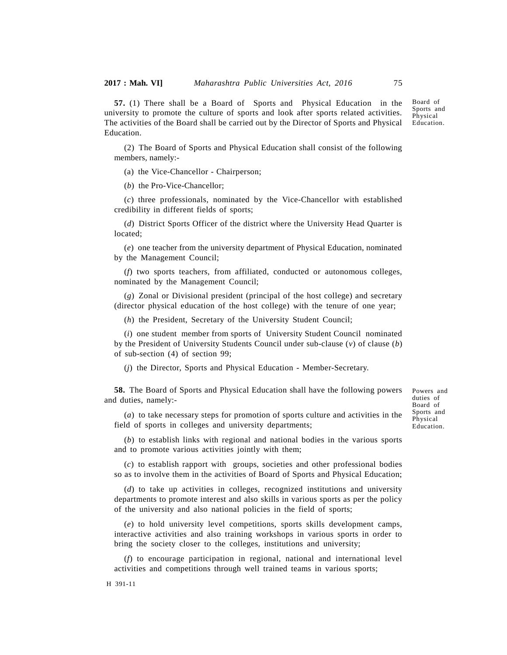Board of Sports and

Physical

Powers and duties of Board of Sports and Physical Education.

**57.** (1) There shall be a Board of Sports and Physical Education in the university to promote the culture of sports and look after sports related activities. The activities of the Board shall be carried out by the Director of Sports and Physical Education. Education.

(2) The Board of Sports and Physical Education shall consist of the following members, namely:-

(a) the Vice-Chancellor - Chairperson;

(*b*) the Pro-Vice-Chancellor;

(*c*) three professionals, nominated by the Vice-Chancellor with established credibility in different fields of sports;

(*d*) District Sports Officer of the district where the University Head Quarter is located;

(*e*) one teacher from the university department of Physical Education, nominated by the Management Council;

(*f*) two sports teachers, from affiliated, conducted or autonomous colleges, nominated by the Management Council;

(*g*) Zonal or Divisional president (principal of the host college) and secretary (director physical education of the host college) with the tenure of one year;

(*h*) the President, Secretary of the University Student Council;

(*i*) one student member from sports of University Student Council nominated by the President of University Students Council under sub-clause (*v*) of clause (*b*) of sub-section (4) of section 99;

(*j*) the Director, Sports and Physical Education - Member-Secretary.

**58.** The Board of Sports and Physical Education shall have the following powers and duties, namely:-

(*a*) to take necessary steps for promotion of sports culture and activities in the field of sports in colleges and university departments;

(*b*) to establish links with regional and national bodies in the various sports and to promote various activities jointly with them;

(*c*) to establish rapport with groups, societies and other professional bodies so as to involve them in the activities of Board of Sports and Physical Education;

(*d*) to take up activities in colleges, recognized institutions and university departments to promote interest and also skills in various sports as per the policy of the university and also national policies in the field of sports;

(*e*) to hold university level competitions, sports skills development camps, interactive activities and also training workshops in various sports in order to bring the society closer to the colleges, institutions and university;

(*f*) to encourage participation in regional, national and international level activities and competitions through well trained teams in various sports;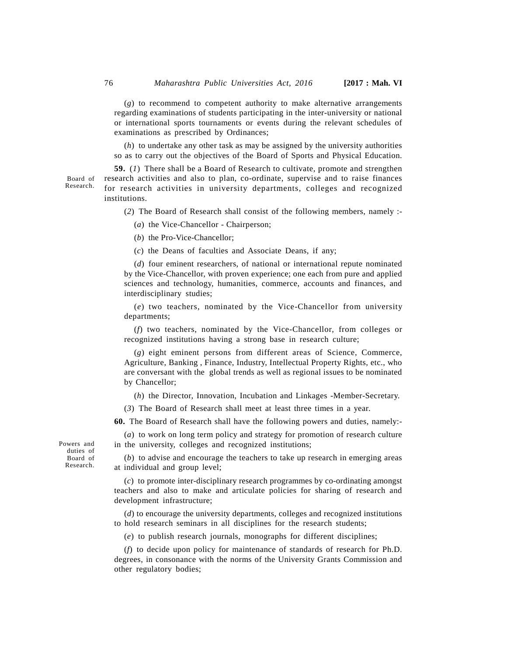(*g*) to recommend to competent authority to make alternative arrangements regarding examinations of students participating in the inter-university or national or international sports tournaments or events during the relevant schedules of examinations as prescribed by Ordinances;

(*h*) to undertake any other task as may be assigned by the university authorities so as to carry out the objectives of the Board of Sports and Physical Education.

**59.** (*1*) There shall be a Board of Research to cultivate, promote and strengthen research activities and also to plan, co-ordinate, supervise and to raise finances for research activities in university departments, colleges and recognized institutions.

(*2*) The Board of Research shall consist of the following members, namely :-

(*a*) the Vice-Chancellor - Chairperson;

(*b*) the Pro-Vice-Chancellor;

(*c*) the Deans of faculties and Associate Deans, if any;

(*d*) four eminent researchers, of national or international repute nominated by the Vice-Chancellor, with proven experience; one each from pure and applied sciences and technology, humanities, commerce, accounts and finances, and interdisciplinary studies;

(*e*) two teachers, nominated by the Vice-Chancellor from university departments;

(*f*) two teachers, nominated by the Vice-Chancellor, from colleges or recognized institutions having a strong base in research culture;

(*g*) eight eminent persons from different areas of Science, Commerce, Agriculture, Banking , Finance, Industry, Intellectual Property Rights, etc., who are conversant with the global trends as well as regional issues to be nominated by Chancellor;

(*h*) the Director, Innovation, Incubation and Linkages -Member-Secretary.

(*3*) The Board of Research shall meet at least three times in a year.

**60.** The Board of Research shall have the following powers and duties, namely:-

(*a*) to work on long term policy and strategy for promotion of research culture in the university, colleges and recognized institutions;

(*b*) to advise and encourage the teachers to take up research in emerging areas at individual and group level;

(*c*) to promote inter-disciplinary research programmes by co-ordinating amongst teachers and also to make and articulate policies for sharing of research and development infrastructure;

(*d*) to encourage the university departments, colleges and recognized institutions to hold research seminars in all disciplines for the research students;

(*e*) to publish research journals, monographs for different disciplines;

(*f*) to decide upon policy for maintenance of standards of research for Ph.D. degrees, in consonance with the norms of the University Grants Commission and other regulatory bodies;

Powers and duties of Board of Research.

Board of Research.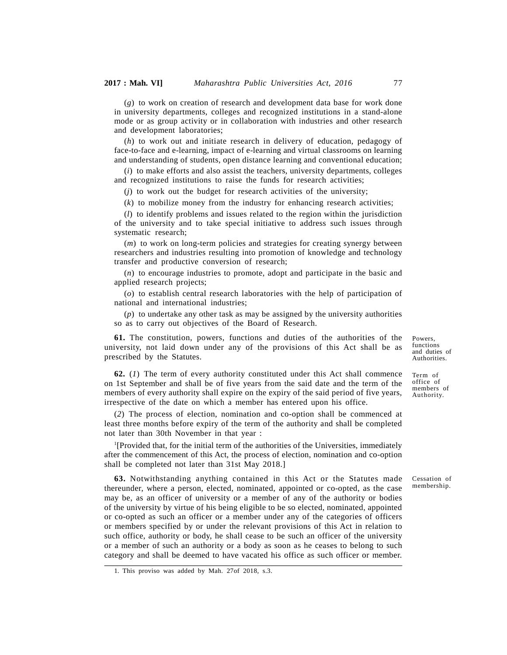(*g*) to work on creation of research and development data base for work done in university departments, colleges and recognized institutions in a stand-alone mode or as group activity or in collaboration with industries and other research and development laboratories;

(*h*) to work out and initiate research in delivery of education, pedagogy of face-to-face and e-learning, impact of e-learning and virtual classrooms on learning and understanding of students, open distance learning and conventional education;

(*i*) to make efforts and also assist the teachers, university departments, colleges and recognized institutions to raise the funds for research activities;

(*j*) to work out the budget for research activities of the university;

(*k*) to mobilize money from the industry for enhancing research activities;

(*l*) to identify problems and issues related to the region within the jurisdiction of the university and to take special initiative to address such issues through systematic research;

(*m*) to work on long-term policies and strategies for creating synergy between researchers and industries resulting into promotion of knowledge and technology transfer and productive conversion of research;

(*n*) to encourage industries to promote, adopt and participate in the basic and applied research projects;

(*o*) to establish central research laboratories with the help of participation of national and international industries;

(*p*) to undertake any other task as may be assigned by the university authorities so as to carry out objectives of the Board of Research.

**61.** The constitution, powers, functions and duties of the authorities of the university, not laid down under any of the provisions of this Act shall be as prescribed by the Statutes.

**62.** (*1*) The term of every authority constituted under this Act shall commence on 1st September and shall be of five years from the said date and the term of the members of every authority shall expire on the expiry of the said period of five years, irrespective of the date on which a member has entered upon his office.

(*2*) The process of election, nomination and co-option shall be commenced at least three months before expiry of the term of the authority and shall be completed not later than 30th November in that year :

<sup>1</sup>[Provided that, for the initial term of the authorities of the Universities, immediately after the commencement of this Act, the process of election, nomination and co-option shall be completed not later than 31st May 2018.]

**63.** Notwithstanding anything contained in this Act or the Statutes made thereunder, where a person, elected, nominated, appointed or co-opted, as the case may be, as an officer of university or a member of any of the authority or bodies of the university by virtue of his being eligible to be so elected, nominated, appointed or co-opted as such an officer or a member under any of the categories of officers or members specified by or under the relevant provisions of this Act in relation to such office, authority or body, he shall cease to be such an officer of the university or a member of such an authority or a body as soon as he ceases to belong to such category and shall be deemed to have vacated his office as such officer or member.

1. This proviso was added by Mah. 27of 2018, s.3.

Powers, functions and duties of Authorities.

Term of office of members of Authority.

Cessation of membership.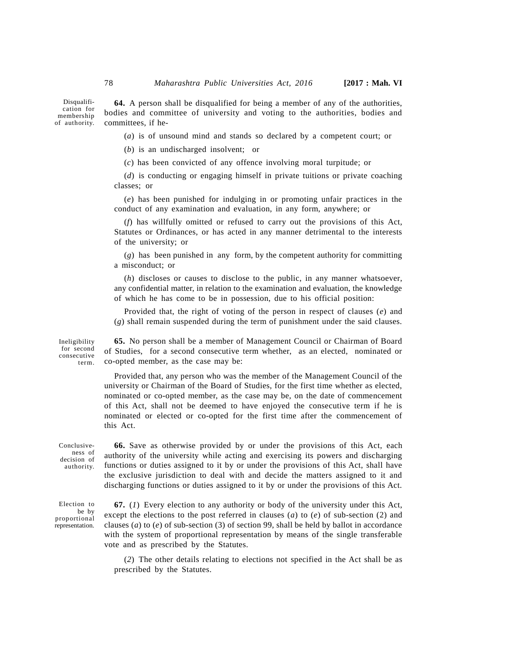Disqualification for membership of authority.

**64.** A person shall be disqualified for being a member of any of the authorities, bodies and committee of university and voting to the authorities, bodies and committees, if he-

(*a*) is of unsound mind and stands so declared by a competent court; or

(*b*) is an undischarged insolvent; or

(*c*) has been convicted of any offence involving moral turpitude; or

(*d*) is conducting or engaging himself in private tuitions or private coaching classes; or

(*e*) has been punished for indulging in or promoting unfair practices in the conduct of any examination and evaluation, in any form, anywhere; or

(*f*) has willfully omitted or refused to carry out the provisions of this Act, Statutes or Ordinances, or has acted in any manner detrimental to the interests of the university; or

(*g*) has been punished in any form, by the competent authority for committing a misconduct; or

(*h*) discloses or causes to disclose to the public, in any manner whatsoever, any confidential matter, in relation to the examination and evaluation, the knowledge of which he has come to be in possession, due to his official position:

Provided that, the right of voting of the person in respect of clauses (*e*) and (*g*) shall remain suspended during the term of punishment under the said clauses.

Ineligibility for second consecutive term.

**65.** No person shall be a member of Management Council or Chairman of Board of Studies, for a second consecutive term whether, as an elected, nominated or co-opted member, as the case may be:

Provided that, any person who was the member of the Management Council of the university or Chairman of the Board of Studies, for the first time whether as elected, nominated or co-opted member, as the case may be, on the date of commencement of this Act, shall not be deemed to have enjoyed the consecutive term if he is nominated or elected or co-opted for the first time after the commencement of this Act.

Conclusiveness of decision of authority.

**66.** Save as otherwise provided by or under the provisions of this Act, each authority of the university while acting and exercising its powers and discharging functions or duties assigned to it by or under the provisions of this Act, shall have the exclusive jurisdiction to deal with and decide the matters assigned to it and discharging functions or duties assigned to it by or under the provisions of this Act.

Election to be by proportional representation.

**67.** (*1*) Every election to any authority or body of the university under this Act, except the elections to the post referred in clauses (*a*) to (*e*) of sub-section (2) and clauses (*a*) to (*e*) of sub-section (3) of section 99, shall be held by ballot in accordance with the system of proportional representation by means of the single transferable vote and as prescribed by the Statutes.

(*2*) The other details relating to elections not specified in the Act shall be as prescribed by the Statutes.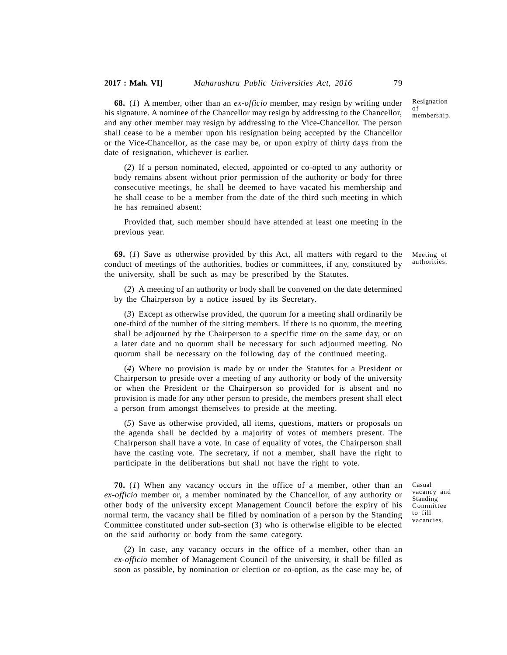Resignation of

membership.

**68.** (*1*) A member, other than an *ex-officio* member, may resign by writing under his signature. A nominee of the Chancellor may resign by addressing to the Chancellor, and any other member may resign by addressing to the Vice-Chancellor. The person shall cease to be a member upon his resignation being accepted by the Chancellor or the Vice-Chancellor, as the case may be, or upon expiry of thirty days from the date of resignation, whichever is earlier.

(*2*) If a person nominated, elected, appointed or co-opted to any authority or body remains absent without prior permission of the authority or body for three consecutive meetings, he shall be deemed to have vacated his membership and he shall cease to be a member from the date of the third such meeting in which he has remained absent:

Provided that, such member should have attended at least one meeting in the previous year.

**69.** (*1*) Save as otherwise provided by this Act, all matters with regard to the conduct of meetings of the authorities, bodies or committees, if any, constituted by the university, shall be such as may be prescribed by the Statutes.

(*2*) A meeting of an authority or body shall be convened on the date determined by the Chairperson by a notice issued by its Secretary.

(*3*) Except as otherwise provided, the quorum for a meeting shall ordinarily be one-third of the number of the sitting members. If there is no quorum, the meeting shall be adjourned by the Chairperson to a specific time on the same day, or on a later date and no quorum shall be necessary for such adjourned meeting. No quorum shall be necessary on the following day of the continued meeting.

(*4*) Where no provision is made by or under the Statutes for a President or Chairperson to preside over a meeting of any authority or body of the university or when the President or the Chairperson so provided for is absent and no provision is made for any other person to preside, the members present shall elect a person from amongst themselves to preside at the meeting.

(*5*) Save as otherwise provided, all items, questions, matters or proposals on the agenda shall be decided by a majority of votes of members present. The Chairperson shall have a vote. In case of equality of votes, the Chairperson shall have the casting vote. The secretary, if not a member, shall have the right to participate in the deliberations but shall not have the right to vote.

**70.** (*1*) When any vacancy occurs in the office of a member, other than an *ex-officio* member or, a member nominated by the Chancellor, of any authority or other body of the university except Management Council before the expiry of his normal term, the vacancy shall be filled by nomination of a person by the Standing Committee constituted under sub-section (3) who is otherwise eligible to be elected on the said authority or body from the same category.

Casual vacancy and Standing Committee to fill vacancies.

(*2*) In case, any vacancy occurs in the office of a member, other than an *ex-officio* member of Management Council of the university, it shall be filled as soon as possible, by nomination or election or co-option, as the case may be, of Meeting of authorities.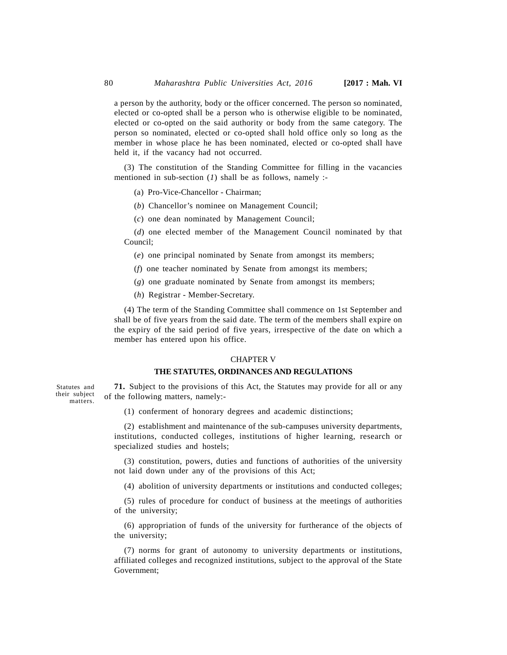a person by the authority, body or the officer concerned. The person so nominated, elected or co-opted shall be a person who is otherwise eligible to be nominated, elected or co-opted on the said authority or body from the same category. The person so nominated, elected or co-opted shall hold office only so long as the member in whose place he has been nominated, elected or co-opted shall have held it, if the vacancy had not occurred.

(3) The constitution of the Standing Committee for filling in the vacancies mentioned in sub-section (*1*) shall be as follows, namely :-

- (a) Pro-Vice-Chancellor Chairman;
- (*b*) Chancellor's nominee on Management Council;
- (*c*) one dean nominated by Management Council;

(*d*) one elected member of the Management Council nominated by that Council;

(*e*) one principal nominated by Senate from amongst its members;

(*f*) one teacher nominated by Senate from amongst its members;

(*g*) one graduate nominated by Senate from amongst its members;

(*h*) Registrar - Member-Secretary.

(4) The term of the Standing Committee shall commence on 1st September and shall be of five years from the said date. The term of the members shall expire on the expiry of the said period of five years, irrespective of the date on which a member has entered upon his office.

### CHAPTER V

## **THE STATUTES, ORDINANCES AND REGULATIONS**

**71.** Subject to the provisions of this Act, the Statutes may provide for all or any of the following matters, namely:-

(1) conferment of honorary degrees and academic distinctions;

(2) establishment and maintenance of the sub-campuses university departments, institutions, conducted colleges, institutions of higher learning, research or specialized studies and hostels;

(3) constitution, powers, duties and functions of authorities of the university not laid down under any of the provisions of this Act;

(4) abolition of university departments or institutions and conducted colleges;

(5) rules of procedure for conduct of business at the meetings of authorities of the university;

(6) appropriation of funds of the university for furtherance of the objects of the university;

(7) norms for grant of autonomy to university departments or institutions, affiliated colleges and recognized institutions, subject to the approval of the State Government;

Statutes and their subject matters.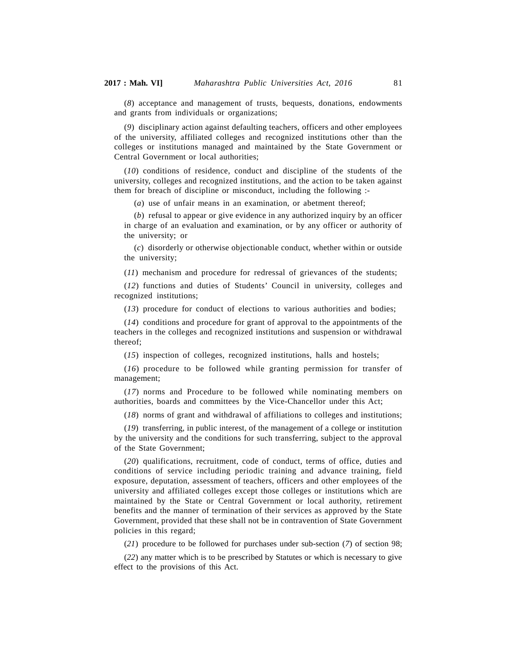(*8*) acceptance and management of trusts, bequests, donations, endowments and grants from individuals or organizations;

(*9*) disciplinary action against defaulting teachers, officers and other employees of the university, affiliated colleges and recognized institutions other than the colleges or institutions managed and maintained by the State Government or Central Government or local authorities;

(*10*) conditions of residence, conduct and discipline of the students of the university, colleges and recognized institutions, and the action to be taken against them for breach of discipline or misconduct, including the following :-

(*a*) use of unfair means in an examination, or abetment thereof;

(*b*) refusal to appear or give evidence in any authorized inquiry by an officer in charge of an evaluation and examination, or by any officer or authority of the university; or

(*c*) disorderly or otherwise objectionable conduct, whether within or outside the university;

(*11*) mechanism and procedure for redressal of grievances of the students;

(*12*) functions and duties of Students' Council in university, colleges and recognized institutions;

(*13*) procedure for conduct of elections to various authorities and bodies;

(*14*) conditions and procedure for grant of approval to the appointments of the teachers in the colleges and recognized institutions and suspension or withdrawal thereof;

(*15*) inspection of colleges, recognized institutions, halls and hostels;

(*16*) procedure to be followed while granting permission for transfer of management;

(*17*) norms and Procedure to be followed while nominating members on authorities, boards and committees by the Vice-Chancellor under this Act;

(*18*) norms of grant and withdrawal of affiliations to colleges and institutions;

(*19*) transferring, in public interest, of the management of a college or institution by the university and the conditions for such transferring, subject to the approval of the State Government;

(*20*) qualifications, recruitment, code of conduct, terms of office, duties and conditions of service including periodic training and advance training, field exposure, deputation, assessment of teachers, officers and other employees of the university and affiliated colleges except those colleges or institutions which are maintained by the State or Central Government or local authority, retirement benefits and the manner of termination of their services as approved by the State Government, provided that these shall not be in contravention of State Government policies in this regard;

(*21*) procedure to be followed for purchases under sub-section (*7*) of section 98;

(*22*) any matter which is to be prescribed by Statutes or which is necessary to give effect to the provisions of this Act.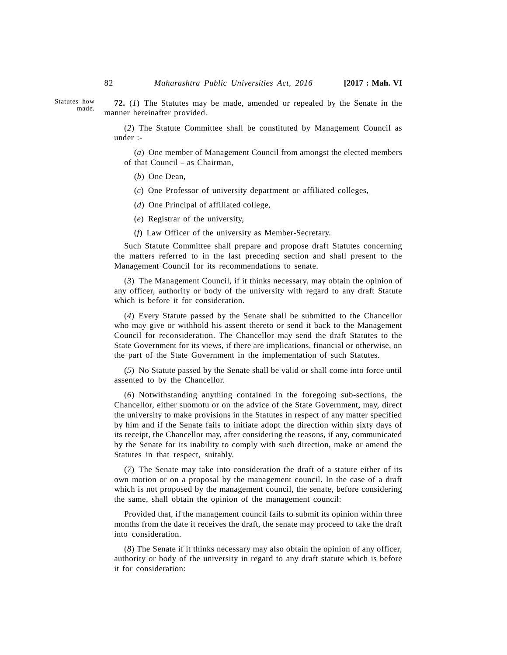Statutes how made.

**72.** (*1*) The Statutes may be made, amended or repealed by the Senate in the manner hereinafter provided.

(*2*) The Statute Committee shall be constituted by Management Council as under :-

(*a*) One member of Management Council from amongst the elected members of that Council - as Chairman,

(*b*) One Dean,

(*c*) One Professor of university department or affiliated colleges,

- (*d*) One Principal of affiliated college,
- (*e*) Registrar of the university,
- (*f*) Law Officer of the university as Member-Secretary.

Such Statute Committee shall prepare and propose draft Statutes concerning the matters referred to in the last preceding section and shall present to the Management Council for its recommendations to senate.

(*3*) The Management Council, if it thinks necessary, may obtain the opinion of any officer, authority or body of the university with regard to any draft Statute which is before it for consideration.

(*4*) Every Statute passed by the Senate shall be submitted to the Chancellor who may give or withhold his assent thereto or send it back to the Management Council for reconsideration. The Chancellor may send the draft Statutes to the State Government for its views, if there are implications, financial or otherwise, on the part of the State Government in the implementation of such Statutes.

(*5*) No Statute passed by the Senate shall be valid or shall come into force until assented to by the Chancellor.

(*6*) Notwithstanding anything contained in the foregoing sub-sections, the Chancellor, either suomotu or on the advice of the State Government, may, direct the university to make provisions in the Statutes in respect of any matter specified by him and if the Senate fails to initiate adopt the direction within sixty days of its receipt, the Chancellor may, after considering the reasons, if any, communicated by the Senate for its inability to comply with such direction, make or amend the Statutes in that respect, suitably.

(*7*) The Senate may take into consideration the draft of a statute either of its own motion or on a proposal by the management council. In the case of a draft which is not proposed by the management council, the senate, before considering the same, shall obtain the opinion of the management council:

Provided that, if the management council fails to submit its opinion within three months from the date it receives the draft, the senate may proceed to take the draft into consideration.

(*8*) The Senate if it thinks necessary may also obtain the opinion of any officer, authority or body of the university in regard to any draft statute which is before it for consideration: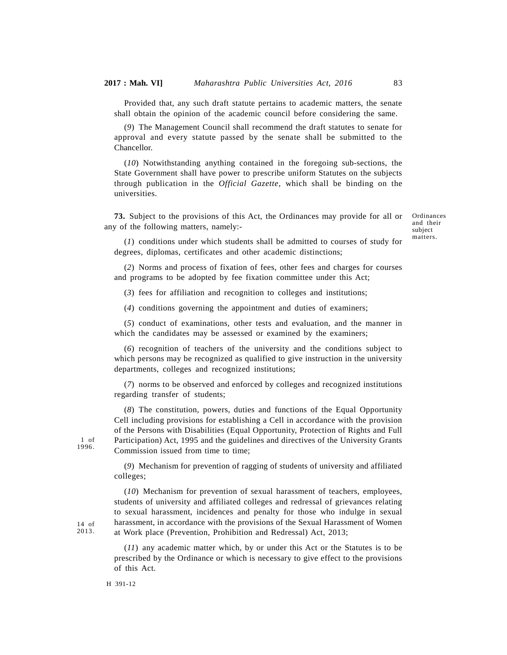Provided that, any such draft statute pertains to academic matters, the senate shall obtain the opinion of the academic council before considering the same.

(*9*) The Management Council shall recommend the draft statutes to senate for approval and every statute passed by the senate shall be submitted to the Chancellor.

(*10*) Notwithstanding anything contained in the foregoing sub-sections, the State Government shall have power to prescribe uniform Statutes on the subjects through publication in the *Official Gazette*, which shall be binding on the universities.

**73.** Subject to the provisions of this Act, the Ordinances may provide for all or any of the following matters, namely:-

Ordinances and their subject matters.

(*1*) conditions under which students shall be admitted to courses of study for degrees, diplomas, certificates and other academic distinctions;

(*2*) Norms and process of fixation of fees, other fees and charges for courses and programs to be adopted by fee fixation committee under this Act;

(*3*) fees for affiliation and recognition to colleges and institutions;

(*4*) conditions governing the appointment and duties of examiners;

(*5*) conduct of examinations, other tests and evaluation, and the manner in which the candidates may be assessed or examined by the examiners;

(*6*) recognition of teachers of the university and the conditions subject to which persons may be recognized as qualified to give instruction in the university departments, colleges and recognized institutions;

(*7*) norms to be observed and enforced by colleges and recognized institutions regarding transfer of students;

(*8*) The constitution, powers, duties and functions of the Equal Opportunity Cell including provisions for establishing a Cell in accordance with the provision of the Persons with Disabilities (Equal Opportunity, Protection of Rights and Full Participation) Act, 1995 and the guidelines and directives of the University Grants Commission issued from time to time;

(*9*) Mechanism for prevention of ragging of students of university and affiliated colleges;

(*10*) Mechanism for prevention of sexual harassment of teachers, employees, students of university and affiliated colleges and redressal of grievances relating to sexual harassment, incidences and penalty for those who indulge in sexual harassment, in accordance with the provisions of the Sexual Harassment of Women at Work place (Prevention, Prohibition and Redressal) Act, 2013;

(*11*) any academic matter which, by or under this Act or the Statutes is to be prescribed by the Ordinance or which is necessary to give effect to the provisions of this Act.

H 391-12

1 of 1996.

14 of 2013.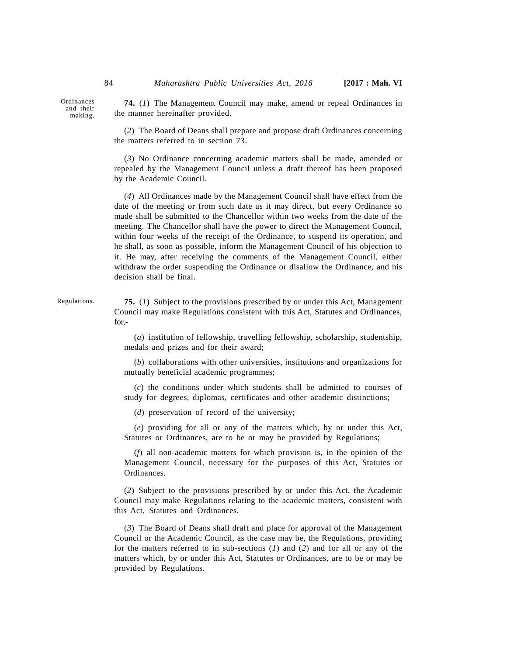Ordinances and their making.

**74.** (*1*) The Management Council may make, amend or repeal Ordinances in the manner hereinafter provided.

(*2*) The Board of Deans shall prepare and propose draft Ordinances concerning the matters referred to in section 73.

(*3*) No Ordinance concerning academic matters shall be made, amended or repealed by the Management Council unless a draft thereof has been proposed by the Academic Council.

(*4*) All Ordinances made by the Management Council shall have effect from the date of the meeting or from such date as it may direct, but every Ordinance so made shall be submitted to the Chancellor within two weeks from the date of the meeting. The Chancellor shall have the power to direct the Management Council, within four weeks of the receipt of the Ordinance, to suspend its operation, and he shall, as soon as possible, inform the Management Council of his objection to it. He may, after receiving the comments of the Management Council, either withdraw the order suspending the Ordinance or disallow the Ordinance, and his decision shall be final.

**75.** (*1*) Subject to the provisions prescribed by or under this Act, Management Council may make Regulations consistent with this Act, Statutes and Ordinances, for,- Regulations.

> (*a*) institution of fellowship, travelling fellowship, scholarship, studentship, medals and prizes and for their award;

> (*b*) collaborations with other universities, institutions and organizations for mutually beneficial academic programmes;

> (*c*) the conditions under which students shall be admitted to courses of study for degrees, diplomas, certificates and other academic distinctions;

(*d*) preservation of record of the university;

(*e*) providing for all or any of the matters which, by or under this Act, Statutes or Ordinances, are to be or may be provided by Regulations;

(*f*) all non-academic matters for which provision is, in the opinion of the Management Council, necessary for the purposes of this Act, Statutes or Ordinances.

(*2*) Subject to the provisions prescribed by or under this Act, the Academic Council may make Regulations relating to the academic matters, consistent with this Act, Statutes and Ordinances.

(*3*) The Board of Deans shall draft and place for approval of the Management Council or the Academic Council, as the case may be, the Regulations, providing for the matters referred to in sub-sections (*1*) and (*2*) and for all or any of the matters which, by or under this Act, Statutes or Ordinances, are to be or may be provided by Regulations.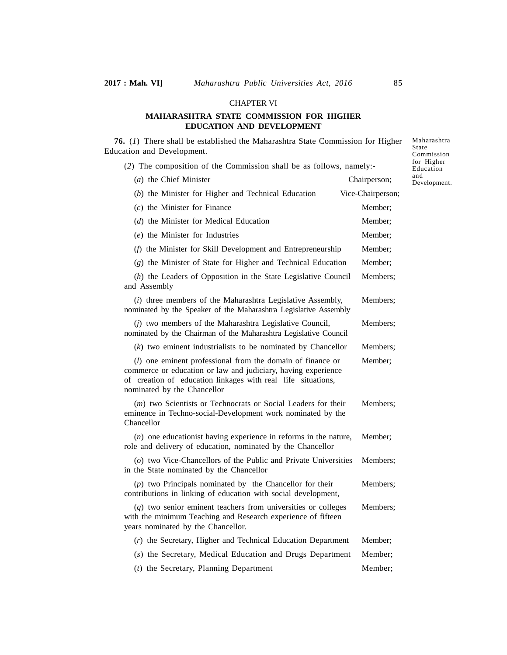### CHAPTER VI

# **MAHARASHTRA STATE COMMISSION FOR HIGHER EDUCATION AND DEVELOPMENT**

**76.** (*1*) There shall be established the Maharashtra State Commission for Higher Education and Development. (*2*) The composition of the Commission shall be as follows, namely:- (*a*) the Chief Minister Chairperson; (*b*) the Minister for Higher and Technical Education Vice-Chairperson; (*c*) the Minister for Finance Member; (*d*) the Minister for Medical Education Member; (*e*) the Minister for Industries Member; (*f*) the Minister for Skill Development and Entrepreneurship Member; (*g*) the Minister of State for Higher and Technical Education Member; (*h*) the Leaders of Opposition in the State Legislative Council Members; and Assembly (*i*) three members of the Maharashtra Legislative Assembly, Members; nominated by the Speaker of the Maharashtra Legislative Assembly (*j*) two members of the Maharashtra Legislative Council, Members; nominated by the Chairman of the Maharashtra Legislative Council (*k*) two eminent industrialists to be nominated by Chancellor Members; (*l*) one eminent professional from the domain of finance or Member; commerce or education or law and judiciary, having experience of creation of education linkages with real life situations, nominated by the Chancellor (*m*) two Scientists or Technocrats or Social Leaders for their Members; eminence in Techno-social-Development work nominated by the Chancellor (*n*) one educationist having experience in reforms in the nature, Member; role and delivery of education, nominated by the Chancellor (*o*) two Vice-Chancellors of the Public and Private Universities Members; in the State nominated by the Chancellor (*p*) two Principals nominated by the Chancellor for their Members; contributions in linking of education with social development, (*q*) two senior eminent teachers from universities or colleges Members; with the minimum Teaching and Research experience of fifteen years nominated by the Chancellor. (*r*) the Secretary, Higher and Technical Education Department Member; (*s*) the Secretary, Medical Education and Drugs Department Member; (*t*) the Secretary, Planning Department Member; Maharashtra State Commission for Higher Education and Development.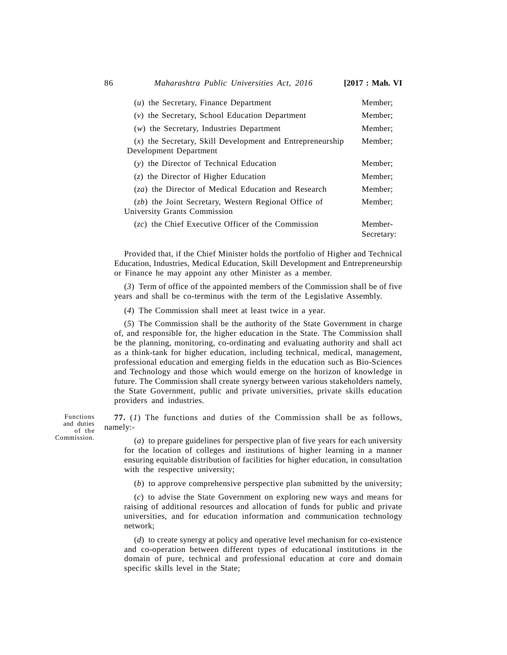| $(u)$ the Secretary, Finance Department                                                       | Member;               |
|-----------------------------------------------------------------------------------------------|-----------------------|
| $(v)$ the Secretary, School Education Department                                              | Member:               |
| $(w)$ the Secretary, Industries Department                                                    | Member:               |
| $(x)$ the Secretary, Skill Development and Entrepreneurship<br>Development Department         | Member:               |
| (y) the Director of Technical Education                                                       | Member:               |
| $(z)$ the Director of Higher Education                                                        | Member:               |
| $(za)$ the Director of Medical Education and Research                                         | Member:               |
| $(zb)$ the Joint Secretary, Western Regional Office of<br><b>University Grants Commission</b> | Member:               |
| $(zc)$ the Chief Executive Officer of the Commission                                          | Member-<br>Secretary: |

Provided that, if the Chief Minister holds the portfolio of Higher and Technical Education, Industries, Medical Education, Skill Development and Entrepreneurship or Finance he may appoint any other Minister as a member.

(*3*) Term of office of the appointed members of the Commission shall be of five years and shall be co-terminus with the term of the Legislative Assembly.

(*4*) The Commission shall meet at least twice in a year.

(*5*) The Commission shall be the authority of the State Government in charge of, and responsible for, the higher education in the State. The Commission shall be the planning, monitoring, co-ordinating and evaluating authority and shall act as a think-tank for higher education, including technical, medical, management, professional education and emerging fields in the education such as Bio-Sciences and Technology and those which would emerge on the horizon of knowledge in future. The Commission shall create synergy between various stakeholders namely, the State Government, public and private universities, private skills education providers and industries.

**77.** (*1*) The functions and duties of the Commission shall be as follows, namely:-

(*a*) to prepare guidelines for perspective plan of five years for each university for the location of colleges and institutions of higher learning in a manner ensuring equitable distribution of facilities for higher education, in consultation with the respective university;

(*b*) to approve comprehensive perspective plan submitted by the university;

(*c*) to advise the State Government on exploring new ways and means for raising of additional resources and allocation of funds for public and private universities, and for education information and communication technology network;

(*d*) to create synergy at policy and operative level mechanism for co-existence and co-operation between different types of educational institutions in the domain of pure, technical and professional education at core and domain specific skills level in the State;

Functions and duties of the Commission.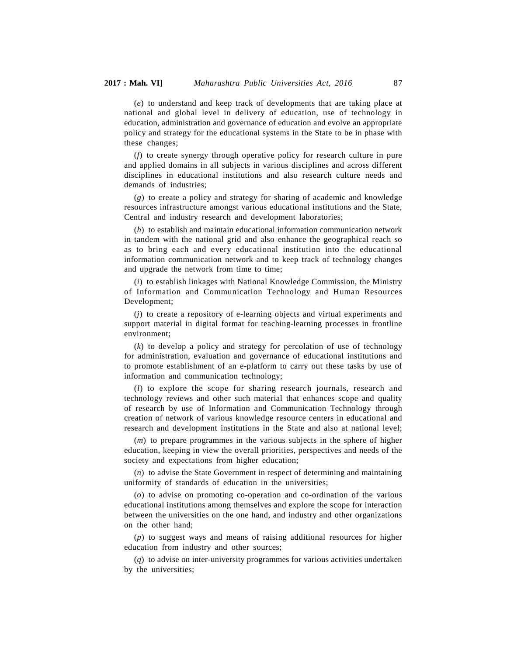(*e*) to understand and keep track of developments that are taking place at national and global level in delivery of education, use of technology in education, administration and governance of education and evolve an appropriate policy and strategy for the educational systems in the State to be in phase with these changes;

(*f*) to create synergy through operative policy for research culture in pure and applied domains in all subjects in various disciplines and across different disciplines in educational institutions and also research culture needs and demands of industries;

(*g*) to create a policy and strategy for sharing of academic and knowledge resources infrastructure amongst various educational institutions and the State, Central and industry research and development laboratories;

(*h*) to establish and maintain educational information communication network in tandem with the national grid and also enhance the geographical reach so as to bring each and every educational institution into the educational information communication network and to keep track of technology changes and upgrade the network from time to time;

(*i*) to establish linkages with National Knowledge Commission, the Ministry of Information and Communication Technology and Human Resources Development;

(*j*) to create a repository of e-learning objects and virtual experiments and support material in digital format for teaching-learning processes in frontline environment;

(*k*) to develop a policy and strategy for percolation of use of technology for administration, evaluation and governance of educational institutions and to promote establishment of an e-platform to carry out these tasks by use of information and communication technology;

(*l*) to explore the scope for sharing research journals, research and technology reviews and other such material that enhances scope and quality of research by use of Information and Communication Technology through creation of network of various knowledge resource centers in educational and research and development institutions in the State and also at national level;

(*m*) to prepare programmes in the various subjects in the sphere of higher education, keeping in view the overall priorities, perspectives and needs of the society and expectations from higher education;

(*n*) to advise the State Government in respect of determining and maintaining uniformity of standards of education in the universities;

(*o*) to advise on promoting co-operation and co-ordination of the various educational institutions among themselves and explore the scope for interaction between the universities on the one hand, and industry and other organizations on the other hand;

(*p*) to suggest ways and means of raising additional resources for higher education from industry and other sources;

(*q*) to advise on inter-university programmes for various activities undertaken by the universities;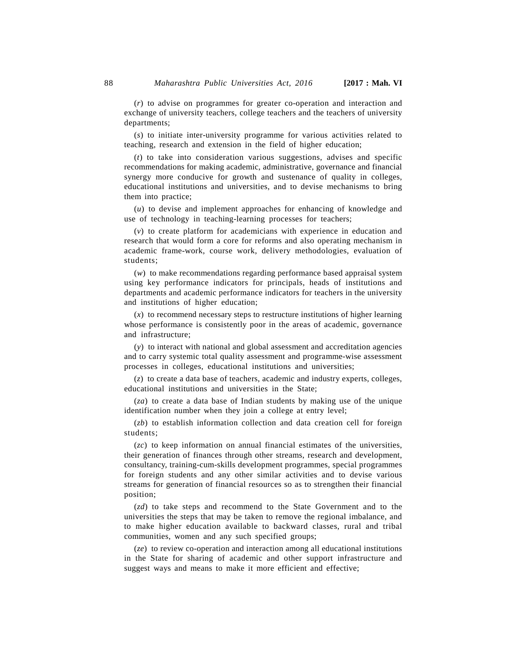(*r*) to advise on programmes for greater co-operation and interaction and exchange of university teachers, college teachers and the teachers of university departments;

(*s*) to initiate inter-university programme for various activities related to teaching, research and extension in the field of higher education;

(*t*) to take into consideration various suggestions, advises and specific recommendations for making academic, administrative, governance and financial synergy more conducive for growth and sustenance of quality in colleges, educational institutions and universities, and to devise mechanisms to bring them into practice;

(*u*) to devise and implement approaches for enhancing of knowledge and use of technology in teaching-learning processes for teachers;

(*v*) to create platform for academicians with experience in education and research that would form a core for reforms and also operating mechanism in academic frame-work, course work, delivery methodologies, evaluation of students;

(*w*) to make recommendations regarding performance based appraisal system using key performance indicators for principals, heads of institutions and departments and academic performance indicators for teachers in the university and institutions of higher education;

(*x*) to recommend necessary steps to restructure institutions of higher learning whose performance is consistently poor in the areas of academic, governance and infrastructure;

(*y*) to interact with national and global assessment and accreditation agencies and to carry systemic total quality assessment and programme-wise assessment processes in colleges, educational institutions and universities;

(*z*) to create a data base of teachers, academic and industry experts, colleges, educational institutions and universities in the State;

(*za*) to create a data base of Indian students by making use of the unique identification number when they join a college at entry level;

(*zb*) to establish information collection and data creation cell for foreign students;

(*zc*) to keep information on annual financial estimates of the universities, their generation of finances through other streams, research and development, consultancy, training-cum-skills development programmes, special programmes for foreign students and any other similar activities and to devise various streams for generation of financial resources so as to strengthen their financial position;

(*zd*) to take steps and recommend to the State Government and to the universities the steps that may be taken to remove the regional imbalance, and to make higher education available to backward classes, rural and tribal communities, women and any such specified groups;

(*ze*) to review co-operation and interaction among all educational institutions in the State for sharing of academic and other support infrastructure and suggest ways and means to make it more efficient and effective;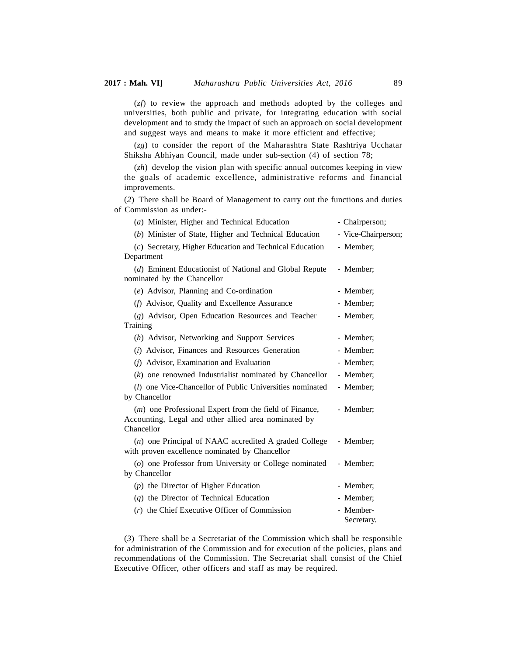(*zf*) to review the approach and methods adopted by the colleges and universities, both public and private, for integrating education with social development and to study the impact of such an approach on social development and suggest ways and means to make it more efficient and effective;

(*zg*) to consider the report of the Maharashtra State Rashtriya Ucchatar Shiksha Abhiyan Council, made under sub-section (4) of section 78;

(*zh*) develop the vision plan with specific annual outcomes keeping in view the goals of academic excellence, administrative reforms and financial improvements.

(*2*) There shall be Board of Management to carry out the functions and duties of Commission as under:-

| (a) Minister, Higher and Technical Education                                                                                          | - Chairperson;          |
|---------------------------------------------------------------------------------------------------------------------------------------|-------------------------|
| (b) Minister of State, Higher and Technical Education                                                                                 | - Vice-Chairperson;     |
| (c) Secretary, Higher Education and Technical Education                                                                               | - Member;               |
| Department                                                                                                                            |                         |
| (d) Eminent Educationist of National and Global Repute<br>nominated by the Chancellor                                                 | - Member;               |
| (e) Advisor, Planning and Co-ordination                                                                                               | - Member;               |
| (f) Advisor, Quality and Excellence Assurance                                                                                         | - Member;               |
| (g) Advisor, Open Education Resources and Teacher                                                                                     | - Member;               |
| Training                                                                                                                              |                         |
| (h) Advisor, Networking and Support Services                                                                                          | - Member;               |
| (i) Advisor, Finances and Resources Generation                                                                                        | - Member;               |
| ( <i>j</i> ) Advisor, Examination and Evaluation                                                                                      | - Member;               |
| $(k)$ one renowned Industrialist nominated by Chancellor                                                                              | - Member:               |
| (l) one Vice-Chancellor of Public Universities nominated<br>by Chancellor                                                             | - Member:               |
| ( <i>m</i> ) one Professional Expert from the field of Finance,<br>Accounting, Legal and other allied area nominated by<br>Chancellor | - Member;               |
| $(n)$ one Principal of NAAC accredited A graded College<br>with proven excellence nominated by Chancellor                             | - Member;               |
| (o) one Professor from University or College nominated<br>by Chancellor                                                               | - Member;               |
| $(p)$ the Director of Higher Education                                                                                                | - Member;               |
| $(q)$ the Director of Technical Education                                                                                             | - Member;               |
| $(r)$ the Chief Executive Officer of Commission                                                                                       | - Member-<br>Secretary. |

(*3*) There shall be a Secretariat of the Commission which shall be responsible for administration of the Commission and for execution of the policies, plans and recommendations of the Commission. The Secretariat shall consist of the Chief Executive Officer, other officers and staff as may be required.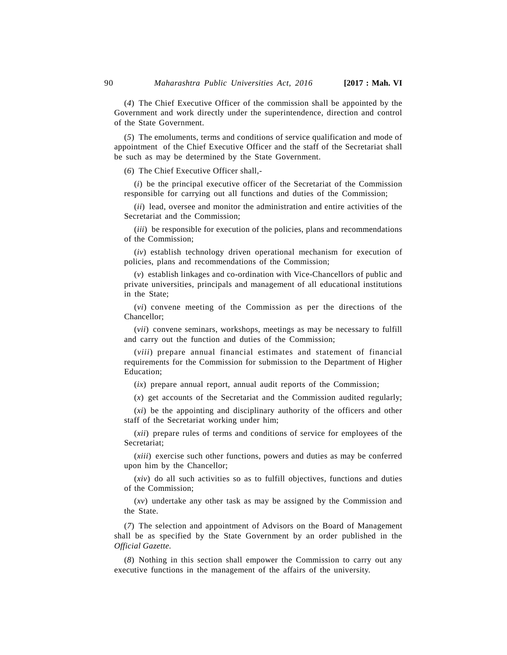(*4*) The Chief Executive Officer of the commission shall be appointed by the Government and work directly under the superintendence, direction and control of the State Government.

(*5*) The emoluments, terms and conditions of service qualification and mode of appointment of the Chief Executive Officer and the staff of the Secretariat shall be such as may be determined by the State Government.

(*6*) The Chief Executive Officer shall,-

(*i*) be the principal executive officer of the Secretariat of the Commission responsible for carrying out all functions and duties of the Commission;

(*ii*) lead, oversee and monitor the administration and entire activities of the Secretariat and the Commission;

(*iii*) be responsible for execution of the policies, plans and recommendations of the Commission;

(*iv*) establish technology driven operational mechanism for execution of policies, plans and recommendations of the Commission;

(*v*) establish linkages and co-ordination with Vice-Chancellors of public and private universities, principals and management of all educational institutions in the State;

(*vi*) convene meeting of the Commission as per the directions of the Chancellor;

(*vii*) convene seminars, workshops, meetings as may be necessary to fulfill and carry out the function and duties of the Commission;

(*viii*) prepare annual financial estimates and statement of financial requirements for the Commission for submission to the Department of Higher Education;

(*ix*) prepare annual report, annual audit reports of the Commission;

(*x*) get accounts of the Secretariat and the Commission audited regularly;

(*xi*) be the appointing and disciplinary authority of the officers and other staff of the Secretariat working under him;

(*xii*) prepare rules of terms and conditions of service for employees of the Secretariat;

(*xiii*) exercise such other functions, powers and duties as may be conferred upon him by the Chancellor;

(*xiv*) do all such activities so as to fulfill objectives, functions and duties of the Commission;

(*xv*) undertake any other task as may be assigned by the Commission and the State.

(*7*) The selection and appointment of Advisors on the Board of Management shall be as specified by the State Government by an order published in the *Official Gazette.*

(*8*) Nothing in this section shall empower the Commission to carry out any executive functions in the management of the affairs of the university.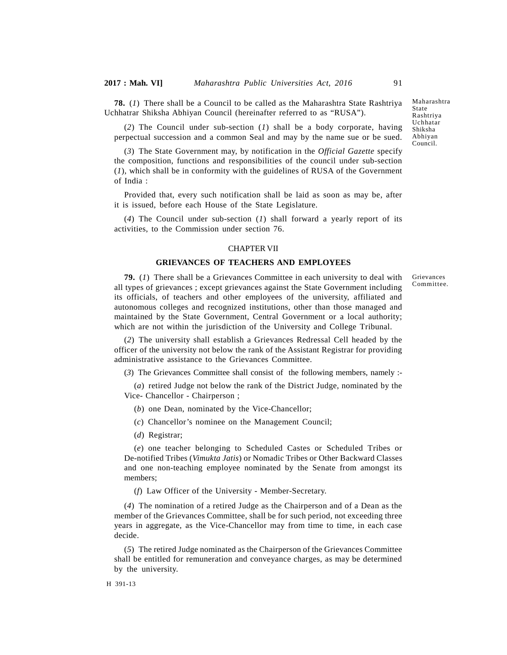**78.** (*1*) There shall be a Council to be called as the Maharashtra State Rashtriya Uchhatrar Shiksha Abhiyan Council (hereinafter referred to as "RUSA").

(*2*) The Council under sub-section (*1*) shall be a body corporate, having perpectual succession and a common Seal and may by the name sue or be sued.

(*3*) The State Government may, by notification in the *Official Gazette* specify the composition, functions and responsibilities of the council under sub-section (*1*), which shall be in conformity with the guidelines of RUSA of the Government of India :

Provided that, every such notification shall be laid as soon as may be, after it is issued, before each House of the State Legislature.

(*4*) The Council under sub-section (*1*) shall forward a yearly report of its activities, to the Commission under section 76.

### CHAPTER VII

### **GRIEVANCES OF TEACHERS AND EMPLOYEES**

**79.** (*1*) There shall be a Grievances Committee in each university to deal with all types of grievances ; except grievances against the State Government including its officials, of teachers and other employees of the university, affiliated and autonomous colleges and recognized institutions, other than those managed and maintained by the State Government, Central Government or a local authority; which are not within the jurisdiction of the University and College Tribunal.

(*2*) The university shall establish a Grievances Redressal Cell headed by the officer of the university not below the rank of the Assistant Registrar for providing administrative assistance to the Grievances Committee.

(*3*) The Grievances Committee shall consist of the following members, namely :-

(*a*) retired Judge not below the rank of the District Judge, nominated by the Vice- Chancellor - Chairperson ;

- (*b*) one Dean, nominated by the Vice-Chancellor;
- (*c*) Chancellor's nominee on the Management Council;
- (*d*) Registrar;

(*e*) one teacher belonging to Scheduled Castes or Scheduled Tribes or De-notified Tribes (*Vimukta Jatis*) or Nomadic Tribes or Other Backward Classes and one non-teaching employee nominated by the Senate from amongst its members;

(*f*) Law Officer of the University - Member-Secretary.

(*4*) The nomination of a retired Judge as the Chairperson and of a Dean as the member of the Grievances Committee, shall be for such period, not exceeding three years in aggregate, as the Vice-Chancellor may from time to time, in each case decide.

(*5*) The retired Judge nominated as the Chairperson of the Grievances Committee shall be entitled for remuneration and conveyance charges, as may be determined by the university.

Maharashtra State Rashtriya Uchhatar Shiksha Abhiyan Council.

Grievances Committee.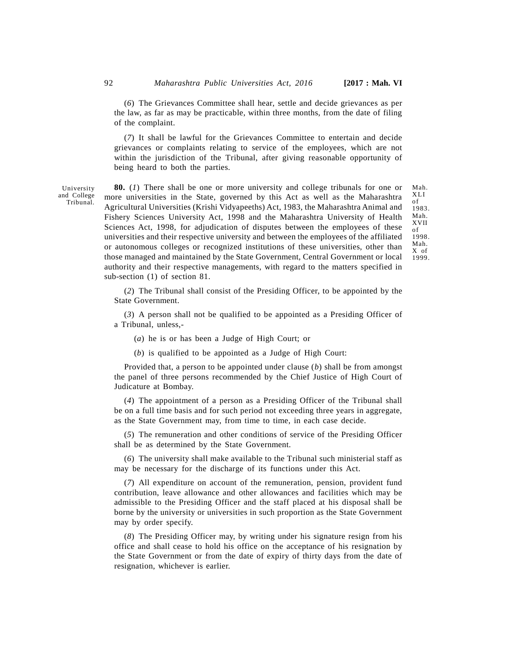(*6*) The Grievances Committee shall hear, settle and decide grievances as per the law, as far as may be practicable, within three months, from the date of filing of the complaint.

(*7*) It shall be lawful for the Grievances Committee to entertain and decide grievances or complaints relating to service of the employees, which are not within the jurisdiction of the Tribunal, after giving reasonable opportunity of being heard to both the parties.

**80.** (*1*) There shall be one or more university and college tribunals for one or Mah has universities in the State governed by this Act as well as the Meharachtra. XLI more universities in the State, governed by this Act as well as the Maharashtra Agricultural Universities (Krishi Vidyapeeths) Act, 1983, the Maharashtra Animal and Fishery Sciences University Act, 1998 and the Maharashtra University of Health Sciences Act, 1998, for adjudication of disputes between the employees of these universities and their respective university and between the employees of the affiliated or autonomous colleges or recognized institutions of these universities, other than those managed and maintained by the State Government, Central Government or local authority and their respective managements, with regard to the matters specified in sub-section (1) of section 81.

Mah. Mah.<br>XLI<br>of<br>1983 of 1983. Mah. XVII of 1998. Mah. X of 1999.

(*2*) The Tribunal shall consist of the Presiding Officer, to be appointed by the State Government.

(*3*) A person shall not be qualified to be appointed as a Presiding Officer of a Tribunal, unless,-

(*a*) he is or has been a Judge of High Court; or

(*b*) is qualified to be appointed as a Judge of High Court:

Provided that, a person to be appointed under clause (*b*) shall be from amongst the panel of three persons recommended by the Chief Justice of High Court of Judicature at Bombay.

(*4*) The appointment of a person as a Presiding Officer of the Tribunal shall be on a full time basis and for such period not exceeding three years in aggregate, as the State Government may, from time to time, in each case decide.

(*5*) The remuneration and other conditions of service of the Presiding Officer shall be as determined by the State Government.

(*6*) The university shall make available to the Tribunal such ministerial staff as may be necessary for the discharge of its functions under this Act.

(*7*) All expenditure on account of the remuneration, pension, provident fund contribution, leave allowance and other allowances and facilities which may be admissible to the Presiding Officer and the staff placed at his disposal shall be borne by the university or universities in such proportion as the State Government may by order specify.

(*8*) The Presiding Officer may, by writing under his signature resign from his office and shall cease to hold his office on the acceptance of his resignation by the State Government or from the date of expiry of thirty days from the date of resignation, whichever is earlier.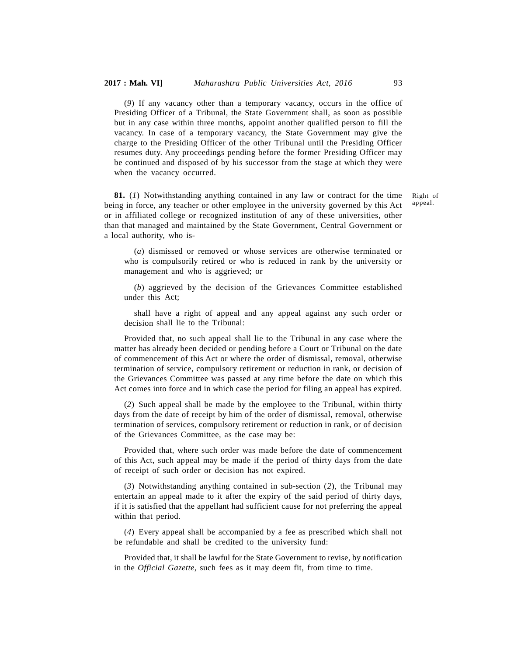(*9*) If any vacancy other than a temporary vacancy, occurs in the office of Presiding Officer of a Tribunal, the State Government shall, as soon as possible but in any case within three months, appoint another qualified person to fill the vacancy. In case of a temporary vacancy, the State Government may give the charge to the Presiding Officer of the other Tribunal until the Presiding Officer resumes duty. Any proceedings pending before the former Presiding Officer may be continued and disposed of by his successor from the stage at which they were when the vacancy occurred.

**81.** (*1*) Notwithstanding anything contained in any law or contract for the time being in force, any teacher or other employee in the university governed by this Act or in affiliated college or recognized institution of any of these universities, other than that managed and maintained by the State Government, Central Government or a local authority, who is-

Right of appeal.

(*a*) dismissed or removed or whose services are otherwise terminated or who is compulsorily retired or who is reduced in rank by the university or management and who is aggrieved; or

(*b*) aggrieved by the decision of the Grievances Committee established under this Act;

shall have a right of appeal and any appeal against any such order or decision shall lie to the Tribunal:

Provided that, no such appeal shall lie to the Tribunal in any case where the matter has already been decided or pending before a Court or Tribunal on the date of commencement of this Act or where the order of dismissal, removal, otherwise termination of service, compulsory retirement or reduction in rank, or decision of the Grievances Committee was passed at any time before the date on which this Act comes into force and in which case the period for filing an appeal has expired.

(*2*) Such appeal shall be made by the employee to the Tribunal, within thirty days from the date of receipt by him of the order of dismissal, removal, otherwise termination of services, compulsory retirement or reduction in rank, or of decision of the Grievances Committee, as the case may be:

Provided that, where such order was made before the date of commencement of this Act, such appeal may be made if the period of thirty days from the date of receipt of such order or decision has not expired.

(*3*) Notwithstanding anything contained in sub-section (*2*), the Tribunal may entertain an appeal made to it after the expiry of the said period of thirty days, if it is satisfied that the appellant had sufficient cause for not preferring the appeal within that period.

(*4*) Every appeal shall be accompanied by a fee as prescribed which shall not be refundable and shall be credited to the university fund:

Provided that, it shall be lawful for the State Government to revise, by notification in the *Official Gazette*, such fees as it may deem fit, from time to time.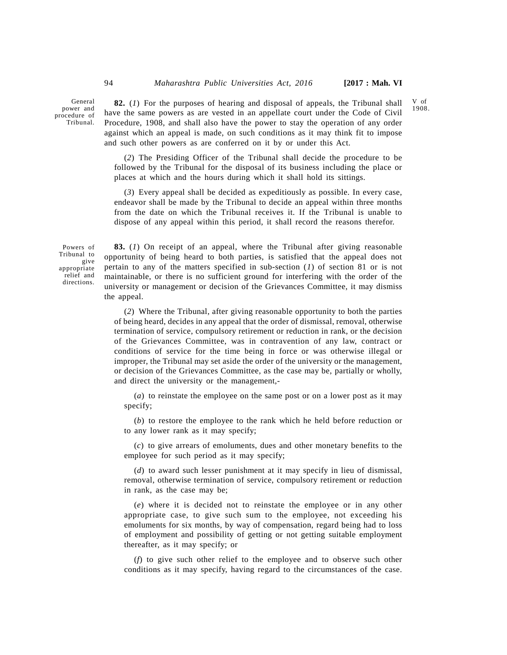General power and procedure of Tribunal.

**82.** (*1*) For the purposes of hearing and disposal of appeals, the Tribunal shall have the same powers as are vested in an appellate court under the Code of Civil Procedure, 1908, and shall also have the power to stay the operation of any order against which an appeal is made, on such conditions as it may think fit to impose and such other powers as are conferred on it by or under this Act.

(*2*) The Presiding Officer of the Tribunal shall decide the procedure to be followed by the Tribunal for the disposal of its business including the place or places at which and the hours during which it shall hold its sittings.

(*3*) Every appeal shall be decided as expeditiously as possible. In every case, endeavor shall be made by the Tribunal to decide an appeal within three months from the date on which the Tribunal receives it. If the Tribunal is unable to dispose of any appeal within this period, it shall record the reasons therefor.

Powers of Tribunal to give appropriate relief and directions.

**83.** (*1*) On receipt of an appeal, where the Tribunal after giving reasonable opportunity of being heard to both parties, is satisfied that the appeal does not pertain to any of the matters specified in sub-section (*1*) of section 81 or is not maintainable, or there is no sufficient ground for interfering with the order of the university or management or decision of the Grievances Committee, it may dismiss the appeal.

(*2*) Where the Tribunal, after giving reasonable opportunity to both the parties of being heard, decides in any appeal that the order of dismissal, removal, otherwise termination of service, compulsory retirement or reduction in rank, or the decision of the Grievances Committee, was in contravention of any law, contract or conditions of service for the time being in force or was otherwise illegal or improper, the Tribunal may set aside the order of the university or the management, or decision of the Grievances Committee, as the case may be, partially or wholly, and direct the university or the management,-

(*a*) to reinstate the employee on the same post or on a lower post as it may specify;

(*b*) to restore the employee to the rank which he held before reduction or to any lower rank as it may specify;

(*c*) to give arrears of emoluments, dues and other monetary benefits to the employee for such period as it may specify;

(*d*) to award such lesser punishment at it may specify in lieu of dismissal, removal, otherwise termination of service, compulsory retirement or reduction in rank, as the case may be;

(*e*) where it is decided not to reinstate the employee or in any other appropriate case, to give such sum to the employee, not exceeding his emoluments for six months, by way of compensation, regard being had to loss of employment and possibility of getting or not getting suitable employment thereafter, as it may specify; or

(*f*) to give such other relief to the employee and to observe such other conditions as it may specify, having regard to the circumstances of the case.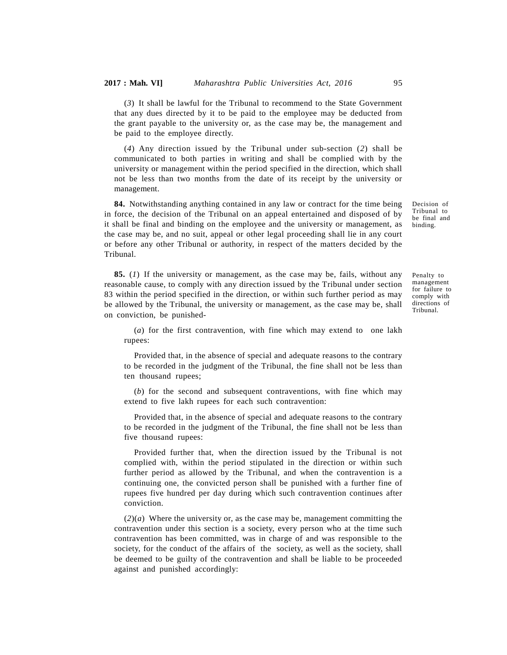(*3*) It shall be lawful for the Tribunal to recommend to the State Government that any dues directed by it to be paid to the employee may be deducted from the grant payable to the university or, as the case may be, the management and be paid to the employee directly.

(*4*) Any direction issued by the Tribunal under sub-section (*2*) shall be communicated to both parties in writing and shall be complied with by the university or management within the period specified in the direction, which shall not be less than two months from the date of its receipt by the university or management.

**84.** Notwithstanding anything contained in any law or contract for the time being in force, the decision of the Tribunal on an appeal entertained and disposed of by it shall be final and binding on the employee and the university or management, as the case may be, and no suit, appeal or other legal proceeding shall lie in any court or before any other Tribunal or authority, in respect of the matters decided by the Tribunal.

**85.** (*1*) If the university or management, as the case may be, fails, without any reasonable cause, to comply with any direction issued by the Tribunal under section 83 within the period specified in the direction, or within such further period as may be allowed by the Tribunal, the university or management, as the case may be, shall on conviction, be punished-

Penalty to management for failure to comply with

directions of Tribunal.

Decision of Tribunal to be final and binding.

(*a*) for the first contravention, with fine which may extend to one lakh rupees:

Provided that, in the absence of special and adequate reasons to the contrary to be recorded in the judgment of the Tribunal, the fine shall not be less than ten thousand rupees;

(*b*) for the second and subsequent contraventions, with fine which may extend to five lakh rupees for each such contravention:

Provided that, in the absence of special and adequate reasons to the contrary to be recorded in the judgment of the Tribunal, the fine shall not be less than five thousand rupees:

Provided further that, when the direction issued by the Tribunal is not complied with, within the period stipulated in the direction or within such further period as allowed by the Tribunal, and when the contravention is a continuing one, the convicted person shall be punished with a further fine of rupees five hundred per day during which such contravention continues after conviction.

 $(2)(a)$  Where the university or, as the case may be, management committing the contravention under this section is a society, every person who at the time such contravention has been committed, was in charge of and was responsible to the society, for the conduct of the affairs of the society, as well as the society, shall be deemed to be guilty of the contravention and shall be liable to be proceeded against and punished accordingly: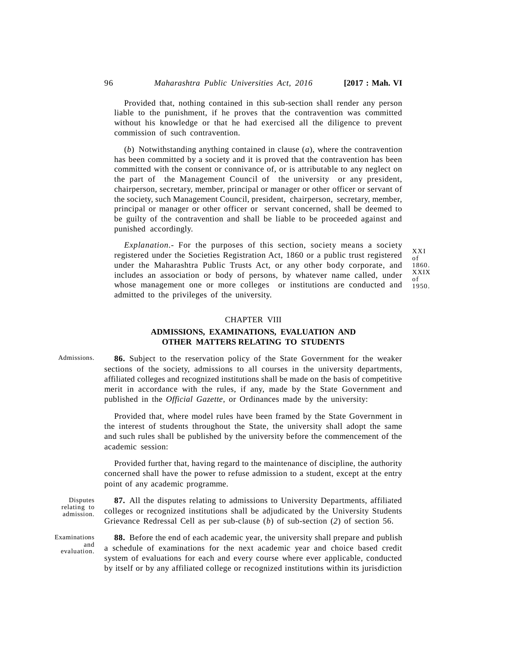Provided that, nothing contained in this sub-section shall render any person liable to the punishment, if he proves that the contravention was committed without his knowledge or that he had exercised all the diligence to prevent commission of such contravention.

(*b*) Notwithstanding anything contained in clause (*a*), where the contravention has been committed by a society and it is proved that the contravention has been committed with the consent or connivance of, or is attributable to any neglect on the part of the Management Council of the university or any president, chairperson, secretary, member, principal or manager or other officer or servant of the society, such Management Council, president, chairperson, secretary, member, principal or manager or other officer or servant concerned, shall be deemed to be guilty of the contravention and shall be liable to be proceeded against and punished accordingly.

*Explanation.-* For the purposes of this section, society means a society registered under the Societies Registration Act, 1860 or a public trust registered under the Maharashtra Public Trusts Act, or any other body corporate, and includes an association or body of persons, by whatever name called, under whose management one or more colleges or institutions are conducted and admitted to the privileges of the university.

#### XXI of 1860. XXIX of 1950.

### CHAPTER VIII

# **ADMISSIONS, EXAMINATIONS, EVALUATION AND OTHER MATTERS RELATING TO STUDENTS**

Admissions.

**86.** Subject to the reservation policy of the State Government for the weaker sections of the society, admissions to all courses in the university departments, affiliated colleges and recognized institutions shall be made on the basis of competitive merit in accordance with the rules, if any, made by the State Government and published in the *Official Gazette*, or Ordinances made by the university:

Provided that, where model rules have been framed by the State Government in the interest of students throughout the State, the university shall adopt the same and such rules shall be published by the university before the commencement of the academic session:

Provided further that, having regard to the maintenance of discipline, the authority concerned shall have the power to refuse admission to a student, except at the entry point of any academic programme.

Disputes relating to admission.

Examinations evaluation.

**87.** All the disputes relating to admissions to University Departments, affiliated colleges or recognized institutions shall be adjudicated by the University Students Grievance Redressal Cell as per sub-clause (*b*) of sub-section (*2*) of section 56.

**88.** Before the end of each academic year, the university shall prepare and publish  $\frac{a_{\text{and}}}{a_{\text{on}}}$  a schedule of examinations for the next academic year and choice based credit system of evaluations for each and every course where ever applicable, conducted by itself or by any affiliated college or recognized institutions within its jurisdiction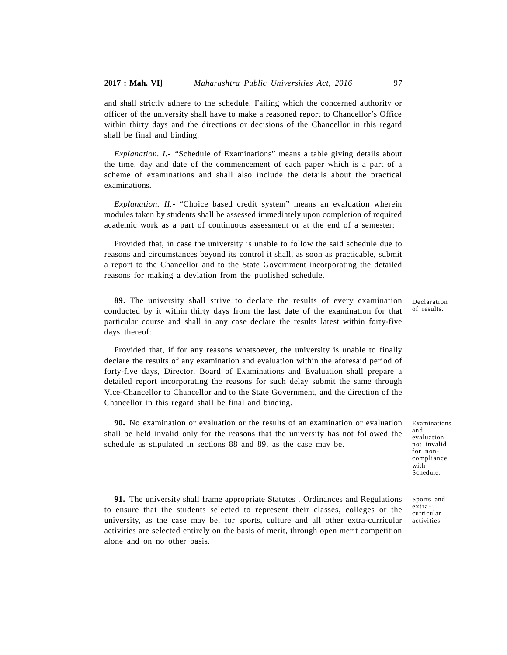and shall strictly adhere to the schedule. Failing which the concerned authority or officer of the university shall have to make a reasoned report to Chancellor's Office within thirty days and the directions or decisions of the Chancellor in this regard shall be final and binding.

*Explanation. I.-* "Schedule of Examinations" means a table giving details about the time, day and date of the commencement of each paper which is a part of a scheme of examinations and shall also include the details about the practical examinations.

*Explanation. II.-* "Choice based credit system" means an evaluation wherein modules taken by students shall be assessed immediately upon completion of required academic work as a part of continuous assessment or at the end of a semester:

Provided that, in case the university is unable to follow the said schedule due to reasons and circumstances beyond its control it shall, as soon as practicable, submit a report to the Chancellor and to the State Government incorporating the detailed reasons for making a deviation from the published schedule.

**89.** The university shall strive to declare the results of every examination conducted by it within thirty days from the last date of the examination for that particular course and shall in any case declare the results latest within forty-five days thereof:

Declaration of results.

Provided that, if for any reasons whatsoever, the university is unable to finally declare the results of any examination and evaluation within the aforesaid period of forty-five days, Director, Board of Examinations and Evaluation shall prepare a detailed report incorporating the reasons for such delay submit the same through Vice-Chancellor to Chancellor and to the State Government, and the direction of the Chancellor in this regard shall be final and binding.

**90.** No examination or evaluation or the results of an examination or evaluation shall be held invalid only for the reasons that the university has not followed the schedule as stipulated in sections 88 and 89, as the case may be.

Examinations and evaluation not invalid for noncompliance with Schedule.

**91.** The university shall frame appropriate Statutes , Ordinances and Regulations to ensure that the students selected to represent their classes, colleges or the university, as the case may be, for sports, culture and all other extra-curricular activities are selected entirely on the basis of merit, through open merit competition alone and on no other basis.

Sports and extracurricular activities.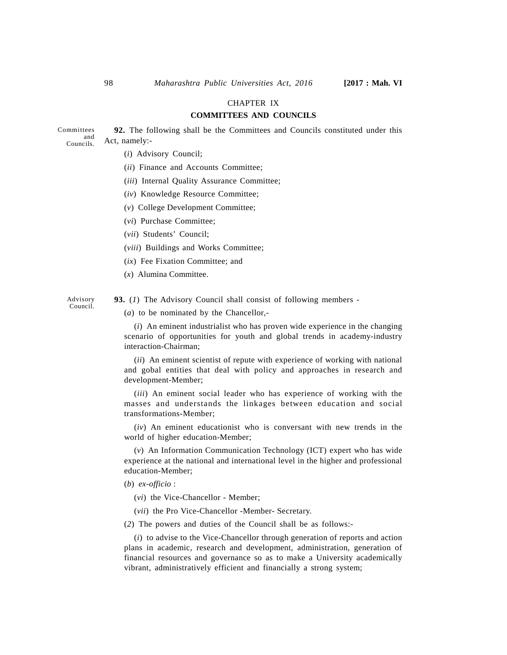### CHAPTER IX

### **COMMITTEES AND COUNCILS**

Committees  $\begin{array}{c}\n\text{and} \\
\text{det, namely:}\n\end{array}$ Councils. **92.** The following shall be the Committees and Councils constituted under this

- (*i*) Advisory Council;
- (*ii*) Finance and Accounts Committee;
- (*iii*) Internal Quality Assurance Committee;
- (*iv*) Knowledge Resource Committee;
- (*v*) College Development Committee;
- (*vi*) Purchase Committee;
- (*vii*) Students' Council;
- (*viii*) Buildings and Works Committee;
- (*ix*) Fee Fixation Committee; and
- (*x*) Alumina Committee.

Advisory Council. **93.** (*1*) The Advisory Council shall consist of following members -

(*a*) to be nominated by the Chancellor,-

(*i*) An eminent industrialist who has proven wide experience in the changing scenario of opportunities for youth and global trends in academy-industry interaction-Chairman;

(*ii*) An eminent scientist of repute with experience of working with national and gobal entities that deal with policy and approaches in research and development-Member;

(*iii*) An eminent social leader who has experience of working with the masses and understands the linkages between education and social transformations-Member;

(*iv*) An eminent educationist who is conversant with new trends in the world of higher education-Member;

(*v*) An Information Communication Technology (ICT) expert who has wide experience at the national and international level in the higher and professional education-Member;

- (*b*) *ex-officio* :
	- (*vi*) the Vice-Chancellor Member;
	- (*vii*) the Pro Vice-Chancellor -Member- Secretary.

(*2*) The powers and duties of the Council shall be as follows:-

(*i*) to advise to the Vice-Chancellor through generation of reports and action plans in academic, research and development, administration, generation of financial resources and governance so as to make a University academically vibrant, administratively efficient and financially a strong system;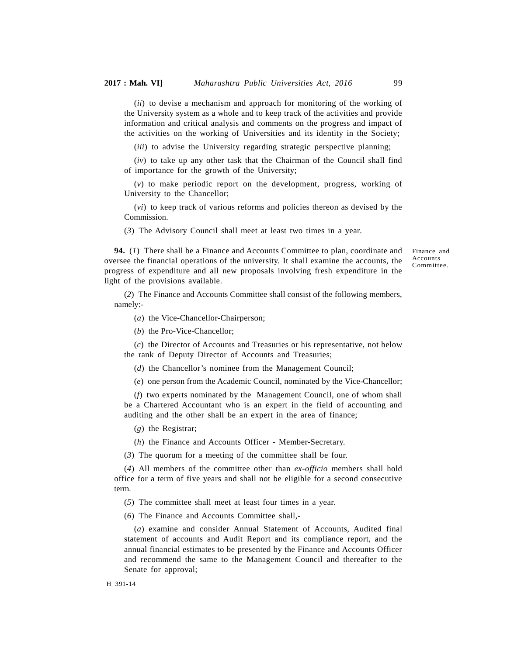(*ii*) to devise a mechanism and approach for monitoring of the working of the University system as a whole and to keep track of the activities and provide information and critical analysis and comments on the progress and impact of the activities on the working of Universities and its identity in the Society;

(*iii*) to advise the University regarding strategic perspective planning;

(*iv*) to take up any other task that the Chairman of the Council shall find of importance for the growth of the University;

(*v*) to make periodic report on the development, progress, working of University to the Chancellor;

(*vi*) to keep track of various reforms and policies thereon as devised by the Commission.

(*3*) The Advisory Council shall meet at least two times in a year.

**94.** (*1*) There shall be a Finance and Accounts Committee to plan, coordinate and oversee the financial operations of the university. It shall examine the accounts, the progress of expenditure and all new proposals involving fresh expenditure in the light of the provisions available.

Finance and Accounts Committee.

(*2*) The Finance and Accounts Committee shall consist of the following members, namely:-

(*a*) the Vice-Chancellor-Chairperson;

(*b*) the Pro-Vice-Chancellor;

(*c*) the Director of Accounts and Treasuries or his representative, not below the rank of Deputy Director of Accounts and Treasuries;

(*d*) the Chancellor's nominee from the Management Council;

(*e*) one person from the Academic Council, nominated by the Vice-Chancellor;

(*f*) two experts nominated by the Management Council, one of whom shall be a Chartered Accountant who is an expert in the field of accounting and auditing and the other shall be an expert in the area of finance;

(*g*) the Registrar;

(*h*) the Finance and Accounts Officer - Member-Secretary.

(*3*) The quorum for a meeting of the committee shall be four.

(*4*) All members of the committee other than *ex-officio* members shall hold office for a term of five years and shall not be eligible for a second consecutive term.

(*5*) The committee shall meet at least four times in a year.

(*6*) The Finance and Accounts Committee shall,-

(*a*) examine and consider Annual Statement of Accounts, Audited final statement of accounts and Audit Report and its compliance report, and the annual financial estimates to be presented by the Finance and Accounts Officer and recommend the same to the Management Council and thereafter to the Senate for approval;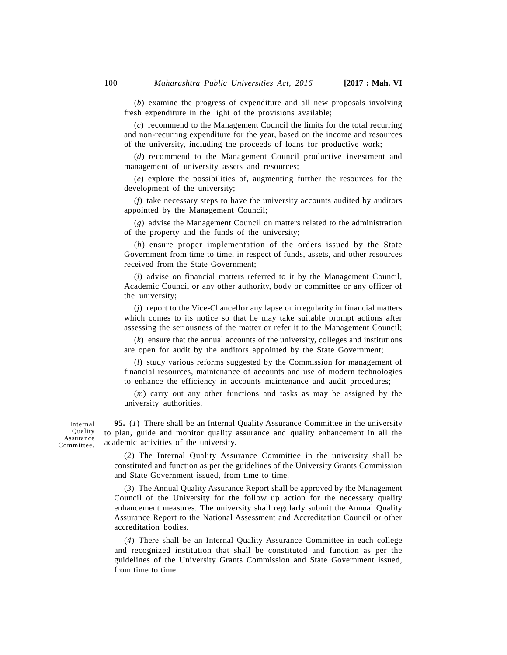(*b*) examine the progress of expenditure and all new proposals involving fresh expenditure in the light of the provisions available;

(*c*) recommend to the Management Council the limits for the total recurring and non-recurring expenditure for the year, based on the income and resources of the university, including the proceeds of loans for productive work;

(*d*) recommend to the Management Council productive investment and management of university assets and resources;

(*e*) explore the possibilities of, augmenting further the resources for the development of the university;

(*f*) take necessary steps to have the university accounts audited by auditors appointed by the Management Council;

(*g*) advise the Management Council on matters related to the administration of the property and the funds of the university;

(*h*) ensure proper implementation of the orders issued by the State Government from time to time, in respect of funds, assets, and other resources received from the State Government;

(*i*) advise on financial matters referred to it by the Management Council, Academic Council or any other authority, body or committee or any officer of the university;

(*j*) report to the Vice-Chancellor any lapse or irregularity in financial matters which comes to its notice so that he may take suitable prompt actions after assessing the seriousness of the matter or refer it to the Management Council;

(*k*) ensure that the annual accounts of the university, colleges and institutions are open for audit by the auditors appointed by the State Government;

(*l*) study various reforms suggested by the Commission for management of financial resources, maintenance of accounts and use of modern technologies to enhance the efficiency in accounts maintenance and audit procedures;

(*m*) carry out any other functions and tasks as may be assigned by the university authorities.

Internal **Quality** Assurance Committee.

**95.** (*1*) There shall be an Internal Quality Assurance Committee in the university to plan, guide and monitor quality assurance and quality enhancement in all the academic activities of the university.

(*2*) The Internal Quality Assurance Committee in the university shall be constituted and function as per the guidelines of the University Grants Commission and State Government issued, from time to time.

(*3*) The Annual Quality Assurance Report shall be approved by the Management Council of the University for the follow up action for the necessary quality enhancement measures. The university shall regularly submit the Annual Quality Assurance Report to the National Assessment and Accreditation Council or other accreditation bodies.

(*4*) There shall be an Internal Quality Assurance Committee in each college and recognized institution that shall be constituted and function as per the guidelines of the University Grants Commission and State Government issued, from time to time.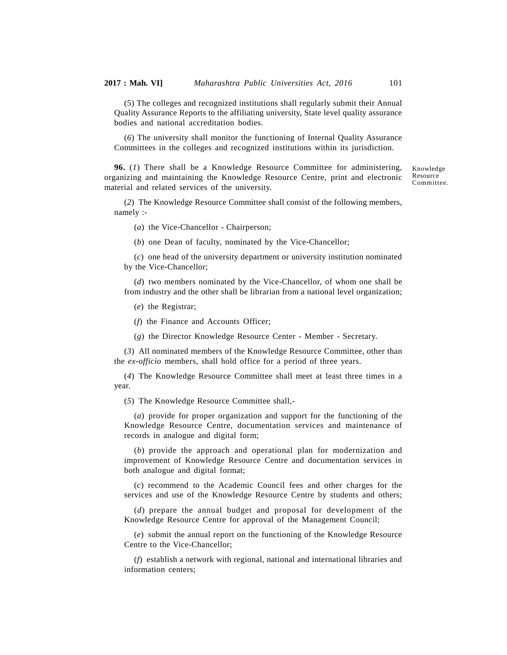(5) The colleges and recognized institutions shall regularly submit their Annual Quality Assurance Reports to the affiliating university, State level quality assurance bodies and national accreditation bodies.

(*6*) The university shall monitor the functioning of Internal Quality Assurance Committees in the colleges and recognized institutions within its jurisdiction.

**96.** (*1*) There shall be a Knowledge Resource Committee for administering, organizing and maintaining the Knowledge Resource Centre, print and electronic material and related services of the university.

Knowledge Resource Committee.

(*2*) The Knowledge Resource Committee shall consist of the following members, namely :-

(*a*) the Vice-Chancellor - Chairperson;

(*b*) one Dean of faculty, nominated by the Vice-Chancellor;

(*c*) one head of the university department or university institution nominated by the Vice-Chancellor;

(*d*) two members nominated by the Vice-Chancellor, of whom one shall be from industry and the other shall be librarian from a national level organization;

(*e*) the Registrar;

(*f*) the Finance and Accounts Officer;

(*g*) the Director Knowledge Resource Center - Member - Secretary.

(*3*) All nominated members of the Knowledge Resource Committee, other than the *ex-officio* members, shall hold office for a period of three years.

(*4*) The Knowledge Resource Committee shall meet at least three times in a year.

(*5*) The Knowledge Resource Committee shall,-

(*a*) provide for proper organization and support for the functioning of the Knowledge Resource Centre, documentation services and maintenance of records in analogue and digital form;

(*b*) provide the approach and operational plan for modernization and improvement of Knowledge Resource Centre and documentation services in both analogue and digital format;

(*c*) recommend to the Academic Council fees and other charges for the services and use of the Knowledge Resource Centre by students and others;

(*d*) prepare the annual budget and proposal for development of the Knowledge Resource Centre for approval of the Management Council;

(*e*) submit the annual report on the functioning of the Knowledge Resource Centre to the Vice-Chancellor;

(*f*) establish a network with regional, national and international libraries and information centers;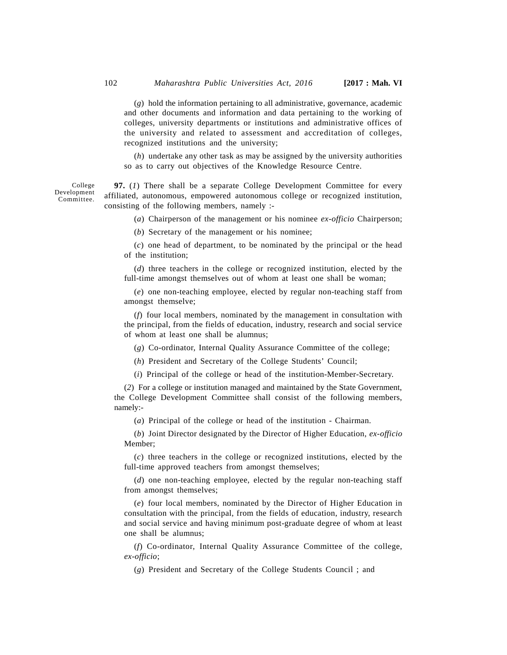(*g*) hold the information pertaining to all administrative, governance, academic and other documents and information and data pertaining to the working of colleges, university departments or institutions and administrative offices of the university and related to assessment and accreditation of colleges, recognized institutions and the university;

(*h*) undertake any other task as may be assigned by the university authorities so as to carry out objectives of the Knowledge Resource Centre.

**97.** (*1*) There shall be a separate College Development Committee for every affiliated, autonomous, empowered autonomous college or recognized institution, consisting of the following members, namely :-

(*a*) Chairperson of the management or his nominee *ex-officio* Chairperson;

(*b*) Secretary of the management or his nominee;

(*c*) one head of department, to be nominated by the principal or the head of the institution;

(*d*) three teachers in the college or recognized institution, elected by the full-time amongst themselves out of whom at least one shall be woman;

(*e*) one non-teaching employee, elected by regular non-teaching staff from amongst themselve;

(*f*) four local members, nominated by the management in consultation with the principal, from the fields of education, industry, research and social service of whom at least one shall be alumnus;

(*g*) Co-ordinator, Internal Quality Assurance Committee of the college;

(*h*) President and Secretary of the College Students' Council;

(*i*) Principal of the college or head of the institution-Member-Secretary.

(*2*) For a college or institution managed and maintained by the State Government, the College Development Committee shall consist of the following members, namely:-

(*a*) Principal of the college or head of the institution - Chairman.

(*b*) Joint Director designated by the Director of Higher Education, *ex-officio* Member;

(*c*) three teachers in the college or recognized institutions, elected by the full-time approved teachers from amongst themselves;

(*d*) one non-teaching employee, elected by the regular non-teaching staff from amongst themselves;

(*e*) four local members, nominated by the Director of Higher Education in consultation with the principal, from the fields of education, industry, research and social service and having minimum post-graduate degree of whom at least one shall be alumnus;

(*f*) Co-ordinator, Internal Quality Assurance Committee of the college, *ex-officio*;

(*g*) President and Secretary of the College Students Council ; and

College Development Committee.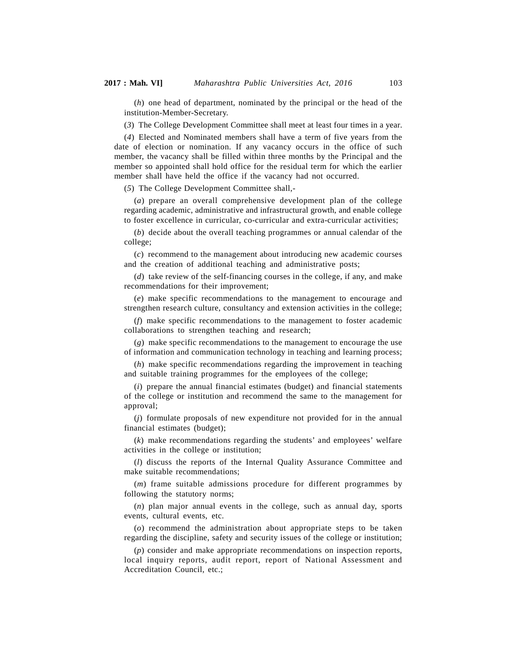(*h*) one head of department, nominated by the principal or the head of the institution-Member-Secretary.

(*3*) The College Development Committee shall meet at least four times in a year.

(*4*) Elected and Nominated members shall have a term of five years from the date of election or nomination. If any vacancy occurs in the office of such member, the vacancy shall be filled within three months by the Principal and the member so appointed shall hold office for the residual term for which the earlier member shall have held the office if the vacancy had not occurred.

(*5*) The College Development Committee shall,-

(*a*) prepare an overall comprehensive development plan of the college regarding academic, administrative and infrastructural growth, and enable college to foster excellence in curricular, co-curricular and extra-curricular activities;

(*b*) decide about the overall teaching programmes or annual calendar of the college;

(*c*) recommend to the management about introducing new academic courses and the creation of additional teaching and administrative posts;

(*d*) take review of the self-financing courses in the college, if any, and make recommendations for their improvement;

(*e*) make specific recommendations to the management to encourage and strengthen research culture, consultancy and extension activities in the college;

(*f*) make specific recommendations to the management to foster academic collaborations to strengthen teaching and research;

(*g*) make specific recommendations to the management to encourage the use of information and communication technology in teaching and learning process;

(*h*) make specific recommendations regarding the improvement in teaching and suitable training programmes for the employees of the college;

(*i*) prepare the annual financial estimates (budget) and financial statements of the college or institution and recommend the same to the management for approval;

(*j*) formulate proposals of new expenditure not provided for in the annual financial estimates (budget);

(*k*) make recommendations regarding the students' and employees' welfare activities in the college or institution;

(*l*) discuss the reports of the Internal Quality Assurance Committee and make suitable recommendations;

(*m*) frame suitable admissions procedure for different programmes by following the statutory norms;

(*n*) plan major annual events in the college, such as annual day, sports events, cultural events, etc.

(*o*) recommend the administration about appropriate steps to be taken regarding the discipline, safety and security issues of the college or institution;

(*p*) consider and make appropriate recommendations on inspection reports, local inquiry reports, audit report, report of National Assessment and Accreditation Council, etc.;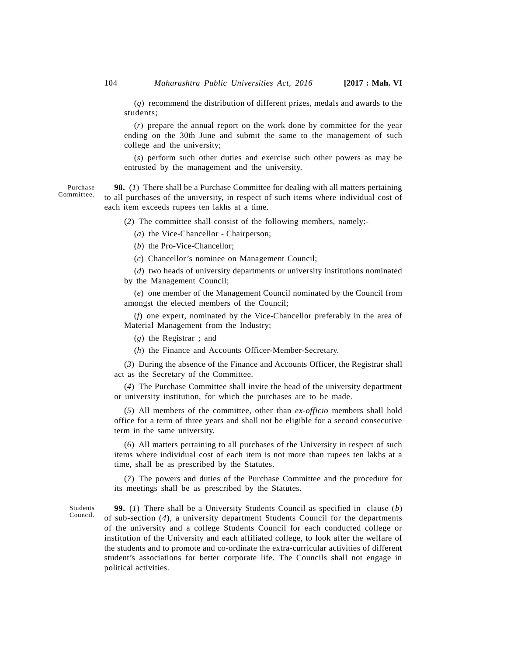(*q*) recommend the distribution of different prizes, medals and awards to the students;

(*r*) prepare the annual report on the work done by committee for the year ending on the 30th June and submit the same to the management of such college and the university;

(*s*) perform such other duties and exercise such other powers as may be entrusted by the management and the university.

**98.** (*1*) There shall be a Purchase Committee for dealing with all matters pertaining to all purchases of the university, in respect of such items where individual cost of each item exceeds rupees ten lakhs at a time.

(*2*) The committee shall consist of the following members, namely:-

(*a*) the Vice-Chancellor - Chairperson;

(*b*) the Pro-Vice-Chancellor;

(*c*) Chancellor's nominee on Management Council;

(*d*) two heads of university departments or university institutions nominated by the Management Council;

(*e*) one member of the Management Council nominated by the Council from amongst the elected members of the Council;

(*f*) one expert, nominated by the Vice-Chancellor preferably in the area of Material Management from the Industry;

(*g*) the Registrar ; and

(*h*) the Finance and Accounts Officer-Member-Secretary.

(*3*) During the absence of the Finance and Accounts Officer, the Registrar shall act as the Secretary of the Committee.

(*4*) The Purchase Committee shall invite the head of the university department or university institution, for which the purchases are to be made.

(*5*) All members of the committee, other than *ex-officio* members shall hold office for a term of three years and shall not be eligible for a second consecutive term in the same university.

(*6*) All matters pertaining to all purchases of the University in respect of such items where individual cost of each item is not more than rupees ten lakhs at a time, shall be as prescribed by the Statutes.

(*7*) The powers and duties of the Purchase Committee and the procedure for its meetings shall be as prescribed by the Statutes.

Students Council.

**99.** (*1*) There shall be a University Students Council as specified in clause (*b*) of sub-section (*4*), a university department Students Council for the departments of the university and a college Students Council for each conducted college or institution of the University and each affiliated college, to look after the welfare of the students and to promote and co-ordinate the extra-curricular activities of different student's associations for better corporate life. The Councils shall not engage in political activities.

Purchase Committee.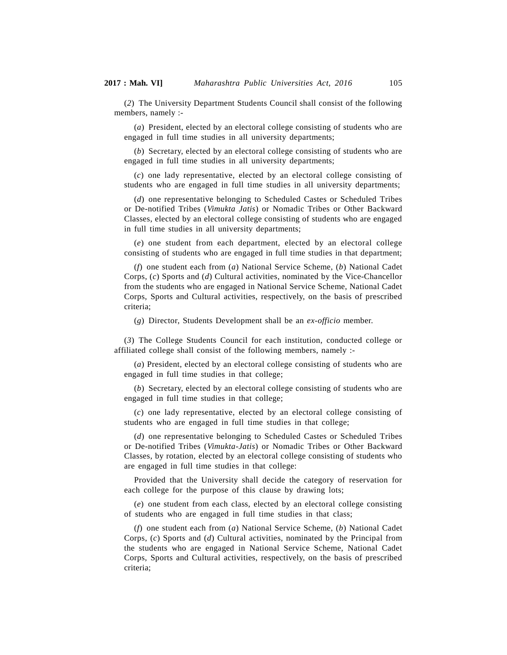(*2*) The University Department Students Council shall consist of the following members, namely :-

(*a*) President, elected by an electoral college consisting of students who are engaged in full time studies in all university departments;

(*b*) Secretary, elected by an electoral college consisting of students who are engaged in full time studies in all university departments;

(*c*) one lady representative, elected by an electoral college consisting of students who are engaged in full time studies in all university departments;

(*d*) one representative belonging to Scheduled Castes or Scheduled Tribes or De-notified Tribes (*Vimukta Jatis*) or Nomadic Tribes or Other Backward Classes, elected by an electoral college consisting of students who are engaged in full time studies in all university departments;

(*e*) one student from each department, elected by an electoral college consisting of students who are engaged in full time studies in that department;

(*f*) one student each from (*a*) National Service Scheme, (*b*) National Cadet Corps, (*c*) Sports and (*d*) Cultural activities, nominated by the Vice-Chancellor from the students who are engaged in National Service Scheme, National Cadet Corps, Sports and Cultural activities, respectively, on the basis of prescribed criteria;

(*g*) Director, Students Development shall be an *ex-officio* member.

(*3*) The College Students Council for each institution, conducted college or affiliated college shall consist of the following members, namely :-

(*a*) President, elected by an electoral college consisting of students who are engaged in full time studies in that college;

(*b*) Secretary, elected by an electoral college consisting of students who are engaged in full time studies in that college;

(*c*) one lady representative, elected by an electoral college consisting of students who are engaged in full time studies in that college;

(*d*) one representative belonging to Scheduled Castes or Scheduled Tribes or De-notified Tribes (*Vimukta-Jatis*) or Nomadic Tribes or Other Backward Classes, by rotation, elected by an electoral college consisting of students who are engaged in full time studies in that college:

Provided that the University shall decide the category of reservation for each college for the purpose of this clause by drawing lots;

(*e*) one student from each class, elected by an electoral college consisting of students who are engaged in full time studies in that class;

(*f*) one student each from (*a*) National Service Scheme, (*b*) National Cadet Corps, (*c*) Sports and (*d*) Cultural activities, nominated by the Principal from the students who are engaged in National Service Scheme, National Cadet Corps, Sports and Cultural activities, respectively, on the basis of prescribed criteria;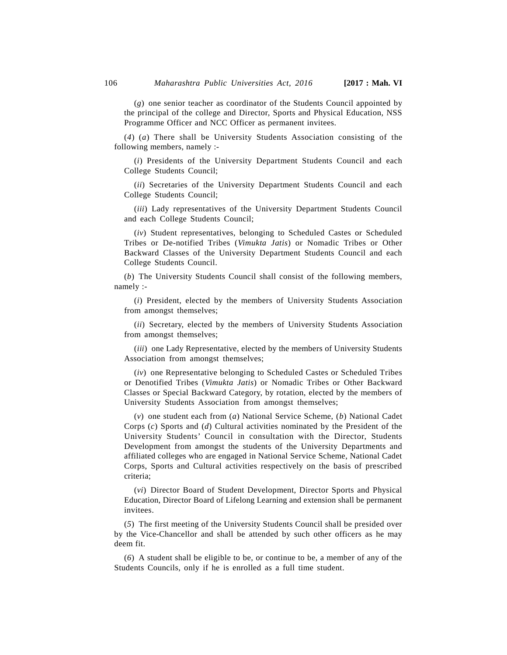(*g*) one senior teacher as coordinator of the Students Council appointed by the principal of the college and Director, Sports and Physical Education, NSS Programme Officer and NCC Officer as permanent invitees.

(*4*) (*a*) There shall be University Students Association consisting of the following members, namely :-

(*i*) Presidents of the University Department Students Council and each College Students Council;

(*ii*) Secretaries of the University Department Students Council and each College Students Council;

(*iii*) Lady representatives of the University Department Students Council and each College Students Council;

(*iv*) Student representatives, belonging to Scheduled Castes or Scheduled Tribes or De-notified Tribes (*Vimukta Jatis*) or Nomadic Tribes or Other Backward Classes of the University Department Students Council and each College Students Council.

(*b*) The University Students Council shall consist of the following members, namely :-

(*i*) President, elected by the members of University Students Association from amongst themselves;

(*ii*) Secretary, elected by the members of University Students Association from amongst themselves;

(*iii*) one Lady Representative, elected by the members of University Students Association from amongst themselves;

(*iv*) one Representative belonging to Scheduled Castes or Scheduled Tribes or Denotified Tribes (*Vimukta Jatis*) or Nomadic Tribes or Other Backward Classes or Special Backward Category, by rotation, elected by the members of University Students Association from amongst themselves;

(*v*) one student each from (*a*) National Service Scheme, (*b*) National Cadet Corps (*c*) Sports and (*d*) Cultural activities nominated by the President of the University Students' Council in consultation with the Director, Students Development from amongst the students of the University Departments and affiliated colleges who are engaged in National Service Scheme, National Cadet Corps, Sports and Cultural activities respectively on the basis of prescribed criteria;

(*vi*) Director Board of Student Development, Director Sports and Physical Education, Director Board of Lifelong Learning and extension shall be permanent invitees.

(*5*) The first meeting of the University Students Council shall be presided over by the Vice-Chancellor and shall be attended by such other officers as he may deem fit.

(*6*) A student shall be eligible to be, or continue to be, a member of any of the Students Councils, only if he is enrolled as a full time student.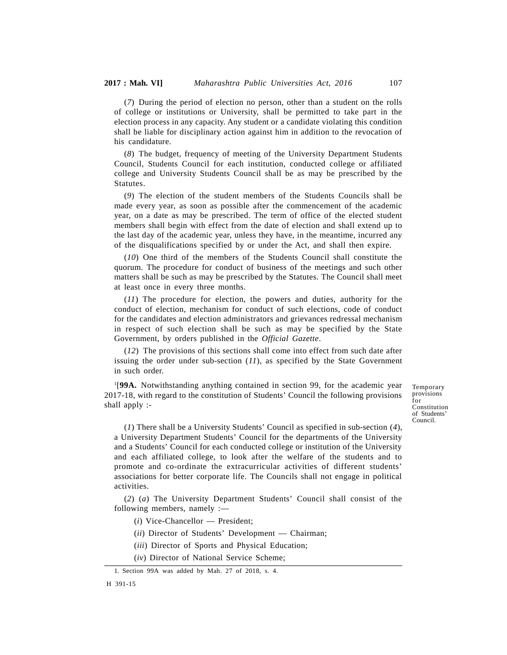(*7*) During the period of election no person, other than a student on the rolls of college or institutions or University, shall be permitted to take part in the election process in any capacity. Any student or a candidate violating this condition shall be liable for disciplinary action against him in addition to the revocation of his candidature.

(*8*) The budget, frequency of meeting of the University Department Students Council, Students Council for each institution, conducted college or affiliated college and University Students Council shall be as may be prescribed by the Statutes.

(*9*) The election of the student members of the Students Councils shall be made every year, as soon as possible after the commencement of the academic year, on a date as may be prescribed. The term of office of the elected student members shall begin with effect from the date of election and shall extend up to the last day of the academic year, unless they have, in the meantime, incurred any of the disqualifications specified by or under the Act, and shall then expire.

(*10*) One third of the members of the Students Council shall constitute the quorum. The procedure for conduct of business of the meetings and such other matters shall be such as may be prescribed by the Statutes. The Council shall meet at least once in every three months.

(*11*) The procedure for election, the powers and duties, authority for the conduct of election, mechanism for conduct of such elections, code of conduct for the candidates and election administrators and grievances redressal mechanism in respect of such election shall be such as may be specified by the State Government, by orders published in the *Official Gazette*.

(*12*) The provisions of this sections shall come into effect from such date after issuing the order under sub-section (*11*), as specified by the State Government in such order.

<sup>1</sup>[**99A.** Notwithstanding anything contained in section 99, for the academic year 2017-18, with regard to the constitution of Students' Council the following provisions shall apply :-

Temporary provisions for Constitution of Students' Council.

(*1*) There shall be a University Students' Council as specified in sub-section (*4*), a University Department Students' Council for the departments of the University and a Students' Council for each conducted college or institution of the University and each affiliated college, to look after the welfare of the students and to promote and co-ordinate the extracurricular activities of different students' associations for better corporate life. The Councils shall not engage in political activities.

(*2*) (*a*) The University Department Students' Council shall consist of the following members, namely :—

(*i*) Vice-Chancellor — President;

(*ii*) Director of Students' Development — Chairman;

- (*iii*) Director of Sports and Physical Education;
- (*iv*) Director of National Service Scheme;

<sup>1.</sup> Section 99A was added by Mah. 27 of 2018, s. 4.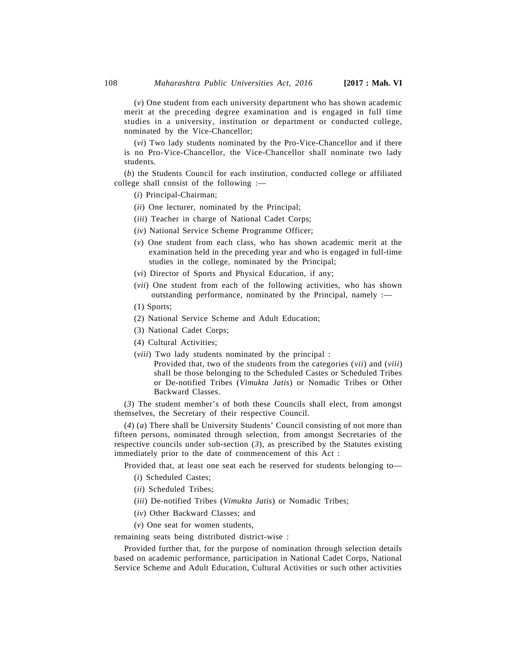(*v*) One student from each university department who has shown academic merit at the preceding degree examination and is engaged in full time studies in a university, institution or department or conducted college, nominated by the Vice-Chancellor;

(*vi*) Two lady students nominated by the Pro-Vice-Chancellor and if there is no Pro-Vice-Chancellor, the Vice-Chancellor shall nominate two lady students.

(*b*) the Students Council for each institution, conducted college or affiliated college shall consist of the following :—

- (*i*) Principal-Chairman;
- (*ii*) One lecturer, nominated by the Principal;
- (*iii*) Teacher in charge of National Cadet Corps;
- (*iv*) National Service Scheme Programme Officer;
- (*v*) One student from each class, who has shown academic merit at the examination held in the preceding year and who is engaged in full-time studies in the college, nominated by the Principal;
- (*vi*) Director of Sports and Physical Education, if any;
- (*vii*) One student from each of the following activities, who has shown outstanding performance, nominated by the Principal, namely :—
- (1) Sports;
- (2) National Service Scheme and Adult Education;
- (3) National Cadet Corps;
- (4) Cultural Activities;
- (*viii*) Two lady students nominated by the principal :
	- Provided that, two of the students from the categories (*vii*) and (*viii*) shall be those belonging to the Scheduled Castes or Scheduled Tribes or De-notified Tribes (*Vimukta Jatis*) or Nomadic Tribes or Other Backward Classes.

(*3*) The student member's of both these Councils shall elect, from amongst themselves, the Secretary of their respective Council.

(*4*) (*a*) There shall be University Students' Council consisting of not more than fifteen persons, nominated through selection, from amongst Secretaries of the respective councils under sub-section (*3*), as prescribed by the Statutes existing immediately prior to the date of commencement of this Act :

Provided that, at least one seat each be reserved for students belonging to—

- (*i*) Scheduled Castes;
- (*ii*) Scheduled Tribes;
- (*iii*) De-notified Tribes (*Vimukta Jatis*) or Nomadic Tribes;
- (*iv*) Other Backward Classes; and
- (*v*) One seat for women students,

remaining seats being distributed district-wise :

Provided further that, for the purpose of nomination through selection details based on academic performance, participation in National Cadet Corps, National Service Scheme and Adult Education, Cultural Activities or such other activities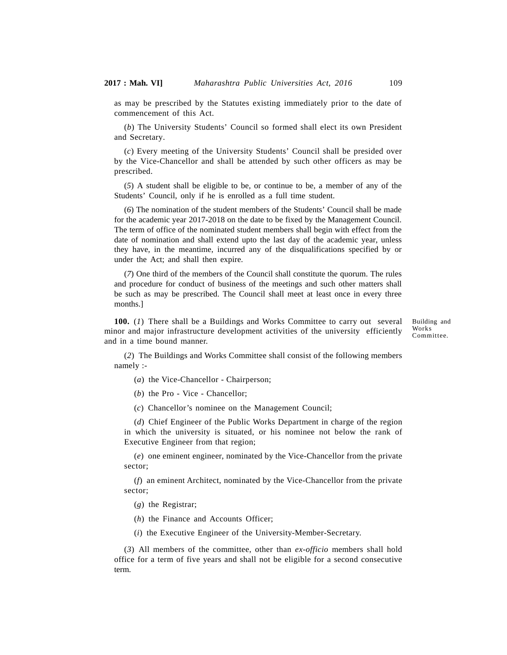as may be prescribed by the Statutes existing immediately prior to the date of commencement of this Act.

(*b*) The University Students' Council so formed shall elect its own President and Secretary.

(*c*) Every meeting of the University Students' Council shall be presided over by the Vice-Chancellor and shall be attended by such other officers as may be prescribed.

(*5*) A student shall be eligible to be, or continue to be, a member of any of the Students' Council, only if he is enrolled as a full time student.

(*6*) The nomination of the student members of the Students' Council shall be made for the academic year 2017-2018 on the date to be fixed by the Management Council. The term of office of the nominated student members shall begin with effect from the date of nomination and shall extend upto the last day of the academic year, unless they have, in the meantime, incurred any of the disqualifications specified by or under the Act; and shall then expire.

(*7*) One third of the members of the Council shall constitute the quorum. The rules and procedure for conduct of business of the meetings and such other matters shall be such as may be prescribed. The Council shall meet at least once in every three months.]

**100.** (*1*) There shall be a Buildings and Works Committee to carry out several minor and major infrastructure development activities of the university efficiently and in a time bound manner.

Building and Works Committee.

(*2*) The Buildings and Works Committee shall consist of the following members namely :-

(*a*) the Vice-Chancellor - Chairperson;

(*b*) the Pro - Vice - Chancellor;

(*c*) Chancellor's nominee on the Management Council;

(*d*) Chief Engineer of the Public Works Department in charge of the region in which the university is situated, or his nominee not below the rank of Executive Engineer from that region;

(*e*) one eminent engineer, nominated by the Vice-Chancellor from the private sector;

(*f*) an eminent Architect, nominated by the Vice-Chancellor from the private sector;

(*g*) the Registrar;

(*h*) the Finance and Accounts Officer;

(*i*) the Executive Engineer of the University-Member-Secretary.

(*3*) All members of the committee, other than *ex-officio* members shall hold office for a term of five years and shall not be eligible for a second consecutive term.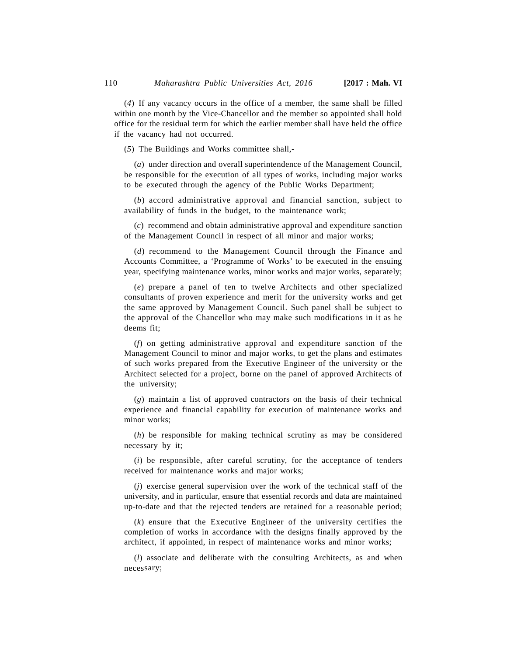(*4*) If any vacancy occurs in the office of a member, the same shall be filled within one month by the Vice-Chancellor and the member so appointed shall hold office for the residual term for which the earlier member shall have held the office if the vacancy had not occurred.

(*5*) The Buildings and Works committee shall,-

(*a*) under direction and overall superintendence of the Management Council, be responsible for the execution of all types of works, including major works to be executed through the agency of the Public Works Department;

(*b*) accord administrative approval and financial sanction, subject to availability of funds in the budget, to the maintenance work;

(*c*) recommend and obtain administrative approval and expenditure sanction of the Management Council in respect of all minor and major works;

(*d*) recommend to the Management Council through the Finance and Accounts Committee, a 'Programme of Works' to be executed in the ensuing year, specifying maintenance works, minor works and major works, separately;

(*e*) prepare a panel of ten to twelve Architects and other specialized consultants of proven experience and merit for the university works and get the same approved by Management Council. Such panel shall be subject to the approval of the Chancellor who may make such modifications in it as he deems fit;

(*f*) on getting administrative approval and expenditure sanction of the Management Council to minor and major works, to get the plans and estimates of such works prepared from the Executive Engineer of the university or the Architect selected for a project, borne on the panel of approved Architects of the university;

(*g*) maintain a list of approved contractors on the basis of their technical experience and financial capability for execution of maintenance works and minor works;

(*h*) be responsible for making technical scrutiny as may be considered necessary by it;

(*i*) be responsible, after careful scrutiny, for the acceptance of tenders received for maintenance works and major works;

(*j*) exercise general supervision over the work of the technical staff of the university, and in particular, ensure that essential records and data are maintained up-to-date and that the rejected tenders are retained for a reasonable period;

(*k*) ensure that the Executive Engineer of the university certifies the completion of works in accordance with the designs finally approved by the architect, if appointed, in respect of maintenance works and minor works;

(*l*) associate and deliberate with the consulting Architects, as and when necessary;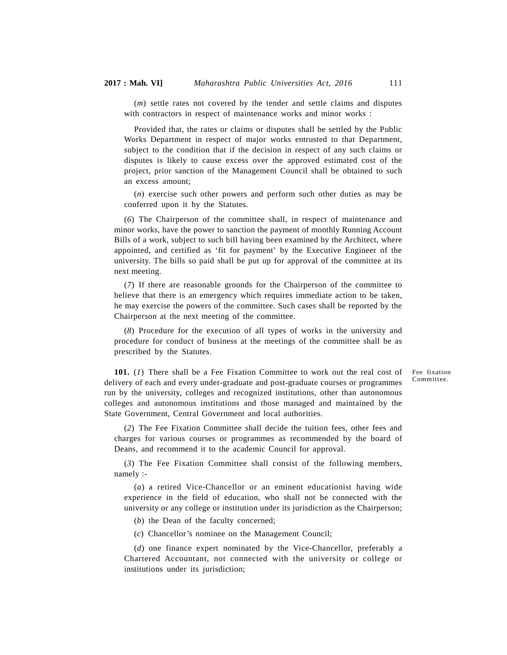(*m*) settle rates not covered by the tender and settle claims and disputes with contractors in respect of maintenance works and minor works :

Provided that, the rates or claims or disputes shall be settled by the Public Works Department in respect of major works entrusted to that Department, subject to the condition that if the decision in respect of any such claims or disputes is likely to cause excess over the approved estimated cost of the project, prior sanction of the Management Council shall be obtained to such an excess amount;

(*n*) exercise such other powers and perform such other duties as may be conferred upon it by the Statutes.

(*6*) The Chairperson of the committee shall, in respect of maintenance and minor works, have the power to sanction the payment of monthly Running Account Bills of a work, subject to such bill having been examined by the Architect, where appointed, and certified as 'fit for payment' by the Executive Engineer of the university. The bills so paid shall be put up for approval of the committee at its next meeting.

(*7*) If there are reasonable grounds for the Chairperson of the committee to believe that there is an emergency which requires immediate action to be taken, he may exercise the powers of the committee. Such cases shall be reported by the Chairperson at the next meeting of the committee.

(*8*) Procedure for the execution of all types of works in the university and procedure for conduct of business at the meetings of the committee shall be as prescribed by the Statutes.

**101.** (*1*) There shall be a Fee Fixation Committee to work out the real cost of delivery of each and every under-graduate and post-graduate courses or programmes run by the university, colleges and recognized institutions, other than autonomous colleges and autonomous institutions and those managed and maintained by the State Government, Central Government and local authorities.

(*2*) The Fee Fixation Committee shall decide the tuition fees, other fees and charges for various courses or programmes as recommended by the board of Deans, and recommend it to the academic Council for approval.

(*3*) The Fee Fixation Committee shall consist of the following members, namely :-

(*a*) a retired Vice-Chancellor or an eminent educationist having wide experience in the field of education, who shall not be connected with the university or any college or institution under its jurisdiction as the Chairperson;

(*b*) the Dean of the faculty concerned;

(*c*) Chancellor's nominee on the Management Council;

(*d*) one finance expert nominated by the Vice-Chancellor, preferably a Chartered Accountant, not connected with the university or college or institutions under its jurisdiction;

Fee fixation Committee.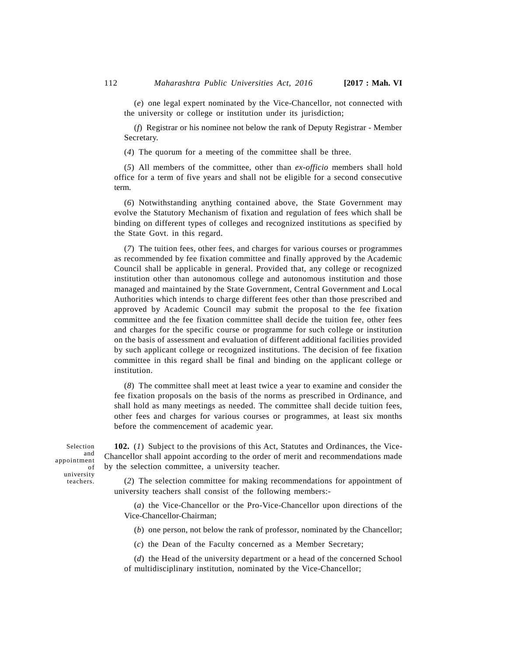(*e*) one legal expert nominated by the Vice-Chancellor, not connected with the university or college or institution under its jurisdiction;

(*f*) Registrar or his nominee not below the rank of Deputy Registrar - Member Secretary.

(*4*) The quorum for a meeting of the committee shall be three.

(*5*) All members of the committee, other than *ex-officio* members shall hold office for a term of five years and shall not be eligible for a second consecutive term.

(*6*) Notwithstanding anything contained above, the State Government may evolve the Statutory Mechanism of fixation and regulation of fees which shall be binding on different types of colleges and recognized institutions as specified by the State Govt. in this regard.

(*7*) The tuition fees, other fees, and charges for various courses or programmes as recommended by fee fixation committee and finally approved by the Academic Council shall be applicable in general. Provided that, any college or recognized institution other than autonomous college and autonomous institution and those managed and maintained by the State Government, Central Government and Local Authorities which intends to charge different fees other than those prescribed and approved by Academic Council may submit the proposal to the fee fixation committee and the fee fixation committee shall decide the tuition fee, other fees and charges for the specific course or programme for such college or institution on the basis of assessment and evaluation of different additional facilities provided by such applicant college or recognized institutions. The decision of fee fixation committee in this regard shall be final and binding on the applicant college or institution.

(*8*) The committee shall meet at least twice a year to examine and consider the fee fixation proposals on the basis of the norms as prescribed in Ordinance, and shall hold as many meetings as needed. The committee shall decide tuition fees, other fees and charges for various courses or programmes, at least six months before the commencement of academic year.

Selection appointment university teachers.

**102.** (*1*) Subject to the provisions of this Act, Statutes and Ordinances, the Viceand Chancellor shall appoint according to the order of merit and recommendations made by the selection committee, a university teacher. of

(*2*) The selection committee for making recommendations for appointment of university teachers shall consist of the following members:-

(*a*) the Vice-Chancellor or the Pro-Vice-Chancellor upon directions of the Vice-Chancellor-Chairman;

(*b*) one person, not below the rank of professor, nominated by the Chancellor;

(*c*) the Dean of the Faculty concerned as a Member Secretary;

(*d*) the Head of the university department or a head of the concerned School of multidisciplinary institution, nominated by the Vice-Chancellor;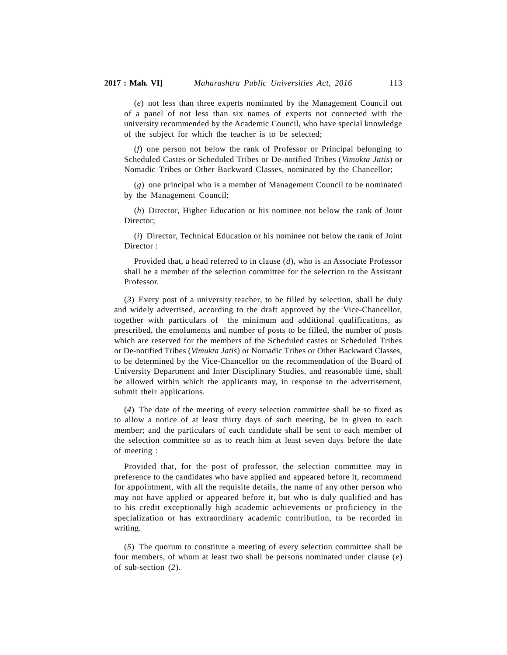(*e*) not less than three experts nominated by the Management Council out of a panel of not less than six names of experts not connected with the university recommended by the Academic Council, who have special knowledge of the subject for which the teacher is to be selected;

(*f*) one person not below the rank of Professor or Principal belonging to Scheduled Castes or Scheduled Tribes or De-notified Tribes (*Vimukta Jatis*) or Nomadic Tribes or Other Backward Classes, nominated by the Chancellor;

(*g*) one principal who is a member of Management Council to be nominated by the Management Council;

(*h*) Director, Higher Education or his nominee not below the rank of Joint Director;

(*i*) Director, Technical Education or his nominee not below the rank of Joint Director :

Provided that, a head referred to in clause (*d*), who is an Associate Professor shall be a member of the selection committee for the selection to the Assistant Professor.

(*3*) Every post of a university teacher, to be filled by selection, shall be duly and widely advertised, according to the draft approved by the Vice-Chancellor, together with particulars of the minimum and additional qualifications, as prescribed, the emoluments and number of posts to be filled, the number of posts which are reserved for the members of the Scheduled castes or Scheduled Tribes or De-notified Tribes (*Vimukta Jatis*) or Nomadic Tribes or Other Backward Classes, to be determined by the Vice-Chancellor on the recommendation of the Board of University Department and Inter Disciplinary Studies, and reasonable time, shall be allowed within which the applicants may, in response to the advertisement, submit their applications.

(*4*) The date of the meeting of every selection committee shall be so fixed as to allow a notice of at least thirty days of such meeting, be in given to each member; and the particulars of each candidate shall be sent to each member of the selection committee so as to reach him at least seven days before the date of meeting :

Provided that, for the post of professor, the selection committee may in preference to the candidates who have applied and appeared before it, recommend for appointment, with all the requisite details, the name of any other person who may not have applied or appeared before it, but who is duly qualified and has to his credit exceptionally high academic achievements or proficiency in the specialization or has extraordinary academic contribution, to be recorded in writing.

(*5*) The quorum to constitute a meeting of every selection committee shall be four members, of whom at least two shall be persons nominated under clause (*e*) of sub-section (*2*).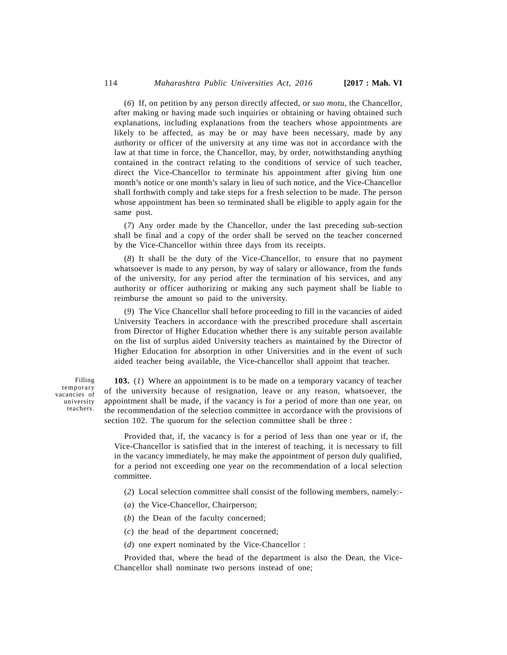(*6*) If, on petition by any person directly affected, or *suo motu*, the Chancellor, after making or having made such inquiries or obtaining or having obtained such explanations, including explanations from the teachers whose appointments are likely to be affected, as may be or may have been necessary, made by any authority or officer of the university at any time was not in accordance with the law at that time in force, the Chancellor, may, by order, notwithstanding anything contained in the contract relating to the conditions of service of such teacher, direct the Vice-Chancellor to terminate his appointment after giving him one month's notice or one month's salary in lieu of such notice, and the Vice-Chancellor shall forthwith comply and take steps for a fresh selection to be made. The person whose appointment has been so terminated shall be eligible to apply again for the same post.

(*7*) Any order made by the Chancellor, under the last preceding sub-section shall be final and a copy of the order shall be served on the teacher concerned by the Vice-Chancellor within three days from its receipts.

(*8*) It shall be the duty of the Vice-Chancellor, to ensure that no payment whatsoever is made to any person, by way of salary or allowance, from the funds of the university, for any period after the termination of his services, and any authority or officer authorizing or making any such payment shall be liable to reimburse the amount so paid to the university.

(*9*) The Vice Chancellor shall before proceeding to fill in the vacancies of aided University Teachers in accordance with the prescribed procedure shall ascertain from Director of Higher Education whether there is any suitable person available on the list of surplus aided University teachers as maintained by the Director of Higher Education for absorption in other Universities and in the event of such aided teacher being available, the Vice-chancellor shall appoint that teacher.

Filling temporary vacancies of university teachers.

**103.** (*1*) Where an appointment is to be made on a temporary vacancy of teacher of the university because of resignation, leave or any reason, whatsoever, the appointment shall be made, if the vacancy is for a period of more than one year, on the recommendation of the selection committee in accordance with the provisions of section 102. The quorum for the selection committee shall be three :

Provided that, if, the vacancy is for a period of less than one year or if, the Vice-Chancellor is satisfied that in the interest of teaching, it is necessary to fill in the vacancy immediately, he may make the appointment of person duly qualified, for a period not exceeding one year on the recommendation of a local selection committee.

- (*2*) Local selection committee shall consist of the following members, namely:-
- (*a*) the Vice-Chancellor, Chairperson;
- (*b*) the Dean of the faculty concerned;
- (*c*) the head of the department concerned;
- (*d*) one expert nominated by the Vice-Chancellor :

Provided that, where the head of the department is also the Dean, the Vice-Chancellor shall nominate two persons instead of one;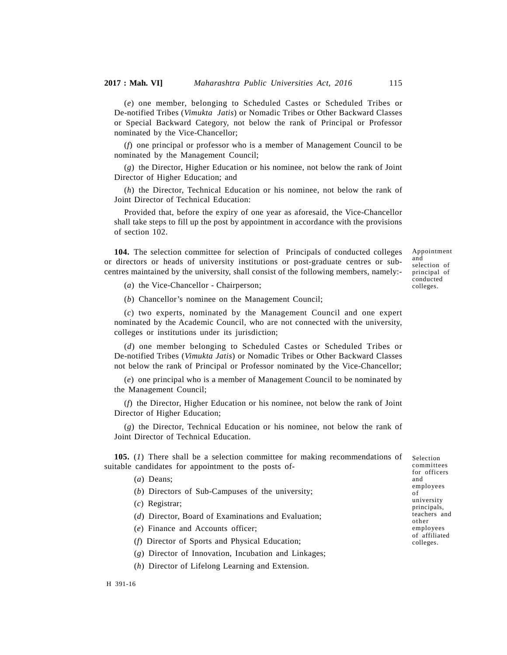(*e*) one member, belonging to Scheduled Castes or Scheduled Tribes or De-notified Tribes (*Vimukta Jatis*) or Nomadic Tribes or Other Backward Classes or Special Backward Category, not below the rank of Principal or Professor nominated by the Vice-Chancellor;

(*f*) one principal or professor who is a member of Management Council to be nominated by the Management Council;

(*g*) the Director, Higher Education or his nominee, not below the rank of Joint Director of Higher Education; and

(*h*) the Director, Technical Education or his nominee, not below the rank of Joint Director of Technical Education:

Provided that, before the expiry of one year as aforesaid, the Vice-Chancellor shall take steps to fill up the post by appointment in accordance with the provisions of section 102.

**104.** The selection committee for selection of Principals of conducted colleges or directors or heads of university institutions or post-graduate centres or subcentres maintained by the university, shall consist of the following members, namely:- Appointment and selection of principal of conducted colleges.

(*a*) the Vice-Chancellor - Chairperson;

(*b*) Chancellor's nominee on the Management Council;

(*c*) two experts, nominated by the Management Council and one expert nominated by the Academic Council, who are not connected with the university, colleges or institutions under its jurisdiction;

(*d*) one member belonging to Scheduled Castes or Scheduled Tribes or De-notified Tribes (*Vimukta Jatis*) or Nomadic Tribes or Other Backward Classes not below the rank of Principal or Professor nominated by the Vice-Chancellor;

(*e*) one principal who is a member of Management Council to be nominated by the Management Council;

(*f*) the Director, Higher Education or his nominee, not below the rank of Joint Director of Higher Education;

(*g*) the Director, Technical Education or his nominee, not below the rank of Joint Director of Technical Education.

**105.** (*1*) There shall be a selection committee for making recommendations of suitable candidates for appointment to the posts of-

- (*a*) Deans;
- (*b*) Directors of Sub-Campuses of the university;
- (*c*) Registrar;
- (*d*) Director, Board of Examinations and Evaluation;
- (*e*) Finance and Accounts officer;
- (*f*) Director of Sports and Physical Education;
- (*g*) Director of Innovation, Incubation and Linkages;
- (*h*) Director of Lifelong Learning and Extension.

Selection committees for officers and employees of university principals, teachers and other employees of affiliated colleges.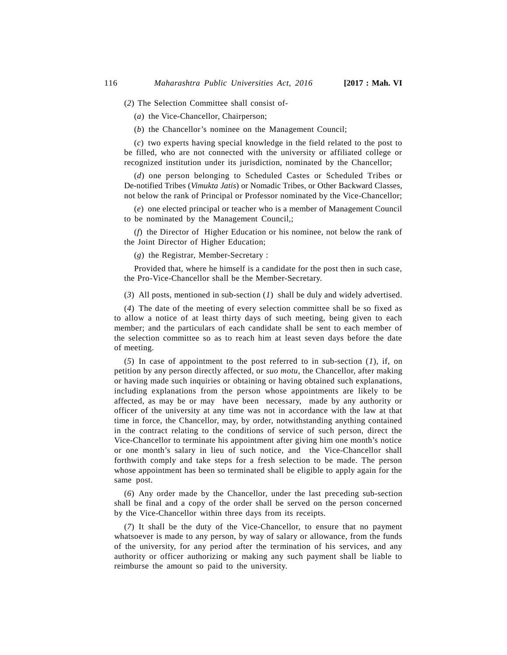(*2*) The Selection Committee shall consist of-

(*a*) the Vice-Chancellor, Chairperson;

(*b*) the Chancellor's nominee on the Management Council;

(*c*) two experts having special knowledge in the field related to the post to be filled, who are not connected with the university or affiliated college or recognized institution under its jurisdiction, nominated by the Chancellor;

(*d*) one person belonging to Scheduled Castes or Scheduled Tribes or De-notified Tribes (*Vimukta Jatis*) or Nomadic Tribes, or Other Backward Classes, not below the rank of Principal or Professor nominated by the Vice-Chancellor;

(*e*) one elected principal or teacher who is a member of Management Council to be nominated by the Management Council,;

(*f*) the Director of Higher Education or his nominee, not below the rank of the Joint Director of Higher Education;

(*g*) the Registrar, Member-Secretary :

Provided that, where he himself is a candidate for the post then in such case, the Pro-Vice-Chancellor shall be the Member-Secretary.

(*3*) All posts, mentioned in sub-section (*1*) shall be duly and widely advertised.

(*4*) The date of the meeting of every selection committee shall be so fixed as to allow a notice of at least thirty days of such meeting, being given to each member; and the particulars of each candidate shall be sent to each member of the selection committee so as to reach him at least seven days before the date of meeting.

(*5*) In case of appointment to the post referred to in sub-section (*1*), if, on petition by any person directly affected, or *suo motu*, the Chancellor, after making or having made such inquiries or obtaining or having obtained such explanations, including explanations from the person whose appointments are likely to be affected, as may be or may have been necessary, made by any authority or officer of the university at any time was not in accordance with the law at that time in force, the Chancellor, may, by order, notwithstanding anything contained in the contract relating to the conditions of service of such person, direct the Vice-Chancellor to terminate his appointment after giving him one month's notice or one month's salary in lieu of such notice, and the Vice-Chancellor shall forthwith comply and take steps for a fresh selection to be made. The person whose appointment has been so terminated shall be eligible to apply again for the same post.

(*6*) Any order made by the Chancellor, under the last preceding sub-section shall be final and a copy of the order shall be served on the person concerned by the Vice-Chancellor within three days from its receipts.

(*7*) It shall be the duty of the Vice-Chancellor, to ensure that no payment whatsoever is made to any person, by way of salary or allowance, from the funds of the university, for any period after the termination of his services, and any authority or officer authorizing or making any such payment shall be liable to reimburse the amount so paid to the university.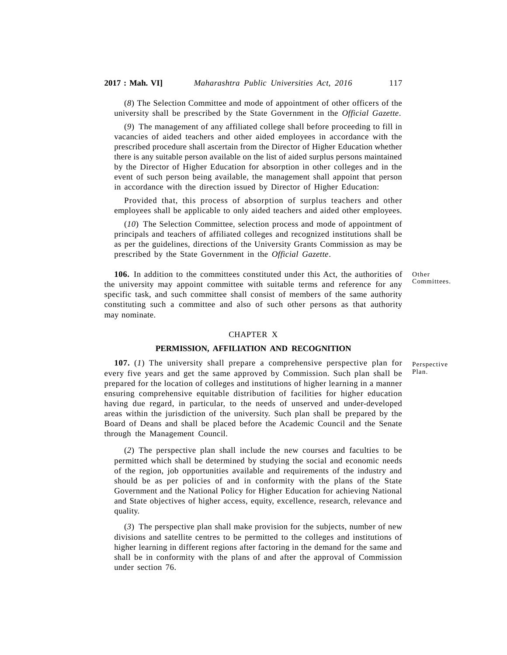(*8*) The Selection Committee and mode of appointment of other officers of the university shall be prescribed by the State Government in the *Official Gazette*.

(*9*) The management of any affiliated college shall before proceeding to fill in vacancies of aided teachers and other aided employees in accordance with the prescribed procedure shall ascertain from the Director of Higher Education whether there is any suitable person available on the list of aided surplus persons maintained by the Director of Higher Education for absorption in other colleges and in the event of such person being available, the management shall appoint that person in accordance with the direction issued by Director of Higher Education:

Provided that, this process of absorption of surplus teachers and other employees shall be applicable to only aided teachers and aided other employees.

(*10*) The Selection Committee, selection process and mode of appointment of principals and teachers of affiliated colleges and recognized institutions shall be as per the guidelines, directions of the University Grants Commission as may be prescribed by the State Government in the *Official Gazette*.

**106.** In addition to the committees constituted under this Act, the authorities of the university may appoint committee with suitable terms and reference for any specific task, and such committee shall consist of members of the same authority constituting such a committee and also of such other persons as that authority may nominate.

Other Committees.

#### CHAPTER X

#### **PERMISSION, AFFILIATION AND RECOGNITION**

**107.** (*1*) The university shall prepare a comprehensive perspective plan for every five years and get the same approved by Commission. Such plan shall be prepared for the location of colleges and institutions of higher learning in a manner ensuring comprehensive equitable distribution of facilities for higher education having due regard, in particular, to the needs of unserved and under-developed areas within the jurisdiction of the university. Such plan shall be prepared by the Board of Deans and shall be placed before the Academic Council and the Senate through the Management Council.

(*2*) The perspective plan shall include the new courses and faculties to be permitted which shall be determined by studying the social and economic needs of the region, job opportunities available and requirements of the industry and should be as per policies of and in conformity with the plans of the State Government and the National Policy for Higher Education for achieving National and State objectives of higher access, equity, excellence, research, relevance and quality.

(*3*) The perspective plan shall make provision for the subjects, number of new divisions and satellite centres to be permitted to the colleges and institutions of higher learning in different regions after factoring in the demand for the same and shall be in conformity with the plans of and after the approval of Commission under section 76.

Perspective Plan.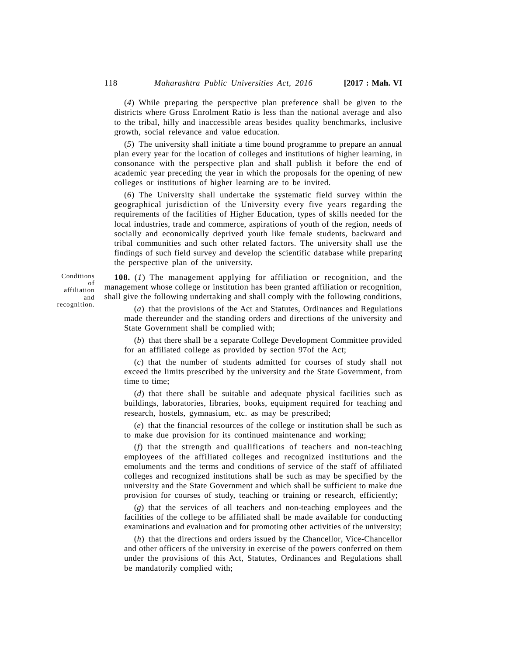(*4*) While preparing the perspective plan preference shall be given to the districts where Gross Enrolment Ratio is less than the national average and also to the tribal, hilly and inaccessible areas besides quality benchmarks, inclusive growth, social relevance and value education.

(*5*) The university shall initiate a time bound programme to prepare an annual plan every year for the location of colleges and institutions of higher learning, in consonance with the perspective plan and shall publish it before the end of academic year preceding the year in which the proposals for the opening of new colleges or institutions of higher learning are to be invited.

(*6*) The University shall undertake the systematic field survey within the geographical jurisdiction of the University every five years regarding the requirements of the facilities of Higher Education, types of skills needed for the local industries, trade and commerce, aspirations of youth of the region, needs of socially and economically deprived youth like female students, backward and tribal communities and such other related factors. The university shall use the findings of such field survey and develop the scientific database while preparing the perspective plan of the university.

**108.** (*1*) The management applying for affiliation or recognition, and the of management whose college or institution has been granted affiliation or recognition, shall give the following undertaking and shall comply with the following conditions, and

> (*a*) that the provisions of the Act and Statutes, Ordinances and Regulations made thereunder and the standing orders and directions of the university and State Government shall be complied with;

> (*b*) that there shall be a separate College Development Committee provided for an affiliated college as provided by section 97of the Act;

> (*c*) that the number of students admitted for courses of study shall not exceed the limits prescribed by the university and the State Government, from time to time;

> (*d*) that there shall be suitable and adequate physical facilities such as buildings, laboratories, libraries, books, equipment required for teaching and research, hostels, gymnasium, etc. as may be prescribed;

> (*e*) that the financial resources of the college or institution shall be such as to make due provision for its continued maintenance and working;

> (*f*) that the strength and qualifications of teachers and non-teaching employees of the affiliated colleges and recognized institutions and the emoluments and the terms and conditions of service of the staff of affiliated colleges and recognized institutions shall be such as may be specified by the university and the State Government and which shall be sufficient to make due provision for courses of study, teaching or training or research, efficiently;

> (*g*) that the services of all teachers and non-teaching employees and the facilities of the college to be affiliated shall be made available for conducting examinations and evaluation and for promoting other activities of the university;

> (*h*) that the directions and orders issued by the Chancellor, Vice-Chancellor and other officers of the university in exercise of the powers conferred on them under the provisions of this Act, Statutes, Ordinances and Regulations shall be mandatorily complied with;

Conditions affiliation recognition.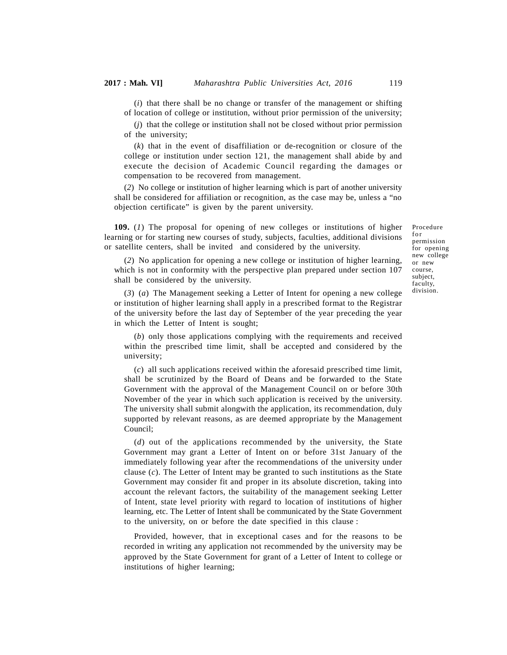(*i*) that there shall be no change or transfer of the management or shifting of location of college or institution, without prior permission of the university;

(*j*) that the college or institution shall not be closed without prior permission of the university;

(*k*) that in the event of disaffiliation or de-recognition or closure of the college or institution under section 121, the management shall abide by and execute the decision of Academic Council regarding the damages or compensation to be recovered from management.

(*2*) No college or institution of higher learning which is part of another university shall be considered for affiliation or recognition, as the case may be, unless a "no objection certificate" is given by the parent university.

**109.** (*1*) The proposal for opening of new colleges or institutions of higher learning or for starting new courses of study, subjects, faculties, additional divisions or satellite centers, shall be invited and considered by the university.

Procedure Procedure<br>for<br>permission<br>for opening for opening new college or new course, subject, faculty, division.

(*2*) No application for opening a new college or institution of higher learning, which is not in conformity with the perspective plan prepared under section 107 shall be considered by the university.

(*3*) (*a*) The Management seeking a Letter of Intent for opening a new college or institution of higher learning shall apply in a prescribed format to the Registrar of the university before the last day of September of the year preceding the year in which the Letter of Intent is sought;

(*b*) only those applications complying with the requirements and received within the prescribed time limit, shall be accepted and considered by the university;

(*c*) all such applications received within the aforesaid prescribed time limit, shall be scrutinized by the Board of Deans and be forwarded to the State Government with the approval of the Management Council on or before 30th November of the year in which such application is received by the university. The university shall submit alongwith the application, its recommendation, duly supported by relevant reasons, as are deemed appropriate by the Management Council;

(*d*) out of the applications recommended by the university, the State Government may grant a Letter of Intent on or before 31st January of the immediately following year after the recommendations of the university under clause (*c*). The Letter of Intent may be granted to such institutions as the State Government may consider fit and proper in its absolute discretion, taking into account the relevant factors, the suitability of the management seeking Letter of Intent, state level priority with regard to location of institutions of higher learning, etc. The Letter of Intent shall be communicated by the State Government to the university, on or before the date specified in this clause :

Provided, however, that in exceptional cases and for the reasons to be recorded in writing any application not recommended by the university may be approved by the State Government for grant of a Letter of Intent to college or institutions of higher learning;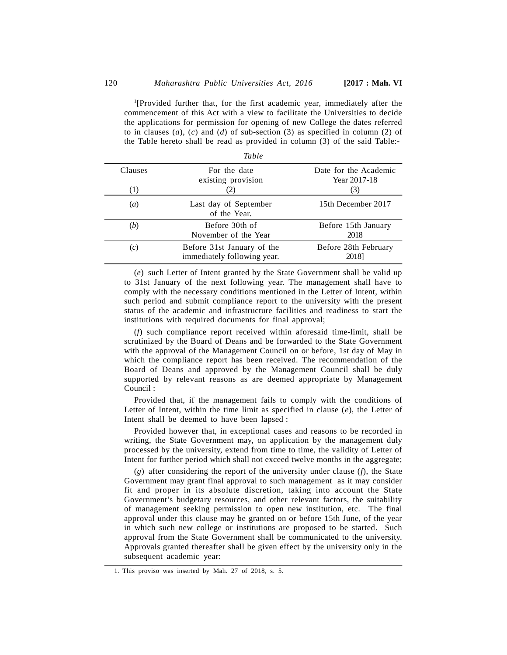<sup>1</sup>[Provided further that, for the first academic year, immediately after the commencement of this Act with a view to facilitate the Universities to decide the applications for permission for opening of new College the dates referred to in clauses (*a*), (*c*) and (*d*) of sub-section (3) as specified in column (2) of the Table hereto shall be read as provided in column (3) of the said Table:-

|                  | Table                                                     |                                       |
|------------------|-----------------------------------------------------------|---------------------------------------|
| Clauses          | For the date<br>existing provision                        | Date for the Academic<br>Year 2017-18 |
| $\left(1\right)$ |                                                           | (3)                                   |
| $\left(a\right)$ | Last day of September<br>of the Year.                     | 15th December 2017                    |
| (b)              | Before 30th of<br>November of the Year                    | Before 15th January<br>2018           |
| (c)              | Before 31st January of the<br>immediately following year. | Before 28th February<br>2018]         |

(*e*) such Letter of Intent granted by the State Government shall be valid up to 31st January of the next following year. The management shall have to comply with the necessary conditions mentioned in the Letter of Intent, within such period and submit compliance report to the university with the present status of the academic and infrastructure facilities and readiness to start the institutions with required documents for final approval;

(*f*) such compliance report received within aforesaid time-limit, shall be scrutinized by the Board of Deans and be forwarded to the State Government with the approval of the Management Council on or before, 1st day of May in which the compliance report has been received. The recommendation of the Board of Deans and approved by the Management Council shall be duly supported by relevant reasons as are deemed appropriate by Management Council :

Provided that, if the management fails to comply with the conditions of Letter of Intent, within the time limit as specified in clause (*e*), the Letter of Intent shall be deemed to have been lapsed :

Provided however that, in exceptional cases and reasons to be recorded in writing, the State Government may, on application by the management duly processed by the university, extend from time to time, the validity of Letter of Intent for further period which shall not exceed twelve months in the aggregate;

(*g*) after considering the report of the university under clause (*f*), the State Government may grant final approval to such management as it may consider fit and proper in its absolute discretion, taking into account the State Government's budgetary resources, and other relevant factors, the suitability of management seeking permission to open new institution, etc. The final approval under this clause may be granted on or before 15th June, of the year in which such new college or institutions are proposed to be started. Such approval from the State Government shall be communicated to the university. Approvals granted thereafter shall be given effect by the university only in the subsequent academic year:

<sup>1.</sup> This proviso was inserted by Mah. 27 of 2018, s. 5.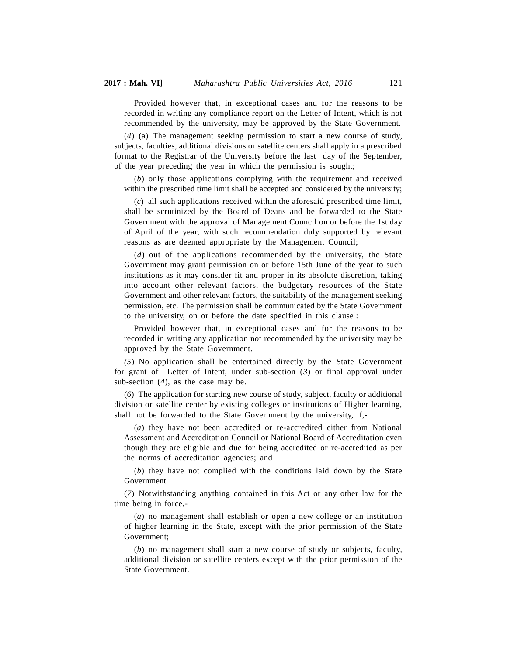Provided however that, in exceptional cases and for the reasons to be recorded in writing any compliance report on the Letter of Intent, which is not recommended by the university, may be approved by the State Government.

(*4*) (a) The management seeking permission to start a new course of study, subjects, faculties, additional divisions or satellite centers shall apply in a prescribed format to the Registrar of the University before the last day of the September, of the year preceding the year in which the permission is sought;

(*b*) only those applications complying with the requirement and received within the prescribed time limit shall be accepted and considered by the university;

(*c*) all such applications received within the aforesaid prescribed time limit, shall be scrutinized by the Board of Deans and be forwarded to the State Government with the approval of Management Council on or before the 1st day of April of the year, with such recommendation duly supported by relevant reasons as are deemed appropriate by the Management Council;

(*d*) out of the applications recommended by the university, the State Government may grant permission on or before 15th June of the year to such institutions as it may consider fit and proper in its absolute discretion, taking into account other relevant factors, the budgetary resources of the State Government and other relevant factors, the suitability of the management seeking permission, etc. The permission shall be communicated by the State Government to the university, on or before the date specified in this clause :

Provided however that, in exceptional cases and for the reasons to be recorded in writing any application not recommended by the university may be approved by the State Government.

*(5*) No application shall be entertained directly by the State Government for grant of Letter of Intent, under sub-section (*3*) or final approval under sub-section (*4*), as the case may be.

(*6*) The application for starting new course of study, subject, faculty or additional division or satellite center by existing colleges or institutions of Higher learning, shall not be forwarded to the State Government by the university, if,-

(*a*) they have not been accredited or re-accredited either from National Assessment and Accreditation Council or National Board of Accreditation even though they are eligible and due for being accredited or re-accredited as per the norms of accreditation agencies; and

(*b*) they have not complied with the conditions laid down by the State Government.

(*7*) Notwithstanding anything contained in this Act or any other law for the time being in force,-

(*a*) no management shall establish or open a new college or an institution of higher learning in the State, except with the prior permission of the State Government;

(*b*) no management shall start a new course of study or subjects, faculty, additional division or satellite centers except with the prior permission of the State Government.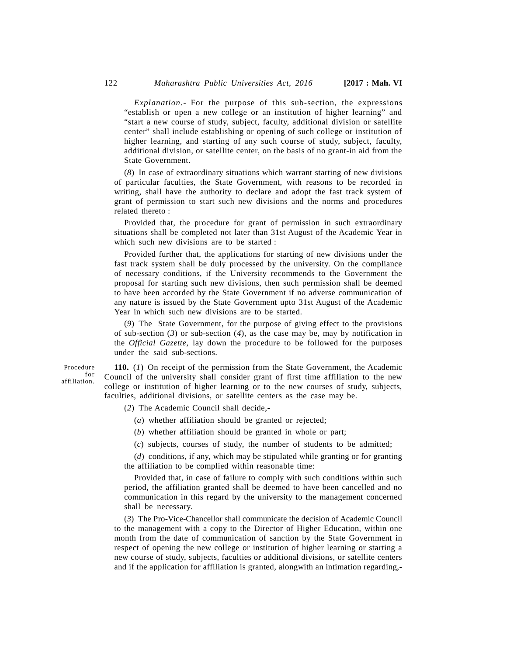*Explanation.-* For the purpose of this sub-section, the expressions "establish or open a new college or an institution of higher learning" and "start a new course of study, subject, faculty, additional division or satellite center" shall include establishing or opening of such college or institution of higher learning, and starting of any such course of study, subject, faculty, additional division, or satellite center, on the basis of no grant-in aid from the State Government.

(*8*) In case of extraordinary situations which warrant starting of new divisions of particular faculties, the State Government, with reasons to be recorded in writing, shall have the authority to declare and adopt the fast track system of grant of permission to start such new divisions and the norms and procedures related thereto :

Provided that, the procedure for grant of permission in such extraordinary situations shall be completed not later than 31st August of the Academic Year in which such new divisions are to be started :

Provided further that, the applications for starting of new divisions under the fast track system shall be duly processed by the university. On the compliance of necessary conditions, if the University recommends to the Government the proposal for starting such new divisions, then such permission shall be deemed to have been accorded by the State Government if no adverse communication of any nature is issued by the State Government upto 31st August of the Academic Year in which such new divisions are to be started.

(*9*) The State Government, for the purpose of giving effect to the provisions of sub-section  $(3)$  or sub-section  $(4)$ , as the case may be, may by notification in the *Official Gazette*, lay down the procedure to be followed for the purposes under the said sub-sections.

Procedure ure<br>for<br>on. Co affiliation.

**110.** (*1*) On receipt of the permission from the State Government, the Academic Council of the university shall consider grant of first time affiliation to the new college or institution of higher learning or to the new courses of study, subjects, faculties, additional divisions, or satellite centers as the case may be.

(*2*) The Academic Council shall decide,-

- (*a*) whether affiliation should be granted or rejected;
- (*b*) whether affiliation should be granted in whole or part;
- (*c*) subjects, courses of study, the number of students to be admitted;

(*d*) conditions, if any, which may be stipulated while granting or for granting the affiliation to be complied within reasonable time:

Provided that, in case of failure to comply with such conditions within such period, the affiliation granted shall be deemed to have been cancelled and no communication in this regard by the university to the management concerned shall be necessary.

(*3*) The Pro-Vice-Chancellor shall communicate the decision of Academic Council to the management with a copy to the Director of Higher Education, within one month from the date of communication of sanction by the State Government in respect of opening the new college or institution of higher learning or starting a new course of study, subjects, faculties or additional divisions, or satellite centers and if the application for affiliation is granted, alongwith an intimation regarding,-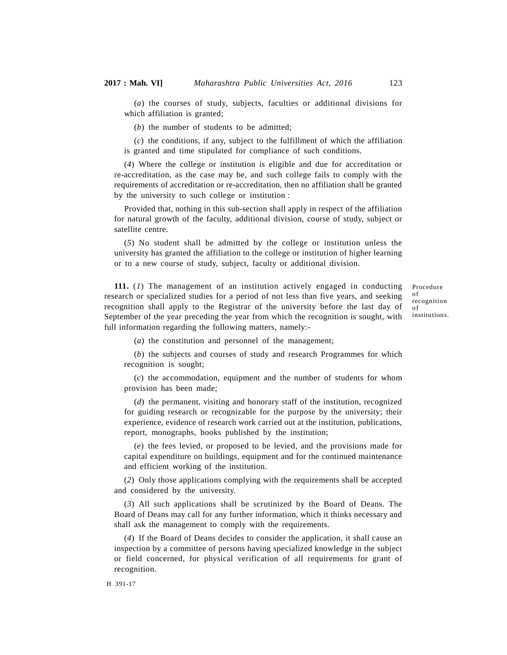(*a*) the courses of study, subjects, faculties or additional divisions for which affiliation is granted;

(*b*) the number of students to be admitted;

(*c*) the conditions, if any, subject to the fulfillment of which the affiliation is granted and time stipulated for compliance of such conditions.

(*4*) Where the college or institution is eligible and due for accreditation or re-accreditation, as the case may be, and such college fails to comply with the requirements of accreditation or re-accreditation, then no affiliation shall be granted by the university to such college or institution :

Provided that, nothing in this sub-section shall apply in respect of the affiliation for natural growth of the faculty, additional division, course of study, subject or satellite centre.

(*5*) No student shall be admitted by the college or institution unless the university has granted the affiliation to the college or institution of higher learning or to a new course of study, subject, faculty or additional division.

**111.** (*1*) The management of an institution actively engaged in conducting research or specialized studies for a period of not less than five years, and seeking recognition shall apply to the Registrar of the university before the last day of September of the year preceding the year from which the recognition is sought, with full information regarding the following matters, namely:-

Procedure of recognition of institutions.

(*a*) the constitution and personnel of the management;

(*b*) the subjects and courses of study and research Programmes for which recognition is sought;

(*c*) the accommodation, equipment and the number of students for whom provision has been made;

(*d*) the permanent, visiting and honorary staff of the institution, recognized for guiding research or recognizable for the purpose by the university; their experience, evidence of research work carried out at the institution, publications, report, monographs, books published by the institution;

(*e*) the fees levied, or proposed to be levied, and the provisions made for capital expenditure on buildings, equipment and for the continued maintenance and efficient working of the institution.

(*2*) Only those applications complying with the requirements shall be accepted and considered by the university.

(*3*) All such applications shall be scrutinized by the Board of Deans. The Board of Deans may call for any further information, which it thinks necessary and shall ask the management to comply with the requirements.

(*4*) If the Board of Deans decides to consider the application, it shall cause an inspection by a committee of persons having specialized knowledge in the subject or field concerned, for physical verification of all requirements for grant of recognition.

H 391-17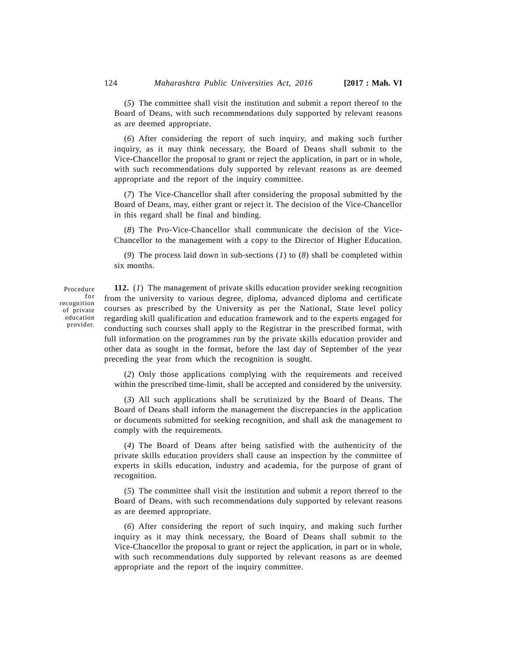(*5*) The committee shall visit the institution and submit a report thereof to the Board of Deans, with such recommendations duly supported by relevant reasons as are deemed appropriate.

(*6*) After considering the report of such inquiry, and making such further inquiry, as it may think necessary, the Board of Deans shall submit to the Vice-Chancellor the proposal to grant or reject the application, in part or in whole, with such recommendations duly supported by relevant reasons as are deemed appropriate and the report of the inquiry committee.

(*7*) The Vice-Chancellor shall after considering the proposal submitted by the Board of Deans, may, either grant or reject it. The decision of the Vice-Chancellor in this regard shall be final and binding.

(*8*) The Pro-Vice-Chancellor shall communicate the decision of the Vice-Chancellor to the management with a copy to the Director of Higher Education.

(*9*) The process laid down in sub-sections (*1*) to (*8*) shall be completed within six months.

Procedure ure<br>for<br>ion<br>ate CC recognition of private education provider.

**112.** (*1*) The management of private skills education provider seeking recognition from the university to various degree, diploma, advanced diploma and certificate courses as prescribed by the University as per the National, State level policy regarding skill qualification and education framework and to the experts engaged for conducting such courses shall apply to the Registrar in the prescribed format, with full information on the programmes run by the private skills education provider and other data as sought in the format, before the last day of September of the year preceding the year from which the recognition is sought.

(*2*) Only those applications complying with the requirements and received within the prescribed time-limit, shall be accepted and considered by the university.

(*3*) All such applications shall be scrutinized by the Board of Deans. The Board of Deans shall inform the management the discrepancies in the application or documents submitted for seeking recognition, and shall ask the management to comply with the requirements.

(*4*) The Board of Deans after being satisfied with the authenticity of the private skills education providers shall cause an inspection by the committee of experts in skills education, industry and academia, for the purpose of grant of recognition.

(*5*) The committee shall visit the institution and submit a report thereof to the Board of Deans, with such recommendations duly supported by relevant reasons as are deemed appropriate.

(*6*) After considering the report of such inquiry, and making such further inquiry as it may think necessary, the Board of Deans shall submit to the Vice-Chancellor the proposal to grant or reject the application, in part or in whole, with such recommendations duly supported by relevant reasons as are deemed appropriate and the report of the inquiry committee.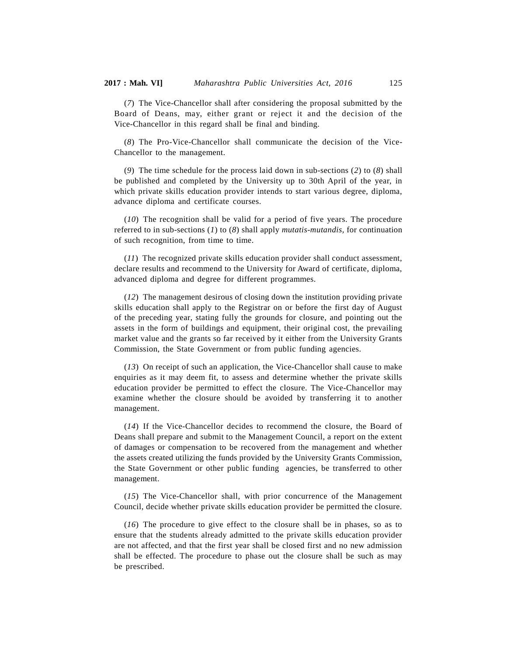(*7*) The Vice-Chancellor shall after considering the proposal submitted by the Board of Deans, may, either grant or reject it and the decision of the Vice-Chancellor in this regard shall be final and binding.

(*8*) The Pro-Vice-Chancellor shall communicate the decision of the Vice-Chancellor to the management.

(*9*) The time schedule for the process laid down in sub-sections (*2*) to (*8*) shall be published and completed by the University up to 30th April of the year, in which private skills education provider intends to start various degree, diploma, advance diploma and certificate courses.

(*10*) The recognition shall be valid for a period of five years. The procedure referred to in sub-sections (*1*) to (*8*) shall apply *mutatis-mutandis,* for continuation of such recognition, from time to time.

(*11*) The recognized private skills education provider shall conduct assessment, declare results and recommend to the University for Award of certificate, diploma, advanced diploma and degree for different programmes.

(*12*) The management desirous of closing down the institution providing private skills education shall apply to the Registrar on or before the first day of August of the preceding year, stating fully the grounds for closure, and pointing out the assets in the form of buildings and equipment, their original cost, the prevailing market value and the grants so far received by it either from the University Grants Commission, the State Government or from public funding agencies.

(*13*) On receipt of such an application, the Vice-Chancellor shall cause to make enquiries as it may deem fit, to assess and determine whether the private skills education provider be permitted to effect the closure. The Vice-Chancellor may examine whether the closure should be avoided by transferring it to another management.

(*14*) If the Vice-Chancellor decides to recommend the closure, the Board of Deans shall prepare and submit to the Management Council, a report on the extent of damages or compensation to be recovered from the management and whether the assets created utilizing the funds provided by the University Grants Commission, the State Government or other public funding agencies, be transferred to other management.

(*15*) The Vice-Chancellor shall, with prior concurrence of the Management Council, decide whether private skills education provider be permitted the closure.

(*16*) The procedure to give effect to the closure shall be in phases, so as to ensure that the students already admitted to the private skills education provider are not affected, and that the first year shall be closed first and no new admission shall be effected. The procedure to phase out the closure shall be such as may be prescribed.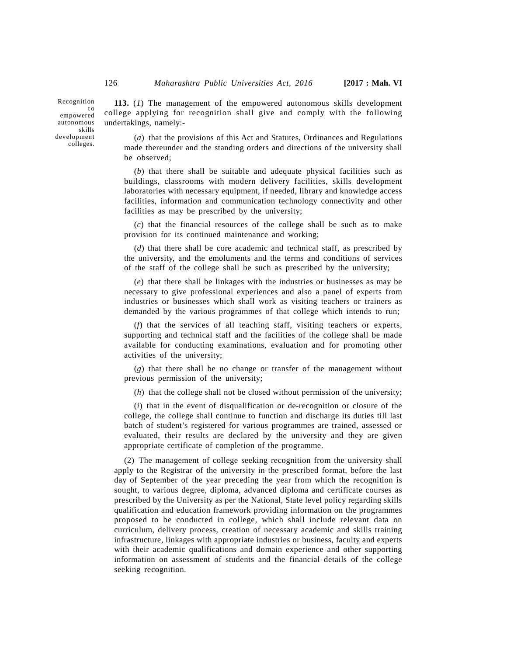Recognition empowered autonomous skills development colleges.

**113.** (*1*) The management of the empowered autonomous skills development college applying for recognition shall give and comply with the following undertakings, namely:-  $\begin{bmatrix} 126 \\ 0 \\ \text{to} \\ \text{ed} \\ \text{to} \\ \text{to} \\ \text{to} \\ \text{to} \\ \end{bmatrix}$ 

> (*a*) that the provisions of this Act and Statutes, Ordinances and Regulations made thereunder and the standing orders and directions of the university shall be observed;

> (*b*) that there shall be suitable and adequate physical facilities such as buildings, classrooms with modern delivery facilities, skills development laboratories with necessary equipment, if needed, library and knowledge access facilities, information and communication technology connectivity and other facilities as may be prescribed by the university;

> (*c*) that the financial resources of the college shall be such as to make provision for its continued maintenance and working;

> (*d*) that there shall be core academic and technical staff, as prescribed by the university, and the emoluments and the terms and conditions of services of the staff of the college shall be such as prescribed by the university;

> (*e*) that there shall be linkages with the industries or businesses as may be necessary to give professional experiences and also a panel of experts from industries or businesses which shall work as visiting teachers or trainers as demanded by the various programmes of that college which intends to run;

> (*f*) that the services of all teaching staff, visiting teachers or experts, supporting and technical staff and the facilities of the college shall be made available for conducting examinations, evaluation and for promoting other activities of the university;

> (*g*) that there shall be no change or transfer of the management without previous permission of the university;

(*h*) that the college shall not be closed without permission of the university;

(*i*) that in the event of disqualification or de-recognition or closure of the college, the college shall continue to function and discharge its duties till last batch of student's registered for various programmes are trained, assessed or evaluated, their results are declared by the university and they are given appropriate certificate of completion of the programme.

(2) The management of college seeking recognition from the university shall apply to the Registrar of the university in the prescribed format, before the last day of September of the year preceding the year from which the recognition is sought, to various degree, diploma, advanced diploma and certificate courses as prescribed by the University as per the National, State level policy regarding skills qualification and education framework providing information on the programmes proposed to be conducted in college, which shall include relevant data on curriculum, delivery process, creation of necessary academic and skills training infrastructure, linkages with appropriate industries or business, faculty and experts with their academic qualifications and domain experience and other supporting information on assessment of students and the financial details of the college seeking recognition.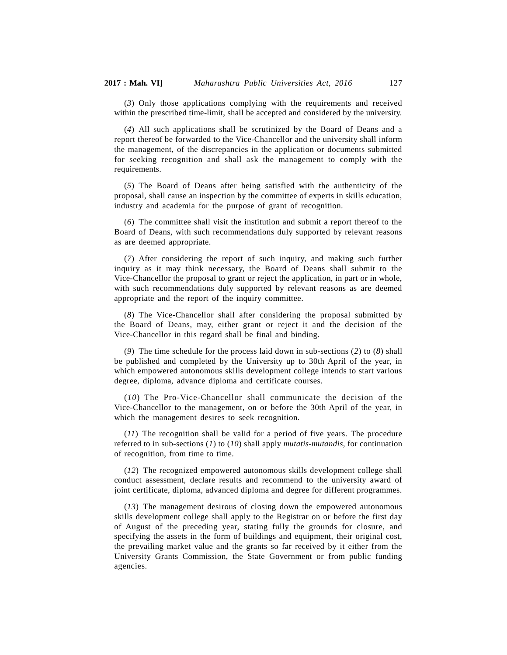(*3*) Only those applications complying with the requirements and received within the prescribed time-limit, shall be accepted and considered by the university.

(*4*) All such applications shall be scrutinized by the Board of Deans and a report thereof be forwarded to the Vice-Chancellor and the university shall inform the management, of the discrepancies in the application or documents submitted for seeking recognition and shall ask the management to comply with the requirements.

(*5*) The Board of Deans after being satisfied with the authenticity of the proposal, shall cause an inspection by the committee of experts in skills education, industry and academia for the purpose of grant of recognition.

(*6*) The committee shall visit the institution and submit a report thereof to the Board of Deans, with such recommendations duly supported by relevant reasons as are deemed appropriate.

(*7*) After considering the report of such inquiry, and making such further inquiry as it may think necessary, the Board of Deans shall submit to the Vice-Chancellor the proposal to grant or reject the application, in part or in whole, with such recommendations duly supported by relevant reasons as are deemed appropriate and the report of the inquiry committee.

(*8*) The Vice-Chancellor shall after considering the proposal submitted by the Board of Deans, may, either grant or reject it and the decision of the Vice-Chancellor in this regard shall be final and binding.

(*9*) The time schedule for the process laid down in sub-sections (*2*) to (*8*) shall be published and completed by the University up to 30th April of the year, in which empowered autonomous skills development college intends to start various degree, diploma, advance diploma and certificate courses.

(*10*) The Pro-Vice-Chancellor shall communicate the decision of the Vice-Chancellor to the management, on or before the 30th April of the year, in which the management desires to seek recognition.

(*11*) The recognition shall be valid for a period of five years. The procedure referred to in sub-sections (*1*) to (*10*) shall apply *mutatis-mutandis*, for continuation of recognition, from time to time.

(*12*) The recognized empowered autonomous skills development college shall conduct assessment, declare results and recommend to the university award of joint certificate, diploma, advanced diploma and degree for different programmes.

(*13*) The management desirous of closing down the empowered autonomous skills development college shall apply to the Registrar on or before the first day of August of the preceding year, stating fully the grounds for closure, and specifying the assets in the form of buildings and equipment, their original cost, the prevailing market value and the grants so far received by it either from the University Grants Commission, the State Government or from public funding agencies.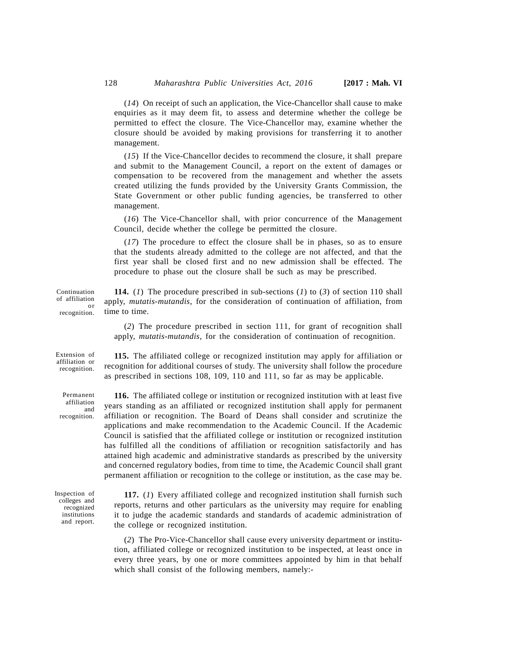(*14*) On receipt of such an application, the Vice-Chancellor shall cause to make enquiries as it may deem fit, to assess and determine whether the college be permitted to effect the closure. The Vice-Chancellor may, examine whether the closure should be avoided by making provisions for transferring it to another management.

(*15*) If the Vice-Chancellor decides to recommend the closure, it shall prepare and submit to the Management Council, a report on the extent of damages or compensation to be recovered from the management and whether the assets created utilizing the funds provided by the University Grants Commission, the State Government or other public funding agencies, be transferred to other management.

(*16*) The Vice-Chancellor shall, with prior concurrence of the Management Council, decide whether the college be permitted the closure.

(*17*) The procedure to effect the closure shall be in phases, so as to ensure that the students already admitted to the college are not affected, and that the first year shall be closed first and no new admission shall be effected. The procedure to phase out the closure shall be such as may be prescribed.

**114.** (*1*) The procedure prescribed in sub-sections (*1*) to (*3*) of section 110 shall apply, *mutatis-mutandis*, for the consideration of continuation of affiliation, from time to time. Continuation of affiliation or recognition.

> (*2*) The procedure prescribed in section 111, for grant of recognition shall apply, *mutatis-mutandis*, for the consideration of continuation of recognition.

> **115.** The affiliated college or recognized institution may apply for affiliation or

recognition for additional courses of study. The university shall follow the procedure as prescribed in sections 108, 109, 110 and 111, so far as may be applicable. Extension of affiliation or recognition.

Permanent affiliation recognition.

**116.** The affiliated college or institution or recognized institution with at least five <sup>1011</sup> years standing as an affiliated or recognized institution shall apply for permanent affiliation or recognition. The Board of Deans shall consider and scrutinize the applications and make recommendation to the Academic Council. If the Academic Council is satisfied that the affiliated college or institution or recognized institution has fulfilled all the conditions of affiliation or recognition satisfactorily and has attained high academic and administrative standards as prescribed by the university and concerned regulatory bodies, from time to time, the Academic Council shall grant permanent affiliation or recognition to the college or institution, as the case may be.

Inspection of colleges and recognized institutions and report.

**117.** (*1*) Every affiliated college and recognized institution shall furnish such reports, returns and other particulars as the university may require for enabling it to judge the academic standards and standards of academic administration of the college or recognized institution.

(*2*) The Pro-Vice-Chancellor shall cause every university department or institution, affiliated college or recognized institution to be inspected, at least once in every three years, by one or more committees appointed by him in that behalf which shall consist of the following members, namely:-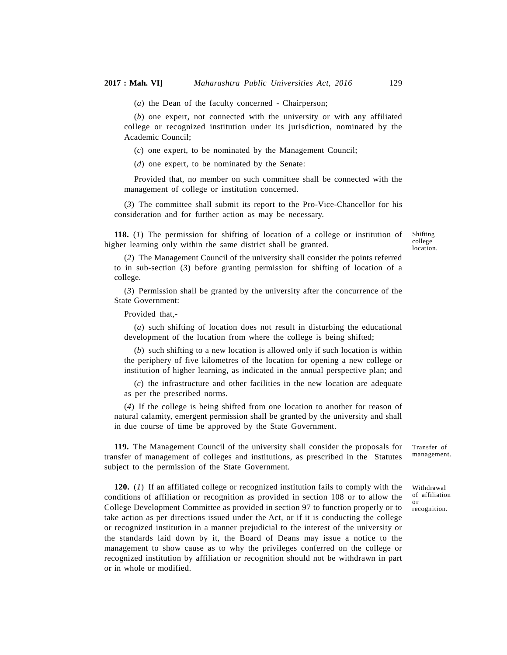(*a*) the Dean of the faculty concerned - Chairperson;

(*b*) one expert, not connected with the university or with any affiliated college or recognized institution under its jurisdiction, nominated by the Academic Council;

(*c*) one expert, to be nominated by the Management Council;

(*d*) one expert, to be nominated by the Senate:

Provided that, no member on such committee shall be connected with the management of college or institution concerned.

(*3*) The committee shall submit its report to the Pro-Vice-Chancellor for his consideration and for further action as may be necessary.

**118.** (*1*) The permission for shifting of location of a college or institution of higher learning only within the same district shall be granted.

Shifting college location.

(*2*) The Management Council of the university shall consider the points referred to in sub-section (*3*) before granting permission for shifting of location of a college.

(*3*) Permission shall be granted by the university after the concurrence of the State Government:

Provided that,-

(*a*) such shifting of location does not result in disturbing the educational development of the location from where the college is being shifted;

(*b*) such shifting to a new location is allowed only if such location is within the periphery of five kilometres of the location for opening a new college or institution of higher learning, as indicated in the annual perspective plan; and

(*c*) the infrastructure and other facilities in the new location are adequate as per the prescribed norms.

(*4*) If the college is being shifted from one location to another for reason of natural calamity, emergent permission shall be granted by the university and shall in due course of time be approved by the State Government.

**119.** The Management Council of the university shall consider the proposals for transfer of management of colleges and institutions, as prescribed in the Statutes subject to the permission of the State Government.

**120.** (*1*) If an affiliated college or recognized institution fails to comply with the conditions of affiliation or recognition as provided in section 108 or to allow the College Development Committee as provided in section 97 to function properly or to take action as per directions issued under the Act, or if it is conducting the college or recognized institution in a manner prejudicial to the interest of the university or the standards laid down by it, the Board of Deans may issue a notice to the management to show cause as to why the privileges conferred on the college or recognized institution by affiliation or recognition should not be withdrawn in part or in whole or modified.

Transfer of management.

Withdrawal of affiliation or recognition.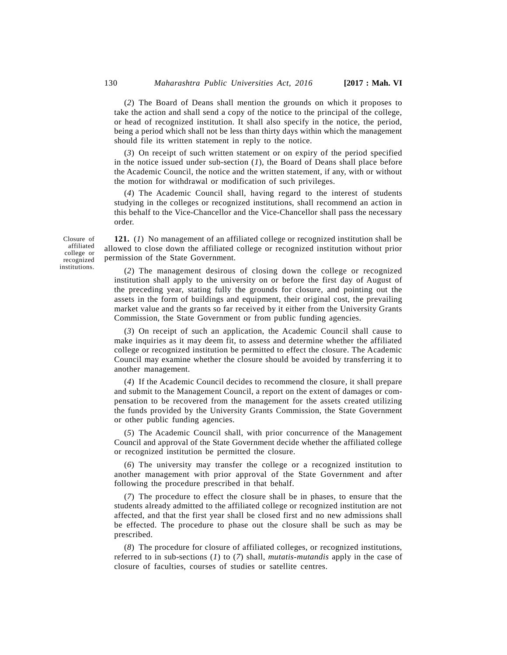(*2*) The Board of Deans shall mention the grounds on which it proposes to take the action and shall send a copy of the notice to the principal of the college, or head of recognized institution. It shall also specify in the notice, the period, being a period which shall not be less than thirty days within which the management should file its written statement in reply to the notice.

(*3*) On receipt of such written statement or on expiry of the period specified in the notice issued under sub-section (*1*), the Board of Deans shall place before the Academic Council, the notice and the written statement, if any, with or without the motion for withdrawal or modification of such privileges.

(*4*) The Academic Council shall, having regard to the interest of students studying in the colleges or recognized institutions, shall recommend an action in this behalf to the Vice-Chancellor and the Vice-Chancellor shall pass the necessary order.

**121.** (*1*) No management of an affiliated college or recognized institution shall be allowed to close down the affiliated college or recognized institution without prior permission of the State Government.

(*2*) The management desirous of closing down the college or recognized institution shall apply to the university on or before the first day of August of the preceding year, stating fully the grounds for closure, and pointing out the assets in the form of buildings and equipment, their original cost, the prevailing market value and the grants so far received by it either from the University Grants

Commission, the State Government or from public funding agencies.

(*3*) On receipt of such an application, the Academic Council shall cause to make inquiries as it may deem fit, to assess and determine whether the affiliated college or recognized institution be permitted to effect the closure. The Academic Council may examine whether the closure should be avoided by transferring it to another management.

(*4*) If the Academic Council decides to recommend the closure, it shall prepare and submit to the Management Council, a report on the extent of damages or compensation to be recovered from the management for the assets created utilizing the funds provided by the University Grants Commission, the State Government or other public funding agencies.

(*5*) The Academic Council shall, with prior concurrence of the Management Council and approval of the State Government decide whether the affiliated college or recognized institution be permitted the closure.

(*6*) The university may transfer the college or a recognized institution to another management with prior approval of the State Government and after following the procedure prescribed in that behalf.

(*7*) The procedure to effect the closure shall be in phases, to ensure that the students already admitted to the affiliated college or recognized institution are not affected, and that the first year shall be closed first and no new admissions shall be effected. The procedure to phase out the closure shall be such as may be prescribed.

(*8*) The procedure for closure of affiliated colleges, or recognized institutions, referred to in sub-sections (*1*) to (*7*) shall, *mutatis-mutandis* apply in the case of closure of faculties, courses of studies or satellite centres.

Closure of affiliated college or recognized institutions.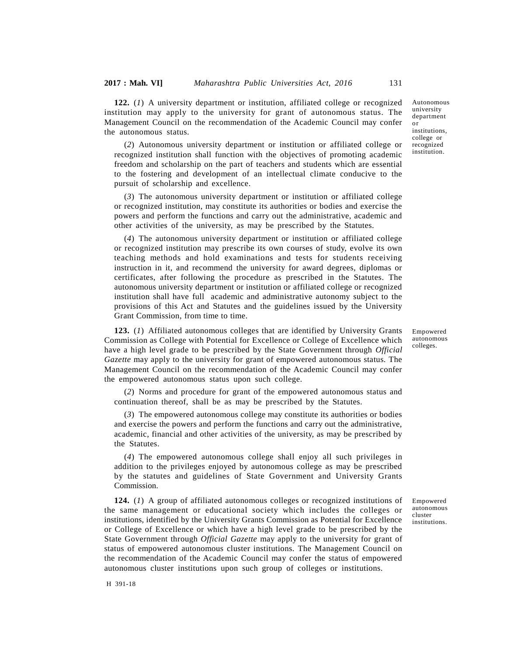**122.** (*1*) A university department or institution, affiliated college or recognized institution may apply to the university for grant of autonomous status. The Management Council on the recommendation of the Academic Council may confer the autonomous status.

(*2*) Autonomous university department or institution or affiliated college or recognized institution shall function with the objectives of promoting academic freedom and scholarship on the part of teachers and students which are essential to the fostering and development of an intellectual climate conducive to the pursuit of scholarship and excellence.

(*3*) The autonomous university department or institution or affiliated college or recognized institution, may constitute its authorities or bodies and exercise the powers and perform the functions and carry out the administrative, academic and other activities of the university, as may be prescribed by the Statutes.

(*4*) The autonomous university department or institution or affiliated college or recognized institution may prescribe its own courses of study, evolve its own teaching methods and hold examinations and tests for students receiving instruction in it, and recommend the university for award degrees, diplomas or certificates, after following the procedure as prescribed in the Statutes. The autonomous university department or institution or affiliated college or recognized institution shall have full academic and administrative autonomy subject to the provisions of this Act and Statutes and the guidelines issued by the University Grant Commission, from time to time.

**123.** (*1*) Affiliated autonomous colleges that are identified by University Grants Commission as College with Potential for Excellence or College of Excellence which have a high level grade to be prescribed by the State Government through *Official Gazette* may apply to the university for grant of empowered autonomous status. The Management Council on the recommendation of the Academic Council may confer the empowered autonomous status upon such college.

(*2*) Norms and procedure for grant of the empowered autonomous status and continuation thereof, shall be as may be prescribed by the Statutes.

(*3*) The empowered autonomous college may constitute its authorities or bodies and exercise the powers and perform the functions and carry out the administrative, academic, financial and other activities of the university, as may be prescribed by the Statutes.

(*4*) The empowered autonomous college shall enjoy all such privileges in addition to the privileges enjoyed by autonomous college as may be prescribed by the statutes and guidelines of State Government and University Grants Commission.

**124.** (*1*) A group of affiliated autonomous colleges or recognized institutions of the same management or educational society which includes the colleges or institutions, identified by the University Grants Commission as Potential for Excellence or College of Excellence or which have a high level grade to be prescribed by the State Government through *Official Gazette* may apply to the university for grant of status of empowered autonomous cluster institutions. The Management Council on the recommendation of the Academic Council may confer the status of empowered autonomous cluster institutions upon such group of colleges or institutions.

Empowered autonomous cluster institutions.

Autonomous university department or institutions, college or recognized institution.

Empowered autonomous colleges.

H 391-18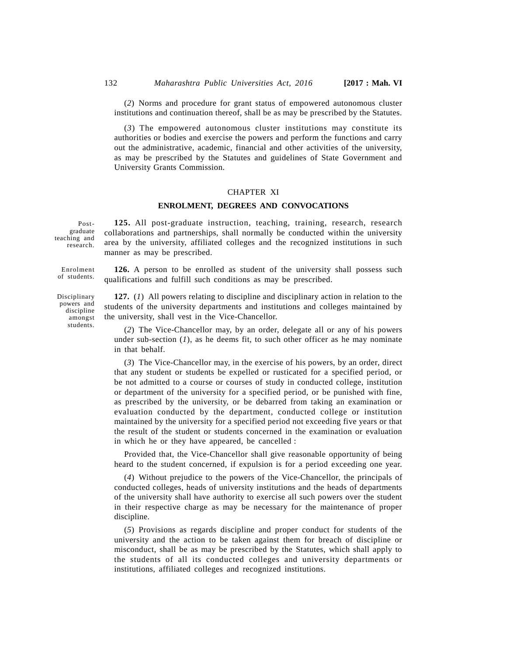(*2*) Norms and procedure for grant status of empowered autonomous cluster institutions and continuation thereof, shall be as may be prescribed by the Statutes.

(*3*) The empowered autonomous cluster institutions may constitute its authorities or bodies and exercise the powers and perform the functions and carry out the administrative, academic, financial and other activities of the university, as may be prescribed by the Statutes and guidelines of State Government and University Grants Commission.

## CHAPTER XI

# **ENROLMENT, DEGREES AND CONVOCATIONS**

Postgraduate teaching and research.

**125.** All post-graduate instruction, teaching, training, research, research collaborations and partnerships, shall normally be conducted within the university area by the university, affiliated colleges and the recognized institutions in such manner as may be prescribed.

**126.** A person to be enrolled as student of the university shall possess such qualifications and fulfill such conditions as may be prescribed. Enrolment of students.

> **127.** (*1*) All powers relating to discipline and disciplinary action in relation to the students of the university departments and institutions and colleges maintained by the university, shall vest in the Vice-Chancellor.

(*2*) The Vice-Chancellor may, by an order, delegate all or any of his powers under sub-section  $(1)$ , as he deems fit, to such other officer as he may nominate in that behalf.

(*3*) The Vice-Chancellor may, in the exercise of his powers, by an order, direct that any student or students be expelled or rusticated for a specified period, or be not admitted to a course or courses of study in conducted college, institution or department of the university for a specified period, or be punished with fine, as prescribed by the university, or be debarred from taking an examination or evaluation conducted by the department, conducted college or institution maintained by the university for a specified period not exceeding five years or that the result of the student or students concerned in the examination or evaluation in which he or they have appeared, be cancelled :

Provided that, the Vice-Chancellor shall give reasonable opportunity of being heard to the student concerned, if expulsion is for a period exceeding one year.

(*4*) Without prejudice to the powers of the Vice-Chancellor, the principals of conducted colleges, heads of university institutions and the heads of departments of the university shall have authority to exercise all such powers over the student in their respective charge as may be necessary for the maintenance of proper discipline.

(*5*) Provisions as regards discipline and proper conduct for students of the university and the action to be taken against them for breach of discipline or misconduct, shall be as may be prescribed by the Statutes, which shall apply to the students of all its conducted colleges and university departments or institutions, affiliated colleges and recognized institutions.

Disciplinary

powers and discipline amongst students.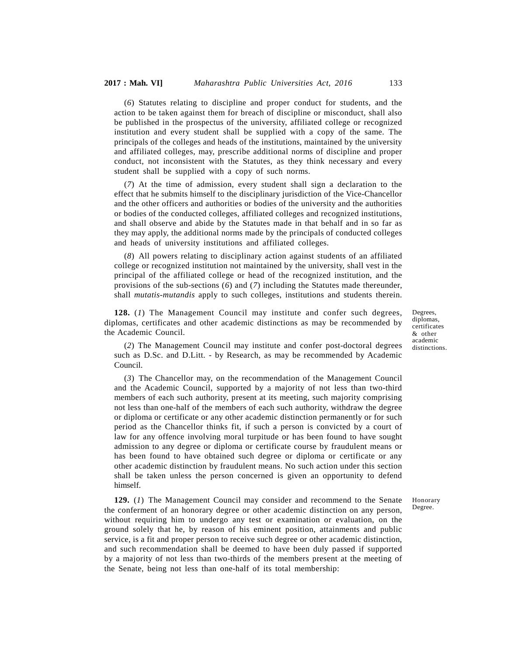(*6*) Statutes relating to discipline and proper conduct for students, and the action to be taken against them for breach of discipline or misconduct, shall also be published in the prospectus of the university, affiliated college or recognized institution and every student shall be supplied with a copy of the same. The principals of the colleges and heads of the institutions, maintained by the university and affiliated colleges, may, prescribe additional norms of discipline and proper conduct, not inconsistent with the Statutes, as they think necessary and every student shall be supplied with a copy of such norms.

(*7*) At the time of admission, every student shall sign a declaration to the effect that he submits himself to the disciplinary jurisdiction of the Vice-Chancellor and the other officers and authorities or bodies of the university and the authorities or bodies of the conducted colleges, affiliated colleges and recognized institutions, and shall observe and abide by the Statutes made in that behalf and in so far as they may apply, the additional norms made by the principals of conducted colleges and heads of university institutions and affiliated colleges.

(*8*) All powers relating to disciplinary action against students of an affiliated college or recognized institution not maintained by the university, shall vest in the principal of the affiliated college or head of the recognized institution, and the provisions of the sub-sections (*6*) and (*7*) including the Statutes made thereunder, shall *mutatis-mutandis* apply to such colleges, institutions and students therein.

**128.** (*1*) The Management Council may institute and confer such degrees, diplomas, certificates and other academic distinctions as may be recommended by the Academic Council.

Degrees, diplomas, certificates & other academic distinctions.

(*2*) The Management Council may institute and confer post-doctoral degrees such as D.Sc. and D.Litt. - by Research, as may be recommended by Academic Council.

(*3*) The Chancellor may, on the recommendation of the Management Council and the Academic Council, supported by a majority of not less than two-third members of each such authority, present at its meeting, such majority comprising not less than one-half of the members of each such authority, withdraw the degree or diploma or certificate or any other academic distinction permanently or for such period as the Chancellor thinks fit, if such a person is convicted by a court of law for any offence involving moral turpitude or has been found to have sought admission to any degree or diploma or certificate course by fraudulent means or has been found to have obtained such degree or diploma or certificate or any other academic distinction by fraudulent means. No such action under this section shall be taken unless the person concerned is given an opportunity to defend himself.

**129.** (*1*) The Management Council may consider and recommend to the Senate the conferment of an honorary degree or other academic distinction on any person, without requiring him to undergo any test or examination or evaluation, on the ground solely that he, by reason of his eminent position, attainments and public service, is a fit and proper person to receive such degree or other academic distinction, and such recommendation shall be deemed to have been duly passed if supported by a majority of not less than two-thirds of the members present at the meeting of the Senate, being not less than one-half of its total membership:

Honorary Degree.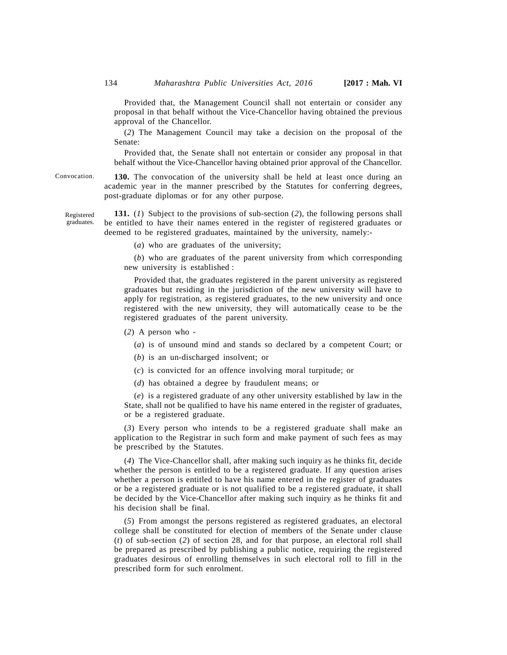Provided that, the Management Council shall not entertain or consider any proposal in that behalf without the Vice-Chancellor having obtained the previous approval of the Chancellor.

(*2*) The Management Council may take a decision on the proposal of the Senate:

Provided that, the Senate shall not entertain or consider any proposal in that behalf without the Vice-Chancellor having obtained prior approval of the Chancellor.

**130.** The convocation of the university shall be held at least once during an academic year in the manner prescribed by the Statutes for conferring degrees, post-graduate diplomas or for any other purpose.

**131.** (*1*) Subject to the provisions of sub-section (*2*), the following persons shall be entitled to have their names entered in the register of registered graduates or deemed to be registered graduates, maintained by the university, namely:-

(*a*) who are graduates of the university;

(*b*) who are graduates of the parent university from which corresponding new university is established :

Provided that, the graduates registered in the parent university as registered graduates but residing in the jurisdiction of the new university will have to apply for registration, as registered graduates, to the new university and once registered with the new university, they will automatically cease to be the registered graduates of the parent university.

- (*2*) A person who
	- (*a*) is of unsound mind and stands so declared by a competent Court; or
	- (*b*) is an un-discharged insolvent; or
	- (*c*) is convicted for an offence involving moral turpitude; or
	- (*d*) has obtained a degree by fraudulent means; or

(*e*) is a registered graduate of any other university established by law in the State, shall not be qualified to have his name entered in the register of graduates, or be a registered graduate.

(*3*) Every person who intends to be a registered graduate shall make an application to the Registrar in such form and make payment of such fees as may be prescribed by the Statutes.

(*4*) The Vice-Chancellor shall, after making such inquiry as he thinks fit, decide whether the person is entitled to be a registered graduate. If any question arises whether a person is entitled to have his name entered in the register of graduates or be a registered graduate or is not qualified to be a registered graduate, it shall be decided by the Vice-Chancellor after making such inquiry as he thinks fit and his decision shall be final.

(*5*) From amongst the persons registered as registered graduates, an electoral college shall be constituted for election of members of the Senate under clause (*t*) of sub-section (*2*) of section 28, and for that purpose, an electoral roll shall be prepared as prescribed by publishing a public notice, requiring the registered graduates desirous of enrolling themselves in such electoral roll to fill in the prescribed form for such enrolment.

Convocation.

Registered graduates.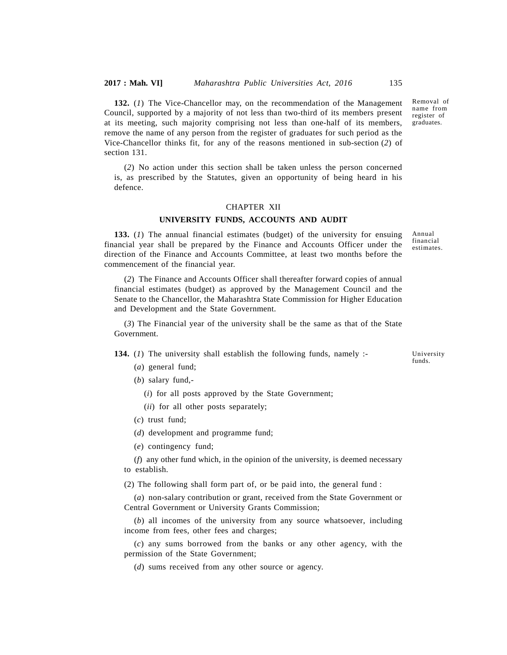**132.** (*1*) The Vice-Chancellor may, on the recommendation of the Management Council, supported by a majority of not less than two-third of its members present at its meeting, such majority comprising not less than one-half of its members, remove the name of any person from the register of graduates for such period as the Vice-Chancellor thinks fit, for any of the reasons mentioned in sub-section (*2*) of section 131.

(*2*) No action under this section shall be taken unless the person concerned is, as prescribed by the Statutes, given an opportunity of being heard in his defence.

# CHAPTER XII

#### **UNIVERSITY FUNDS, ACCOUNTS AND AUDIT**

**133.** (*1*) The annual financial estimates (budget) of the university for ensuing financial year shall be prepared by the Finance and Accounts Officer under the direction of the Finance and Accounts Committee, at least two months before the commencement of the financial year.

(*2*) The Finance and Accounts Officer shall thereafter forward copies of annual financial estimates (budget) as approved by the Management Council and the Senate to the Chancellor, the Maharashtra State Commission for Higher Education and Development and the State Government.

(*3*) The Financial year of the university shall be the same as that of the State Government.

**134.** (*1*) The university shall establish the following funds, namely :-

(*a*) general fund;

(*b*) salary fund,-

(*i*) for all posts approved by the State Government;

(*ii*) for all other posts separately;

(*c*) trust fund;

(*d*) development and programme fund;

(*e*) contingency fund;

(*f*) any other fund which, in the opinion of the university, is deemed necessary to establish.

(2) The following shall form part of, or be paid into, the general fund :

(*a*) non-salary contribution or grant, received from the State Government or Central Government or University Grants Commission;

(*b*) all incomes of the university from any source whatsoever, including income from fees, other fees and charges;

(*c*) any sums borrowed from the banks or any other agency, with the permission of the State Government;

(*d*) sums received from any other source or agency.

name from register of graduates.

Removal of

University funds.

Annual financial estimates.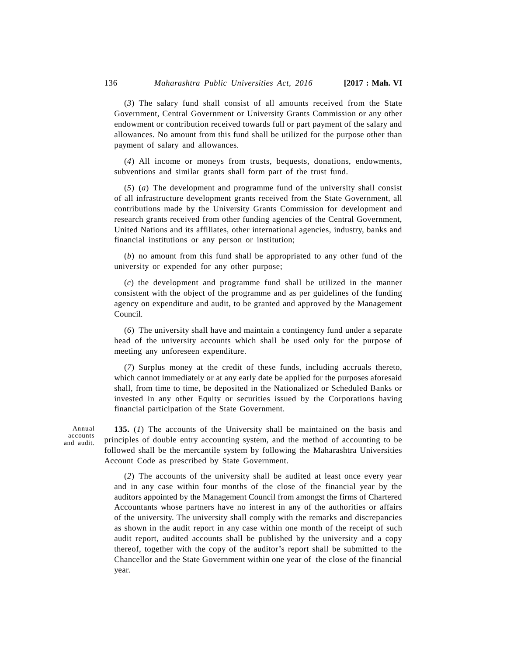(*3*) The salary fund shall consist of all amounts received from the State Government, Central Government or University Grants Commission or any other endowment or contribution received towards full or part payment of the salary and allowances. No amount from this fund shall be utilized for the purpose other than payment of salary and allowances.

(*4*) All income or moneys from trusts, bequests, donations, endowments, subventions and similar grants shall form part of the trust fund.

(*5*) (*a*) The development and programme fund of the university shall consist of all infrastructure development grants received from the State Government, all contributions made by the University Grants Commission for development and research grants received from other funding agencies of the Central Government, United Nations and its affiliates, other international agencies, industry, banks and financial institutions or any person or institution;

(*b*) no amount from this fund shall be appropriated to any other fund of the university or expended for any other purpose;

(*c*) the development and programme fund shall be utilized in the manner consistent with the object of the programme and as per guidelines of the funding agency on expenditure and audit, to be granted and approved by the Management Council.

(*6*) The university shall have and maintain a contingency fund under a separate head of the university accounts which shall be used only for the purpose of meeting any unforeseen expenditure.

(*7*) Surplus money at the credit of these funds, including accruals thereto, which cannot immediately or at any early date be applied for the purposes aforesaid shall, from time to time, be deposited in the Nationalized or Scheduled Banks or invested in any other Equity or securities issued by the Corporations having financial participation of the State Government.

Annual accounts and audit.

**135.** (*1*) The accounts of the University shall be maintained on the basis and principles of double entry accounting system, and the method of accounting to be followed shall be the mercantile system by following the Maharashtra Universities Account Code as prescribed by State Government.

(*2*) The accounts of the university shall be audited at least once every year and in any case within four months of the close of the financial year by the auditors appointed by the Management Council from amongst the firms of Chartered Accountants whose partners have no interest in any of the authorities or affairs of the university. The university shall comply with the remarks and discrepancies as shown in the audit report in any case within one month of the receipt of such audit report, audited accounts shall be published by the university and a copy thereof, together with the copy of the auditor's report shall be submitted to the Chancellor and the State Government within one year of the close of the financial year.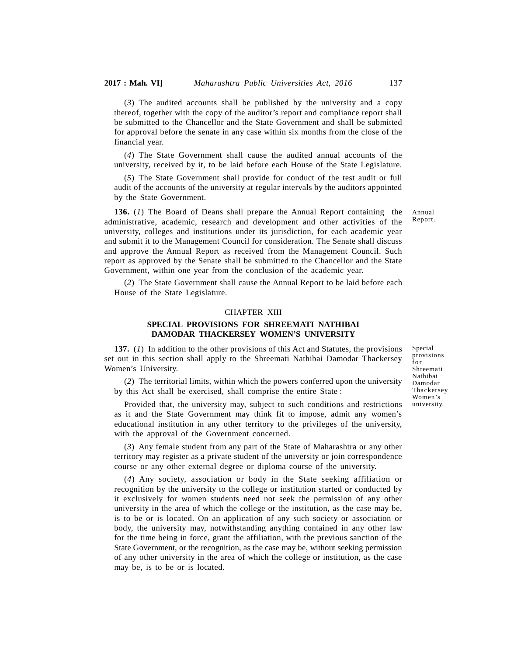(*3*) The audited accounts shall be published by the university and a copy thereof, together with the copy of the auditor's report and compliance report shall be submitted to the Chancellor and the State Government and shall be submitted for approval before the senate in any case within six months from the close of the financial year.

(*4*) The State Government shall cause the audited annual accounts of the university, received by it, to be laid before each House of the State Legislature.

(*5*) The State Government shall provide for conduct of the test audit or full audit of the accounts of the university at regular intervals by the auditors appointed by the State Government.

**136.** (*1*) The Board of Deans shall prepare the Annual Report containing the administrative, academic, research and development and other activities of the university, colleges and institutions under its jurisdiction, for each academic year and submit it to the Management Council for consideration. The Senate shall discuss and approve the Annual Report as received from the Management Council. Such report as approved by the Senate shall be submitted to the Chancellor and the State Government, within one year from the conclusion of the academic year.

(*2*) The State Government shall cause the Annual Report to be laid before each House of the State Legislature.

### CHAPTER XIII

# **SPECIAL PROVISIONS FOR SHREEMATI NATHIBAI DAMODAR THACKERSEY WOMEN'S UNIVERSITY**

**137.** (*1*) In addition to the other provisions of this Act and Statutes, the provisions set out in this section shall apply to the Shreemati Nathibai Damodar Thackersey  $\frac{p}{f}$ Women's University.

(*2*) The territorial limits, within which the powers conferred upon the university by this Act shall be exercised, shall comprise the entire State :

Provided that, the university may, subject to such conditions and restrictions as it and the State Government may think fit to impose, admit any women's educational institution in any other territory to the privileges of the university, with the approval of the Government concerned.

(*3*) Any female student from any part of the State of Maharashtra or any other territory may register as a private student of the university or join correspondence course or any other external degree or diploma course of the university.

(*4*) Any society, association or body in the State seeking affiliation or recognition by the university to the college or institution started or conducted by it exclusively for women students need not seek the permission of any other university in the area of which the college or the institution, as the case may be, is to be or is located. On an application of any such society or association or body, the university may, notwithstanding anything contained in any other law for the time being in force, grant the affiliation, with the previous sanction of the State Government, or the recognition, as the case may be, without seeking permission of any other university in the area of which the college or institution, as the case may be, is to be or is located.

Special provisions Special<br>provisio<br>for<br>Shreema<br>Nathibai Shreemati Nathibai Damodar Thackersey Women's university.

Annual Report.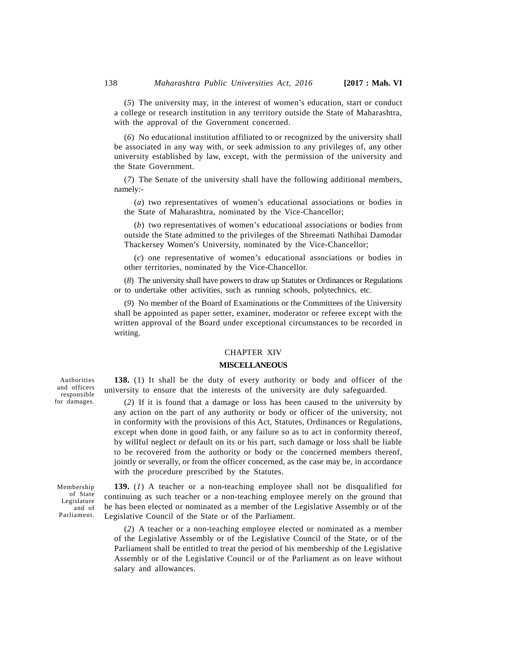(*5*) The university may, in the interest of women's education, start or conduct a college or research institution in any territory outside the State of Maharashtra, with the approval of the Government concerned.

(*6*) No educational institution affiliated to or recognized by the university shall be associated in any way with, or seek admission to any privileges of, any other university established by law, except, with the permission of the university and the State Government.

(*7*) The Senate of the university shall have the following additional members, namely:-

(*a*) two representatives of women's educational associations or bodies in the State of Maharashtra, nominated by the Vice-Chancellor;

(*b*) two representatives of women's educational associations or bodies from outside the State admitted to the privileges of the Shreemati Nathibai Damodar Thackersey Women's University, nominated by the Vice-Chancellor;

(*c*) one representative of women's educational associations or bodies in other territories, nominated by the Vice-Chancellor.

(*8*) The university shall have powers to draw up Statutes or Ordinances or Regulations or to undertake other activities, such as running schools, polytechnics, etc.

(*9*) No member of the Board of Examinations or the Committees of the University shall be appointed as paper setter, examiner, moderator or referee except with the written approval of the Board under exceptional circumstances to be recorded in writing.

### CHAPTER XIV

### **MISCELLANEOUS**

**138.** (1) It shall be the duty of every authority or body and officer of the university to ensure that the interests of the university are duly safeguarded.

(*2*) If it is found that a damage or loss has been caused to the university by any action on the part of any authority or body or officer of the university, not in conformity with the provisions of this Act, Statutes, Ordinances or Regulations, except when done in good faith, or any failure so as to act in conformity thereof, by willful neglect or default on its or his part, such damage or loss shall be liable to be recovered from the authority or body or the concerned members thereof, jointly or severally, or from the officer concerned, as the case may be, in accordance with the procedure prescribed by the Statutes.

**139.** (*1*) A teacher or a non-teaching employee shall not be disqualified for continuing as such teacher or a non-teaching employee merely on the ground that he has been elected or nominated as a member of the Legislative Assembly or of the Legislative Council of the State or of the Parliament.

(*2*) A teacher or a non-teaching employee elected or nominated as a member of the Legislative Assembly or of the Legislative Council of the State, or of the Parliament shall be entitled to treat the period of his membership of the Legislative Assembly or of the Legislative Council or of the Parliament as on leave without salary and allowances.

Authorities and officers responsible for damages.

Membership of State Legislature and of Parliament.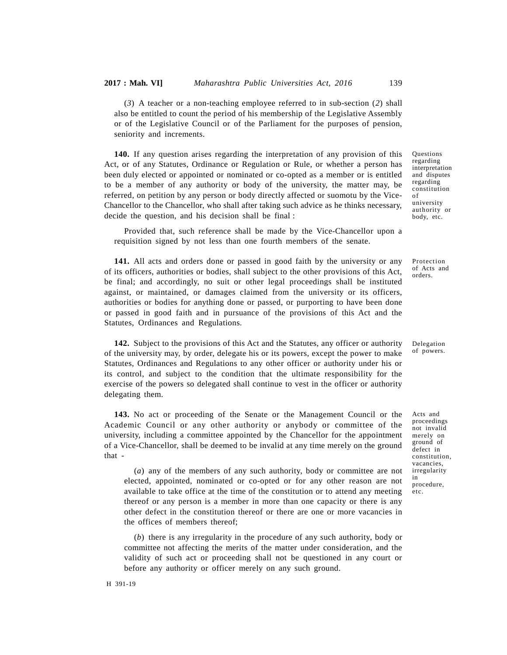(*3*) A teacher or a non-teaching employee referred to in sub-section (*2*) shall also be entitled to count the period of his membership of the Legislative Assembly or of the Legislative Council or of the Parliament for the purposes of pension, seniority and increments.

**140.** If any question arises regarding the interpretation of any provision of this Act, or of any Statutes, Ordinance or Regulation or Rule, or whether a person has been duly elected or appointed or nominated or co-opted as a member or is entitled to be a member of any authority or body of the university, the matter may, be referred, on petition by any person or body directly affected or suomotu by the Vice-Chancellor to the Chancellor, who shall after taking such advice as he thinks necessary, decide the question, and his decision shall be final :

Provided that, such reference shall be made by the Vice-Chancellor upon a requisition signed by not less than one fourth members of the senate.

**141.** All acts and orders done or passed in good faith by the university or any of its officers, authorities or bodies, shall subject to the other provisions of this Act, be final; and accordingly, no suit or other legal proceedings shall be instituted against, or maintained, or damages claimed from the university or its officers, authorities or bodies for anything done or passed, or purporting to have been done or passed in good faith and in pursuance of the provisions of this Act and the Statutes, Ordinances and Regulations.

**142.** Subject to the provisions of this Act and the Statutes, any officer or authority of the university may, by order, delegate his or its powers, except the power to make Statutes, Ordinances and Regulations to any other officer or authority under his or its control, and subject to the condition that the ultimate responsibility for the exercise of the powers so delegated shall continue to vest in the officer or authority delegating them.

**143.** No act or proceeding of the Senate or the Management Council or the Academic Council or any other authority or anybody or committee of the university, including a committee appointed by the Chancellor for the appointment of a Vice-Chancellor, shall be deemed to be invalid at any time merely on the ground that -

(*a*) any of the members of any such authority, body or committee are not irr elected, appointed, nominated or co-opted or for any other reason are not available to take office at the time of the constitution or to attend any meeting thereof or any person is a member in more than one capacity or there is any other defect in the constitution thereof or there are one or more vacancies in the offices of members thereof;

(*b*) there is any irregularity in the procedure of any such authority, body or committee not affecting the merits of the matter under consideration, and the validity of such act or proceeding shall not be questioned in any court or before any authority or officer merely on any such ground.

Questions regarding interpretation and disputes regarding constitution of university authority or body, etc.

Protection of Acts and orders.

Delegation of powers.

Acts and proceedings not invalid merely on ground of defect in constitution, vacancies, irregularity in procedure, etc.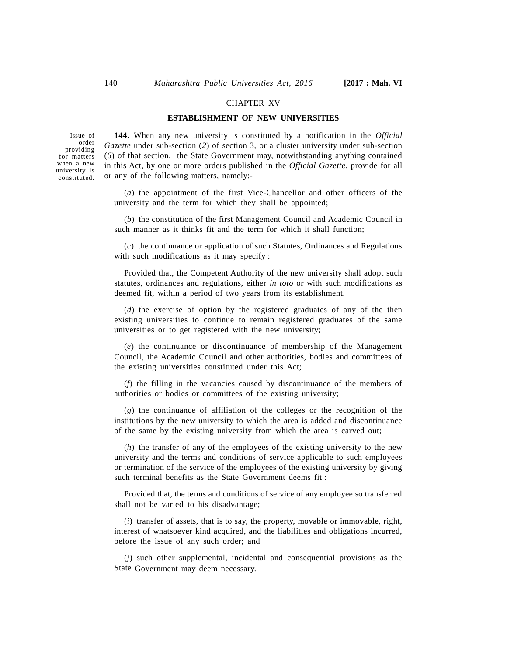#### CHAPTER XV

### **ESTABLISHMENT OF NEW UNIVERSITIES**

Issue of order providing for matters when a new university is constituted.

**144.** When any new university is constituted by a notification in the *Official Gazette* under sub-section (*2*) of section 3, or a cluster university under sub-section (*6*) of that section, the State Government may, notwithstanding anything contained in this Act, by one or more orders published in the *Official Gazette*, provide for all or any of the following matters, namely:-

(*a*) the appointment of the first Vice-Chancellor and other officers of the university and the term for which they shall be appointed;

(*b*) the constitution of the first Management Council and Academic Council in such manner as it thinks fit and the term for which it shall function;

(*c*) the continuance or application of such Statutes, Ordinances and Regulations with such modifications as it may specify :

Provided that, the Competent Authority of the new university shall adopt such statutes, ordinances and regulations, either *in toto* or with such modifications as deemed fit, within a period of two years from its establishment.

(*d*) the exercise of option by the registered graduates of any of the then existing universities to continue to remain registered graduates of the same universities or to get registered with the new university;

(*e*) the continuance or discontinuance of membership of the Management Council, the Academic Council and other authorities, bodies and committees of the existing universities constituted under this Act;

(*f*) the filling in the vacancies caused by discontinuance of the members of authorities or bodies or committees of the existing university;

(*g*) the continuance of affiliation of the colleges or the recognition of the institutions by the new university to which the area is added and discontinuance of the same by the existing university from which the area is carved out;

(*h*) the transfer of any of the employees of the existing university to the new university and the terms and conditions of service applicable to such employees or termination of the service of the employees of the existing university by giving such terminal benefits as the State Government deems fit :

Provided that, the terms and conditions of service of any employee so transferred shall not be varied to his disadvantage;

(*i*) transfer of assets, that is to say, the property, movable or immovable, right, interest of whatsoever kind acquired, and the liabilities and obligations incurred, before the issue of any such order; and

(*j*) such other supplemental, incidental and consequential provisions as the State Government may deem necessary.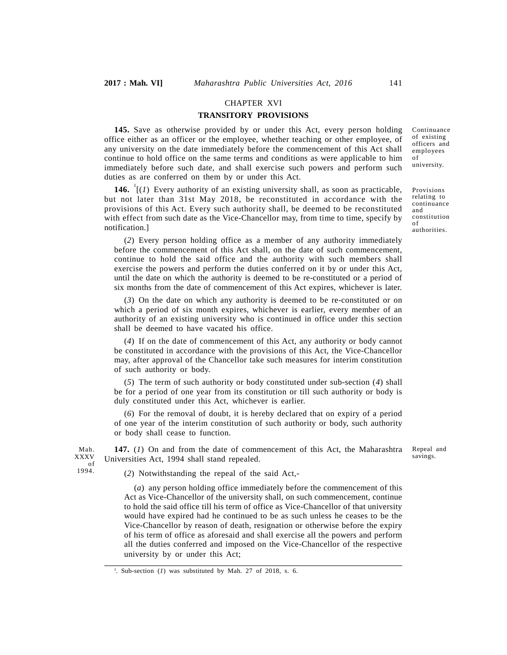Mah.<br>XXXV of 1994.

### CHAPTER XVI

### **TRANSITORY PROVISIONS**

**145.** Save as otherwise provided by or under this Act, every person holding office either as an officer or the employee, whether teaching or other employee, of any university on the date immediately before the commencement of this Act shall continue to hold office on the same terms and conditions as were applicable to him immediately before such date, and shall exercise such powers and perform such duties as are conferred on them by or under this Act.

**146.**  $\left[\frac{1}{1}\right]$  Every authority of an existing university shall, as soon as practicable, but not later than 31st May 2018, be reconstituted in accordance with the provisions of this Act. Every such authority shall, be deemed to be reconstituted with effect from such date as the Vice-Chancellor may, from time to time, specify by notification.]

(*2*) Every person holding office as a member of any authority immediately before the commencement of this Act shall, on the date of such commencement, continue to hold the said office and the authority with such members shall exercise the powers and perform the duties conferred on it by or under this Act, until the date on which the authority is deemed to be re-constituted or a period of six months from the date of commencement of this Act expires, whichever is later.

(*3*) On the date on which any authority is deemed to be re-constituted or on which a period of six month expires, whichever is earlier, every member of an authority of an existing university who is continued in office under this section shall be deemed to have vacated his office.

(*4*) If on the date of commencement of this Act, any authority or body cannot be constituted in accordance with the provisions of this Act, the Vice-Chancellor may, after approval of the Chancellor take such measures for interim constitution of such authority or body.

(*5*) The term of such authority or body constituted under sub-section (*4*) shall be for a period of one year from its constitution or till such authority or body is duly constituted under this Act, whichever is earlier.

(*6*) For the removal of doubt, it is hereby declared that on expiry of a period of one year of the interim constitution of such authority or body, such authority or body shall cease to function.

**147.** (*1*) On and from the date of commencement of this Act, the Maharashtra  $\frac{XXXV}{\sigma}$  Universities Act, 1994 shall stand repealed.

Repeal and savings.

(*2*) Notwithstanding the repeal of the said Act,-

(*a*) any person holding office immediately before the commencement of this Act as Vice-Chancellor of the university shall, on such commencement, continue to hold the said office till his term of office as Vice-Chancellor of that university would have expired had he continued to be as such unless he ceases to be the Vice-Chancellor by reason of death, resignation or otherwise before the expiry of his term of office as aforesaid and shall exercise all the powers and perform all the duties conferred and imposed on the Vice-Chancellor of the respective university by or under this Act;

Continuance of existing officers and employees of university.

Provisions relating to continuance and constitution of authorities.

<sup>1</sup> . Sub-section (*1*) was substituted by Mah. 27 of 2018, s. 6.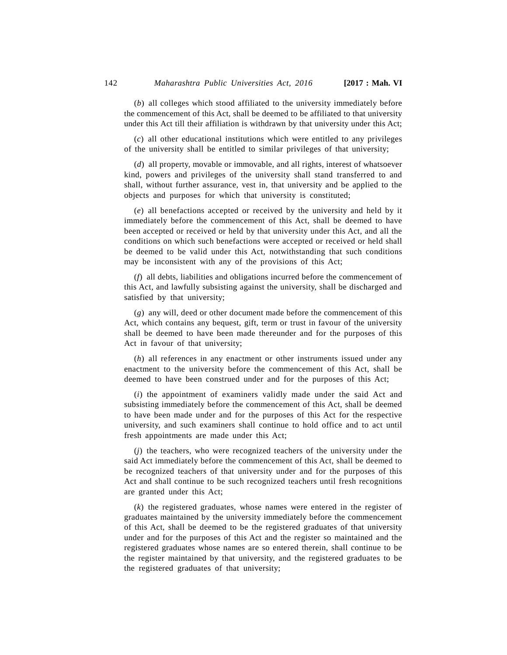(*b*) all colleges which stood affiliated to the university immediately before the commencement of this Act, shall be deemed to be affiliated to that university under this Act till their affiliation is withdrawn by that university under this Act;

(*c*) all other educational institutions which were entitled to any privileges of the university shall be entitled to similar privileges of that university;

(*d*) all property, movable or immovable, and all rights, interest of whatsoever kind, powers and privileges of the university shall stand transferred to and shall, without further assurance, vest in, that university and be applied to the objects and purposes for which that university is constituted;

(*e*) all benefactions accepted or received by the university and held by it immediately before the commencement of this Act, shall be deemed to have been accepted or received or held by that university under this Act, and all the conditions on which such benefactions were accepted or received or held shall be deemed to be valid under this Act, notwithstanding that such conditions may be inconsistent with any of the provisions of this Act;

(*f*) all debts, liabilities and obligations incurred before the commencement of this Act, and lawfully subsisting against the university, shall be discharged and satisfied by that university;

(*g*) any will, deed or other document made before the commencement of this Act, which contains any bequest, gift, term or trust in favour of the university shall be deemed to have been made thereunder and for the purposes of this Act in favour of that university;

(*h*) all references in any enactment or other instruments issued under any enactment to the university before the commencement of this Act, shall be deemed to have been construed under and for the purposes of this Act;

(*i*) the appointment of examiners validly made under the said Act and subsisting immediately before the commencement of this Act, shall be deemed to have been made under and for the purposes of this Act for the respective university, and such examiners shall continue to hold office and to act until fresh appointments are made under this Act;

(*j*) the teachers, who were recognized teachers of the university under the said Act immediately before the commencement of this Act, shall be deemed to be recognized teachers of that university under and for the purposes of this Act and shall continue to be such recognized teachers until fresh recognitions are granted under this Act;

(*k*) the registered graduates, whose names were entered in the register of graduates maintained by the university immediately before the commencement of this Act, shall be deemed to be the registered graduates of that university under and for the purposes of this Act and the register so maintained and the registered graduates whose names are so entered therein, shall continue to be the register maintained by that university, and the registered graduates to be the registered graduates of that university;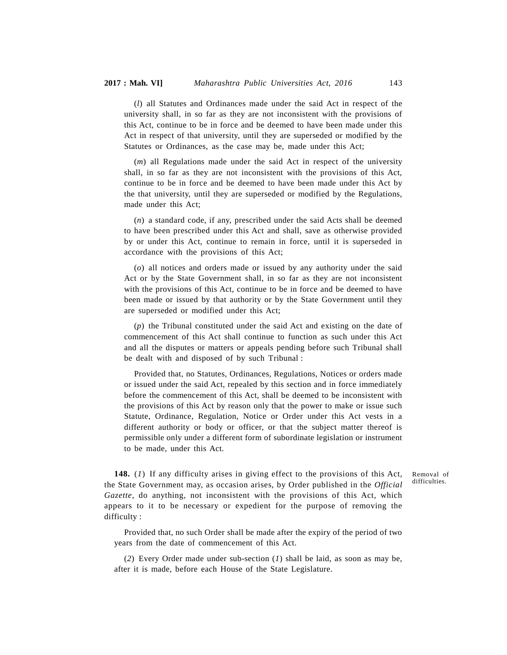(*l*) all Statutes and Ordinances made under the said Act in respect of the university shall, in so far as they are not inconsistent with the provisions of this Act, continue to be in force and be deemed to have been made under this Act in respect of that university, until they are superseded or modified by the Statutes or Ordinances, as the case may be, made under this Act;

(*m*) all Regulations made under the said Act in respect of the university shall, in so far as they are not inconsistent with the provisions of this Act, continue to be in force and be deemed to have been made under this Act by the that university, until they are superseded or modified by the Regulations, made under this Act;

(*n*) a standard code, if any, prescribed under the said Acts shall be deemed to have been prescribed under this Act and shall, save as otherwise provided by or under this Act, continue to remain in force, until it is superseded in accordance with the provisions of this Act;

(*o*) all notices and orders made or issued by any authority under the said Act or by the State Government shall, in so far as they are not inconsistent with the provisions of this Act, continue to be in force and be deemed to have been made or issued by that authority or by the State Government until they are superseded or modified under this Act;

(*p*) the Tribunal constituted under the said Act and existing on the date of commencement of this Act shall continue to function as such under this Act and all the disputes or matters or appeals pending before such Tribunal shall be dealt with and disposed of by such Tribunal :

Provided that, no Statutes, Ordinances, Regulations, Notices or orders made or issued under the said Act, repealed by this section and in force immediately before the commencement of this Act, shall be deemed to be inconsistent with the provisions of this Act by reason only that the power to make or issue such Statute, Ordinance, Regulation, Notice or Order under this Act vests in a different authority or body or officer, or that the subject matter thereof is permissible only under a different form of subordinate legislation or instrument to be made, under this Act.

**148.** (*1*) If any difficulty arises in giving effect to the provisions of this Act, the State Government may, as occasion arises, by Order published in the *Official Gazette*, do anything, not inconsistent with the provisions of this Act, which appears to it to be necessary or expedient for the purpose of removing the difficulty :

Removal of difficulties.

Provided that, no such Order shall be made after the expiry of the period of two years from the date of commencement of this Act.

(*2*) Every Order made under sub-section (*1*) shall be laid, as soon as may be, after it is made, before each House of the State Legislature.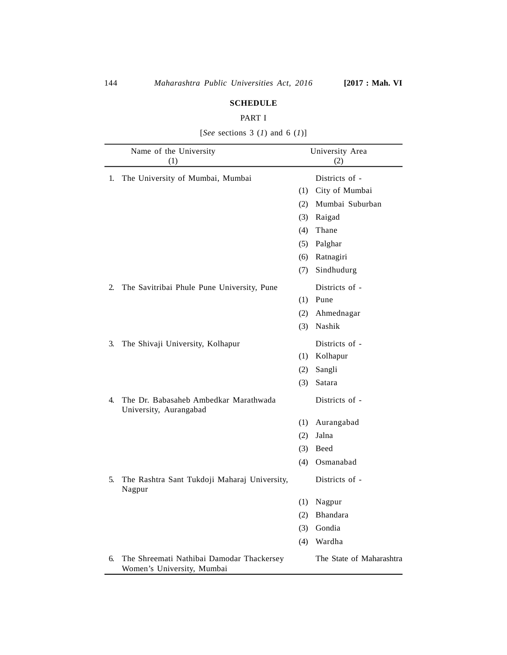### **SCHEDULE**

## PART I

|    | Name of the University<br>(1)                                           |     | University Area<br>(2)   |  |
|----|-------------------------------------------------------------------------|-----|--------------------------|--|
| 1. | The University of Mumbai, Mumbai                                        |     | Districts of -           |  |
|    |                                                                         | (1) | City of Mumbai           |  |
|    |                                                                         | (2) | Mumbai Suburban          |  |
|    |                                                                         | (3) | Raigad                   |  |
|    |                                                                         | (4) | Thane                    |  |
|    |                                                                         | (5) | Palghar                  |  |
|    |                                                                         | (6) | Ratnagiri                |  |
|    |                                                                         | (7) | Sindhudurg               |  |
| 2. | The Savitribai Phule Pune University, Pune                              |     | Districts of -           |  |
|    |                                                                         | (1) | Pune                     |  |
|    |                                                                         | (2) | Ahmednagar               |  |
|    |                                                                         | (3) | Nashik                   |  |
| 3. | The Shivaji University, Kolhapur                                        |     | Districts of -           |  |
|    |                                                                         | (1) | Kolhapur                 |  |
|    |                                                                         | (2) | Sangli                   |  |
|    |                                                                         | (3) | Satara                   |  |
| 4. | The Dr. Babasaheb Ambedkar Marathwada<br>University, Aurangabad         |     | Districts of -           |  |
|    |                                                                         | (1) | Aurangabad               |  |
|    |                                                                         | (2) | Jalna                    |  |
|    |                                                                         | (3) | Beed                     |  |
|    |                                                                         | (4) | Osmanabad                |  |
| 5. | The Rashtra Sant Tukdoji Maharaj University,<br>Nagpur                  |     | Districts of -           |  |
|    |                                                                         | (1) | Nagpur                   |  |
|    |                                                                         | (2) | Bhandara                 |  |
|    |                                                                         | (3) | Gondia                   |  |
|    |                                                                         | (4) | Wardha                   |  |
| 6. | The Shreemati Nathibai Damodar Thackersey<br>Women's University, Mumbai |     | The State of Maharashtra |  |

[*See* sections 3 (*1*) and 6 (*1*)]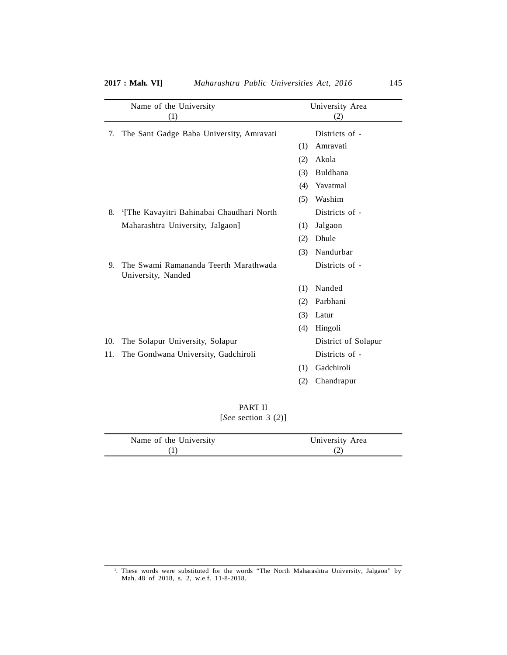|     | Name of the University                                      |     | University Area     |
|-----|-------------------------------------------------------------|-----|---------------------|
|     | (1)                                                         |     | (2)                 |
| 7.  | The Sant Gadge Baba University, Amravati                    |     | Districts of -      |
|     |                                                             | (1) | Amravati            |
|     |                                                             | (2) | Akola               |
|     |                                                             | (3) | Buldhana            |
|     |                                                             | (4) | Yavatmal            |
|     |                                                             | (5) | Washim              |
| 8.  | <sup>1</sup> [The Kavayitri Bahinabai Chaudhari North       |     | Districts of -      |
|     | Maharashtra University, Jalgaon]                            | (1) | Jalgaon             |
|     |                                                             | (2) | Dhule               |
|     |                                                             | (3) | Nandurbar           |
| 9.  | The Swami Ramananda Teerth Marathwada<br>University, Nanded |     | Districts of -      |
|     |                                                             | (1) | Nanded              |
|     |                                                             | (2) | Parbhani            |
|     |                                                             | (3) | Latur               |
|     |                                                             | (4) | Hingoli             |
| 10. | The Solapur University, Solapur                             |     | District of Solapur |
| 11. | The Gondwana University, Gadchiroli                         |     | Districts of -      |
|     |                                                             | (1) | Gadchiroli          |
|     |                                                             | (2) | Chandrapur          |
|     |                                                             |     |                     |

PART II [*See* section 3 (*2*)]

| Name of the University | University Area |
|------------------------|-----------------|
|                        |                 |

1 . These words were substituted for the words "The North Maharashtra University, Jalgaon" by Mah. 48 of 2018, s. 2, w.e.f. 11-8-2018.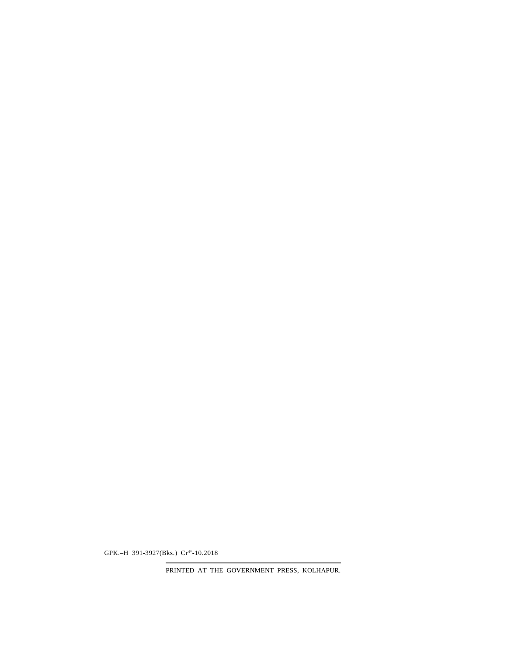PRINTED AT THE GOVERNMENT PRESS, KOLHAPUR.

GPK.-H 391-3927(Bks.) Cr<sup>4\*</sup>-10.2018